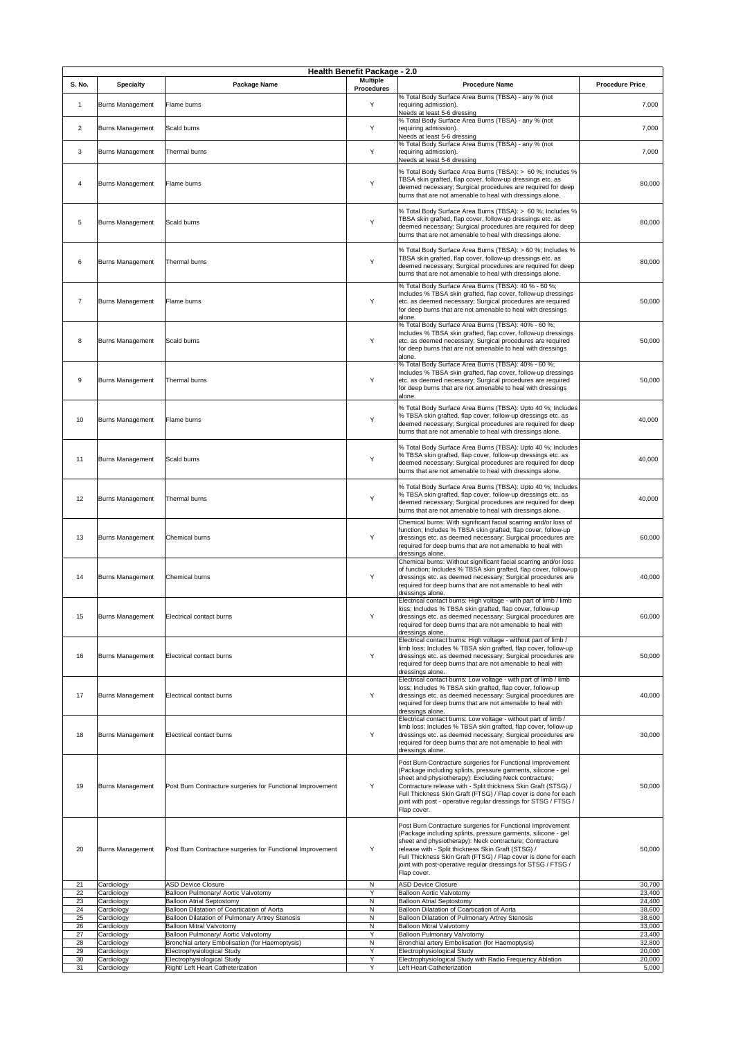|                |                          |                                                                                 | <b>Health Benefit Package - 2.0</b>  |                                                                                                                                                                                          |                        |
|----------------|--------------------------|---------------------------------------------------------------------------------|--------------------------------------|------------------------------------------------------------------------------------------------------------------------------------------------------------------------------------------|------------------------|
| <b>S. No.</b>  | <b>Specialty</b>         | <b>Package Name</b>                                                             | <b>Multiple</b><br><b>Procedures</b> | <b>Procedure Name</b>                                                                                                                                                                    | <b>Procedure Price</b> |
|                |                          |                                                                                 |                                      | % Total Body Surface Area Burns (TBSA) - any % (not                                                                                                                                      |                        |
| $\mathbf 1$    | <b>Burns Management</b>  | Flame burns                                                                     | Y                                    | requiring admission).<br>Needs at least 5-6 dressing<br>% Total Body Surface Area Burns (TBSA) - any % (not                                                                              | 7,000                  |
| 2              | <b>Burns Management</b>  | Scald burns                                                                     | Y                                    | requiring admission).                                                                                                                                                                    | 7,000                  |
|                |                          |                                                                                 |                                      | Needs at least 5-6 dressing<br>% Total Body Surface Area Burns (TBSA) - any % (not                                                                                                       |                        |
| 3              | <b>Burns Management</b>  | Thermal burns                                                                   | Y                                    | requiring admission).<br>Needs at least 5-6 dressing                                                                                                                                     | 7,000                  |
| 4              | <b>Burns Management</b>  | Flame burns                                                                     | Y                                    | % Total Body Surface Area Burns (TBSA): > 60 %; Includes %<br>TBSA skin grafted, flap cover, follow-up dressings etc. as                                                                 | 80,000                 |
|                |                          |                                                                                 |                                      | deemed necessary; Surgical procedures are required for deep<br>burns that are not amenable to heal with dressings alone.                                                                 |                        |
| 5              | <b>Burns Management</b>  | Scald burns                                                                     | Y                                    | % Total Body Surface Area Burns (TBSA): > 60 %; Includes %<br>TBSA skin grafted, flap cover, follow-up dressings etc. as<br>deemed necessary; Surgical procedures are required for deep  | 80,000                 |
|                |                          |                                                                                 |                                      | burns that are not amenable to heal with dressings alone.                                                                                                                                |                        |
| 6              | <b>Burns Management</b>  | Thermal burns                                                                   | Y                                    | % Total Body Surface Area Burns (TBSA): > 60 %; Includes %<br>TBSA skin grafted, flap cover, follow-up dressings etc. as<br>deemed necessary; Surgical procedures are required for deep  | 80,000                 |
|                |                          |                                                                                 |                                      | burns that are not amenable to heal with dressings alone.                                                                                                                                |                        |
| $\overline{7}$ | <b>Burns Management</b>  | Flame burns                                                                     | Y                                    | % Total Body Surface Area Burns (TBSA): 40 % - 60 %;<br>Includes % TBSA skin grafted, flap cover, follow-up dressings<br>etc. as deemed necessary; Surgical procedures are required      | 50,000                 |
|                |                          |                                                                                 |                                      | for deep burns that are not amenable to heal with dressings<br>alone.                                                                                                                    |                        |
|                |                          | Scald burns                                                                     | Y                                    | % Total Body Surface Area Burns (TBSA): 40% - 60 %;<br>Includes % TBSA skin grafted, flap cover, follow-up dressings                                                                     |                        |
| 8              | <b>Burns Management</b>  |                                                                                 |                                      | etc. as deemed necessary; Surgical procedures are required<br>for deep burns that are not amenable to heal with dressings<br>alone.                                                      | 50,000                 |
|                |                          |                                                                                 |                                      | % Total Body Surface Area Burns (TBSA): 40% - 60 %;<br>Includes % TBSA skin grafted, flap cover, follow-up dressings                                                                     |                        |
| 9              | <b>Burns Management</b>  | Thermal burns                                                                   | Y                                    | etc. as deemed necessary; Surgical procedures are required<br>for deep burns that are not amenable to heal with dressings                                                                | 50,000                 |
|                |                          |                                                                                 |                                      | alone.<br>% Total Body Surface Area Burns (TBSA): Upto 40 %; Includes                                                                                                                    |                        |
| 10             | <b>Burns Management</b>  | Flame burns                                                                     | Y                                    | % TBSA skin grafted, flap cover, follow-up dressings etc. as<br>deemed necessary; Surgical procedures are required for deep                                                              | 40,000                 |
|                |                          |                                                                                 |                                      | burns that are not amenable to heal with dressings alone.                                                                                                                                |                        |
|                |                          |                                                                                 |                                      | % Total Body Surface Area Burns (TBSA): Upto 40 %; Includes                                                                                                                              |                        |
| 11             | <b>Burns Management</b>  | Scald burns                                                                     | Y                                    | % TBSA skin grafted, flap cover, follow-up dressings etc. as<br>deemed necessary; Surgical procedures are required for deep<br>burns that are not amenable to heal with dressings alone. | 40,000                 |
|                |                          |                                                                                 |                                      |                                                                                                                                                                                          |                        |
| 12             | <b>Burns Management</b>  | Thermal burns                                                                   | Y                                    | % Total Body Surface Area Burns (TBSA): Upto 40 %; Includes<br>% TBSA skin grafted, flap cover, follow-up dressings etc. as                                                              | 40,000                 |
|                |                          |                                                                                 |                                      | deemed necessary; Surgical procedures are required for deep<br>burns that are not amenable to heal with dressings alone.                                                                 |                        |
|                |                          |                                                                                 |                                      | Chemical burns: With significant facial scarring and/or loss of<br>function; Includes % TBSA skin grafted, flap cover, follow-up                                                         |                        |
| 13             | <b>Burns Management</b>  | <b>Chemical burns</b>                                                           | Y                                    | dressings etc. as deemed necessary; Surgical procedures are<br>required for deep burns that are not amenable to heal with                                                                | 60,000                 |
|                |                          |                                                                                 |                                      | dressings alone.<br>Chemical burns: Without significant facial scarring and/or loss                                                                                                      |                        |
| 14             | <b>Burns Management</b>  | <b>Chemical burns</b>                                                           | Y                                    | of function; Includes % TBSA skin grafted, flap cover, follow-up<br>dressings etc. as deemed necessary; Surgical procedures are                                                          | 40,000                 |
|                |                          |                                                                                 |                                      | required for deep burns that are not amenable to heal with<br>dressings alone.                                                                                                           |                        |
|                |                          |                                                                                 |                                      | Electrical contact burns: High voltage - with part of limb / limb<br>loss; Includes % TBSA skin grafted, flap cover, follow-up                                                           |                        |
| 15             | <b>Burns Management</b>  | Electrical contact burns                                                        | Y                                    | dressings etc. as deemed necessary; Surgical procedures are<br>required for deep burns that are not amenable to heal with                                                                | 60,000                 |
|                |                          |                                                                                 |                                      | dressings alone.                                                                                                                                                                         |                        |
|                |                          |                                                                                 |                                      | Electrical contact burns: High voltage - without part of limb /<br>limb loss; Includes % TBSA skin grafted, flap cover, follow-up                                                        |                        |
| 16             | <b>Burns Management</b>  | Electrical contact burns                                                        | Y                                    | dressings etc. as deemed necessary; Surgical procedures are<br>required for deep burns that are not amenable to heal with                                                                | 50,000                 |
|                |                          |                                                                                 |                                      | dressings alone.<br>Electrical contact burns: Low voltage - with part of limb / limb                                                                                                     |                        |
| 17             | <b>Burns Management</b>  | Electrical contact burns                                                        | Y                                    | loss; Includes % TBSA skin grafted, flap cover, follow-up<br>dressings etc. as deemed necessary; Surgical procedures are                                                                 | 40,000                 |
|                |                          |                                                                                 |                                      | required for deep burns that are not amenable to heal with<br>dressings alone.                                                                                                           |                        |
|                |                          |                                                                                 |                                      | Electrical contact burns: Low voltage - without part of limb /<br>limb loss; Includes % TBSA skin grafted, flap cover, follow-up                                                         |                        |
| 18             | <b>Burns Management</b>  | Electrical contact burns                                                        | Y                                    | dressings etc. as deemed necessary; Surgical procedures are<br>required for deep burns that are not amenable to heal with                                                                | 30,000                 |
|                |                          |                                                                                 |                                      | dressings alone.<br>Post Burn Contracture surgeries for Functional Improvement                                                                                                           |                        |
|                |                          |                                                                                 |                                      | (Package including splints, pressure garments, silicone - gel<br>sheet and physiotherapy): Excluding Neck contracture;                                                                   |                        |
| 19             | <b>Burns Management</b>  | Post Burn Contracture surgeries for Functional Improvement                      | Y                                    | Contracture release with - Split thickness Skin Graft (STSG) /                                                                                                                           | 50,000                 |
|                |                          |                                                                                 |                                      | Full Thickness Skin Graft (FTSG) / Flap cover is done for each<br>joint with post - operative regular dressings for STSG / FTSG /                                                        |                        |
|                |                          |                                                                                 |                                      | Flap cover.                                                                                                                                                                              |                        |
|                |                          |                                                                                 |                                      | Post Burn Contracture surgeries for Functional Improvement<br>(Package including splints, pressure garments, silicone - gel                                                              |                        |
| 20             | <b>Burns Management</b>  | Post Burn Contracture surgeries for Functional Improvement                      | Y                                    | sheet and physiotherapy): Neck contracture; Contracture<br>release with - Split thickness Skin Graft (STSG) /                                                                            | 50,000                 |
|                |                          |                                                                                 |                                      | Full Thickness Skin Graft (FTSG) / Flap cover is done for each<br>oint with post-operative regular dressings for STSG / FTSG /                                                           |                        |
| 21             | Cardiology               | <b>ASD Device Closure</b>                                                       | $\mathsf{N}$                         | Flap cover.<br><b>ASD Device Closure</b>                                                                                                                                                 | 30,700                 |
| 22             | Cardiology               | Balloon Pulmonary/ Aortic Valvotomy                                             | Y                                    | <b>Balloon Aortic Valvotomy</b>                                                                                                                                                          | 23,400                 |
| 23<br>24       | Cardiology<br>Cardiology | <b>Balloon Atrial Septostomy</b><br>Balloon Dilatation of Coartication of Aorta | $\mathsf{N}$<br>N                    | <b>Balloon Atrial Septostomy</b><br>Balloon Dilatation of Coartication of Aorta                                                                                                          | 24,400<br>38,600       |
| 25             | Cardiology               | Balloon Dilatation of Pulmonary Artrey Stenosis                                 | $\mathsf{N}$                         | <b>Balloon Dilatation of Pulmonary Artrey Stenosis</b>                                                                                                                                   | 38,600                 |
| 26<br>27       | Cardiology<br>Cardiology | <b>Balloon Mitral Valvotomy</b><br>Balloon Pulmonary/ Aortic Valvotomy          | $\mathsf{N}$<br>Y                    | <b>Balloon Mitral Valvotomy</b><br><b>Balloon Pulmonary Valvotomy</b>                                                                                                                    | 33,000<br>23,400       |
| 28             | Cardiology               | Bronchial artery Embolisation (for Haemoptysis)                                 | $\mathsf{N}$                         | Bronchial artery Embolisation (for Haemoptysis)                                                                                                                                          | 32,800                 |
| 29<br>30       | Cardiology<br>Cardiology | Electrophysiological Study<br>Electrophysiological Study                        | Y<br>Y                               | Electrophysiological Study<br>Electrophysiological Study with Radio Frequency Ablation                                                                                                   | 20,000<br>20,000       |
| 31             | Cardiology               | Right/ Left Heart Catheterization                                               | Y                                    | Left Heart Catheterization                                                                                                                                                               | 5,000                  |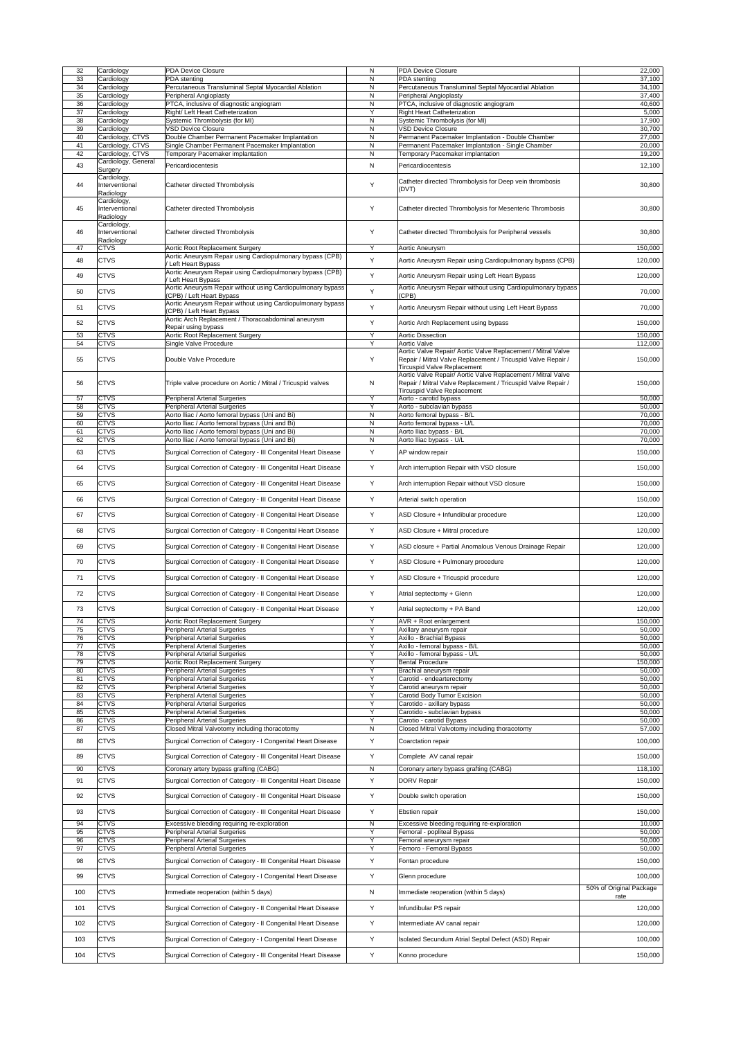| 32         | Cardiology                                 | <b>PDA Device Closure</b>                                                                                                      | N              | <b>PDA Device Closure</b>                                                                                                                                          | 22,000                             |
|------------|--------------------------------------------|--------------------------------------------------------------------------------------------------------------------------------|----------------|--------------------------------------------------------------------------------------------------------------------------------------------------------------------|------------------------------------|
| 33         | Cardiology                                 | PDA stenting                                                                                                                   | N              | PDA stenting                                                                                                                                                       | 37,100                             |
| 34         | Cardiology                                 | Percutaneous Transluminal Septal Myocardial Ablation                                                                           | N              | Percutaneous Transluminal Septal Myocardial Ablation                                                                                                               | 34,100                             |
| 35         | Cardiology                                 | Peripheral Angioplasty                                                                                                         | N              | Peripheral Angioplasty                                                                                                                                             | 37,400                             |
| 36         | Cardiology                                 | PTCA, inclusive of diagnostic angiogram                                                                                        | N              | PTCA, inclusive of diagnostic angiogram                                                                                                                            | 40,600                             |
| 37         | Cardiology                                 | Right/ Left Heart Catheterization                                                                                              | Y              | <b>Right Heart Catheterization</b>                                                                                                                                 | 5,000                              |
| 38         | Cardiology                                 | Systemic Thrombolysis (for MI)                                                                                                 | N              | Systemic Thrombolysis (for MI)                                                                                                                                     | 17,900                             |
| 39         | Cardiology                                 | <b>VSD Device Closure</b>                                                                                                      | N              | <b>VSD Device Closure</b>                                                                                                                                          | 30,700                             |
| 40         | Cardiology, CTVS                           | Double Chamber Permanent Pacemaker Implantation                                                                                | N              | Permanent Pacemaker Implantation - Double Chamber                                                                                                                  | 27,000                             |
| 41         | Cardiology, CTVS                           | Single Chamber Permanent Pacemaker Implantation                                                                                | N              | Permanent Pacemaker Implantation - Single Chamber                                                                                                                  | 20,000                             |
| 42         | Cardiology, CTVS<br>Cardiology, General    | Temporary Pacemaker implantation                                                                                               | N              | Temporary Pacemaker implantation                                                                                                                                   | 19,200                             |
| 43         | Surgery                                    | Pericardiocentesis                                                                                                             | $\mathsf{N}$   | Pericardiocentesis                                                                                                                                                 | 12,100                             |
| 44         | Cardiology,<br>Interventional              | Catheter directed Thrombolysis                                                                                                 | Y              | Catheter directed Thrombolysis for Deep vein thrombosis                                                                                                            | 30,800                             |
|            | Radiology<br>Cardiology,                   |                                                                                                                                |                | (DVT)                                                                                                                                                              |                                    |
| 45         | Interventional<br>Radiology<br>Cardiology, | Catheter directed Thrombolysis                                                                                                 | Y              | Catheter directed Thrombolysis for Mesenteric Thrombosis                                                                                                           | 30,800                             |
| 46         | Interventional<br>Radiology                | Catheter directed Thrombolysis                                                                                                 | Y              | Catheter directed Thrombolysis for Peripheral vessels                                                                                                              | 30,800                             |
| 47<br>48   | <b>CTVS</b><br><b>CTVS</b>                 | Aortic Root Replacement Surgery<br>Aortic Aneurysm Repair using Cardiopulmonary bypass (CPB)                                   | Y<br>Y         | Aortic Aneurysm<br>Aortic Aneurysm Repair using Cardiopulmonary bypass (CPB)                                                                                       | 150,000<br>120,000                 |
| 49         | <b>CTVS</b>                                | Left Heart Bypass<br>Aortic Aneurysm Repair using Cardiopulmonary bypass (CPB)                                                 | Y              | Aortic Aneurysm Repair using Left Heart Bypass                                                                                                                     | 120,000                            |
| 50         | <b>CTVS</b>                                | Left Heart Bypass<br>Aortic Aneurysm Repair without using Cardiopulmonary bypass<br>(CPB) / Left Heart Bypass                  | Y              | Aortic Aneurysm Repair without using Cardiopulmonary bypass<br>(CPB)                                                                                               | 70,000                             |
| 51         | <b>CTVS</b>                                | Aortic Aneurysm Repair without using Cardiopulmonary bypass<br>(CPB) / Left Heart Bypass                                       | Y              | Aortic Aneurysm Repair without using Left Heart Bypass                                                                                                             | 70,000                             |
| 52         | <b>CTVS</b>                                | Aortic Arch Replacement / Thoracoabdominal aneurysm<br>Repair using bypass                                                     | Υ              | Aortic Arch Replacement using bypass                                                                                                                               | 150,000                            |
| 53<br>54   | <b>CTVS</b><br><b>CTVS</b>                 | Aortic Root Replacement Surgery<br>Single Valve Procedure                                                                      | Y<br>Y         | <b>Aortic Dissection</b><br><b>Aortic Valve</b>                                                                                                                    | 150,000<br>112,000                 |
| 55         | <b>CTVS</b>                                | Double Valve Procedure                                                                                                         | Y              | Aortic Valve Repair/ Aortic Valve Replacement / Mitral Valve<br>Repair / Mitral Valve Replacement / Tricuspid Valve Repair /<br><b>Tircuspid Valve Replacement</b> | 150,000                            |
| 56         | <b>CTVS</b>                                | Triple valve procedure on Aortic / Mitral / Tricuspid valves                                                                   | N              | Aortic Valve Repair/ Aortic Valve Replacement / Mitral Valve<br>Repair / Mitral Valve Replacement / Tricuspid Valve Repair /                                       | 150,000                            |
| 57         | <b>CTVS</b>                                | Peripheral Arterial Surgeries                                                                                                  | Y              | <b>Tircuspid Valve Replacement</b><br>Aorto - carotid bypass                                                                                                       | 50,000                             |
| 58         | <b>CTVS</b>                                | Peripheral Arterial Surgeries                                                                                                  | Y              | Aorto - subclavian bypass                                                                                                                                          | 50,000                             |
| 59         | <b>CTVS</b>                                | Aorto Iliac / Aorto femoral bypass (Uni and Bi)                                                                                | N              | Aorto femoral bypass - B/L                                                                                                                                         | 70,000                             |
| 60         | <b>CTVS</b>                                | Aorto Iliac / Aorto femoral bypass (Uni and Bi)                                                                                | N              | Aorto femoral bypass - U/L                                                                                                                                         | 70,000                             |
| 61         | <b>CTVS</b>                                | Aorto Iliac / Aorto femoral bypass (Uni and Bi)                                                                                | N              | Aorto Iliac bypass - B/L                                                                                                                                           | 70,000                             |
| 62         | <b>CTVS</b>                                | Aorto Iliac / Aorto femoral bypass (Uni and Bi)                                                                                | N              | Aorto Iliac bypass - U/L                                                                                                                                           | 70,000                             |
| 63         | <b>CTVS</b>                                | Surgical Correction of Category - III Congenital Heart Disease                                                                 | Y              | AP window repair                                                                                                                                                   | 150,000                            |
| 64         | <b>CTVS</b>                                | Surgical Correction of Category - III Congenital Heart Disease                                                                 | Y              | Arch interruption Repair with VSD closure                                                                                                                          | 150,000                            |
| 65         | <b>CTVS</b>                                | Surgical Correction of Category - III Congenital Heart Disease                                                                 | Y              | Arch interruption Repair without VSD closure                                                                                                                       | 150,000                            |
| 66         | <b>CTVS</b>                                | Surgical Correction of Category - III Congenital Heart Disease                                                                 | Y              | Arterial switch operation                                                                                                                                          | 150,000                            |
| 67         | <b>CTVS</b>                                | Surgical Correction of Category - Il Congenital Heart Disease                                                                  | Y              | ASD Closure + Infundibular procedure                                                                                                                               | 120,000                            |
| 68         | <b>CTVS</b>                                | Surgical Correction of Category - Il Congenital Heart Disease                                                                  | Y              | ASD Closure + Mitral procedure                                                                                                                                     | 120,000                            |
| 69         | <b>CTVS</b>                                | Surgical Correction of Category - Il Congenital Heart Disease                                                                  | Y              | ASD closure + Partial Anomalous Venous Drainage Repair                                                                                                             | 120,000                            |
| 70         | <b>CTVS</b>                                | Surgical Correction of Category - II Congenital Heart Disease                                                                  | Y              | ASD Closure + Pulmonary procedure                                                                                                                                  | 120,000                            |
| 71<br>72   | <b>CTVS</b><br><b>CTVS</b>                 | Surgical Correction of Category - Il Congenital Heart Disease<br>Surgical Correction of Category - Il Congenital Heart Disease | Y<br>Y         | ASD Closure + Tricuspid procedure<br>Atrial septectomy + Glenn                                                                                                     | 120,000<br>120,000                 |
| 73         | <b>CTVS</b>                                | Surgical Correction of Category - Il Congenital Heart Disease                                                                  | Y              | Atrial septectomy + PA Band                                                                                                                                        | 120,000                            |
| 74         | <b>CTVS</b>                                | Aortic Root Replacement Surgery                                                                                                | Y              | AVR + Root enlargement                                                                                                                                             | 150,000                            |
| 75<br>76   | <b>CTVS</b><br><b>CTVS</b>                 | <b>Peripheral Arterial Surgeries</b><br>Peripheral Arterial Surgeries                                                          | Y<br>Y         | Axillary aneurysm repair<br>Axillo - Brachial Bypass                                                                                                               | 50,000<br>50,000                   |
| 77         | <b>CTVS</b>                                | Peripheral Arterial Surgeries                                                                                                  | Y              | Axillo - femoral bypass - B/L                                                                                                                                      | 50,000                             |
| 78         | <b>CTVS</b>                                | Peripheral Arterial Surgeries                                                                                                  | Y              | Axillo - femoral bypass - U/L                                                                                                                                      | 50,000                             |
| 79         | <b>CTVS</b>                                | Aortic Root Replacement Surgery                                                                                                | Y              | <b>Bental Procedure</b>                                                                                                                                            | 150,000                            |
| 80         | <b>CTVS</b>                                | <b>Peripheral Arterial Surgeries</b>                                                                                           | Y              | Brachial aneurysm repair                                                                                                                                           | 50,000                             |
| 81         | <b>CTVS</b>                                | <b>Peripheral Arterial Surgeries</b>                                                                                           | Y              | Carotid - endearterectomy                                                                                                                                          | 50,000                             |
| 82         | <b>CTVS</b>                                | Peripheral Arterial Surgeries                                                                                                  | Y              | Carotid aneurysm repair                                                                                                                                            | 50,000                             |
| 83         | <b>CTVS</b>                                | Peripheral Arterial Surgeries                                                                                                  | Y              | Carotid Body Tumor Excision                                                                                                                                        | 50,000                             |
| 84         | <b>CTVS</b>                                | Peripheral Arterial Surgeries                                                                                                  | Y              | Carotido - axillary bypass                                                                                                                                         | 50,000                             |
| 85         | <b>CTVS</b>                                | <b>Peripheral Arterial Surgeries</b>                                                                                           | Y              | Carotido - subclavian bypass                                                                                                                                       | 50,000                             |
| 86         | <b>CTVS</b>                                | Peripheral Arterial Surgeries                                                                                                  | Y              | Carotio - carotid Bypass                                                                                                                                           | 50,000                             |
| 87<br>88   | <b>CTVS</b><br><b>CTVS</b>                 | Closed Mitral Valvotomy including thoracotomy<br>Surgical Correction of Category - I Congenital Heart Disease                  | ${\sf N}$<br>Y | Closed Mitral Valvotomy including thoracotomy<br>Coarctation repair                                                                                                | 57,000<br>100,000                  |
| 89         | <b>CTVS</b>                                | Surgical Correction of Category - III Congenital Heart Disease                                                                 | Y              | Complete AV canal repair                                                                                                                                           | 150,000                            |
| 90         | <b>CTVS</b>                                | Coronary artery bypass grafting (CABG)                                                                                         | N              | Coronary artery bypass grafting (CABG)                                                                                                                             | 118,100                            |
| 91         | <b>CTVS</b>                                | Surgical Correction of Category - III Congenital Heart Disease                                                                 | Y              | <b>DORV Repair</b>                                                                                                                                                 | 150,000                            |
| 92         | <b>CTVS</b>                                | Surgical Correction of Category - III Congenital Heart Disease                                                                 | Y              | Double switch operation                                                                                                                                            | 150,000                            |
| 93         | <b>CTVS</b>                                | Surgical Correction of Category - III Congenital Heart Disease                                                                 | Y              | Ebstien repair                                                                                                                                                     | 150,000                            |
| 94         | <b>CTVS</b>                                | Excessive bleeding requiring re-exploration                                                                                    | N              | Excessive bleeding requiring re-exploration                                                                                                                        | 10,000                             |
| 95         | <b>CTVS</b>                                | <b>Peripheral Arterial Surgeries</b>                                                                                           | Y              | Femoral - popliteal Bypass                                                                                                                                         | 50,000                             |
| 96         | <b>CTVS</b>                                | Peripheral Arterial Surgeries                                                                                                  | Y              | Femoral aneurysm repair                                                                                                                                            | 50,000                             |
| 97         | <b>CTVS</b>                                | <b>Peripheral Arterial Surgeries</b>                                                                                           |                | Femoro - Femoral Bypass                                                                                                                                            | 50,000                             |
| 98         | <b>CTVS</b>                                | Surgical Correction of Category - III Congenital Heart Disease                                                                 | Y              | Fontan procedure                                                                                                                                                   | 150,000                            |
| 99         | <b>CTVS</b>                                | Surgical Correction of Category - I Congenital Heart Disease                                                                   | Y              | Glenn procedure                                                                                                                                                    | 100,000<br>50% of Original Package |
| 100        | <b>CTVS</b>                                | Immediate reoperation (within 5 days)                                                                                          | N              | Immediate reoperation (within 5 days)                                                                                                                              | rate                               |
| 101        | <b>CTVS</b>                                | Surgical Correction of Category - Il Congenital Heart Disease                                                                  | Y              | Infundibular PS repair                                                                                                                                             | 120,000                            |
| 102        | <b>CTVS</b><br><b>CTVS</b>                 | Surgical Correction of Category - Il Congenital Heart Disease                                                                  | Y<br>Y         | Intermediate AV canal repair                                                                                                                                       | 120,000                            |
| 103<br>104 | <b>CTVS</b>                                | Surgical Correction of Category - I Congenital Heart Disease<br>Surgical Correction of Category - III Congenital Heart Disease | Y              | solated Secundum Atrial Septal Defect (ASD) Repair<br>Konno procedure                                                                                              | 100,000<br>150,000                 |
|            |                                            |                                                                                                                                |                |                                                                                                                                                                    |                                    |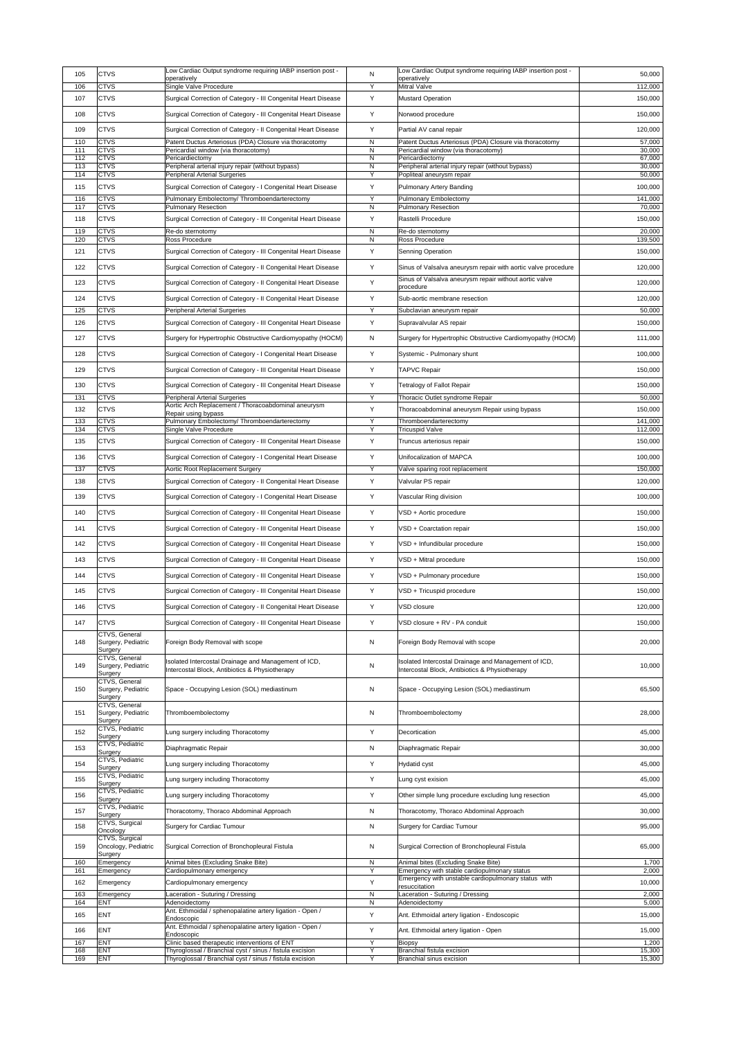| 105        | <b>CTVS</b>                                       | Low Cardiac Output syndrome requiring IABP insertion post -<br>operatively                                | N                 | Low Cardiac Output syndrome requiring IABP insertion post -<br>operatively                                              | 50,000            |
|------------|---------------------------------------------------|-----------------------------------------------------------------------------------------------------------|-------------------|-------------------------------------------------------------------------------------------------------------------------|-------------------|
| 106        | <b>CTVS</b>                                       | Single Valve Procedure                                                                                    | Y                 | <b>Mitral Valve</b>                                                                                                     | 112,000           |
| 107        | <b>CTVS</b>                                       | Surgical Correction of Category - III Congenital Heart Disease                                            | Y                 | <b>Mustard Operation</b>                                                                                                | 150,000           |
| 108        | <b>CTVS</b>                                       | Surgical Correction of Category - III Congenital Heart Disease                                            | Y                 | Norwood procedure                                                                                                       | 150,000           |
| 109        | <b>CTVS</b>                                       | Surgical Correction of Category - Il Congenital Heart Disease                                             | Y                 | Partial AV canal repair                                                                                                 | 120,000           |
| 110        | <b>CTVS</b>                                       | Patent Ductus Arteriosus (PDA) Closure via thoracotomy                                                    | N                 | Patent Ductus Arteriosus (PDA) Closure via thoracotomy                                                                  | 57,000            |
| 111<br>112 | <b>CTVS</b><br><b>CTVS</b>                        | Pericardial window (via thoracotomy)<br>Pericardiectomy                                                   | N<br>$\mathsf{N}$ | Pericardial window (via thoracotomy)<br>Pericardiectomy                                                                 | 30,000<br>67,000  |
| 113        | <b>CTVS</b>                                       | Peripheral arterial injury repair (without bypass)                                                        | N                 | Peripheral arterial injury repair (without bypass)                                                                      | 30,000            |
| 114<br>115 | <b>CTVS</b><br><b>CTVS</b>                        | <b>Peripheral Arterial Surgeries</b><br>Surgical Correction of Category - I Congenital Heart Disease      | Y<br>Y            | Popliteal aneurysm repair<br><b>Pulmonary Artery Banding</b>                                                            | 50,000<br>100,000 |
| 116        | <b>CTVS</b>                                       | Pulmonary Embolectomy/Thromboendarterectomy                                                               | Y                 | <b>Pulmonary Embolectomy</b>                                                                                            | 141,000           |
| 117        | <b>CTVS</b>                                       | <b>Pulmonary Resection</b>                                                                                | N                 | <b>Pulmonary Resection</b>                                                                                              | 70,000            |
| 118        | <b>CTVS</b>                                       | Surgical Correction of Category - III Congenital Heart Disease                                            | Y                 | Rastelli Procedure                                                                                                      | 150,000           |
| 119<br>120 | <b>CTVS</b><br><b>CTVS</b>                        | Re-do sternotomy<br>Ross Procedure                                                                        | N<br>${\sf N}$    | Re-do sternotomy<br><b>Ross Procedure</b>                                                                               | 20,000<br>139,500 |
| 121        | <b>CTVS</b>                                       | Surgical Correction of Category - III Congenital Heart Disease                                            | Y                 | <b>Senning Operation</b>                                                                                                | 150,000           |
|            | <b>CTVS</b>                                       |                                                                                                           |                   |                                                                                                                         |                   |
| 122        |                                                   | Surgical Correction of Category - Il Congenital Heart Disease                                             | Υ                 | Sinus of Valsalva aneurysm repair with aortic valve procedure<br>Sinus of Valsalva aneurysm repair without aortic valve | 120,000           |
| 123        | <b>CTVS</b>                                       | Surgical Correction of Category - Il Congenital Heart Disease                                             | Y                 | procedure                                                                                                               | 120,000           |
| 124        | <b>CTVS</b>                                       | Surgical Correction of Category - Il Congenital Heart Disease                                             | Y                 | Sub-aortic membrane resection                                                                                           | 120,000           |
| 125        | <b>CTVS</b>                                       | Peripheral Arterial Surgeries                                                                             | Y                 | Subclavian aneurysm repair                                                                                              | 50,000            |
| 126        | <b>CTVS</b>                                       | Surgical Correction of Category - III Congenital Heart Disease                                            | Y                 | Supravalvular AS repair                                                                                                 | 150,000           |
| 127        | <b>CTVS</b>                                       | Surgery for Hypertrophic Obstructive Cardiomyopathy (HOCM)                                                | N                 | Surgery for Hypertrophic Obstructive Cardiomyopathy (HOCM)                                                              | 111,000           |
| 128        | <b>CTVS</b>                                       | Surgical Correction of Category - I Congenital Heart Disease                                              | Y                 | Systemic - Pulmonary shunt                                                                                              | 100,000           |
| 129        | <b>CTVS</b>                                       | Surgical Correction of Category - III Congenital Heart Disease                                            | Y                 | <b>TAPVC Repair</b>                                                                                                     | 150,000           |
| 130        | <b>CTVS</b>                                       | Surgical Correction of Category - III Congenital Heart Disease                                            | Y                 | <b>Tetralogy of Fallot Repair</b>                                                                                       | 150,000           |
| 131        | <b>CTVS</b>                                       | Peripheral Arterial Surgeries                                                                             | Y                 | Thoracic Outlet syndrome Repair                                                                                         | 50,000            |
| 132        | <b>CTVS</b>                                       | Aortic Arch Replacement / Thoracoabdominal aneurysm                                                       | Y                 | Thoracoabdominal aneurysm Repair using bypass                                                                           | 150,000           |
| 133        | <b>CTVS</b>                                       | Repair using bypass<br>Pulmonary Embolectomy/ Thromboendarterectomy                                       | Y                 | Thromboendarterectomy                                                                                                   | 141,000           |
| 134        | <b>CTVS</b>                                       | Single Valve Procedure                                                                                    | Y                 | <b>Tricuspid Valve</b>                                                                                                  | 112,000           |
| 135        | <b>CTVS</b>                                       | Surgical Correction of Category - III Congenital Heart Disease                                            | Y                 | Truncus arteriosus repair                                                                                               | 150,000           |
| 136        | <b>CTVS</b>                                       | Surgical Correction of Category - I Congenital Heart Disease                                              | Y                 | Unifocalization of MAPCA                                                                                                | 100,000           |
| 137        | <b>CTVS</b>                                       | Aortic Root Replacement Surgery                                                                           | Y                 | Valve sparing root replacement                                                                                          | 150,000           |
| 138        | <b>CTVS</b>                                       | Surgical Correction of Category - Il Congenital Heart Disease                                             | Y                 | Valvular PS repair                                                                                                      | 120,000           |
| 139        | <b>CTVS</b>                                       | Surgical Correction of Category - I Congenital Heart Disease                                              | Y                 | Vascular Ring division                                                                                                  | 100,000           |
| 140        | <b>CTVS</b>                                       | Surgical Correction of Category - III Congenital Heart Disease                                            | Y                 | VSD + Aortic procedure                                                                                                  | 150,000           |
| 141        | <b>CTVS</b>                                       | Surgical Correction of Category - III Congenital Heart Disease                                            | Y                 | VSD + Coarctation repair                                                                                                | 150,000           |
| 142        | <b>CTVS</b>                                       | Surgical Correction of Category - III Congenital Heart Disease                                            | Y                 | VSD + Infundibular procedure                                                                                            | 150,000           |
| 143        | <b>CTVS</b>                                       | Surgical Correction of Category - III Congenital Heart Disease                                            | Y                 | VSD + Mitral procedure                                                                                                  | 150,000           |
|            |                                                   |                                                                                                           |                   |                                                                                                                         |                   |
| 144        | <b>CTVS</b>                                       | Surgical Correction of Category - III Congenital Heart Disease                                            | Y                 | VSD + Pulmonary procedure                                                                                               | 150,000           |
| 145        | <b>CTVS</b>                                       | Surgical Correction of Category - III Congenital Heart Disease                                            | Y                 | VSD + Tricuspid procedure                                                                                               | 150,000           |
| 146        | <b>CTVS</b>                                       | Surgical Correction of Category - II Congenital Heart Disease                                             | Y                 | <b>VSD closure</b>                                                                                                      | 120,000           |
| 147        | <b>CTVS</b>                                       | Surgical Correction of Category - III Congenital Heart Disease                                            | Y                 | VSD closure + RV - PA conduit                                                                                           | 150,000           |
| 148        | CTVS, General<br>Surgery, Pediatric               | Foreign Body Removal with scope                                                                           | N                 | Foreign Body Removal with scope                                                                                         | 20,000            |
|            | Surgery<br>CTVS, General                          | Isolated Intercostal Drainage and Management of ICD,                                                      |                   | Isolated Intercostal Drainage and Management of ICD,                                                                    |                   |
| 149        | Surgery, Pediatric<br>Surgery                     | Intercostal Block, Antibiotics & Physiotherapy                                                            | ${\sf N}$         | Intercostal Block, Antibiotics & Physiotherapy                                                                          | 10,000            |
|            | CTVS, General                                     |                                                                                                           |                   |                                                                                                                         |                   |
| 150        | Surgery, Pediatric<br>Surgery                     | Space - Occupying Lesion (SOL) mediastinum                                                                | N                 | Space - Occupying Lesion (SOL) mediastinum                                                                              | 65,500            |
| 151        | CTVS, General<br>Surgery, Pediatric<br>Surgery    | Thromboembolectomy                                                                                        | N                 | Thromboembolectomy                                                                                                      | 28,000            |
| 152        | CTVS, Pediatric                                   | Lung surgery including Thoracotomy                                                                        | Y                 | Decortication                                                                                                           | 45,000            |
| 153        | Surgery<br>CTVS, Pediatric                        | Diaphragmatic Repair                                                                                      | N                 | Diaphragmatic Repair                                                                                                    | 30,000            |
|            | Surgery<br>CTVS, Pediatric                        |                                                                                                           |                   |                                                                                                                         |                   |
| 154        | Surgery<br>CTVS, Pediatric                        | Lung surgery including Thoracotomy                                                                        | Y                 | <b>Hydatid cyst</b>                                                                                                     | 45,000            |
| 155        | Surgery                                           | Lung surgery including Thoracotomy                                                                        | Y                 | Lung cyst exision                                                                                                       | 45,000            |
| 156        | CTVS, Pediatric<br>Surgery                        | Lung surgery including Thoracotomy                                                                        | Y                 | Other simple lung procedure excluding lung resection                                                                    | 45,000            |
| 157        | CTVS, Pediatric<br>Surgery                        | Thoracotomy, Thoraco Abdominal Approach                                                                   | N                 | Thoracotomy, Thoraco Abdominal Approach                                                                                 | 30,000            |
| 158        | CTVS, Surgical                                    | Surgery for Cardiac Tumour                                                                                | N                 | <b>Surgery for Cardiac Tumour</b>                                                                                       | 95,000            |
| 159        | Oncology<br>CTVS, Surgical<br>Oncology, Pediatric | Surgical Correction of Bronchopleural Fistula                                                             | N                 | Surgical Correction of Bronchopleural Fistula                                                                           | 65,000            |
| 160        | Surgery                                           | Animal bites (Excluding Snake Bite)                                                                       | N                 | Animal bites (Excluding Snake Bite)                                                                                     | 1,700             |
| 161        | Emergency<br>Emergency                            | Cardiopulmonary emergency                                                                                 | Y                 | Emergency with stable cardiopulmonary status                                                                            | 2,000             |
| 162        | Emergency                                         | Cardiopulmonary emergency                                                                                 | Y                 | Emergency with unstable cardiopulmonary status with<br>resuccitation                                                    | 10,000            |
| 163        | Emergency                                         | Laceration - Suturing / Dressing                                                                          | N                 | Laceration - Suturing / Dressing                                                                                        | 2,000             |
| 164<br>165 | <b>ENT</b><br><b>ENT</b>                          | Adenoidectomy<br>Ant. Ethmoidal / sphenopalatine artery ligation - Open /                                 | N<br>Y            | Adenoidectomy<br>Ant. Ethmoidal artery ligation - Endoscopic                                                            | 5,000<br>15,000   |
|            |                                                   | Endoscopic<br>Ant. Ethmoidal / sphenopalatine artery ligation - Open /                                    |                   |                                                                                                                         |                   |
| 166        | <b>ENT</b>                                        | Endoscopic                                                                                                | Y                 | Ant. Ethmoidal artery ligation - Open                                                                                   | 15,000            |
| 167<br>168 | ENT<br>ENT                                        | Clinic based therapeutic interventions of ENT<br>Thyroglossal / Branchial cyst / sinus / fistula excision | Y<br>Υ            | <b>Biopsy</b><br><b>Branchial fistula excision</b>                                                                      | 1,200<br>15,300   |
| 169        | <b>ENT</b>                                        | Thyroglossal / Branchial cyst / sinus / fistula excision                                                  | Y                 | Branchial sinus excision                                                                                                | 15,300            |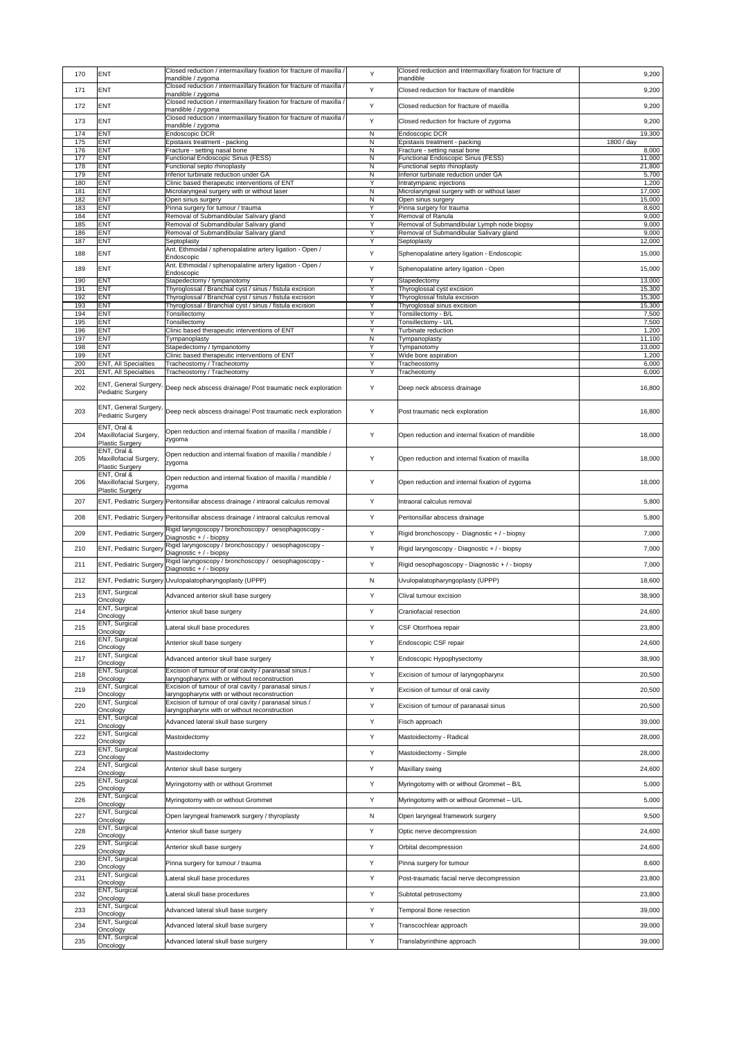| 170        | <b>ENT</b>                                                      | Closed reduction / intermaxillary fixation for fracture of maxilla /<br>mandible / zygoma              | Y                   | Closed reduction and Intermaxillary fixation for fracture of<br>mandible  | 9,200                |
|------------|-----------------------------------------------------------------|--------------------------------------------------------------------------------------------------------|---------------------|---------------------------------------------------------------------------|----------------------|
| 171        | <b>ENT</b>                                                      | Closed reduction / intermaxillary fixation for fracture of maxilla /                                   | Y                   | Closed reduction for fracture of mandible                                 | 9,200                |
|            |                                                                 | mandible / zygoma<br>Closed reduction / intermaxillary fixation for fracture of maxilla /              |                     |                                                                           |                      |
| 172        | <b>ENT</b>                                                      | mandible / zygoma<br>Closed reduction / intermaxillary fixation for fracture of maxilla /              | Y                   | Closed reduction for fracture of maxilla                                  | 9,200                |
| 173        | <b>ENT</b>                                                      | mandible / zygoma                                                                                      | Y                   | Closed reduction for fracture of zygoma                                   | 9,200                |
| 174<br>175 | ENT<br>ENT                                                      | Endoscopic DCR<br>Epistaxis treatment - packing                                                        | N<br>N              | <b>Endoscopic DCR</b><br>Epistaxis treatment - packing                    | 19,300<br>1800 / day |
| 176        | ENT                                                             | Fracture - setting nasal bone                                                                          | N                   | Fracture - setting nasal bone                                             | 8,000                |
| 177<br>178 | ENT<br>ENT                                                      | <b>Functional Endoscopic Sinus (FESS)</b><br>Functional septo rhinoplasty                              | $\mathsf{N}$<br>N   | <b>Functional Endoscopic Sinus (FESS)</b><br>Functional septo rhinoplasty | 11,000<br>21,800     |
| 179        | ENT                                                             | Inferior turbinate reduction under GA                                                                  | N                   | Inferior turbinate reduction under GA                                     | 5,700                |
| 180<br>181 | ENT<br>ENT                                                      | Clinic based therapeutic interventions of ENT<br>Microlaryngeal surgery with or without laser          | $\overline{Y}$<br>N | Intratympanic injections<br>Microlaryngeal surgery with or without laser  | 1,200<br>17,000      |
| 182        | ENT                                                             | Open sinus surgery                                                                                     | $\mathsf{N}$        | Open sinus surgery                                                        | 15,000               |
| 183<br>184 | ENT<br>ENT                                                      | Pinna surgery for tumour / trauma<br>Removal of Submandibular Salivary gland                           | Y<br>Y              | Pinna surgery for trauma<br>Removal of Ranula                             | 8,600<br>9,000       |
| 185        | ENT                                                             | Removal of Submandibular Salivary gland                                                                | Y                   | Removal of Submandibular Lymph node biopsy                                | 9,000                |
| 186<br>187 | ENT<br>ENT                                                      | Removal of Submandibular Salivary gland<br>Septoplasty                                                 | Y<br>Y              | Removal of Submandibular Salivary gland<br>Septoplasty                    | 9,000<br>12,000      |
| 188        | ENT                                                             | Ant. Ethmoidal / sphenopalatine artery ligation - Open /                                               | Y                   | Sphenopalatine artery ligation - Endoscopic                               | 15,000               |
|            |                                                                 | Endoscopic<br>Ant. Ethmoidal / sphenopalatine artery ligation - Open /                                 |                     |                                                                           |                      |
| 189        | <b>ENT</b>                                                      | Endoscopic                                                                                             | Y                   | Sphenopalatine artery ligation - Open                                     | 15,000               |
| 190<br>191 | ENT<br><b>ENT</b>                                               | Stapedectomy / tympanotomy<br>Thyroglossal / Branchial cyst / sinus / fistula excision                 | Y<br>Y              | Stapedectomy<br>Thyroglossal cyst excision                                | 13,000<br>15,300     |
| 192        | ENT                                                             | Thyroglossal / Branchial cyst / sinus / fistula excision                                               | Y                   | Thyroglossal fistula excision                                             | 15,300               |
| 193<br>194 | ENT<br>ENT                                                      | Thyroglossal / Branchial cyst / sinus / fistula excision<br>Tonsillectomy                              | Y<br>Y              | Thyroglossal sinus excision<br>Tonsillectomy - B/L                        | 15,300<br>7,500      |
| 195        | ENT                                                             | Tonsillectomy                                                                                          | Y                   | Tonsillectomy - U/L                                                       | 7,500                |
| 196<br>197 | ENT<br>ENT                                                      | Clinic based therapeutic interventions of ENT<br>Tympanoplasty                                         | Y<br>$\mathsf{N}$   | Turbinate reduction<br>Tympanoplasty                                      | 1,200<br>11,100      |
| 198        | ENT                                                             | Stapedectomy / tympanotomy                                                                             | Y                   | Tympanotomy                                                               | 13,000               |
| 199<br>200 | ENT<br><b>ENT, All Specialties</b>                              | Clinic based therapeutic interventions of ENT<br>Tracheostomy / Tracheotomy                            | Y<br>Y              | Wide bore aspiration<br>Tracheostomy                                      | 1,200<br>6,000       |
| 201        | <b>ENT, All Specialties</b>                                     | Tracheostomy / Tracheotomy                                                                             | Y                   | Tracheotomy                                                               | 6,000                |
| 202        | <b>ENT, General Surgery</b><br><b>Pediatric Surgery</b>         | Deep neck abscess drainage/ Post traumatic neck exploration                                            | Y                   | Deep neck abscess drainage                                                | 16,800               |
| 203        | <b>ENT, General Surgery,</b><br>Pediatric Surgery               | Deep neck abscess drainage/ Post traumatic neck exploration                                            | Y                   | Post traumatic neck exploration                                           | 16,800               |
| 204        | ENT, Oral &<br>Maxillofacial Surgery,<br><b>Plastic Surgery</b> | Open reduction and internal fixation of maxilla / mandible /<br>zygoma                                 | Y                   | Open reduction and internal fixation of mandible                          | 18,000               |
| 205        | ENT, Oral &<br>Maxillofacial Surgery,<br>Plastic Surgery        | Open reduction and internal fixation of maxilla / mandible /<br>zygoma                                 | Y                   | Open reduction and internal fixation of maxilla                           | 18,000               |
| 206        | ENT, Oral &<br>Maxillofacial Surgery,<br>Plastic Surgery        | Open reduction and internal fixation of maxilla / mandible /<br>zygoma                                 | Y                   | Open reduction and internal fixation of zygoma                            | 18,000               |
| 207        |                                                                 | ENT, Pediatric Surgery Peritonsillar abscess drainage / intraoral calculus removal                     | Y                   | Intraoral calculus removal                                                | 5,800                |
| 208        |                                                                 | ENT, Pediatric Surgery Peritonsillar abscess drainage / intraoral calculus removal                     | Y                   | Peritonsillar abscess drainage                                            | 5,800                |
| 209        | <b>ENT, Pediatric Surgery</b>                                   | Rigid laryngoscopy / bronchoscopy / oesophagoscopy -                                                   | Y                   | Rigid bronchoscopy - Diagnostic + / - biopsy                              | 7,000                |
|            |                                                                 | Diagnostic + / - biopsy<br>Rigid laryngoscopy / bronchoscopy / oesophagoscopy -                        |                     |                                                                           |                      |
| 210        | <b>ENT, Pediatric Surgery</b>                                   | Diagnostic + / - biopsy                                                                                | Y                   | Rigid laryngoscopy - Diagnostic + / - biopsy                              | 7,000                |
| 211        | ENT, Pediatric Surgery   Night Hay J                            | Rigid laryngoscopy / bronchoscopy / oesophagoscopy -                                                   | Y                   | Rigid oesophagoscopy - Diagnostic + / - biopsy                            | 7,000                |
| 212        |                                                                 | ENT, Pediatric Surgery Uvulopalatopharyngoplasty (UPPP)                                                | $\mathsf{N}$        | Uvulopalatopharyngoplasty (UPPP)                                          | 18,600               |
| 213        | <b>ENT, Surgical</b>                                            | Advanced anterior skull base surgery                                                                   | Y                   | Clival tumour excision                                                    | 38,900               |
|            | Oncology<br>ENT, Surgical                                       |                                                                                                        |                     |                                                                           |                      |
| 214        | Oncology                                                        | Anterior skull base surgery                                                                            | Y                   | Craniofacial resection                                                    | 24,600               |
| 215        | ENT, Surgical<br>Oncology                                       | Lateral skull base procedures                                                                          | Y                   | <b>CSF Otorrhoea repair</b>                                               | 23,800               |
| 216        | ENT, Surgical<br>Oncology                                       | Anterior skull base surgery                                                                            | Y                   | Endoscopic CSF repair                                                     | 24,600               |
| 217        | ENT, Surgical                                                   | Advanced anterior skull base surgery                                                                   | Y                   | Endoscopic Hypophysectomy                                                 | 38,900               |
|            | Oncology<br>ENT, Surgical                                       | Excision of tumour of oral cavity / paranasal sinus /                                                  |                     |                                                                           |                      |
| 218        | Oncology<br>ENT, Surgical                                       | laryngopharynx with or without reconstruction<br>Excision of tumour of oral cavity / paranasal sinus / | Y                   | Excision of tumour of laryngopharynx                                      | 20,500               |
| 219        | Oncology                                                        | laryngopharynx with or without reconstruction                                                          | Y                   | Excision of tumour of oral cavity                                         | 20,500               |
| 220        | ENT, Surgical<br>Oncology                                       | Excision of tumour of oral cavity / paranasal sinus /<br>laryngopharynx with or without reconstruction | Y                   | Excision of tumour of paranasal sinus                                     | 20,500               |
| 221        | ENT, Surgical                                                   | Advanced lateral skull base surgery                                                                    | Y                   | Fisch approach                                                            | 39,000               |
| 222        | Oncology<br>ENT, Surgical                                       |                                                                                                        | Y                   |                                                                           |                      |
|            | Oncology<br><b>ENT, Surgical</b>                                | Mastoidectomy                                                                                          |                     | Mastoidectomy - Radical                                                   | 28,000               |
| 223        | Oncology                                                        | Mastoidectomy                                                                                          | Y                   | Mastoidectomy - Simple                                                    | 28,000               |
| 224        | ENT, Surgical<br>Oncology                                       | Anterior skull base surgery                                                                            | Y                   | Maxillary swing                                                           | 24,600               |
| 225        | ENT, Surgical<br>Oncology                                       | Myringotomy with or without Grommet                                                                    | Y                   | Myringotomy with or without Grommet - B/L                                 | 5,000                |
| 226        | ENT, Surgical                                                   | Myringotomy with or without Grommet                                                                    | Y                   | Myringotomy with or without Grommet - U/L                                 | 5,000                |
|            | Oncology<br>ENT, Surgical                                       |                                                                                                        |                     |                                                                           |                      |
| 227        | Oncology                                                        | Open laryngeal framework surgery / thyroplasty                                                         | N                   | Open laryngeal framework surgery                                          | 9,500                |
| 228        | ENT, Surgical<br>Oncology                                       | Anterior skull base surgery                                                                            | Y                   | Optic nerve decompression                                                 | 24,600               |
| 229        | <b>ENT, Surgical</b><br>Oncology                                | Anterior skull base surgery                                                                            | Y                   | Orbital decompression                                                     | 24,600               |
| 230        | <b>ENT, Surgical</b>                                            | Pinna surgery for tumour / trauma                                                                      | Y                   | Pinna surgery for tumour                                                  | 8,600                |
|            | Oncology<br>ENT, Surgical                                       |                                                                                                        |                     |                                                                           |                      |
| 231        | Oncology<br>ENT, Surgical                                       | Lateral skull base procedures                                                                          | Y                   | Post-traumatic facial nerve decompression                                 | 23,800               |
| 232        | Oncology                                                        | Lateral skull base procedures                                                                          | Y                   | Subtotal petrosectomy                                                     | 23,800               |
| 233        | <b>ENT, Surgical</b><br>Oncology                                | Advanced lateral skull base surgery                                                                    | Y                   | <b>Temporal Bone resection</b>                                            | 39,000               |
| 234        | <b>ENT, Surgical</b>                                            | Advanced lateral skull base surgery                                                                    | Y                   | Transcochlear approach                                                    | 39,000               |
| 235        | Oncology<br>ENT, Surgical                                       | Advanced lateral skull base surgery                                                                    | Υ                   | Translabyrinthine approach                                                | 39,000               |
|            | Oncology                                                        |                                                                                                        |                     |                                                                           |                      |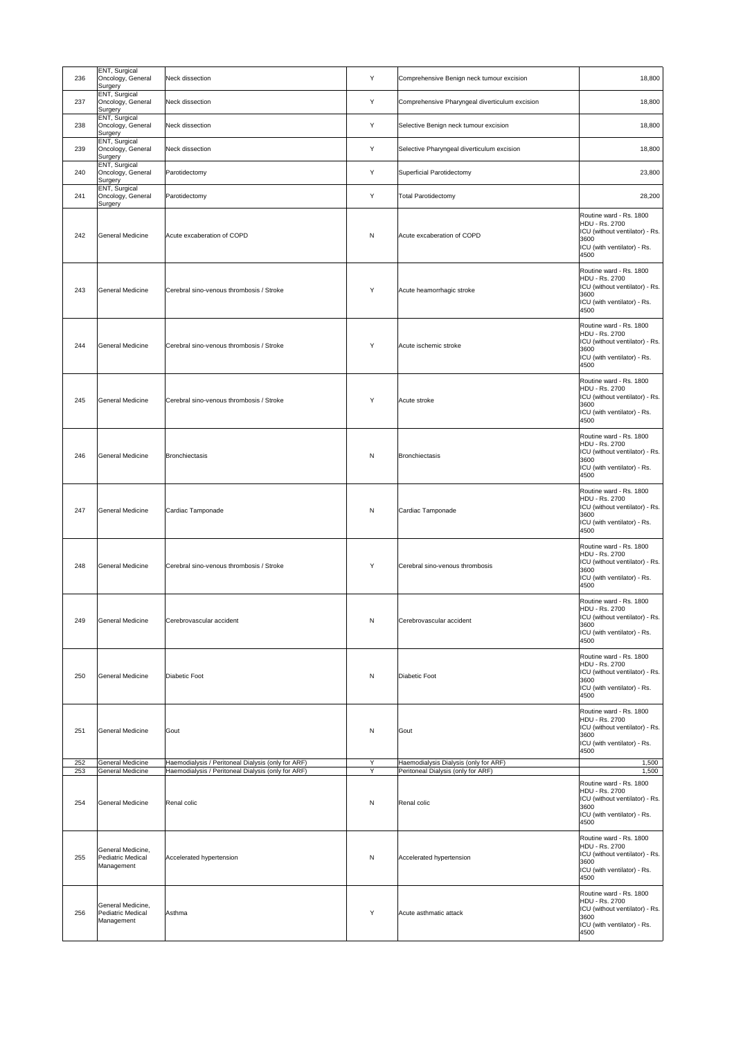| 236        | ENT, Surgical<br>Oncology, General<br>Surgery        | Neck dissection                                                                                          | Y            | Comprehensive Benign neck tumour excision                                   | 18,800                                                                                                                            |
|------------|------------------------------------------------------|----------------------------------------------------------------------------------------------------------|--------------|-----------------------------------------------------------------------------|-----------------------------------------------------------------------------------------------------------------------------------|
| 237        | <b>ENT, Surgical</b><br>Oncology, General<br>Surgery | Neck dissection                                                                                          | Y            | Comprehensive Pharyngeal diverticulum excision                              | 18,800                                                                                                                            |
| 238        | ENT, Surgical<br>Oncology, General<br>Surgery        | Neck dissection                                                                                          | Y            | Selective Benign neck tumour excision                                       | 18,800                                                                                                                            |
| 239        | <b>ENT, Surgical</b><br>Oncology, General<br>Surgery | Neck dissection                                                                                          | Y            | Selective Pharyngeal diverticulum excision                                  | 18,800                                                                                                                            |
| 240        | ENT, Surgical<br>Oncology, General<br>Surgery        | Parotidectomy                                                                                            | Y            | <b>Superficial Parotidectomy</b>                                            | 23,800                                                                                                                            |
| 241        | <b>ENT, Surgical</b><br>Oncology, General<br>Surgery | Parotidectomy                                                                                            | Υ            | <b>Total Parotidectomy</b>                                                  | 28,200                                                                                                                            |
| 242        | General Medicine                                     | Acute excaberation of COPD                                                                               | N            | Acute excaberation of COPD                                                  | Routine ward - Rs. 1800<br>HDU - Rs. 2700<br>ICU (without ventilator) - Rs.<br>3600<br>ICU (with ventilator) - Rs.<br>4500        |
| 243        | General Medicine                                     | Cerebral sino-venous thrombosis / Stroke                                                                 | Y            | Acute heamorrhagic stroke                                                   | Routine ward - Rs. 1800<br>HDU - Rs. 2700<br>ICU (without ventilator) - Rs.<br>3600<br>ICU (with ventilator) - Rs.<br>4500        |
| 244        | General Medicine                                     | Cerebral sino-venous thrombosis / Stroke                                                                 | Y            | Acute ischemic stroke                                                       | Routine ward - Rs. 1800<br>HDU - Rs. 2700<br>ICU (without ventilator) - Rs.<br>3600<br>ICU (with ventilator) - Rs.<br>4500        |
| 245        | General Medicine                                     | Cerebral sino-venous thrombosis / Stroke                                                                 | Y            | Acute stroke                                                                | Routine ward - Rs. 1800<br>HDU - Rs. 2700<br>ICU (without ventilator) - Rs.<br>3600<br>ICU (with ventilator) - Rs.<br>4500        |
| 246        | General Medicine                                     | Bronchiectasis                                                                                           | $\mathsf{N}$ | Bronchiectasis                                                              | Routine ward - Rs. 1800<br>HDU - Rs. 2700<br>ICU (without ventilator) - Rs.<br>3600<br>ICU (with ventilator) - Rs.<br>4500        |
| 247        | General Medicine                                     | Cardiac Tamponade                                                                                        | $\mathsf{N}$ | Cardiac Tamponade                                                           | Routine ward - Rs. 1800<br><b>HDU - Rs. 2700</b><br>ICU (without ventilator) - Rs.<br>3600<br>ICU (with ventilator) - Rs.<br>4500 |
| 248        | General Medicine                                     | Cerebral sino-venous thrombosis / Stroke                                                                 | Y            | Cerebral sino-venous thrombosis                                             | Routine ward - Rs. 1800<br><b>HDU - Rs. 2700</b><br>ICU (without ventilator) - Rs.<br>3600<br>ICU (with ventilator) - Rs.<br>4500 |
| 249        | General Medicine                                     | Cerebrovascular accident                                                                                 | $\mathsf{N}$ | Cerebrovascular accident                                                    | Routine ward - Rs. 1800<br>HDU - Rs. 2700<br>ICU (without ventilator) - Rs.<br>3600<br>ICU (with ventilator) - Rs.<br>4500        |
| 250        | General Medicine                                     | Diabetic Foot                                                                                            | $\mathsf{N}$ | <b>Diabetic Foot</b>                                                        | Routine ward - Rs. 1800<br>HDU - Rs. 2700<br>ICU (without ventilator) - Rs.<br>3600<br>ICU (with ventilator) - Rs.<br>4500        |
| 251        | General Medicine                                     | Gout                                                                                                     | N            | Gout                                                                        | Routine ward - Rs. 1800<br>HDU - Rs. 2700<br>ICU (without ventilator) - Rs.<br>3600<br>ICU (with ventilator) - Rs.<br>4500        |
| 252<br>253 | General Medicine<br>General Medicine                 | Haemodialysis / Peritoneal Dialysis (only for ARF)<br>Haemodialysis / Peritoneal Dialysis (only for ARF) | Y<br>Y       | Haemodialysis Dialysis (only for ARF)<br>Peritoneal Dialysis (only for ARF) | 1,500<br>1,500                                                                                                                    |
| 254        | General Medicine                                     | Renal colic                                                                                              | $\mathsf{N}$ | Renal colic                                                                 | Routine ward - Rs. 1800<br>HDU - Rs. 2700<br>ICU (without ventilator) - Rs.<br>3600<br>ICU (with ventilator) - Rs.<br>4500        |
| 255        | General Medicine,<br>Pediatric Medical<br>Management | Accelerated hypertension                                                                                 | $\mathsf{N}$ | Accelerated hypertension                                                    | Routine ward - Rs. 1800<br><b>HDU - Rs. 2700</b><br>ICU (without ventilator) - Rs.<br>3600<br>ICU (with ventilator) - Rs.<br>4500 |
| 256        | General Medicine,<br>Pediatric Medical<br>Management | Asthma                                                                                                   | Y            | Acute asthmatic attack                                                      | Routine ward - Rs. 1800<br>HDU - Rs. 2700<br>ICU (without ventilator) - Rs.<br>3600<br>ICU (with ventilator) - Rs.<br>4500        |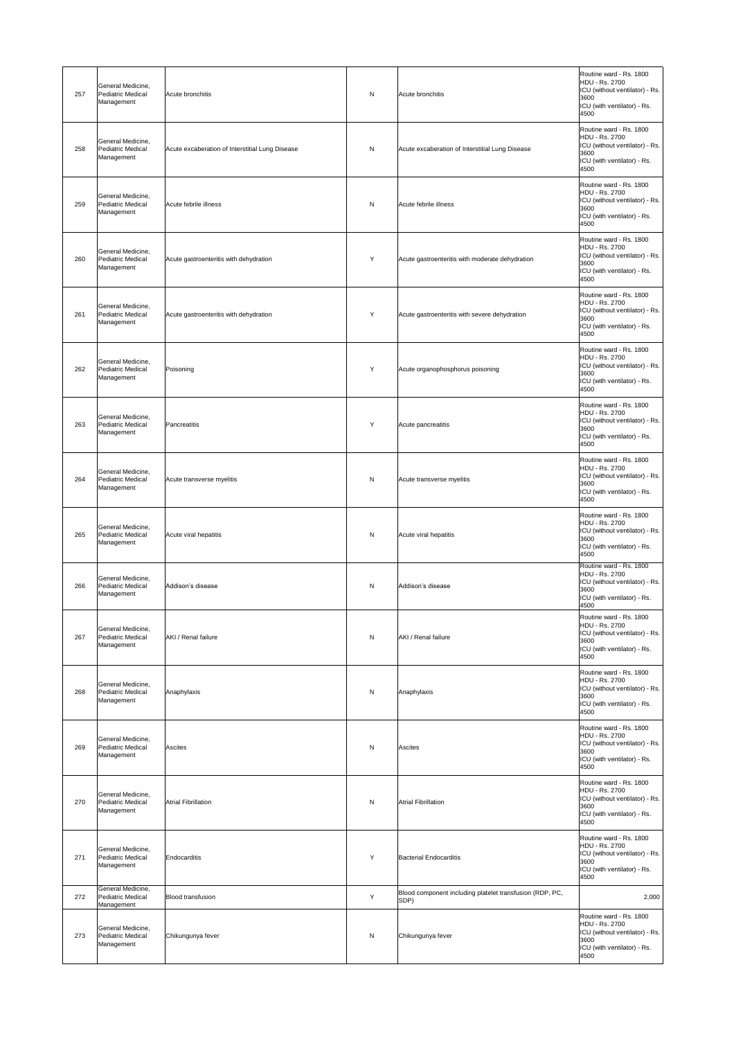| 257 | General Medicine,<br>Pediatric Medical<br>Management        | Acute bronchitis                                | N            | Acute bronchitis                                                 | Routine ward - Rs. 1800<br>HDU - Rs. 2700<br>ICU (without ventilator) - Rs.<br>3600<br>ICU (with ventilator) - Rs.<br>4500        |
|-----|-------------------------------------------------------------|-------------------------------------------------|--------------|------------------------------------------------------------------|-----------------------------------------------------------------------------------------------------------------------------------|
| 258 | General Medicine,<br><b>Pediatric Medical</b><br>Management | Acute excaberation of Interstitial Lung Disease | N            | Acute excaberation of Interstitial Lung Disease                  | Routine ward - Rs. 1800<br>HDU - Rs. 2700<br>ICU (without ventilator) - Rs.<br>3600<br>ICU (with ventilator) - Rs.<br>4500        |
| 259 | General Medicine,<br><b>Pediatric Medical</b><br>Management | Acute febrile illness                           | $\mathsf{N}$ | Acute febrile illness                                            | Routine ward - Rs. 1800<br>HDU - Rs. 2700<br>ICU (without ventilator) - Rs.<br>3600<br>ICU (with ventilator) - Rs.<br>4500        |
| 260 | General Medicine,<br>Pediatric Medical<br>Management        | Acute gastroenteritis with dehydration          | Y            | Acute gastroenteritis with moderate dehydration                  | Routine ward - Rs. 1800<br><b>HDU - Rs. 2700</b><br>ICU (without ventilator) - Rs.<br>3600<br>ICU (with ventilator) - Rs.<br>4500 |
| 261 | General Medicine,<br>Pediatric Medical<br>Management        | Acute gastroenteritis with dehydration          | Y            | Acute gastroenteritis with severe dehydration                    | Routine ward - Rs. 1800<br>HDU - Rs. 2700<br>ICU (without ventilator) - Rs.<br>3600<br>ICU (with ventilator) - Rs.<br>4500        |
| 262 | General Medicine,<br>Pediatric Medical<br>Management        | Poisoning                                       | Y            | Acute organophosphorus poisoning                                 | Routine ward - Rs. 1800<br>HDU - Rs. 2700<br>ICU (without ventilator) - Rs.<br>3600<br>ICU (with ventilator) - Rs.<br>4500        |
| 263 | General Medicine,<br>Pediatric Medical<br>Management        | Pancreatitis                                    | Y            | Acute pancreatitis                                               | Routine ward - Rs. 1800<br>HDU - Rs. 2700<br>ICU (without ventilator) - Rs.<br>3600<br>ICU (with ventilator) - Rs.<br>4500        |
| 264 | General Medicine,<br><b>Pediatric Medical</b><br>Management | Acute transverse myelitis                       | $\mathsf{N}$ | Acute transverse myelitis                                        | Routine ward - Rs. 1800<br>HDU - Rs. 2700<br>ICU (without ventilator) - Rs.<br>3600<br>ICU (with ventilator) - Rs.<br>4500        |
| 265 | General Medicine,<br>Pediatric Medical<br>Management        | Acute viral hepatitis                           | $\mathsf{N}$ | Acute viral hepatitis                                            | Routine ward - Rs. 1800<br>HDU - Rs. 2700<br>ICU (without ventilator) - Rs.<br>3600<br>ICU (with ventilator) - Rs.<br>4500        |
| 266 | General Medicine,<br>Pediatric Medical<br>Management        | Addison's disease                               | N            | Addison's disease                                                | Routine ward - Rs. 1800<br>HDU - Rs. 2700<br>ICU (without ventilator) - Rs.  <br>3600<br>ICU (with ventilator) - Rs.<br>4500      |
| 267 | General Medicine,<br>Pediatric Medical<br>Management        | AKI / Renal failure                             | $\mathsf{N}$ | AKI / Renal failure                                              | Routine ward - Rs. 1800<br>HDU - Rs. 2700<br>ICU (without ventilator) - Rs.<br>3600<br>ICU (with ventilator) - Rs.<br>4500        |
| 268 | General Medicine,<br><b>Pediatric Medical</b><br>Management | Anaphylaxis                                     | $\mathsf{N}$ | Anaphylaxis                                                      | Routine ward - Rs. 1800<br>HDU - Rs. 2700<br>ICU (without ventilator) - Rs.<br>3600<br>ICU (with ventilator) - Rs.<br>4500        |
| 269 | General Medicine,<br>Pediatric Medical<br>Management        | Ascites                                         | $\mathsf{N}$ | <b>Ascites</b>                                                   | Routine ward - Rs. 1800<br><b>HDU - Rs. 2700</b><br>ICU (without ventilator) - Rs.<br>3600<br>ICU (with ventilator) - Rs.<br>4500 |
| 270 | General Medicine,<br>Pediatric Medical<br>Management        | <b>Atrial Fibrillation</b>                      | $\mathsf{N}$ | <b>Atrial Fibrillation</b>                                       | Routine ward - Rs. 1800<br><b>HDU - Rs. 2700</b><br>ICU (without ventilator) - Rs.<br>3600<br>ICU (with ventilator) - Rs.<br>4500 |
| 271 | General Medicine,<br>Pediatric Medical<br>Management        | Endocarditis                                    | Y            | <b>Bacterial Endocarditis</b>                                    | Routine ward - Rs. 1800<br><b>HDU - Rs. 2700</b><br>ICU (without ventilator) - Rs.<br>3600<br>ICU (with ventilator) - Rs.<br>4500 |
| 272 | General Medicine,<br><b>Pediatric Medical</b><br>Management | <b>Blood transfusion</b>                        | Y            | Blood component including platelet transfusion (RDP, PC,<br>SDP) | 2,000                                                                                                                             |
| 273 | General Medicine,<br><b>Pediatric Medical</b><br>Management | Chikungunya fever                               | ${\sf N}$    | Chikungunya fever                                                | Routine ward - Rs. 1800<br>HDU - Rs. 2700<br>ICU (without ventilator) - Rs.<br>3600<br>ICU (with ventilator) - Rs.<br>4500        |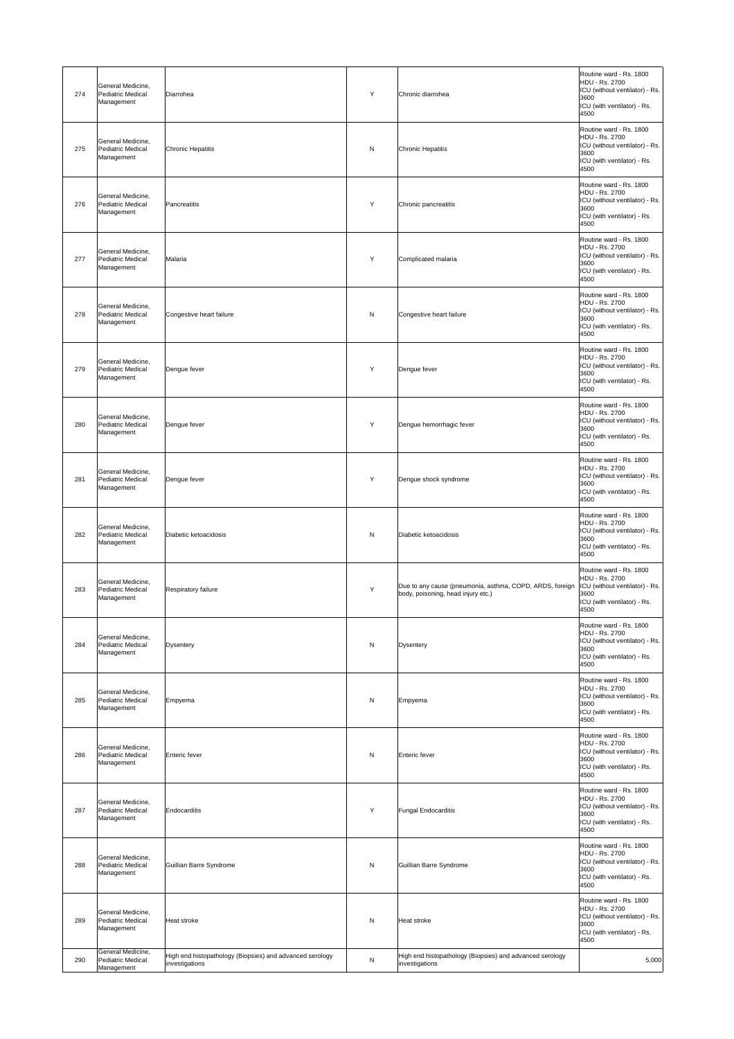| 274 | General Medicine,<br>Pediatric Medical<br>Management        | Diarrohea                                                                  | Y            | Chronic diarrohea                                                                              | Routine ward - Rs. 1800<br>HDU - Rs. 2700<br>ICU (without ventilator) - Rs.<br>3600<br>ICU (with ventilator) - Rs.<br>4500        |
|-----|-------------------------------------------------------------|----------------------------------------------------------------------------|--------------|------------------------------------------------------------------------------------------------|-----------------------------------------------------------------------------------------------------------------------------------|
| 275 | General Medicine,<br>Pediatric Medical<br>Management        | <b>Chronic Hepatitis</b>                                                   | $\mathsf{N}$ | Chronic Hepatitis                                                                              | Routine ward - Rs. 1800<br><b>HDU - Rs. 2700</b><br>ICU (without ventilator) - Rs.<br>3600<br>ICU (with ventilator) - Rs.<br>4500 |
| 276 | General Medicine,<br><b>Pediatric Medical</b><br>Management | Pancreatitis                                                               | Y            | Chronic pancreatitis                                                                           | Routine ward - Rs. 1800<br>HDU - Rs. 2700<br>ICU (without ventilator) - Rs.<br>3600<br>ICU (with ventilator) - Rs.<br>4500        |
| 277 | General Medicine,<br><b>Pediatric Medical</b><br>Management | Malaria                                                                    | Y            | Complicated malaria                                                                            | Routine ward - Rs. 1800<br><b>HDU - Rs. 2700</b><br>ICU (without ventilator) - Rs.<br>3600<br>ICU (with ventilator) - Rs.<br>4500 |
| 278 | General Medicine,<br><b>Pediatric Medical</b><br>Management | Congestive heart failure                                                   | $\mathsf{N}$ | Congestive heart failure                                                                       | Routine ward - Rs. 1800<br>HDU - Rs. 2700<br>ICU (without ventilator) - Rs.<br>3600<br>ICU (with ventilator) - Rs.<br>4500        |
| 279 | General Medicine,<br>Pediatric Medical<br>Management        | Dengue fever                                                               | Y            | Dengue fever                                                                                   | Routine ward - Rs. 1800<br>HDU - Rs. 2700<br>ICU (without ventilator) - Rs.<br>3600<br>ICU (with ventilator) - Rs.<br>4500        |
| 280 | General Medicine,<br>Pediatric Medical<br>Management        | Dengue fever                                                               | Y            | Dengue hemorrhagic fever                                                                       | Routine ward - Rs. 1800<br><b>HDU - Rs. 2700</b><br>ICU (without ventilator) - Rs.<br>3600<br>ICU (with ventilator) - Rs.<br>4500 |
| 281 | General Medicine,<br><b>Pediatric Medical</b><br>Management | Dengue fever                                                               | Y            | Dengue shock syndrome                                                                          | Routine ward - Rs. 1800<br>HDU - Rs. 2700<br>ICU (without ventilator) - Rs.<br>3600<br>ICU (with ventilator) - Rs.<br>4500        |
| 282 | General Medicine,<br><b>Pediatric Medical</b><br>Management | Diabetic ketoacidosis                                                      | $\mathsf{N}$ | Diabetic ketoacidosis                                                                          | Routine ward - Rs. 1800<br>HDU - Rs. 2700<br>ICU (without ventilator) - Rs.<br>3600<br>ICU (with ventilator) - Rs.<br>4500        |
| 283 | General Medicine,<br><b>Pediatric Medical</b><br>Management | <b>Respiratory failure</b>                                                 | Y            | Due to any cause (pneumonia, asthma, COPD, ARDS, foreign<br>body, poisoning, head injury etc.) | Routine ward - Rs. 1800<br>HDU - Rs. 2700<br>ICU (without ventilator) - Rs.<br>3600<br>ICU (with ventilator) - Rs.<br>4500        |
| 284 | General Medicine,<br><b>Pediatric Medical</b><br>Management | Dysentery                                                                  | N            | <b>Dysentery</b>                                                                               | Routine ward - Rs. 1800<br>HDU - Rs. 2700<br>ICU (without ventilator) - Rs.<br>3600<br>ICU (with ventilator) - Rs.<br>4500        |
| 285 | General Medicine,<br>Pediatric Medical<br>Management        | Empyema                                                                    | ${\sf N}$    | Empyema                                                                                        | Routine ward - Rs. 1800<br>HDU - Rs. 2700<br>ICU (without ventilator) - Rs.<br>3600<br>ICU (with ventilator) - Rs.<br>4500        |
| 286 | General Medicine,<br>Pediatric Medical<br>Management        | Enteric fever                                                              | $\mathsf{N}$ | <b>Enteric fever</b>                                                                           | Routine ward - Rs. 1800<br>HDU - Rs. 2700<br>ICU (without ventilator) - Rs.<br>3600<br>ICU (with ventilator) - Rs.<br>4500        |
| 287 | General Medicine,<br><b>Pediatric Medical</b><br>Management | Endocarditis                                                               | Y            | <b>Fungal Endocarditis</b>                                                                     | Routine ward - Rs. 1800<br>HDU - Rs. 2700<br>ICU (without ventilator) - Rs.<br>3600<br>ICU (with ventilator) - Rs.<br>4500        |
| 288 | General Medicine,<br><b>Pediatric Medical</b><br>Management | Guillian Barre Syndrome                                                    | $\mathsf{N}$ | Guillian Barre Syndrome                                                                        | Routine ward - Rs. 1800<br>HDU - Rs. 2700<br>ICU (without ventilator) - Rs.<br>3600<br>ICU (with ventilator) - Rs.<br>4500        |
| 289 | General Medicine,<br><b>Pediatric Medical</b><br>Management | <b>Heat stroke</b>                                                         | N            | Heat stroke                                                                                    | Routine ward - Rs. 1800<br>HDU - Rs. 2700<br>ICU (without ventilator) - Rs.<br>3600<br>ICU (with ventilator) - Rs.<br>4500        |
| 290 | General Medicine,<br><b>Pediatric Medical</b><br>Management | High end histopathology (Biopsies) and advanced serology<br>investigations | ${\sf N}$    | High end histopathology (Biopsies) and advanced serology<br>investigations                     | 5,000                                                                                                                             |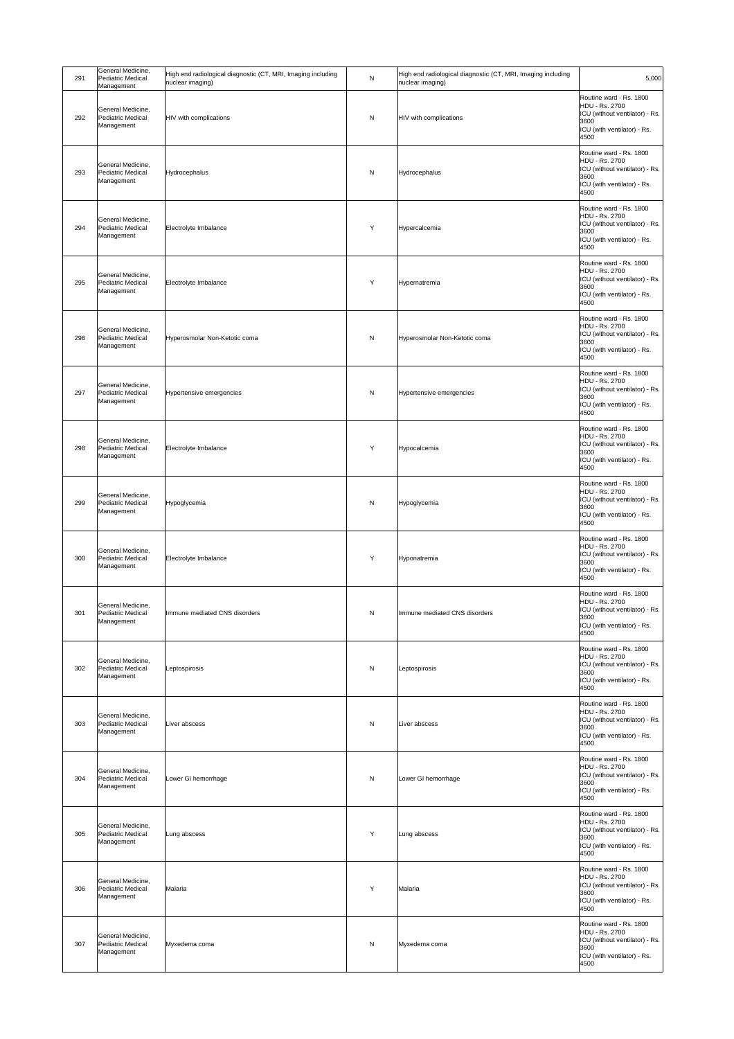| 291 | General Medicine,<br>Pediatric Medical<br>Management        | High end radiological diagnostic (CT, MRI, Imaging including<br>nuclear imaging) | ${\sf N}$    | High end radiological diagnostic (CT, MRI, Imaging including<br>nuclear imaging) | 5,000                                                                                                                             |
|-----|-------------------------------------------------------------|----------------------------------------------------------------------------------|--------------|----------------------------------------------------------------------------------|-----------------------------------------------------------------------------------------------------------------------------------|
| 292 | General Medicine,<br><b>Pediatric Medical</b><br>Management | HIV with complications                                                           | ${\sf N}$    | HIV with complications                                                           | Routine ward - Rs. 1800<br>HDU - Rs. 2700<br>ICU (without ventilator) - Rs.<br>3600<br>ICU (with ventilator) - Rs.<br>4500        |
| 293 | General Medicine,<br>Pediatric Medical<br>Management        | Hydrocephalus                                                                    | ${\sf N}$    | Hydrocephalus                                                                    | Routine ward - Rs. 1800<br>HDU - Rs. 2700<br>ICU (without ventilator) - Rs.<br>3600<br>ICU (with ventilator) - Rs.<br>4500        |
| 294 | General Medicine,<br><b>Pediatric Medical</b><br>Management | Electrolyte Imbalance                                                            | Υ            | Hypercalcemia                                                                    | Routine ward - Rs. 1800<br>HDU - Rs. 2700<br>ICU (without ventilator) - Rs.<br>3600<br>ICU (with ventilator) - Rs.<br>4500        |
| 295 | General Medicine,<br><b>Pediatric Medical</b><br>Management | Electrolyte Imbalance                                                            | Y            | Hypernatremia                                                                    | Routine ward - Rs. 1800<br>HDU - Rs. 2700<br>ICU (without ventilator) - Rs.<br>3600<br>ICU (with ventilator) - Rs.<br>4500        |
| 296 | General Medicine,<br>Pediatric Medical<br>Management        | Hyperosmolar Non-Ketotic coma                                                    | ${\sf N}$    | Hyperosmolar Non-Ketotic coma                                                    | Routine ward - Rs. 1800<br>HDU - Rs. 2700<br>ICU (without ventilator) - Rs.<br>3600<br>ICU (with ventilator) - Rs.<br>4500        |
| 297 | General Medicine,<br><b>Pediatric Medical</b><br>Management | Hypertensive emergencies                                                         | ${\sf N}$    | Hypertensive emergencies                                                         | Routine ward - Rs. 1800<br><b>HDU - Rs. 2700</b><br>ICU (without ventilator) - Rs.<br>3600<br>ICU (with ventilator) - Rs.<br>4500 |
| 298 | General Medicine,<br>Pediatric Medical<br>Management        | Electrolyte Imbalance                                                            | Υ            | Hypocalcemia                                                                     | Routine ward - Rs. 1800<br>HDU - Rs. 2700<br>ICU (without ventilator) - Rs.<br>3600<br>ICU (with ventilator) - Rs.<br>4500        |
| 299 | General Medicine,<br>Pediatric Medical<br>Management        | Hypoglycemia                                                                     | ${\sf N}$    | Hypoglycemia                                                                     | Routine ward - Rs. 1800<br>HDU - Rs. 2700<br>ICU (without ventilator) - Rs.<br>3600<br>ICU (with ventilator) - Rs.<br>4500        |
| 300 | General Medicine,<br><b>Pediatric Medical</b><br>Management | Electrolyte Imbalance                                                            | Υ            | Hyponatremia                                                                     | Routine ward - Rs. 1800<br>HDU - Rs. 2700<br>ICU (without ventilator) - Rs.<br>3600<br>ICU (with ventilator) - Rs.<br>4500        |
| 301 | General Medicine,<br><b>Pediatric Medical</b><br>Management | Immune mediated CNS disorders                                                    | ${\sf N}$    | Immune mediated CNS disorders                                                    | Routine ward - Rs. 1800<br>HDU - Rs. 2700<br>ICU (without ventilator) - Rs.<br>3600<br>ICU (with ventilator) - Rs.<br>4500        |
| 302 | General Medicine,<br>Pediatric Medical<br>Management        | Leptospirosis                                                                    | $\mathsf{N}$ | Leptospirosis                                                                    | Routine ward - Rs. 1800<br><b>HDU - Rs. 2700</b><br>ICU (without ventilator) - Rs.<br>3600<br>ICU (with ventilator) - Rs.<br>4500 |
| 303 | General Medicine,<br>Pediatric Medical<br>Management        | Liver abscess                                                                    | ${\sf N}$    | Liver abscess                                                                    | Routine ward - Rs. 1800<br>HDU - Rs. 2700<br>ICU (without ventilator) - Rs.<br>3600<br>ICU (with ventilator) - Rs.<br>4500        |
| 304 | General Medicine,<br>Pediatric Medical<br>Management        | Lower GI hemorrhage                                                              | ${\sf N}$    | Lower GI hemorrhage                                                              | Routine ward - Rs. 1800<br>HDU - Rs. 2700<br>ICU (without ventilator) - Rs.<br>3600<br>ICU (with ventilator) - Rs.<br>4500        |
| 305 | General Medicine,<br>Pediatric Medical<br>Management        | Lung abscess                                                                     | Y            | Lung abscess                                                                     | Routine ward - Rs. 1800<br>HDU - Rs. 2700<br>ICU (without ventilator) - Rs.<br>3600<br>ICU (with ventilator) - Rs.<br>4500        |
| 306 | General Medicine,<br>Pediatric Medical<br>Management        | Malaria                                                                          | Y            | Malaria                                                                          | Routine ward - Rs. 1800<br>HDU - Rs. 2700<br>ICU (without ventilator) - Rs.<br>3600<br>ICU (with ventilator) - Rs.<br>4500        |
| 307 | General Medicine,<br><b>Pediatric Medical</b><br>Management | Myxedema coma                                                                    | $\mathsf{N}$ | Myxedema coma                                                                    | Routine ward - Rs. 1800<br>HDU - Rs. 2700<br>ICU (without ventilator) - Rs.<br>3600<br>ICU (with ventilator) - Rs.<br>4500        |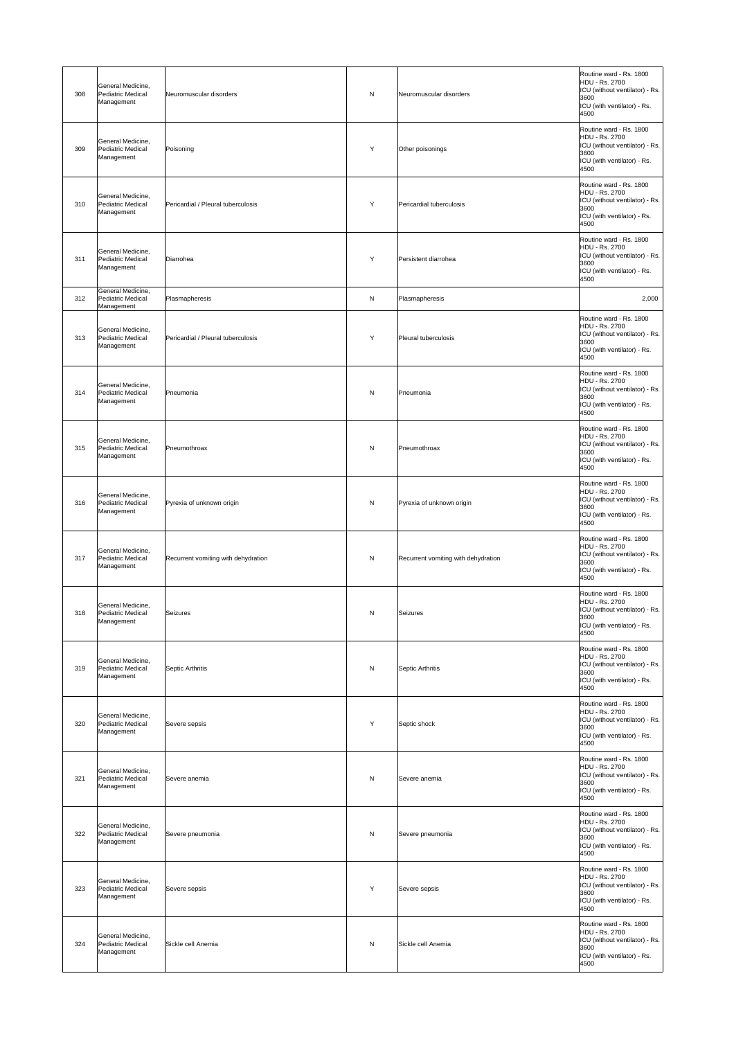| 308 | General Medicine,<br>Pediatric Medical<br>Management        | Neuromuscular disorders             | N | Neuromuscular disorders             | Routine ward - Rs. 1800<br>HDU - Rs. 2700<br>ICU (without ventilator) - Rs.<br>3600<br>ICU (with ventilator) - Rs.<br>4500        |
|-----|-------------------------------------------------------------|-------------------------------------|---|-------------------------------------|-----------------------------------------------------------------------------------------------------------------------------------|
| 309 | General Medicine,<br>Pediatric Medical<br>Management        | Poisoning                           | Y | Other poisonings                    | Routine ward - Rs. 1800<br>HDU - Rs. 2700<br>ICU (without ventilator) - Rs.<br>3600<br>ICU (with ventilator) - Rs.<br>4500        |
| 310 | General Medicine,<br><b>Pediatric Medical</b><br>Management | Pericardial / Pleural tuberculosis  | Y | Pericardial tuberculosis            | Routine ward - Rs. 1800<br>HDU - Rs. 2700<br>ICU (without ventilator) - Rs.<br>3600<br>ICU (with ventilator) - Rs.<br>4500        |
| 311 | General Medicine,<br><b>Pediatric Medical</b><br>Management | Diarrohea                           | Y | Persistent diarrohea                | Routine ward - Rs. 1800<br>HDU - Rs. 2700<br>ICU (without ventilator) - Rs.<br>3600<br>ICU (with ventilator) - Rs.<br>4500        |
| 312 | General Medicine,<br><b>Pediatric Medical</b><br>Management | Plasmapheresis                      | N | Plasmapheresis                      | 2,000                                                                                                                             |
| 313 | General Medicine,<br>Pediatric Medical<br>Management        | Pericardial / Pleural tuberculosis  | Y | Pleural tuberculosis                | Routine ward - Rs. 1800<br>HDU - Rs. 2700<br>ICU (without ventilator) - Rs.<br>3600<br>ICU (with ventilator) - Rs.<br>4500        |
| 314 | General Medicine,<br>Pediatric Medical<br>Management        | Pneumonia                           | N | Pneumonia                           | Routine ward - Rs. 1800<br><b>HDU - Rs. 2700</b><br>ICU (without ventilator) - Rs.<br>3600<br>ICU (with ventilator) - Rs.<br>4500 |
| 315 | General Medicine,<br>Pediatric Medical<br>Management        | Pneumothroax                        | N | Pneumothroax                        | Routine ward - Rs. 1800<br>HDU - Rs. 2700<br>ICU (without ventilator) - Rs.<br>3600<br>ICU (with ventilator) - Rs.<br>4500        |
| 316 | General Medicine,<br><b>Pediatric Medical</b><br>Management | Pyrexia of unknown origin           | N | Pyrexia of unknown origin           | Routine ward - Rs. 1800<br>HDU - Rs. 2700<br>ICU (without ventilator) - Rs.<br>3600<br>ICU (with ventilator) - Rs.<br>4500        |
| 317 | General Medicine,<br>Pediatric Medical<br>Management        | Recurrent vomiting with dehydration | N | Recurrent vomiting with dehydration | Routine ward - Rs. 1800<br>HDU - Rs. 2700<br>ICU (without ventilator) - Rs.<br>3600<br>ICU (with ventilator) - Rs.<br>4500        |
| 318 | General Medicine,<br>Pediatric Medical<br>Management        | Seizures                            | N | Seizures                            | Routine ward - Rs. 1800<br>HDU - Rs. 2700<br>ICU (without ventilator) - Rs.<br>3600<br>ICU (with ventilator) - Rs.<br>4500        |
| 319 | General Medicine,<br>Pediatric Medical<br>Management        | Septic Arthritis                    | N | Septic Arthritis                    | Routine ward - Rs. 1800<br>HDU - Rs. 2700<br>ICU (without ventilator) - Rs.<br>3600<br>ICU (with ventilator) - Rs.<br>4500        |
| 320 | General Medicine,<br>Pediatric Medical<br>Management        | Severe sepsis                       | Y | Septic shock                        | Routine ward - Rs. 1800<br>HDU - Rs. 2700<br>ICU (without ventilator) - Rs.<br>3600<br>ICU (with ventilator) - Rs.<br>4500        |
| 321 | General Medicine,<br><b>Pediatric Medical</b><br>Management | Severe anemia                       | N | Severe anemia                       | Routine ward - Rs. 1800<br>HDU - Rs. 2700<br>ICU (without ventilator) - Rs.<br>3600<br>ICU (with ventilator) - Rs.<br>4500        |
| 322 | General Medicine,<br><b>Pediatric Medical</b><br>Management | Severe pneumonia                    | N | Severe pneumonia                    | Routine ward - Rs. 1800<br>HDU - Rs. 2700<br>ICU (without ventilator) - Rs.<br>3600<br>ICU (with ventilator) - Rs.<br>4500        |
| 323 | General Medicine,<br>Pediatric Medical<br>Management        | Severe sepsis                       | Y | Severe sepsis                       | Routine ward - Rs. 1800<br>HDU - Rs. 2700<br>ICU (without ventilator) - Rs.<br>3600<br>ICU (with ventilator) - Rs.<br>4500        |
| 324 | General Medicine,<br>Pediatric Medical<br>Management        | Sickle cell Anemia                  | N | Sickle cell Anemia                  | Routine ward - Rs. 1800<br>HDU - Rs. 2700<br>ICU (without ventilator) - Rs.<br>3600<br>ICU (with ventilator) - Rs.<br>4500        |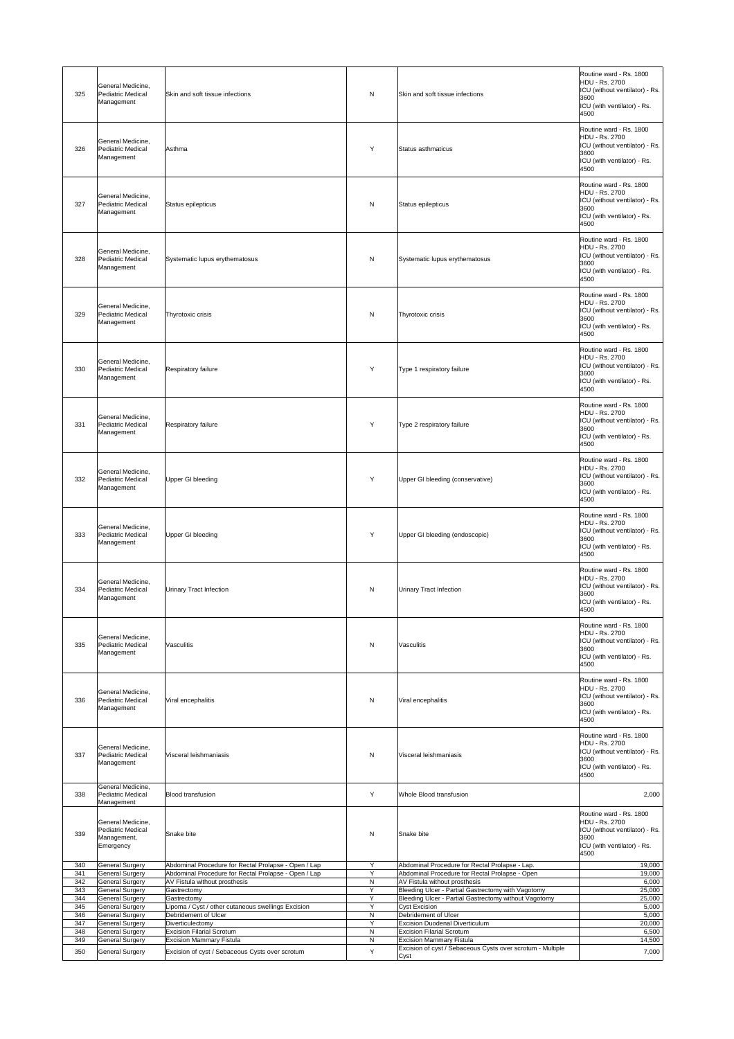| 325        | General Medicine,<br>Pediatric Medical<br>Management                                         | Skin and soft tissue infections                                                    | N                            | Skin and soft tissue infections                                                                             | Routine ward - Rs. 1800<br><b>HDU - Rs. 2700</b><br>ICU (without ventilator) - Rs.<br>3600<br>ICU (with ventilator) - Rs.<br>4500    |
|------------|----------------------------------------------------------------------------------------------|------------------------------------------------------------------------------------|------------------------------|-------------------------------------------------------------------------------------------------------------|--------------------------------------------------------------------------------------------------------------------------------------|
| 326        | General Medicine,<br><b>Pediatric Medical</b><br>Management                                  | Asthma                                                                             | Y                            | Status asthmaticus                                                                                          | Routine ward - Rs. 1800<br><b>HDU - Rs. 2700</b><br>ICU (without ventilator) - Rs.<br>3600<br>ICU (with ventilator) - Rs.<br>4500    |
| 327        | General Medicine,<br>Pediatric Medical<br>Management                                         | Status epilepticus                                                                 | N                            | Status epilepticus                                                                                          | Routine ward - Rs. 1800<br>HDU - Rs. 2700<br>ICU (without ventilator) - Rs.<br>3600<br>ICU (with ventilator) - Rs.<br>4500           |
| 328        | General Medicine,<br>Pediatric Medical<br>Management                                         | Systematic lupus erythematosus                                                     | N                            | Systematic lupus erythematosus                                                                              | Routine ward - Rs. 1800<br><b>HDU - Rs. 2700</b><br>ICU (without ventilator) - Rs.<br>3600<br>ICU (with ventilator) - Rs.<br>4500    |
| 329        | General Medicine,<br>Pediatric Medical<br>Management                                         | Thyrotoxic crisis                                                                  | N                            | Thyrotoxic crisis                                                                                           | Routine ward - Rs. 1800<br>HDU - Rs. 2700<br>ICU (without ventilator) - Rs.<br>3600<br>ICU (with ventilator) - Rs.<br>4500           |
| 330        | General Medicine,<br>Pediatric Medical<br>Management                                         | <b>Respiratory failure</b>                                                         | Y                            | Type 1 respiratory failure                                                                                  | Routine ward - Rs. 1800<br>HDU - Rs. 2700<br>ICU (without ventilator) - Rs.<br>3600<br>ICU (with ventilator) - Rs.<br>4500           |
| 331        | General Medicine,<br><b>Pediatric Medical</b><br>Management                                  | <b>Respiratory failure</b>                                                         | Y                            | Type 2 respiratory failure                                                                                  | Routine ward - Rs. 1800<br><b>HDU - Rs. 2700</b><br>ICU (without ventilator) - Rs.<br>3600<br>ICU (with ventilator) - Rs.<br>4500    |
| 332        | General Medicine,<br><b>Pediatric Medical</b><br>Management                                  | Upper GI bleeding                                                                  | Y                            | Upper GI bleeding (conservative)                                                                            | Routine ward - Rs. 1800<br><b>HDU - Rs. 2700</b><br>ICU (without ventilator) - Rs.<br>3600<br>ICU (with ventilator) - Rs.<br>4500    |
| 333        | General Medicine,<br>Pediatric Medical<br>Management                                         | Upper GI bleeding                                                                  | Y                            | Upper GI bleeding (endoscopic)                                                                              | Routine ward - Rs. 1800<br><b>HDU - Rs. 2700</b><br>ICU (without ventilator) - Rs.<br>3600<br>ICU (with ventilator) - Rs.<br>4500    |
| 334        | General Medicine,<br><b>Pediatric Medical</b><br>Management                                  | <b>Urinary Tract Infection</b>                                                     | N                            | <b>Urinary Tract Infection</b>                                                                              | Routine ward - Rs. 1800<br>HDU - Rs. 2700<br>ICU (without ventilator) - Rs.<br>3600<br>ICU (with ventilator) - Rs.<br>4500           |
| 335        | General Medicine,<br>Pediatric Medical<br>Management                                         | <b>Vasculitis</b>                                                                  | $\mathsf{N}$                 | <b>Vasculitis</b>                                                                                           | Routine ward - Rs. 1800<br>HDU - Rs. 2700<br>ICU (without ventilator) - Rs.<br>3600<br>ICU (with ventilator) - Rs.<br>4500           |
| 336        | General Medicine,<br><b>Pediatric Medical</b><br>Management                                  | Viral encephalitis                                                                 | N                            | Viral encephalitis                                                                                          | Routine ward - Rs. 1800<br><b>HDU - Rs. 2700</b><br>ICU (without ventilator) - Rs.<br>3600<br>ICU (with ventilator) - Rs.<br>4500    |
| 337        | General Medicine,<br><b>Pediatric Medical</b><br>Management                                  | Visceral leishmaniasis                                                             | N                            | Visceral leishmaniasis                                                                                      | Routine ward - Rs. 1800<br>HDU - Rs. 2700<br>ICU (without ventilator) - Rs.<br>3600<br>ICU (with ventilator) - Rs.<br>4500           |
| 338        | General Medicine,<br><b>Pediatric Medical</b><br>Management                                  | <b>Blood transfusion</b>                                                           | Y                            | Whole Blood transfusion                                                                                     | 2,000                                                                                                                                |
| 339<br>340 | General Medicine,<br>Pediatric Medical<br>Management,<br>Emergency<br><b>General Surgery</b> | Snake bite<br>Abdominal Procedure for Rectal Prolapse - Open / Lap                 | N<br>Y                       | Snake bite<br>Abdominal Procedure for Rectal Prolapse - Lap.                                                | Routine ward - Rs. 1800<br>HDU - Rs. 2700<br>ICU (without ventilator) - Rs.<br>3600<br>ICU (with ventilator) - Rs.<br>4500<br>19,000 |
| 341        | <b>General Surgery</b>                                                                       | Abdominal Procedure for Rectal Prolapse - Open / Lap                               | Y                            | Abdominal Procedure for Rectal Prolapse - Open                                                              | 19,000                                                                                                                               |
| 342        | <b>General Surgery</b>                                                                       | AV Fistula without prosthesis                                                      | N                            | AV Fistula without prosthesis                                                                               | 6,000                                                                                                                                |
| 343<br>344 | General Surgery<br><b>General Surgery</b>                                                    | Gastrectomy<br>Gastrectomy                                                         | Y<br>Y                       | Bleeding Ulcer - Partial Gastrectomy with Vagotomy<br>Bleeding Ulcer - Partial Gastrectomy without Vagotomy | 25,000<br>25,000                                                                                                                     |
| 345        | <b>General Surgery</b>                                                                       | Lipoma / Cyst / other cutaneous swellings Excision                                 | Y                            | <b>Cyst Excision</b>                                                                                        | 5,000                                                                                                                                |
| 346<br>347 | <b>General Surgery</b><br><b>General Surgery</b>                                             | Debridement of Ulcer<br>Diverticulectomy                                           | ${\sf N}$<br>Y               | Debridement of Ulcer<br><b>Excision Duodenal Diverticulum</b>                                               | 5,000<br>20,000                                                                                                                      |
| 348        | <b>General Surgery</b>                                                                       | <b>Excision Filarial Scrotum</b>                                                   | $\mathsf{N}$<br>$\mathsf{N}$ | <b>Excision Filarial Scrotum</b>                                                                            | 6,500                                                                                                                                |
| 349<br>350 | General Surgery<br>General Surgery                                                           | <b>Excision Mammary Fistula</b><br>Excision of cyst / Sebaceous Cysts over scrotum | Y                            | <b>Excision Mammary Fistula</b><br>Excision of cyst / Sebaceous Cysts over scrotum - Multiple               | 14,500<br>7,000                                                                                                                      |
|            |                                                                                              |                                                                                    |                              | Cyst                                                                                                        |                                                                                                                                      |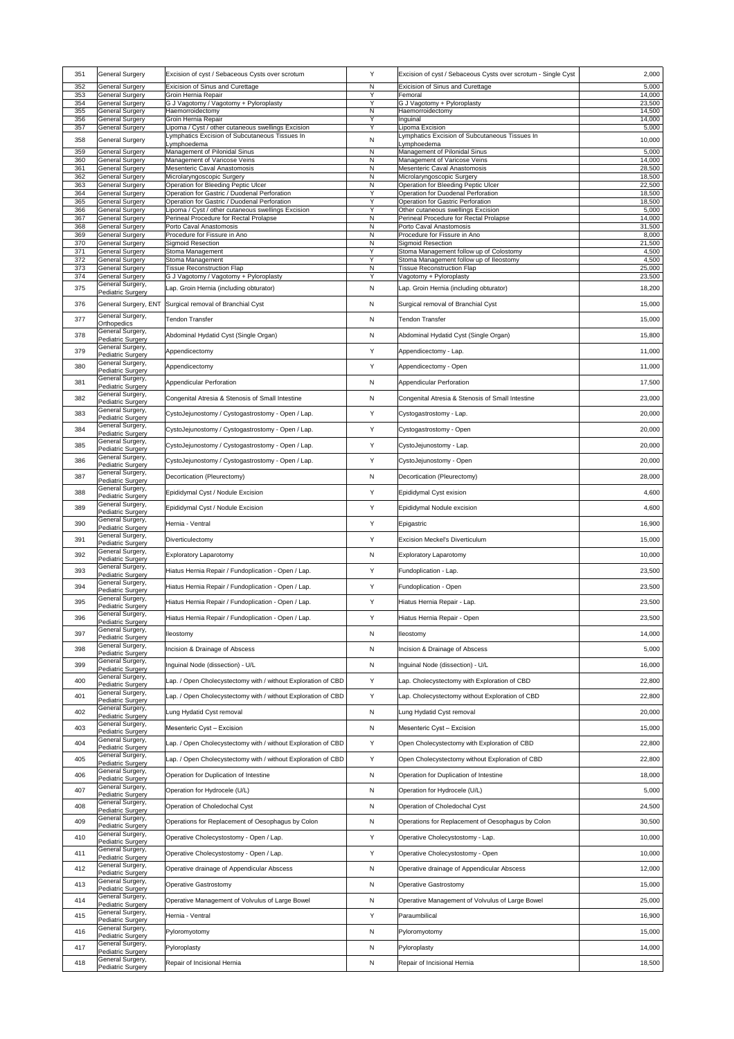| 351        | <b>General Surgery</b>                           | Excision of cyst / Sebaceous Cysts over scrotum                                                      | Y                            | Excision of cyst / Sebaceous Cysts over scrotum - Single Cyst                | 2,000            |
|------------|--------------------------------------------------|------------------------------------------------------------------------------------------------------|------------------------------|------------------------------------------------------------------------------|------------------|
| 352        | <b>General Surgery</b>                           | <b>Exicision of Sinus and Curettage</b>                                                              | $\mathsf{N}$                 | <b>Exicision of Sinus and Curettage</b>                                      | 5,000            |
| 353<br>354 | <b>General Surgery</b><br><b>General Surgery</b> | Groin Hernia Repair<br>G J Vagotomy / Vagotomy + Pyloroplasty                                        | Y<br>Y                       | Femoral<br>G J Vagotomy + Pyloroplasty                                       | 14,000<br>23,500 |
| 355        | <b>General Surgery</b>                           | Haemorroidectomy                                                                                     | $\mathsf{N}$                 | Haemorroidectomy                                                             | 14,500           |
| 356        | <b>General Surgery</b>                           | Groin Hernia Repair                                                                                  | Y<br>Y                       | Inguinal                                                                     | 14,000           |
| 357        | <b>General Surgery</b>                           | Lipoma / Cyst / other cutaneous swellings Excision<br>Lymphatics Excision of Subcutaneous Tissues In |                              | Lipoma Excision<br>Lymphatics Excision of Subcutaneous Tissues In            | 5,000            |
| 358        | <b>General Surgery</b>                           | Lymphoedema                                                                                          | $\mathsf{N}$                 | Lymphoedema                                                                  | 10,000           |
| 359<br>360 | <b>General Surgery</b><br><b>General Surgery</b> | Management of Pilonidal Sinus<br>Management of Varicose Veins                                        | $\mathsf{N}$<br>$\mathsf{N}$ | Management of Pilonidal Sinus<br>Management of Varicose Veins                | 5,000<br>14,000  |
| 361        | General Surgery                                  | Mesenteric Caval Anastomosis                                                                         | $\mathsf{N}$                 | <b>Mesenteric Caval Anastomosis</b>                                          | 28,500           |
| 362<br>363 | <b>General Surgery</b><br><b>General Surgery</b> | Microlaryngoscopic Surgery<br><b>Operation for Bleeding Peptic Ulcer</b>                             | $\mathsf{N}$<br>N            | Microlaryngoscopic Surgery<br><b>Operation for Bleeding Peptic Ulcer</b>     | 18,500<br>22,500 |
| 364        | <b>General Surgery</b>                           | Operation for Gastric / Duodenal Perforation                                                         | Y                            | <b>Operation for Duodenal Perforation</b>                                    | 18,500           |
| 365        | <b>General Surgery</b>                           | <b>Operation for Gastric / Duodenal Perforation</b>                                                  | Y                            | <b>Operation for Gastric Perforation</b>                                     | 18,500           |
| 366<br>367 | General Surgery<br><b>General Surgery</b>        | Lipoma / Cyst / other cutaneous swellings Excision<br>Perineal Procedure for Rectal Prolapse         | Y<br>$\mathsf{N}$            | Other cutaneous swellings Excision<br>Perineal Procedure for Rectal Prolapse | 5,000<br>14,000  |
| 368        | <b>General Surgery</b>                           | Porto Caval Anastomosis                                                                              | $\mathsf{N}$                 | Porto Caval Anastomosis                                                      | 31,500           |
| 369<br>370 | <b>General Surgery</b><br><b>General Surgery</b> | Procedure for Fissure in Ano<br>Sigmoid Resection                                                    | $\mathsf{N}$<br>$\mathsf{N}$ | Procedure for Fissure in Ano<br><b>Sigmoid Resection</b>                     | 8,000<br>21,500  |
| 371        | <b>General Surgery</b>                           | Stoma Management                                                                                     | Y                            | Stoma Management follow up of Colostomy                                      | 4,500            |
| 372        | <b>General Surgery</b>                           | Stoma Management                                                                                     | Y                            | Stoma Management follow up of Ileostomy                                      | 4,500            |
| 373<br>374 | <b>General Surgery</b><br><b>General Surgery</b> | <b>Tissue Reconstruction Flap</b><br>G J Vagotomy / Vagotomy + Pyloroplasty                          | $\mathsf{N}$<br>Y            | <b>Tissue Reconstruction Flap</b><br>Vagotomy + Pyloroplasty                 | 25,000<br>23,500 |
| 375        | General Surgery,                                 | Lap. Groin Hernia (including obturator)                                                              | $\mathsf{N}$                 | Lap. Groin Hernia (including obturator)                                      | 18,200           |
|            | <b>Pediatric Surgery</b>                         |                                                                                                      |                              |                                                                              |                  |
| 376        |                                                  | General Surgery, ENT Surgical removal of Branchial Cyst                                              | N                            | Surgical removal of Branchial Cyst                                           | 15,000           |
| 377        | General Surgery,<br><b>Orthopedics</b>           | <b>Tendon Transfer</b>                                                                               | N                            | <b>Tendon Transfer</b>                                                       | 15,000           |
| 378        | General Surgery,                                 | Abdominal Hydatid Cyst (Single Organ)                                                                | N                            | Abdominal Hydatid Cyst (Single Organ)                                        | 15,800           |
|            | <b>Pediatric Surgery</b><br>General Surgery,     |                                                                                                      |                              |                                                                              |                  |
| 379        | <b>Pediatric Surgery</b>                         | Appendicectomy                                                                                       | Y                            | Appendicectomy - Lap.                                                        | 11,000           |
| 380        | General Surgery,<br><b>Pediatric Surgery</b>     | Appendicectomy                                                                                       | Y                            | Appendicectomy - Open                                                        | 11,000           |
| 381        | General Surgery,                                 | Appendicular Perforation                                                                             | N                            | <b>Appendicular Perforation</b>                                              | 17,500           |
|            | <b>Pediatric Surgery</b><br>General Surgery,     |                                                                                                      |                              |                                                                              |                  |
| 382        | <b>Pediatric Surgery</b>                         | Congenital Atresia & Stenosis of Small Intestine                                                     | N                            | Congenital Atresia & Stenosis of Small Intestine                             | 23,000           |
| 383        | General Surgery,                                 | CystoJejunostomy / Cystogastrostomy - Open / Lap.                                                    | Y                            | Cystogastrostomy - Lap.                                                      | 20,000           |
|            | <b>Pediatric Surgery</b><br>General Surgery,     |                                                                                                      |                              |                                                                              |                  |
| 384        | <b>Pediatric Surgery</b>                         | CystoJejunostomy / Cystogastrostomy - Open / Lap.                                                    | Y                            | Cystogastrostomy - Open                                                      | 20,000           |
| 385        | General Surgery,<br><b>Pediatric Surgery</b>     | CystoJejunostomy / Cystogastrostomy - Open / Lap.                                                    | Y                            | CystoJejunostomy - Lap.                                                      | 20,000           |
| 386        | General Surgery,                                 | CystoJejunostomy / Cystogastrostomy - Open / Lap.                                                    | Y                            | CystoJejunostomy - Open                                                      | 20,000           |
|            | <b>Pediatric Surgery</b><br>General Surgery,     |                                                                                                      |                              |                                                                              |                  |
| 387        | <b>Pediatric Surgery</b>                         | Decortication (Pleurectomy)                                                                          | N                            | Decortication (Pleurectomy)                                                  | 28,000           |
| 388        | General Surgery,<br><b>Pediatric Surgery</b>     | Epididymal Cyst / Nodule Excision                                                                    | Y                            | Epididymal Cyst exision                                                      | 4,600            |
| 389        | General Surgery,                                 | Epididymal Cyst / Nodule Excision                                                                    | Y                            | Epididymal Nodule excision                                                   | 4,600            |
|            | <b>Pediatric Surgery</b><br>General Surgery,     |                                                                                                      |                              |                                                                              |                  |
| 390        | <b>Pediatric Surgery</b>                         | Hernia - Ventral                                                                                     | Y                            | Epigastric                                                                   | 16,900           |
| 391        | General Surgery,<br><b>Pediatric Surgery</b>     | Diverticulectomy                                                                                     | Y                            | <b>Excision Meckel's Diverticulum</b>                                        | 15,000           |
| 392        | General Surgery,                                 | <b>Exploratory Laparotomy</b>                                                                        | N                            | <b>Exploratory Laparotomy</b>                                                | 10,000           |
|            | <b>Pediatric Surgery</b><br>General Surgery,     |                                                                                                      |                              |                                                                              |                  |
| 393        | <b>Pediatric Surgery</b>                         | Hiatus Hernia Repair / Fundoplication - Open / Lap.                                                  | Y                            | Fundoplication - Lap.                                                        | 23,500           |
| 394        | General Surgery,<br><b>Pediatric Surgery</b>     | Hiatus Hernia Repair / Fundoplication - Open / Lap.                                                  | Y                            | Fundoplication - Open                                                        | 23,500           |
| 395        | General Surgery,                                 | Hiatus Hernia Repair / Fundoplication - Open / Lap.                                                  | Y                            | Hiatus Hernia Repair - Lap.                                                  | 23,500           |
|            | <b>Pediatric Surgery</b><br>General Surgery,     |                                                                                                      |                              |                                                                              |                  |
| 396        | <b>Pediatric Surgery</b>                         | Hiatus Hernia Repair / Fundoplication - Open / Lap.                                                  | Y                            | Hiatus Hernia Repair - Open                                                  | 23,500           |
| 397        | General Surgery,<br><b>Pediatric Surgery</b>     | <b>Ileostomy</b>                                                                                     | N                            | lleostomy                                                                    | 14,000           |
| 398        | General Surgery,                                 | Incision & Drainage of Abscess                                                                       | N                            | Incision & Drainage of Abscess                                               | 5,000            |
|            | <b>Pediatric Surgery</b><br>General Surgery,     |                                                                                                      |                              |                                                                              |                  |
| 399        | <b>Pediatric Surgery</b>                         | Inguinal Node (dissection) - U/L                                                                     | N                            | Inguinal Node (dissection) - U/L                                             | 16,000           |
| 400        | General Surgery,<br><b>Pediatric Surgery</b>     | Lap. / Open Cholecystectomy with / without Exploration of CBD                                        | Y                            | Lap. Cholecystectomy with Exploration of CBD                                 | 22,800           |
| 401        | General Surgery,                                 | Lap. / Open Cholecystectomy with / without Exploration of CBD                                        | Y                            | Lap. Cholecystectomy without Exploration of CBD                              | 22,800           |
|            | <b>Pediatric Surgery</b><br>General Surgery,     |                                                                                                      |                              |                                                                              |                  |
| 402        | <b>Pediatric Surgery</b>                         | Lung Hydatid Cyst removal                                                                            | N                            | Lung Hydatid Cyst removal                                                    | 20,000           |
| 403        | General Surgery,<br><b>Pediatric Surgery</b>     | Mesenteric Cyst - Excision                                                                           | N                            | Mesenteric Cyst - Excision                                                   | 15,000           |
| 404        | General Surgery,                                 | Lap. / Open Cholecystectomy with / without Exploration of CBD                                        | Y                            | Open Cholecystectomy with Exploration of CBD                                 | 22,800           |
|            | <b>Pediatric Surgery</b><br>General Surgery,     |                                                                                                      |                              |                                                                              |                  |
| 405        | <b>Pediatric Surgery</b>                         | Lap. / Open Cholecystectomy with / without Exploration of CBD                                        | Y                            | Open Cholecystectomy without Exploration of CBD                              | 22,800           |
| 406        | General Surgery,<br><b>Pediatric Surgery</b>     | Operation for Duplication of Intestine                                                               | N                            | Operation for Duplication of Intestine                                       | 18,000           |
| 407        | General Surgery,                                 | Operation for Hydrocele (U/L)                                                                        | N                            | Operation for Hydrocele (U/L)                                                | 5,000            |
|            | <b>Pediatric Surgery</b><br>General Surgery,     |                                                                                                      |                              |                                                                              |                  |
| 408        | <b>Pediatric Surgery</b>                         | Operation of Choledochal Cyst                                                                        | N                            | Operation of Choledochal Cyst                                                | 24,500           |
| 409        | General Surgery,<br><b>Pediatric Surgery</b>     | Operations for Replacement of Oesophagus by Colon                                                    | N                            | Operations for Replacement of Oesophagus by Colon                            | 30,500           |
| 410        | General Surgery,                                 | Operative Cholecystostomy - Open / Lap.                                                              | Y                            | Operative Cholecystostomy - Lap.                                             | 10,000           |
|            | <b>Pediatric Surgery</b><br>General Surgery,     |                                                                                                      |                              |                                                                              |                  |
| 411        | <b>Pediatric Surgery</b>                         | Operative Cholecystostomy - Open / Lap.                                                              | Y                            | Operative Cholecystostomy - Open                                             | 10,000           |
| 412        | General Surgery,<br><b>Pediatric Surgery</b>     | Operative drainage of Appendicular Abscess                                                           | N                            | Operative drainage of Appendicular Abscess                                   | 12,000           |
| 413        | General Surgery,                                 |                                                                                                      |                              |                                                                              |                  |
|            | <b>Pediatric Surgery</b>                         | <b>Operative Gastrostomy</b>                                                                         | N                            | <b>Operative Gastrostomy</b>                                                 | 15,000           |
| 414        | General Surgery,<br><b>Pediatric Surgery</b>     | Operative Management of Volvulus of Large Bowel                                                      | N                            | Operative Management of Volvulus of Large Bowel                              | 25,000           |
| 415        | General Surgery,                                 | Hernia - Ventral                                                                                     | Y                            | Paraumbilical                                                                | 16,900           |
|            | <b>Pediatric Surgery</b><br>General Surgery,     |                                                                                                      |                              |                                                                              |                  |
| 416        | <b>Pediatric Surgery</b>                         | Pyloromyotomy                                                                                        | N                            | Pyloromyotomy                                                                | 15,000           |
| 417        | General Surgery,<br><b>Pediatric Surgery</b>     | Pyloroplasty                                                                                         | N                            | Pyloroplasty                                                                 | 14,000           |
| 418        | General Surgery,<br><b>Pediatric Surgery</b>     | Repair of Incisional Hernia                                                                          | N                            | Repair of Incisional Hernia                                                  | 18,500           |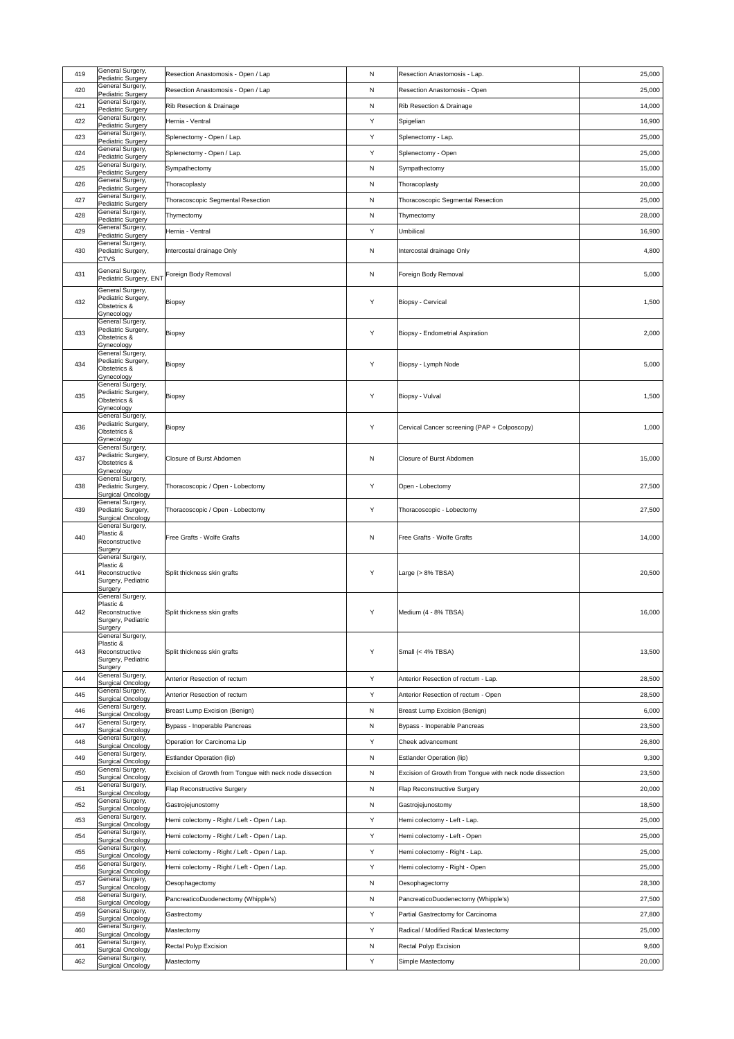| 419 | General Surgery,<br><b>Pediatric Surgery</b>                                                         | Resection Anastomosis - Open / Lap                       | N            | Resection Anastomosis - Lap.                             | 25,000 |
|-----|------------------------------------------------------------------------------------------------------|----------------------------------------------------------|--------------|----------------------------------------------------------|--------|
| 420 | General Surgery,<br><b>Pediatric Surgery</b>                                                         | Resection Anastomosis - Open / Lap                       | N            | <b>Resection Anastomosis - Open</b>                      | 25,000 |
| 421 | General Surgery,<br><b>Pediatric Surgery</b>                                                         | <b>Rib Resection &amp; Drainage</b>                      | N            | <b>Rib Resection &amp; Drainage</b>                      | 14,000 |
| 422 | General Surgery,<br>Pediatric Surgery                                                                | Hernia - Ventral                                         | Y            | Spigelian                                                | 16,900 |
| 423 | General Surgery,                                                                                     | Splenectomy - Open / Lap.                                | Y            | Splenectomy - Lap.                                       | 25,000 |
| 424 | <b>Pediatric Surgery</b><br>General Surgery,                                                         | Splenectomy - Open / Lap.                                | Y            | Splenectomy - Open                                       | 25,000 |
| 425 | Pediatric Surgery<br>General Surgery,                                                                | Sympathectomy                                            | $\mathsf{N}$ | Sympathectomy                                            | 15,000 |
| 426 | <b>Pediatric Surgery</b><br>General Surgery,                                                         | Thoracoplasty                                            | N            | Thoracoplasty                                            | 20,000 |
| 427 | Pediatric Surgery<br>General Surgery,                                                                |                                                          |              |                                                          |        |
|     | <b>Pediatric Surgery</b><br>General Surgery,                                                         | <b>Thoracoscopic Segmental Resection</b>                 | $\mathsf{N}$ | Thoracoscopic Segmental Resection                        | 25,000 |
| 428 | <b>Pediatric Surgery</b><br>General Surgery,                                                         | Thymectomy                                               | N            | Thymectomy                                               | 28,000 |
| 429 | <b>Pediatric Surgery</b><br>General Surgery,                                                         | Hernia - Ventral                                         | Y            | Umbilical                                                | 16,900 |
| 430 | Pediatric Surgery,<br><b>CTVS</b>                                                                    | Intercostal drainage Only                                | $\mathsf{N}$ | Intercostal drainage Only                                | 4,800  |
| 431 | General Surgery,<br>Pediatric Surgery, ENT                                                           | Foreign Body Removal                                     | $\mathsf{N}$ | Foreign Body Removal                                     | 5,000  |
| 432 | General Surgery,<br>Pediatric Surgery,<br>Obstetrics &<br>Gynecology<br>General Surgery,             | Biopsy                                                   | Y            | <b>Biopsy - Cervical</b>                                 | 1,500  |
| 433 | Pediatric Surgery,<br>Obstetrics &<br>Gynecology                                                     | Biopsy                                                   | Y            | <b>Biopsy - Endometrial Aspiration</b>                   | 2,000  |
| 434 | General Surgery,<br>Pediatric Surgery,<br>Obstetrics &<br>Gynecology<br>General Surgery,             | <b>Biopsy</b>                                            | Y            | Biopsy - Lymph Node                                      | 5,000  |
| 435 | Pediatric Surgery,<br>Obstetrics &<br>Gynecology                                                     | <b>Biopsy</b>                                            | Y            | Biopsy - Vulval                                          | 1,500  |
| 436 | General Surgery,<br>Pediatric Surgery,<br>Obstetrics &<br>Gynecology                                 | Biopsy                                                   | Y            | Cervical Cancer screening (PAP + Colposcopy)             | 1,000  |
| 437 | General Surgery,<br>Pediatric Surgery,<br>Obstetrics &<br>Gynecology                                 | <b>Closure of Burst Abdomen</b>                          | $\mathsf{N}$ | <b>Closure of Burst Abdomen</b>                          | 15,000 |
| 438 | General Surgery,<br>Pediatric Surgery,<br><b>Surgical Oncology</b>                                   | Thoracoscopic / Open - Lobectomy                         | Y            | Open - Lobectomy                                         | 27,500 |
| 439 | General Surgery,<br>Pediatric Surgery,<br><b>Surgical Oncology</b>                                   | Thoracoscopic / Open - Lobectomy                         | Y            | Thoracoscopic - Lobectomy                                | 27,500 |
| 440 | General Surgery,<br>Plastic &<br>Reconstructive<br>Surgery                                           | Free Grafts - Wolfe Grafts                               | ${\sf N}$    | <b>Free Grafts - Wolfe Grafts</b>                        | 14,000 |
| 441 | General Surgery,<br>Plastic &<br>Reconstructive<br>Surgery, Pediatric<br>Surgery<br>General Surgery, | Split thickness skin grafts                              | Y            | Large $(> 8\%$ TBSA)                                     | 20,500 |
| 442 | Plastic &<br>Reconstructive<br>Surgery, Pediatric<br>Surgery                                         | Split thickness skin grafts                              | Y            | Medium (4 - 8% TBSA)                                     | 16,000 |
| 443 | General Surgery,<br>Plastic &<br>Reconstructive<br>Surgery, Pediatric<br>Surgery                     | Split thickness skin grafts                              | Y            | Small (< 4% TBSA)                                        | 13,500 |
| 444 | General Surgery,<br><b>Surgical Oncology</b>                                                         | Anterior Resection of rectum                             | Y            | Anterior Resection of rectum - Lap.                      | 28,500 |
| 445 | General Surgery,                                                                                     | Anterior Resection of rectum                             | Y            | Anterior Resection of rectum - Open                      | 28,500 |
| 446 | <b>Surgical Oncology</b><br>General Surgery,                                                         | <b>Breast Lump Excision (Benign)</b>                     | N            | <b>Breast Lump Excision (Benign)</b>                     | 6,000  |
| 447 | <b>Surgical Oncology</b><br>General Surgery,                                                         | Bypass - Inoperable Pancreas                             | N            | Bypass - Inoperable Pancreas                             | 23,500 |
| 448 | <b>Surgical Oncology</b><br>General Surgery,                                                         | Operation for Carcinoma Lip                              | Y            | Cheek advancement                                        | 26,800 |
| 449 | <b>Surgical Oncology</b><br>General Surgery,                                                         | <b>Estlander Operation (lip)</b>                         | $\mathsf{N}$ | <b>Estlander Operation (lip)</b>                         | 9,300  |
| 450 | <b>Surgical Oncology</b><br>General Surgery,                                                         | Excision of Growth from Tongue with neck node dissection | N            | Excision of Growth from Tongue with neck node dissection | 23,500 |
| 451 | <b>Surgical Oncology</b><br>General Surgery,                                                         | <b>Flap Reconstructive Surgery</b>                       | $\mathsf{N}$ | <b>Flap Reconstructive Surgery</b>                       | 20,000 |
|     | <b>Surgical Oncology</b><br>General Surgery,                                                         |                                                          |              |                                                          |        |
| 452 | <b>Surgical Oncology</b><br>General Surgery,                                                         | Gastrojejunostomy                                        | N            | Gastrojejunostomy                                        | 18,500 |
| 453 | <b>Surgical Oncology</b><br>General Surgery,                                                         | Hemi colectomy - Right / Left - Open / Lap.              | Y            | Hemi colectomy - Left - Lap.                             | 25,000 |
| 454 | <b>Surgical Oncology</b><br>General Surgery,                                                         | Hemi colectomy - Right / Left - Open / Lap.              | Y            | Hemi colectomy - Left - Open                             | 25,000 |
| 455 | <b>Surgical Oncology</b><br>General Surgery,                                                         | Hemi colectomy - Right / Left - Open / Lap.              | Y            | Hemi colectomy - Right - Lap.                            | 25,000 |
| 456 | <b>Surgical Oncology</b><br>General Surgery,                                                         | Hemi colectomy - Right / Left - Open / Lap.              | Y            | Hemi colectomy - Right - Open                            | 25,000 |
| 457 | <b>Surgical Oncology</b>                                                                             | Oesophagectomy                                           | N            | Oesophagectomy                                           | 28,300 |
| 458 | General Surgery,<br><b>Surgical Oncology</b>                                                         | PancreaticoDuodenectomy (Whipple's)                      | N            | PancreaticoDuodenectomy (Whipple's)                      | 27,500 |
| 459 | General Surgery,<br><b>Surgical Oncology</b>                                                         | Gastrectomy                                              | Y            | Partial Gastrectomy for Carcinoma                        | 27,800 |
| 460 | General Surgery,<br><b>Surgical Oncology</b>                                                         | Mastectomy                                               | Y            | Radical / Modified Radical Mastectomy                    | 25,000 |
| 461 | General Surgery,<br><b>Surgical Oncology</b>                                                         | <b>Rectal Polyp Excision</b>                             | N            | <b>Rectal Polyp Excision</b>                             | 9,600  |
| 462 | General Surgery,<br><b>Surgical Oncology</b>                                                         | Mastectomy                                               | Y            | Simple Mastectomy                                        | 20,000 |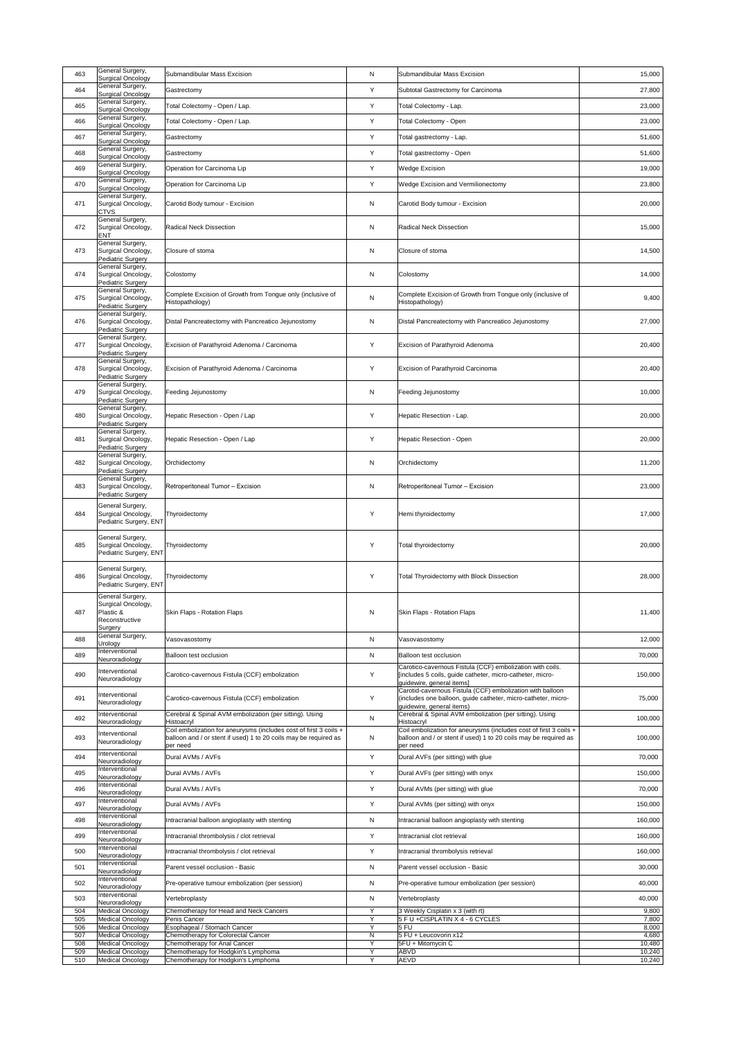| 463        | General Surgery,<br><b>Surgical Oncology</b>                                     | <b>Submandibular Mass Excision</b>                                                                                                                | N            | <b>Submandibular Mass Excision</b>                                                                                                                      | 15,000           |
|------------|----------------------------------------------------------------------------------|---------------------------------------------------------------------------------------------------------------------------------------------------|--------------|---------------------------------------------------------------------------------------------------------------------------------------------------------|------------------|
| 464        | General Surgery,<br>Surgical Oncology                                            | Gastrectomy                                                                                                                                       | Y            | Subtotal Gastrectomy for Carcinoma                                                                                                                      | 27,800           |
| 465        | General Surgery,<br><b>Surgical Oncology</b>                                     | Total Colectomy - Open / Lap.                                                                                                                     | Y            | Total Colectomy - Lap.                                                                                                                                  | 23,000           |
| 466        | General Surgery,<br><b>Surgical Oncology</b>                                     | Total Colectomy - Open / Lap.                                                                                                                     | Y            | <b>Total Colectomy - Open</b>                                                                                                                           | 23,000           |
| 467        | General Surgery,<br><b>Surgical Oncology</b>                                     | Gastrectomy                                                                                                                                       | Y            | Total gastrectomy - Lap.                                                                                                                                | 51,600           |
| 468        | General Surgery,<br><b>Surgical Oncology</b>                                     | Gastrectomy                                                                                                                                       | Y            | Total gastrectomy - Open                                                                                                                                | 51,600           |
| 469        | General Surgery,<br><b>Surgical Oncology</b>                                     | Operation for Carcinoma Lip                                                                                                                       | Y            | <b>Wedge Excision</b>                                                                                                                                   | 19,000           |
| 470        | General Surgery,<br>Surgical Oncology                                            | Operation for Carcinoma Lip                                                                                                                       | Y            | <b>Wedge Excision and Vermilionectomy</b>                                                                                                               | 23,800           |
| 471        | General Surgery,<br>Surgical Oncology,<br><b>CTVS</b>                            | Carotid Body tumour - Excision                                                                                                                    | $\mathsf{N}$ | Carotid Body tumour - Excision                                                                                                                          | 20,000           |
| 472        | General Surgery,<br>Surgical Oncology,<br><b>ENT</b>                             | <b>Radical Neck Dissection</b>                                                                                                                    | N            | <b>Radical Neck Dissection</b>                                                                                                                          | 15,000           |
| 473        | General Surgery,<br>Surgical Oncology,<br><b>Pediatric Surgery</b>               | Closure of stoma                                                                                                                                  | N            | Closure of stoma                                                                                                                                        | 14,500           |
| 474        | General Surgery,<br>Surgical Oncology,<br><b>Pediatric Surgery</b>               | Colostomy                                                                                                                                         | N            | Colostomy                                                                                                                                               | 14,000           |
| 475        | General Surgery,<br>Surgical Oncology,<br><b>Pediatric Surgery</b>               | Complete Excision of Growth from Tongue only (inclusive of<br>Histopathology)                                                                     | ${\sf N}$    | Complete Excision of Growth from Tongue only (inclusive of<br>Histopathology)                                                                           | 9,400            |
| 476        | General Surgery,<br>Surgical Oncology,<br>Pediatric Surgery                      | Distal Pancreatectomy with Pancreatico Jejunostomy                                                                                                | N            | Distal Pancreatectomy with Pancreatico Jejunostomy                                                                                                      | 27,000           |
| 477        | General Surgery,<br>Surgical Oncology,<br><b>Pediatric Surgery</b>               | Excision of Parathyroid Adenoma / Carcinoma                                                                                                       | Y            | Excision of Parathyroid Adenoma                                                                                                                         | 20,400           |
| 478        | General Surgery,<br>Surgical Oncology,<br>Pediatric Surgery                      | Excision of Parathyroid Adenoma / Carcinoma                                                                                                       | Y            | Excision of Parathyroid Carcinoma                                                                                                                       | 20,400           |
| 479        | General Surgery,<br>Surgical Oncology,<br>Pediatric Surgery                      | Feeding Jejunostomy                                                                                                                               | $\mathsf{N}$ | Feeding Jejunostomy                                                                                                                                     | 10,000           |
| 480        | General Surgery,<br>Surgical Oncology,<br>Pediatric Surgery                      | Hepatic Resection - Open / Lap                                                                                                                    | Y            | Hepatic Resection - Lap.                                                                                                                                | 20,000           |
| 481        | General Surgery,<br>Surgical Oncology,<br>Pediatric Surgery                      | Hepatic Resection - Open / Lap                                                                                                                    | Y            | Hepatic Resection - Open                                                                                                                                | 20,000           |
| 482        | General Surgery,<br>Surgical Oncology,<br>Pediatric Surgery                      | Orchidectomy                                                                                                                                      | N            | Orchidectomy                                                                                                                                            | 11,200           |
| 483        | General Surgery,<br>Surgical Oncology,<br>Pediatric Surgery                      | Retroperitoneal Tumor - Excision                                                                                                                  | N            | Retroperitoneal Tumor - Excision                                                                                                                        | 23,000           |
| 484        | General Surgery,<br>Surgical Oncology,<br>Pediatric Surgery, ENT                 | Thyroidectomy                                                                                                                                     | Y            | Hemi thyroidectomy                                                                                                                                      | 17,000           |
| 485        | General Surgery,<br>Surgical Oncology,<br>Pediatric Surgery, ENT                 | Thyroidectomy                                                                                                                                     | Y            | Total thyroidectomy                                                                                                                                     | 20,000           |
| 486        | General Surgery,<br>Surgical Oncology,<br>Pediatric Surgery, ENT                 | Thyroidectomy                                                                                                                                     | Y            | <b>Total Thyroidectomy with Block Dissection</b>                                                                                                        | 28,000           |
| 487        | General Surgery,<br>Surgical Oncology,<br>Plastic &<br>Reconstructive<br>Surgery | Skin Flaps - Rotation Flaps                                                                                                                       | N            | <b>Skin Flaps - Rotation Flaps</b>                                                                                                                      | 11,400           |
| 488        | General Surgery,<br>Urology                                                      | Vasovasostomy                                                                                                                                     | N            | Vasovasostomy                                                                                                                                           | 12,000           |
| 489        | Interventional<br>Neuroradiology                                                 | <b>Balloon test occlusion</b>                                                                                                                     | N            | <b>Balloon test occlusion</b>                                                                                                                           | 70,000           |
| 490        | Interventional<br>Neuroradiology                                                 | Carotico-cavernous Fistula (CCF) embolization                                                                                                     | Y            | Carotico-cavernous Fistula (CCF) embolization with coils.<br>[includes 5 coils, guide catheter, micro-catheter, micro-<br>guidewire, general items]     | 150,000          |
| 491        | Interventional<br>Neuroradiology                                                 | Carotico-cavernous Fistula (CCF) embolization                                                                                                     | Y            | Carotid-cavernous Fistula (CCF) embolization with balloon<br>(includes one balloon, guide catheter, micro-catheter, micro-<br>guidewire, general items) | 75,000           |
| 492        | Interventional<br>Neuroradiology                                                 | Cerebral & Spinal AVM embolization (per sitting). Using<br>Histoacryl                                                                             | N            | Cerebral & Spinal AVM embolization (per sitting). Using<br>Histoacryl                                                                                   | 100,000          |
| 493        | Interventional<br>Neuroradiology                                                 | Coil embolization for aneurysms (includes cost of first 3 coils +<br>balloon and / or stent if used) 1 to 20 coils may be required as<br>per need | N            | Coil embolization for aneurysms (includes cost of first 3 coils +<br>balloon and / or stent if used) 1 to 20 coils may be required as<br>per need       | 100,000          |
| 494        | Interventional<br>Neuroradiology                                                 | Dural AVMs / AVFs                                                                                                                                 | Y            | Dural AVFs (per sitting) with glue                                                                                                                      | 70,000           |
| 495        | Interventional<br>Neuroradiology                                                 | Dural AVMs / AVFs                                                                                                                                 | Y            | Dural AVFs (per sitting) with onyx                                                                                                                      | 150,000          |
| 496        | Interventional<br>Neuroradiology                                                 | Dural AVMs / AVFs                                                                                                                                 | Y            | Dural AVMs (per sitting) with glue                                                                                                                      | 70,000           |
| 497        | Interventional<br>Neuroradiology                                                 | Dural AVMs / AVFs                                                                                                                                 | Y            | Dural AVMs (per sitting) with onyx                                                                                                                      | 150,000          |
| 498        | Interventional<br>Neuroradiology                                                 | Intracranial balloon angioplasty with stenting                                                                                                    | $\mathsf{N}$ | Intracranial balloon angioplasty with stenting                                                                                                          | 160,000          |
| 499        | Interventional<br>Neuroradiology                                                 | Intracranial thrombolysis / clot retrieval                                                                                                        | Y            | Intracranial clot retrieval                                                                                                                             | 160,000          |
| 500        | <b>Interventional</b><br>Neuroradiology                                          | Intracranial thrombolysis / clot retrieval                                                                                                        | Y            | Intracranial thrombolysis retrieval                                                                                                                     | 160,000          |
| 501        | Interventional<br>Neuroradiology                                                 | Parent vessel occlusion - Basic                                                                                                                   | N            | Parent vessel occlusion - Basic                                                                                                                         | 30,000           |
| 502        | Interventional<br>Neuroradiology                                                 | Pre-operative tumour embolization (per session)                                                                                                   | N            | Pre-operative tumour embolization (per session)                                                                                                         | 40,000           |
| 503        | Interventional<br>Neuroradiology                                                 | Vertebroplasty                                                                                                                                    | N            | Vertebroplasty                                                                                                                                          | 40,000           |
| 504<br>505 | <b>Medical Oncology</b><br><b>Medical Oncology</b>                               | Chemotherapy for Head and Neck Cancers<br>Penis Cancer                                                                                            | Y<br>Y       | 3 Weekly Cisplatin x 3 (with rt)<br>5 F U + CISPLATIN X 4 - 6 CYCLES                                                                                    | 9,800<br>7,800   |
| 506        | <b>Medical Oncology</b>                                                          | Esophageal / Stomach Cancer                                                                                                                       | Y            | 5 FU                                                                                                                                                    | 8,000            |
| 507<br>508 | <b>Medical Oncology</b><br><b>Medical Oncology</b>                               | Chemotherapy for Colorectal Cancer<br>Chemotherapy for Anal Cancer                                                                                | N<br>Y       | 5 FU + Leucovorin x12<br>$\sqrt{5FU + M}$ tomycin C                                                                                                     | 4,680<br>10,480  |
| 509<br>510 | <b>Medical Oncology</b><br><b>Medical Oncology</b>                               | Chemotherapy for Hodgkin's Lymphoma<br>Chemotherapy for Hodgkin's Lymphoma                                                                        | Y<br>Y       | <b>ABVD</b><br><b>AEVD</b>                                                                                                                              | 10,240<br>10,240 |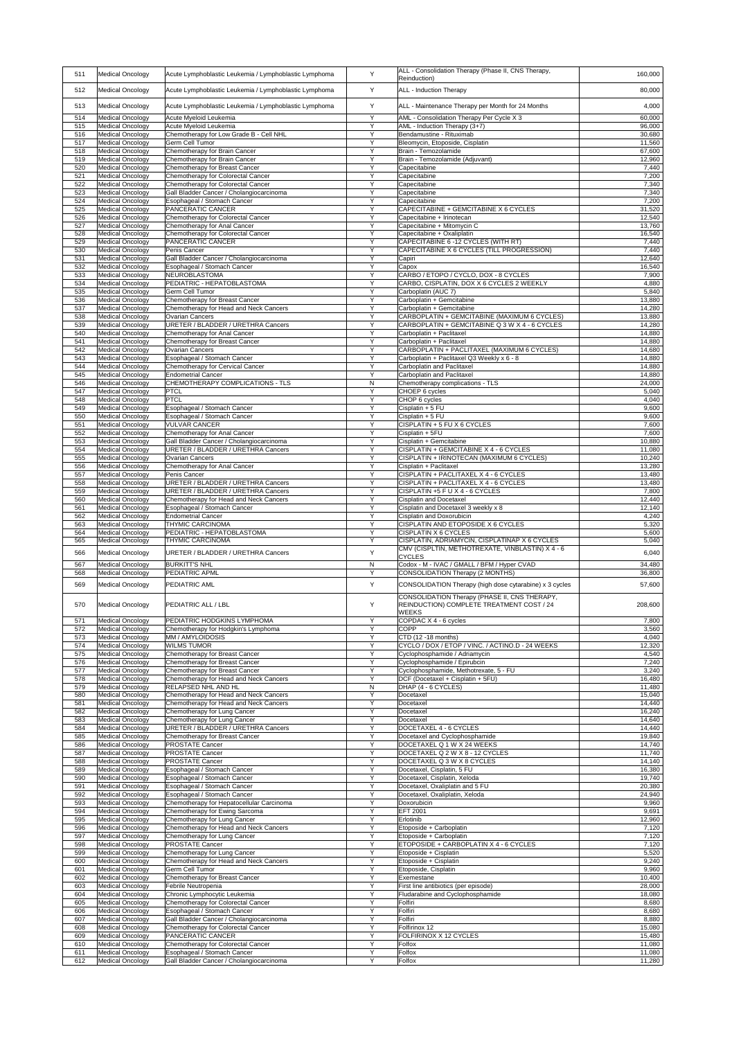| 511        | <b>Medical Oncology</b>                            | Acute Lymphoblastic Leukemia / Lymphoblastic Lymphoma                                  | Y                 | ALL - Consolidation Therapy (Phase II, CNS Therapy,<br>Reinduction)                        | 160,000          |
|------------|----------------------------------------------------|----------------------------------------------------------------------------------------|-------------------|--------------------------------------------------------------------------------------------|------------------|
| 512        | Medical Oncology                                   | Acute Lymphoblastic Leukemia / Lymphoblastic Lymphoma                                  | Y                 | <b>ALL</b> - Induction Therapy                                                             | 80,000           |
| 513        | <b>Medical Oncology</b>                            | Acute Lymphoblastic Leukemia / Lymphoblastic Lymphoma                                  | Y                 | ALL - Maintenance Therapy per Month for 24 Months                                          | 4,000            |
| 514        | <b>Medical Oncology</b>                            | Acute Myeloid Leukemia                                                                 | Y                 | AML - Consolidation Therapy Per Cycle X 3                                                  | 60,000           |
| 515<br>516 | <b>Medical Oncology</b><br><b>Medical Oncology</b> | Acute Myeloid Leukemia<br>Chemotherapy for Low Grade B - Cell NHL                      | Y<br>Y            | AML - Induction Therapy (3+7)<br>Bendamustine - Rituximab                                  | 96,000<br>30,680 |
| 517        | <b>Medical Oncology</b>                            | <b>Germ Cell Tumor</b>                                                                 | Y                 | Bleomycin, Etoposide, Cisplatin                                                            | 11,560           |
| 518<br>519 | <b>Medical Oncology</b><br><b>Medical Oncology</b> | Chemotherapy for Brain Cancer<br>Chemotherapy for Brain Cancer                         | Y<br>Y            | Brain - Temozolamide<br>Brain - Temozolamide (Adjuvant)                                    | 67,600<br>12,960 |
| 520        | <b>Medical Oncology</b>                            | Chemotherapy for Breast Cancer                                                         | Y                 | Capecitabine                                                                               | 7,440            |
| 521<br>522 | <b>Medical Oncology</b><br><b>Medical Oncology</b> | Chemotherapy for Colorectal Cancer<br>Chemotherapy for Colorectal Cancer               | Y<br>Y            | Capecitabine<br>Capecitabine                                                               | 7,200<br>7,340   |
| 523        | <b>Medical Oncology</b>                            | Gall Bladder Cancer / Cholangiocarcinoma                                               | Y                 | Capecitabine                                                                               | 7,340            |
| 524<br>525 | <b>Medical Oncology</b><br><b>Medical Oncology</b> | Esophageal / Stomach Cancer<br><b>PANCERATIC CANCER</b>                                | Y<br>Y            | Capecitabine<br>CAPECITABINE + GEMCITABINE X 6 CYCLES                                      | 7,200<br>31,520  |
| 526        | <b>Medical Oncology</b>                            | Chemotherapy for Colorectal Cancer                                                     | Y                 | Capecitabine + Irinotecan                                                                  | 12,540           |
| 527<br>528 | <b>Medical Oncology</b><br><b>Medical Oncology</b> | Chemotherapy for Anal Cancer<br>Chemotherapy for Colorectal Cancer                     | Y<br>Y            | Capecitabine + Mitomycin C<br>Capecitabine + Oxaliplatin                                   | 13,760<br>16,540 |
| 529        | <b>Medical Oncology</b>                            | <b>PANCERATIC CANCER</b>                                                               | Y                 | CAPECITABINE 6-12 CYCLES (WITH RT)                                                         | 7,440            |
| 530<br>531 | <b>Medical Oncology</b><br><b>Medical Oncology</b> | Penis Cancer<br>Gall Bladder Cancer / Cholangiocarcinoma                               | $\mathsf{Y}$<br>Y | CAPECITABINE X 6 CYCLES (TILL PROGRESSION)<br>Capiri                                       | 7,440<br>12,640  |
| 532        | <b>Medical Oncology</b>                            | Esophageal / Stomach Cancer                                                            | Y                 | Capox                                                                                      | 16,540           |
| 533<br>534 | <b>Medical Oncology</b><br><b>Medical Oncology</b> | NEUROBLASTOMA<br>PEDIATRIC - HEPATOBLASTOMA                                            | Y<br>Y            | CARBO / ETOPO / CYCLO, DOX - 8 CYCLES<br>CARBO, CISPLATIN, DOX X 6 CYCLES 2 WEEKLY         | 7,900<br>4,880   |
| 535        | Medical Oncology                                   | <b>Germ Cell Tumor</b>                                                                 | Y                 | Carboplatin (AUC 7)                                                                        | 5,840            |
| 536<br>537 | <b>Medical Oncology</b><br><b>Medical Oncology</b> | Chemotherapy for Breast Cancer<br>Chemotherapy for Head and Neck Cancers               | Y<br>Y            | Carboplatin + Gemcitabine<br>Carboplatin + Gemcitabine                                     | 13,880<br>14,280 |
| 538        | <b>Medical Oncology</b>                            | <b>Ovarian Cancers</b>                                                                 | Y                 | CARBOPLATIN + GEMCITABINE (MAXIMUM 6 CYCLES)                                               | 13,880           |
| 539        | Medical Oncology                                   | URETER / BLADDER / URETHRA Cancers                                                     | $\vee$<br>Y       | CARBOPLATIN + GEMCITABINE Q 3 W X 4 - 6 CYCLES                                             | 14,280           |
| 540<br>541 | Medical Oncology<br><b>Medical Oncology</b>        | Chemotherapy for Anal Cancer<br>Chemotherapy for Breast Cancer                         | Y                 | Carboplatin + Paclitaxel<br>Carboplatin + Paclitaxel                                       | 14,880<br>14,880 |
| 542<br>543 | Medical Oncology<br><b>Medical Oncology</b>        | <b>Ovarian Cancers</b><br>Esophageal / Stomach Cancer                                  | Y<br>Y            | CARBOPLATIN + PACLITAXEL (MAXIMUM 6 CYCLES)<br>Carboplatin + Paclitaxel Q3 Weekly x 6 - 8  | 14,680<br>14,880 |
| 544        | <b>Medical Oncology</b>                            | Chemotherapy for Cervical Cancer                                                       | Y                 | Carboplatin and Paclitaxel                                                                 | 14,880           |
| 545        | <b>Medical Oncology</b>                            | <b>Endometrial Cancer</b>                                                              | Y                 | Carboplatin and Paclitaxel                                                                 | 14,880           |
| 546<br>547 | <b>Medical Oncology</b><br><b>Medical Oncology</b> | CHEMOTHERAPY COMPLICATIONS - TLS<br><b>PTCL</b>                                        | $\mathsf{N}$<br>Y | Chemotherapy complications - TLS<br>CHOEP 6 cycles                                         | 24,000<br>5,040  |
| 548        | <b>Medical Oncology</b><br>Medical Oncology        | PTCL<br>Esophageal / Stomach Cancer                                                    | Y<br>Y            | CHOP 6 cycles<br>Cisplatin + 5 FU                                                          | 4,040<br>9,600   |
| 549<br>550 | <b>Medical Oncology</b>                            | Esophageal / Stomach Cancer                                                            | Y                 | Cisplatin + 5 FU                                                                           | 9,600            |
| 551        | <b>Medical Oncology</b>                            | <b>VULVAR CANCER</b>                                                                   | Y<br>Y            | CISPLATIN + 5 FU X 6 CYCLES                                                                | 7,600            |
| 552<br>553 | <b>Medical Oncology</b><br><b>Medical Oncology</b> | Chemotherapy for Anal Cancer<br>Gall Bladder Cancer / Cholangiocarcinoma               | Y                 | Cisplatin + 5FU<br>Cisplatin + Gemcitabine                                                 | 7,600<br>10,880  |
| 554        | <b>Medical Oncology</b>                            | <b>URETER / BLADDER / URETHRA Cancers</b>                                              | Y                 | CISPLATIN + GEMCITABINE X 4 - 6 CYCLES                                                     | 11,080           |
| 555<br>556 | <b>Medical Oncology</b><br><b>Medical Oncology</b> | <b>Ovarian Cancers</b><br>Chemotherapy for Anal Cancer                                 | Y<br>Y            | CISPLATIN + IRINOTECAN (MAXIMUM 6 CYCLES)<br>Cisplatin + Paclitaxel                        | 10,240<br>13,280 |
| 557        | <b>Medical Oncology</b>                            | Penis Cancer                                                                           | Y<br>$\vee$       | CISPLATIN + PACLITAXEL X 4 - 6 CYCLES                                                      | 13,480           |
| 558<br>559 | Medical Oncology<br><b>Medical Oncology</b>        | <b>URETER / BLADDER / URETHRA Cancers</b><br><b>URETER / BLADDER / URETHRA Cancers</b> | Y                 | CISPLATIN + PACLITAXEL X 4 - 6 CYCLES<br>CISPLATIN +5 F U X 4 - 6 CYCLES                   | 13,480<br>7,800  |
| 560        | <b>Medical Oncology</b>                            | Chemotherapy for Head and Neck Cancers                                                 | Y                 | <b>Cisplatin and Docetaxel</b>                                                             | 12,440           |
| 561<br>562 | <b>Medical Oncology</b><br><b>Medical Oncology</b> | Esophageal / Stomach Cancer<br><b>Endometrial Cancer</b>                               | Y<br>Y            | Cisplatin and Docetaxel 3 weekly x 8<br>Cisplatin and Doxorubicin                          | 12,140<br>4,240  |
| 563        | Medical Oncology                                   | <b>THYMIC CARCINOMA</b>                                                                | Y                 | CISPLATIN AND ETOPOSIDE X 6 CYCLES                                                         | 5,320            |
| 564<br>565 | Medical Oncology<br><b>Medical Oncology</b>        | PEDIATRIC - HEPATOBLASTOMA<br><b>THYMIC CARCINOMA</b>                                  | Y<br>Y            | <b>CISPLATIN X 6 CYCLES</b><br>CISPLATIN, ADRIAMYCIN, CISPLATINAP X 6 CYCLES               | 5,600<br>5,040   |
| 566        | <b>Medical Oncology</b>                            | <b>URETER / BLADDER / URETHRA Cancers</b>                                              | Y                 | CMV (CISPLTIN, METHOTREXATE, VINBLASTIN) X 4 - 6                                           | 6,040            |
| 567        | <b>Medical Oncology</b>                            | <b>BURKITT'S NHL</b>                                                                   | N                 | <b>CYCLES</b><br>Codox - M - IVAC / GMALL / BFM / Hyper CVAD                               | 34,480           |
| 568        | <b>Medical Oncology</b>                            | PEDIATRIC APML                                                                         | Y                 | CONSOLIDATION Therapy (2 MONTHS)                                                           | 36,800           |
| 569        | <b>Medical Oncology</b>                            | <b>PEDIATRIC AML</b>                                                                   | Y                 | CONSOLIDATION Therapy (high dose cytarabine) x 3 cycles                                    | 57,600           |
| 570        | <b>Medical Oncology</b>                            | <b>PEDIATRIC ALL / LBL</b>                                                             | Y                 | CONSOLIDATION Therapy (PHASE II, CNS THERAPY,<br>REINDUCTION) COMPLETE TREATMENT COST / 24 | 208,600          |
|            |                                                    |                                                                                        |                   | <b>WEEKS</b>                                                                               |                  |
| 571<br>572 | <b>Medical Oncology</b><br><b>Medical Oncology</b> | PEDIATRIC HODGKINS LYMPHOMA<br>Chemotherapy for Hodgkin's Lymphoma                     | Y<br>Y            | COPDAC X 4 - 6 cycles<br><b>COPP</b>                                                       | 7,800<br>3,560   |
| 573        | <b>Medical Oncology</b>                            | MM / AMYLOIDOSIS                                                                       | Y                 | $ CTD (12 - 18 months)$                                                                    | 4,040            |
| 574<br>575 | <b>Medical Oncology</b><br><b>Medical Oncology</b> | <b>WILMS TUMOR</b><br>Chemotherapy for Breast Cancer                                   | Y<br>Y            | CYCLO / DOX / ETOP / VINC. / ACTINO.D - 24 WEEKS<br>Cyclophosphamide / Adriamycin          | 12,320<br>4,540  |
| 576        | <b>Medical Oncology</b>                            | Chemotherapy for Breast Cancer                                                         | Y                 | Cyclophosphamide / Epirubcin                                                               | 7,240            |
| 577        | <b>Medical Oncology</b><br><b>Medical Oncology</b> | Chemotherapy for Breast Cancer<br>Chemotherapy for Head and Neck Cancers               | Y<br>Y            | Cyclophosphamide, Methotrexate, 5 - FU                                                     | 3,240            |
| 578<br>579 | Medical Oncology                                   | <b>RELAPSED NHL AND HL</b>                                                             | N                 | DCF (Docetaxel + Cisplatin + 5FU)<br>DHAP (4 - 6 CYCLES)                                   | 16,480<br>11,480 |
| 580<br>581 | <b>Medical Oncology</b><br><b>Medical Oncology</b> | Chemotherapy for Head and Neck Cancers<br>Chemotherapy for Head and Neck Cancers       | Y<br>Y            | Docetaxel<br>Docetaxel                                                                     | 15,040<br>14,440 |
| 582        | <b>Medical Oncology</b>                            | Chemotherapy for Lung Cancer                                                           | Y                 | Docetaxel                                                                                  | 16,240           |
| 583<br>584 | <b>Medical Oncology</b><br><b>Medical Oncology</b> | Chemotherapy for Lung Cancer<br><b>URETER / BLADDER / URETHRA Cancers</b>              | Y<br>Y            | Docetaxel<br>DOCETAXEL 4 - 6 CYCLES                                                        | 14,640<br>14,440 |
| 585        | <b>Medical Oncology</b>                            | Chemotherapy for Breast Cancer                                                         | Y                 | Docetaxel and Cyclophosphamide                                                             | 19,840           |
| 586        | Medical Oncology                                   | <b>PROSTATE Cancer</b>                                                                 | Y<br>Y            | DOCETAXEL Q 1 W X 24 WEEKS                                                                 | 14,740           |
| 587<br>588 | <b>Medical Oncology</b><br><b>Medical Oncology</b> | <b>PROSTATE Cancer</b><br><b>PROSTATE Cancer</b>                                       | Y                 | DOCETAXEL Q 2 W X 8 - 12 CYCLES<br>DOCETAXEL Q 3 W X 8 CYCLES                              | 11,740<br>14,140 |
| 589        | <b>Medical Oncology</b>                            | Esophageal / Stomach Cancer                                                            | Y<br>Y            | Docetaxel, Cisplatin, 5 FU                                                                 | 16,380           |
| 590<br>591 | Medical Oncology<br><b>Medical Oncology</b>        | Esophageal / Stomach Cancer<br>Esophageal / Stomach Cancer                             | Y                 | Docetaxel, Cisplatin, Xeloda<br>Docetaxel, Oxaliplatin and 5 FU                            | 19,740<br>20,380 |
| 592        | <b>Medical Oncology</b>                            | Esophageal / Stomach Cancer<br>Chemotherapy for Hepatocellular Carcinoma               | Y<br>Y            | Docetaxel, Oxaliplatin, Xeloda<br>Doxorubicin                                              | 24,940           |
| 593<br>594 | <b>Medical Oncology</b><br><b>Medical Oncology</b> | Chemotherapy for Ewing Sarcoma                                                         | Y                 | <b>EFT 2001</b>                                                                            | 9,960<br>9,691   |
| 595        | <b>Medical Oncology</b>                            | Chemotherapy for Lung Cancer                                                           | Y<br>Y            | Erlotinib                                                                                  | 12,960           |
| 596<br>597 | <b>Medical Oncology</b><br><b>Medical Oncology</b> | Chemotherapy for Head and Neck Cancers<br><b>Chemotherapy for Lung Cancer</b>          | Y                 | Etoposide + Carboplatin<br>Etoposide + Carboplatin                                         | 7,120<br>7,120   |
| 598        | <b>Medical Oncology</b>                            | <b>PROSTATE Cancer</b>                                                                 | Y                 | ETOPOSIDE + CARBOPLATIN X 4 - 6 CYCLES                                                     | 7,120            |
| 599<br>600 | <b>Medical Oncology</b><br><b>Medical Oncology</b> | Chemotherapy for Lung Cancer<br>Chemotherapy for Head and Neck Cancers                 | Y                 | Etoposide + Cisplatin<br>Etoposide + Cisplatin                                             | 5,520<br>9,240   |
| 601        | <b>Medical Oncology</b>                            | <b>Germ Cell Tumor</b>                                                                 | Y                 | Etoposide, Cisplatin                                                                       | 9,960            |
| 602<br>603 | <b>Medical Oncology</b><br><b>Medical Oncology</b> | Chemotherapy for Breast Cancer<br>Febrile Neutropenia                                  | Y<br>Y            | Exemestane<br>First line antibiotics (per episode)                                         | 10,400<br>28,000 |
| 604        | <b>Medical Oncology</b>                            | Chronic Lymphocytic Leukemia                                                           | Y                 | Fludarabine and Cyclophosphamide                                                           | 18,080           |
| 605<br>606 | <b>Medical Oncology</b><br><b>Medical Oncology</b> | <b>Chemotherapy for Colorectal Cancer</b><br>Esophageal / Stomach Cancer               | Y<br>Y            | Folfiri<br>Folfiri                                                                         | 8,680<br>8,680   |
| 607        | <b>Medical Oncology</b>                            | Gall Bladder Cancer / Cholangiocarcinoma                                               | Y                 | Folfiri                                                                                    | 8,880            |
| 608<br>609 | <b>Medical Oncology</b><br><b>Medical Oncology</b> | Chemotherapy for Colorectal Cancer<br><b>PANCERATIC CANCER</b>                         | Y<br>Y            | Folfirinox 12<br><b>FOLFIRINOX X 12 CYCLES</b>                                             | 15,080<br>15,480 |
| 610        | <b>Medical Oncology</b>                            | Chemotherapy for Colorectal Cancer                                                     | Y                 | Folfox                                                                                     | 11,080           |
| 611<br>612 | <b>Medical Oncology</b><br><b>Medical Oncology</b> | Esophageal / Stomach Cancer<br>Gall Bladder Cancer / Cholangiocarcinoma                | Y<br>Y            | Folfox<br>Folfox                                                                           | 11,080<br>11,280 |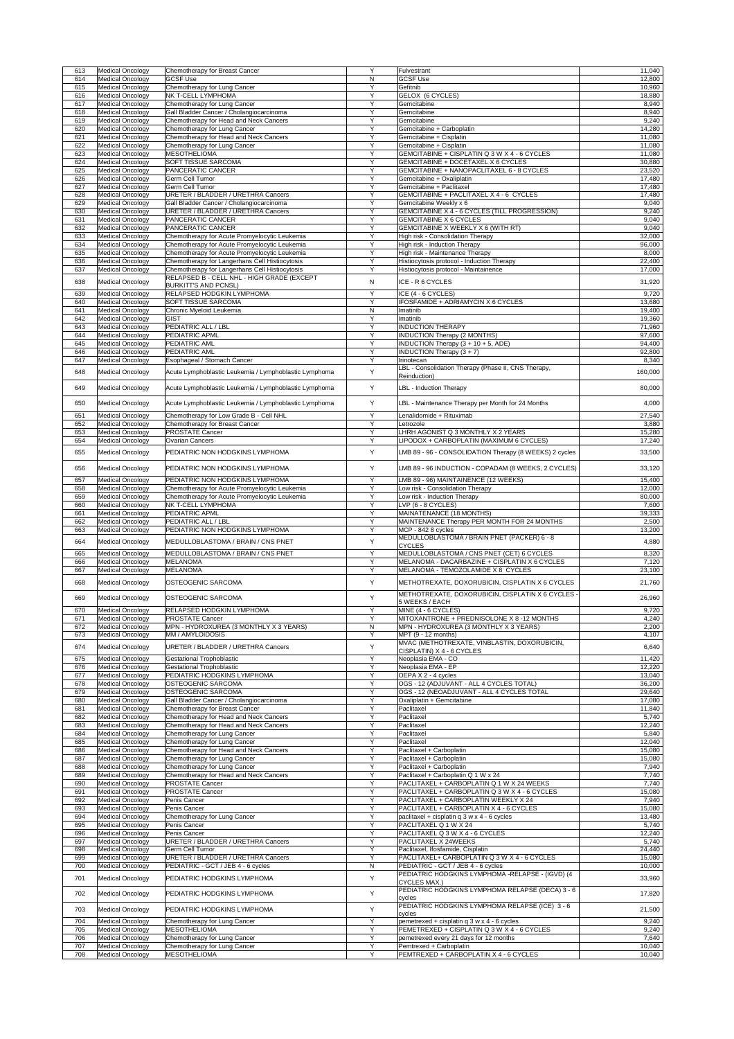| 613        | Medical Oncology                                   | Chemotherapy for Breast Cancer                                                                 | Y              | Fulvestrant                                                                           | 11,040                                                                                                                                                                                                                                                                                                                                                                                                                                               |
|------------|----------------------------------------------------|------------------------------------------------------------------------------------------------|----------------|---------------------------------------------------------------------------------------|------------------------------------------------------------------------------------------------------------------------------------------------------------------------------------------------------------------------------------------------------------------------------------------------------------------------------------------------------------------------------------------------------------------------------------------------------|
| 614        | <b>Medical Oncology</b>                            | <b>GCSF Use</b>                                                                                | N              | <b>GCSF Use</b>                                                                       | 12,800                                                                                                                                                                                                                                                                                                                                                                                                                                               |
| 615        | Medical Oncology                                   | Chemotherapy for Lung Cancer                                                                   | Y<br>Y         | Gefitnib                                                                              | 10,960                                                                                                                                                                                                                                                                                                                                                                                                                                               |
| 616<br>617 | <b>Medical Oncology</b><br>Medical Oncology        | <b>NK T-CELL LYMPHOMA</b><br>Chemotherapy for Lung Cancer                                      | Y              | GELOX (6 CYCLES)<br>Gemcitabine                                                       | 18,880<br>8,940                                                                                                                                                                                                                                                                                                                                                                                                                                      |
| 618        | Medical Oncology                                   | Gall Bladder Cancer / Cholangiocarcinoma                                                       | Y              | Gemcitabine                                                                           | 8,940                                                                                                                                                                                                                                                                                                                                                                                                                                                |
| 619        | <b>Medical Oncology</b>                            | Chemotherapy for Head and Neck Cancers                                                         | Y              | Gemcitabine                                                                           | 9,240                                                                                                                                                                                                                                                                                                                                                                                                                                                |
| 620        | <b>Medical Oncology</b>                            | Chemotherapy for Lung Cancer                                                                   | Y              | Gemcitabine + Carboplatin                                                             | 14,280                                                                                                                                                                                                                                                                                                                                                                                                                                               |
| 621        | Medical Oncology                                   | Chemotherapy for Head and Neck Cancers                                                         | Y              | Gemcitabine + Cisplatin                                                               | 11,080                                                                                                                                                                                                                                                                                                                                                                                                                                               |
| 622        | Medical Oncology                                   | Chemotherapy for Lung Cancer                                                                   | Y              | Gemcitabine + Cisplatin                                                               | 11,080                                                                                                                                                                                                                                                                                                                                                                                                                                               |
| 623        | <b>Medical Oncology</b>                            | <b>MESOTHELIOMA</b>                                                                            | Y<br>Y         | GEMCITABINE + CISPLATIN Q 3 W X 4 - 6 CYCLES                                          | 11,080                                                                                                                                                                                                                                                                                                                                                                                                                                               |
| 624<br>625 | <b>Medical Oncology</b><br><b>Medical Oncology</b> | <b>SOFT TISSUE SARCOMA</b><br><b>PANCERATIC CANCER</b>                                         | Y              | GEMCITABINE + DOCETAXEL X 6 CYCLES<br>GEMCITABINE + NANOPACLITAXEL 6 - 8 CYCLES       | 30,880<br>23,520                                                                                                                                                                                                                                                                                                                                                                                                                                     |
| 626        | <b>Medical Oncology</b>                            | <b>Germ Cell Tumor</b>                                                                         | Y              | Gemcitabine + Oxaliplatin                                                             | 17,480                                                                                                                                                                                                                                                                                                                                                                                                                                               |
| 627        | <b>Medical Oncology</b>                            | <b>Germ Cell Tumor</b>                                                                         | Y              | Gemcitabine + Paclitaxel                                                              | 17,480                                                                                                                                                                                                                                                                                                                                                                                                                                               |
| 628        | <b>Medical Oncology</b>                            | URETER / BLADDER / URETHRA Cancers                                                             | Y              | GEMCITABINE + PACLITAXEL X 4 - 6 CYCLES                                               | 17,480                                                                                                                                                                                                                                                                                                                                                                                                                                               |
| 629        | <b>Medical Oncology</b>                            | Gall Bladder Cancer / Cholangiocarcinoma                                                       | Y              | Gemcitabine Weekly x 6                                                                | 9,040                                                                                                                                                                                                                                                                                                                                                                                                                                                |
| 630        | Medical Oncology                                   | URETER / BLADDER / URETHRA Cancers                                                             | Y              | GEMCITABINE X 4 - 6 CYCLES (TILL PROGRESSION)                                         | 9,240                                                                                                                                                                                                                                                                                                                                                                                                                                                |
| 631        | <b>Medical Oncology</b>                            | <b>PANCERATIC CANCER</b>                                                                       | Y              | <b>GEMCITABINE X 6 CYCLES</b>                                                         | 9,040                                                                                                                                                                                                                                                                                                                                                                                                                                                |
| 632        | Medical Oncology                                   | <b>PANCERATIC CANCER</b>                                                                       | Y              | <b>GEMCITABINE X WEEKLY X 6 (WITH RT)</b>                                             | 9,040                                                                                                                                                                                                                                                                                                                                                                                                                                                |
| 633        | <b>Medical Oncology</b>                            | Chemotherapy for Acute Promyelocytic Leukemia                                                  | Y              | High risk - Consolidation Therapy                                                     | 32,000                                                                                                                                                                                                                                                                                                                                                                                                                                               |
| 634<br>635 | <b>Medical Oncology</b><br>Medical Oncology        | Chemotherapy for Acute Promyelocytic Leukemia<br>Chemotherapy for Acute Promyelocytic Leukemia | Y<br>Y         | High risk - Induction Therapy<br>High risk - Maintenance Therapy                      | 96,000<br>8,000                                                                                                                                                                                                                                                                                                                                                                                                                                      |
| 636        | <b>Medical Oncology</b>                            | Chemotherapy for Langerhans Cell Histiocytosis                                                 | Y              | Histiocytosis protocol - Induction Therapy                                            | 22,400                                                                                                                                                                                                                                                                                                                                                                                                                                               |
| 637        | <b>Medical Oncology</b>                            | Chemotherapy for Langerhans Cell Histiocytosis                                                 | Y              | Histiocytosis protocol - Maintainence                                                 | 17,000                                                                                                                                                                                                                                                                                                                                                                                                                                               |
|            |                                                    | RELAPSED B - CELL NHL - HIGH GRADE (EXCEPT                                                     |                |                                                                                       |                                                                                                                                                                                                                                                                                                                                                                                                                                                      |
| 638        | Medical Oncology                                   | <b>BURKITT'S AND PCNSL)</b>                                                                    | N              | ICE - R 6 CYCLES                                                                      | 31,920                                                                                                                                                                                                                                                                                                                                                                                                                                               |
| 639        | <b>Medical Oncology</b>                            | <b>RELAPSED HODGKIN LYMPHOMA</b>                                                               | Y              | ICE (4 - 6 CYCLES)                                                                    | 9,720                                                                                                                                                                                                                                                                                                                                                                                                                                                |
| 640        | Medical Oncology                                   | <b>SOFT TISSUE SARCOMA</b>                                                                     | Y              | IFOSFAMIDE + ADRIAMYCIN X 6 CYCLES                                                    | 13,680                                                                                                                                                                                                                                                                                                                                                                                                                                               |
| 641        | <b>Medical Oncology</b>                            | Chronic Myeloid Leukemia                                                                       | N<br>Y         | Imatinib                                                                              | 19,400                                                                                                                                                                                                                                                                                                                                                                                                                                               |
| 642<br>643 | Medical Oncology<br><b>Medical Oncology</b>        | <b>GIST</b><br><b>PEDIATRIC ALL / LBL</b>                                                      |                | Imatinib<br><b>INDUCTION THERAPY</b>                                                  | 19,360<br>71,960                                                                                                                                                                                                                                                                                                                                                                                                                                     |
| 644        | <b>Medical Oncology</b>                            | <b>PEDIATRIC APML</b>                                                                          | Y              | <b>INDUCTION Therapy (2 MONTHS)</b>                                                   | 97,600                                                                                                                                                                                                                                                                                                                                                                                                                                               |
| 645        | <b>Medical Oncology</b>                            | <b>PEDIATRIC AML</b>                                                                           | Y              | INDUCTION Therapy (3 + 10 + 5, ADE)                                                   | 94,400                                                                                                                                                                                                                                                                                                                                                                                                                                               |
| 646        | Medical Oncology                                   | <b>PEDIATRIC AML</b>                                                                           | Y              | <b>INDUCTION Therapy <math>(3 + 7)</math></b>                                         | 92,800                                                                                                                                                                                                                                                                                                                                                                                                                                               |
| 647        | <b>Medical Oncology</b>                            | Esophageal / Stomach Cancer                                                                    | Y              | Irinotecan                                                                            | 8,340                                                                                                                                                                                                                                                                                                                                                                                                                                                |
| 648        | Medical Oncology                                   | Acute Lymphoblastic Leukemia / Lymphoblastic Lymphoma                                          | Y              | LBL - Consolidation Therapy (Phase II, CNS Therapy,                                   | 160,000                                                                                                                                                                                                                                                                                                                                                                                                                                              |
|            |                                                    |                                                                                                |                | Reinduction)                                                                          |                                                                                                                                                                                                                                                                                                                                                                                                                                                      |
| 649        | <b>Medical Oncology</b>                            | Acute Lymphoblastic Leukemia / Lymphoblastic Lymphoma                                          | Y              | <b>LBL</b> - Induction Therapy                                                        | 80,000                                                                                                                                                                                                                                                                                                                                                                                                                                               |
|            |                                                    |                                                                                                |                |                                                                                       |                                                                                                                                                                                                                                                                                                                                                                                                                                                      |
| 650        | <b>Medical Oncology</b>                            | Acute Lymphoblastic Leukemia / Lymphoblastic Lymphoma                                          | Y              | LBL - Maintenance Therapy per Month for 24 Months                                     | 4,000                                                                                                                                                                                                                                                                                                                                                                                                                                                |
| 651        | <b>Medical Oncology</b>                            | Chemotherapy for Low Grade B - Cell NHL                                                        | Y              | Lenalidomide + Rituximab                                                              | 27,540                                                                                                                                                                                                                                                                                                                                                                                                                                               |
| 652        | <b>Medical Oncology</b>                            | Chemotherapy for Breast Cancer                                                                 | Y              | Letrozole                                                                             | 3,880                                                                                                                                                                                                                                                                                                                                                                                                                                                |
| 653        | <b>Medical Oncology</b>                            | <b>PROSTATE Cancer</b>                                                                         | Y              | LHRH AGONIST Q 3 MONTHLY X 2 YEARS                                                    | 15,280                                                                                                                                                                                                                                                                                                                                                                                                                                               |
| 654        | <b>Medical Oncology</b>                            | Ovarian Cancers                                                                                | Y              | IPODOX + CARBOPLATIN (MAXIMUM 6 CYCLES)                                               | 17,240                                                                                                                                                                                                                                                                                                                                                                                                                                               |
| 655        | <b>Medical Oncology</b>                            | <b>PEDIATRIC NON HODGKINS LYMPHOMA</b>                                                         | Y              | LMB 89 - 96 - CONSOLIDATION Therapy (8 WEEKS) 2 cycles                                | 33,500                                                                                                                                                                                                                                                                                                                                                                                                                                               |
|            |                                                    |                                                                                                |                |                                                                                       |                                                                                                                                                                                                                                                                                                                                                                                                                                                      |
| 656        | Medical Oncology                                   | <b>PEDIATRIC NON HODGKINS LYMPHOMA</b>                                                         | Y              | LMB 89 - 96 INDUCTION - COPADAM (8 WEEKS, 2 CYCLES)                                   | 33,120                                                                                                                                                                                                                                                                                                                                                                                                                                               |
| 657        | <b>Medical Oncology</b>                            | <b>PEDIATRIC NON HODGKINS LYMPHOMA</b>                                                         | Y              | LMB 89 - 96) MAINTAINENCE (12 WEEKS)                                                  | 15,400                                                                                                                                                                                                                                                                                                                                                                                                                                               |
| 658        | <b>Medical Oncology</b>                            | Chemotherapy for Acute Promyelocytic Leukemia                                                  | Y              | Low risk - Consolidation Therapy                                                      | 12,000                                                                                                                                                                                                                                                                                                                                                                                                                                               |
| 659        | <b>Medical Oncology</b>                            | Chemotherapy for Acute Promyelocytic Leukemia                                                  | Y              | Low risk - Induction Therapy                                                          | 80,000                                                                                                                                                                                                                                                                                                                                                                                                                                               |
| 660        | <b>Medical Oncology</b>                            | <b>NK T-CELL LYMPHOMA</b>                                                                      | Y              | LVP (6 - 8 CYCLES)                                                                    | 7,600                                                                                                                                                                                                                                                                                                                                                                                                                                                |
|            |                                                    |                                                                                                |                |                                                                                       |                                                                                                                                                                                                                                                                                                                                                                                                                                                      |
| 661        | <b>Medical Oncology</b>                            | <b>PEDIATRIC APML</b>                                                                          | Y              | MAINATENANCE (18 MONTHS)                                                              |                                                                                                                                                                                                                                                                                                                                                                                                                                                      |
| 662        | <b>Medical Oncology</b>                            | <b>PEDIATRIC ALL / LBL</b>                                                                     | Y              | MAINTENANCE Therapy PER MONTH FOR 24 MONTHS                                           |                                                                                                                                                                                                                                                                                                                                                                                                                                                      |
| 663        | <b>Medical Oncology</b>                            | <b>PEDIATRIC NON HODGKINS LYMPHOMA</b>                                                         | Y              | MCP - 842 8 cycles                                                                    |                                                                                                                                                                                                                                                                                                                                                                                                                                                      |
| 664        | <b>Medical Oncology</b>                            | <b>IMEDULLOBLASTOMA / BRAIN / CNS PNET</b>                                                     | Y              | MEDULLOBLASTOMA / BRAIN PNET (PACKER) 6 - 8<br><b>CYCLES</b>                          |                                                                                                                                                                                                                                                                                                                                                                                                                                                      |
| 665        | <b>Medical Oncology</b>                            | MEDULLOBLASTOMA / BRAIN / CNS PNET                                                             | Y              | MEDULLOBLASTOMA / CNS PNET (CET) 6 CYCLES                                             |                                                                                                                                                                                                                                                                                                                                                                                                                                                      |
| 666        | <b>Medical Oncology</b>                            | MELANOMA                                                                                       | Y              | MELANOMA - DACARBAZINE + CISPLATIN X 6 CYCLES                                         | 13,200                                                                                                                                                                                                                                                                                                                                                                                                                                               |
| 667        | Medical Oncology                                   | <b>MELANOMA</b>                                                                                | Y              | MELANOMA - TEMOZOLAMIDE X 8 CYCLES                                                    |                                                                                                                                                                                                                                                                                                                                                                                                                                                      |
| 668        | Medical Oncology                                   | <b>OSTEOGENIC SARCOMA</b>                                                                      | Y              | METHOTREXATE, DOXORUBICIN, CISPLATIN X 6 CYCLES                                       |                                                                                                                                                                                                                                                                                                                                                                                                                                                      |
|            |                                                    |                                                                                                |                |                                                                                       |                                                                                                                                                                                                                                                                                                                                                                                                                                                      |
| 669        | <b>Medical Oncology</b>                            | <b>OSTEOGENIC SARCOMA</b>                                                                      | Y              | METHOTREXATE, DOXORUBICIN, CISPLATIN X 6 CYCLES                                       |                                                                                                                                                                                                                                                                                                                                                                                                                                                      |
| 670        | Medical Oncology                                   | <b>RELAPSED HODGKIN LYMPHOMA</b>                                                               | Y              | 5 WEEKS / EACH<br>MINE (4 - 6 CYCLES)                                                 |                                                                                                                                                                                                                                                                                                                                                                                                                                                      |
| 671        | Medical Oncology                                   | <b>PROSTATE Cancer</b>                                                                         | Y              | MITOXANTRONE + PREDNISOLONE X 8 -12 MONTHS                                            |                                                                                                                                                                                                                                                                                                                                                                                                                                                      |
| 672        | <b>Medical Oncology</b>                            | MPN - HYDROXUREA (3 MONTHLY X 3 YEARS)                                                         | N              | MPN - HYDROXUREA (3 MONTHLY X 3 YEARS)                                                |                                                                                                                                                                                                                                                                                                                                                                                                                                                      |
| 673        | <b>Medical Oncology</b>                            | MM / AMYLOIDOSIS                                                                               | Y              | MPT (9 - 12 months)                                                                   |                                                                                                                                                                                                                                                                                                                                                                                                                                                      |
| 674        | <b>Medical Oncology</b>                            | URETER / BLADDER / URETHRA Cancers                                                             | Y              | MVAC (METHOTREXATE, VINBLASTIN, DOXORUBICIN,                                          |                                                                                                                                                                                                                                                                                                                                                                                                                                                      |
|            |                                                    |                                                                                                |                | CISPLATIN) X 4 - 6 CYCLES                                                             |                                                                                                                                                                                                                                                                                                                                                                                                                                                      |
| 675<br>676 | Medical Oncology                                   | Gestational Trophoblastic<br>Gestational Trophoblastic                                         | Y<br>Y         | Neoplasia EMA - CO<br>Neoplasia EMA - EP                                              |                                                                                                                                                                                                                                                                                                                                                                                                                                                      |
| 677        | Medical Oncology<br><b>Medical Oncology</b>        | <b>PEDIATRIC HODGKINS LYMPHOMA</b>                                                             | Y              | OEPA X 2 - 4 cycles                                                                   |                                                                                                                                                                                                                                                                                                                                                                                                                                                      |
| 678        | <b>Medical Oncology</b>                            | <b>OSTEOGENIC SARCOMA</b>                                                                      | Y              | OGS - 12 (ADJUVANT - ALL 4 CYCLES TOTAL)                                              |                                                                                                                                                                                                                                                                                                                                                                                                                                                      |
| 679        | Medical Oncology                                   | <b>OSTEOGENIC SARCOMA</b>                                                                      | Y              | OGS - 12 (NEOADJUVANT - ALL 4 CYCLES TOTAL                                            |                                                                                                                                                                                                                                                                                                                                                                                                                                                      |
| 680        | <b>Medical Oncology</b>                            | Gall Bladder Cancer / Cholangiocarcinoma                                                       | Y              | Oxaliplatin + Gemcitabine                                                             |                                                                                                                                                                                                                                                                                                                                                                                                                                                      |
| 681        | Medical Oncology                                   | Chemotherapy for Breast Cancer                                                                 | Y              | Paclitaxel                                                                            |                                                                                                                                                                                                                                                                                                                                                                                                                                                      |
| 682        | <b>Medical Oncology</b>                            | Chemotherapy for Head and Neck Cancers                                                         | Y<br>Y         | Paclitaxel                                                                            |                                                                                                                                                                                                                                                                                                                                                                                                                                                      |
| 683        | <b>Medical Oncology</b>                            | Chemotherapy for Head and Neck Cancers                                                         | Y              | Paclitaxel<br>Paclitaxel                                                              |                                                                                                                                                                                                                                                                                                                                                                                                                                                      |
| 684<br>685 | Medical Oncology<br><b>Medical Oncology</b>        | Chemotherapy for Lung Cancer<br>Chemotherapy for Lung Cancer                                   | Y              | Paclitaxel                                                                            |                                                                                                                                                                                                                                                                                                                                                                                                                                                      |
| 686        | <b>Medical Oncology</b>                            | Chemotherapy for Head and Neck Cancers                                                         | $\overline{Y}$ | Paclitaxel + Carboplatin                                                              |                                                                                                                                                                                                                                                                                                                                                                                                                                                      |
| 687        | Medical Oncology                                   | Chemotherapy for Lung Cancer                                                                   | Y              | Paclitaxel + Carboplatin                                                              |                                                                                                                                                                                                                                                                                                                                                                                                                                                      |
| 688        | Medical Oncology                                   | Chemotherapy for Lung Cancer                                                                   | Y              | Paclitaxel + Carboplatin                                                              |                                                                                                                                                                                                                                                                                                                                                                                                                                                      |
| 689        | <b>Medical Oncology</b>                            | Chemotherapy for Head and Neck Cancers                                                         | Y              | Paclitaxel + Carboplatin Q 1 W x 24                                                   |                                                                                                                                                                                                                                                                                                                                                                                                                                                      |
| 690        | Medical Oncology                                   | <b>PROSTATE Cancer</b>                                                                         | Y              | PACLITAXEL + CARBOPLATIN Q 1 W X 24 WEEKS                                             |                                                                                                                                                                                                                                                                                                                                                                                                                                                      |
| 691        | <b>Medical Oncology</b>                            | <b>PROSTATE Cancer</b>                                                                         | Y<br>Y         | PACLITAXEL + CARBOPLATIN Q 3 W X 4 - 6 CYCLES                                         |                                                                                                                                                                                                                                                                                                                                                                                                                                                      |
| 692<br>693 | Medical Oncology<br><b>Medical Oncology</b>        | Penis Cancer<br>Penis Cancer                                                                   | Y              | PACLITAXEL + CARBOPLATIN WEEKLY X 24<br>PACLITAXEL + CARBOPLATIN X 4 - 6 CYCLES       |                                                                                                                                                                                                                                                                                                                                                                                                                                                      |
| 694        | Medical Oncology                                   | Chemotherapy for Lung Cancer                                                                   | Y              | paclitaxel + cisplatin q 3 w x 4 - 6 cycles                                           |                                                                                                                                                                                                                                                                                                                                                                                                                                                      |
| 695        | <b>Medical Oncology</b>                            | Penis Cancer                                                                                   | Y              | PACLITAXEL Q 1 W X 24                                                                 |                                                                                                                                                                                                                                                                                                                                                                                                                                                      |
| 696        | <b>Medical Oncology</b>                            | Penis Cancer                                                                                   | Y              | PACLITAXEL Q 3 W X 4 - 6 CYCLES                                                       |                                                                                                                                                                                                                                                                                                                                                                                                                                                      |
| 697        | <b>Medical Oncology</b>                            | URETER / BLADDER / URETHRA Cancers                                                             | Y              | PACLITAXEL X 24WEEKS                                                                  |                                                                                                                                                                                                                                                                                                                                                                                                                                                      |
| 698        | <b>Medical Oncology</b>                            | Germ Cell Tumor                                                                                |                | Paclitaxel, Ifosfamide, Cisplatin                                                     |                                                                                                                                                                                                                                                                                                                                                                                                                                                      |
| 699        | <b>Medical Oncology</b>                            | URETER / BLADDER / URETHRA Cancers                                                             | Y              | PACLITAXEL+ CARBOPLATIN Q 3 W X 4 - 6 CYCLES                                          |                                                                                                                                                                                                                                                                                                                                                                                                                                                      |
| 700        | <b>Medical Oncology</b>                            | <b>PEDIATRIC - GCT / JEB 4 - 6 cycles</b>                                                      | N              | PEDIATRIC - GCT / JEB 4 - 6 cycles                                                    |                                                                                                                                                                                                                                                                                                                                                                                                                                                      |
| 701        | <b>Medical Oncology</b>                            | <b>PEDIATRIC HODGKINS LYMPHOMA</b>                                                             | Y              | PEDIATRIC HODGKINS LYMPHOMA -RELAPSE - (IGVD) (4<br><b>CYCLES MAX.)</b>               |                                                                                                                                                                                                                                                                                                                                                                                                                                                      |
|            |                                                    |                                                                                                |                | PEDIATRIC HODGKINS LYMPHOMA RELAPSE (DECA) 3 - 6                                      |                                                                                                                                                                                                                                                                                                                                                                                                                                                      |
| 702        | Medical Oncology                                   | <b>PEDIATRIC HODGKINS LYMPHOMA</b>                                                             | Y              | cycles                                                                                |                                                                                                                                                                                                                                                                                                                                                                                                                                                      |
| 703        | <b>Medical Oncology</b>                            | <b>PEDIATRIC HODGKINS LYMPHOMA</b>                                                             | Y              | PEDIATRIC HODGKINS LYMPHOMA RELAPSE (ICE) 3 - 6                                       |                                                                                                                                                                                                                                                                                                                                                                                                                                                      |
|            |                                                    |                                                                                                |                | cycles                                                                                |                                                                                                                                                                                                                                                                                                                                                                                                                                                      |
| 704        | <b>Medical Oncology</b>                            | Chemotherapy for Lung Cancer                                                                   | Y<br>Y         | pemetrexed + cisplatin $q$ 3 w x 4 - 6 cycles                                         |                                                                                                                                                                                                                                                                                                                                                                                                                                                      |
| 705<br>706 | <b>Medical Oncology</b><br><b>Medical Oncology</b> | <b>MESOTHELIOMA</b><br>Chemotherapy for Lung Cancer                                            | Y              | PEMETREXED + CISPLATIN Q 3 W X 4 - 6 CYCLES<br>pemetrexed every 21 days for 12 months |                                                                                                                                                                                                                                                                                                                                                                                                                                                      |
| 707        | <b>Medical Oncology</b>                            | Chemotherapy for Lung Cancer                                                                   | Y              | Pemtrexed + Carboplatin                                                               | 39,333<br>2,500<br>4,880<br>8,320<br>7,120<br>23,100<br>21,760<br>26,960<br>9,720<br>4,240<br>2,200<br>4,107<br>6,640<br>11,420<br>12,220<br>13,040<br>36,200<br>29,640<br>17,080<br>11,840<br>5,740<br>12,240<br>5,840<br>12,040<br>15,080<br>15,080<br>7,940<br>7,740<br>7,740<br>15,080<br>7,940<br>15,080<br>13,480<br>5,740<br>12,240<br>5,740<br>24,440<br>15,080<br>10,000<br>33,960<br>17,820<br>21,500<br>9,240<br>9,240<br>7,640<br>10,040 |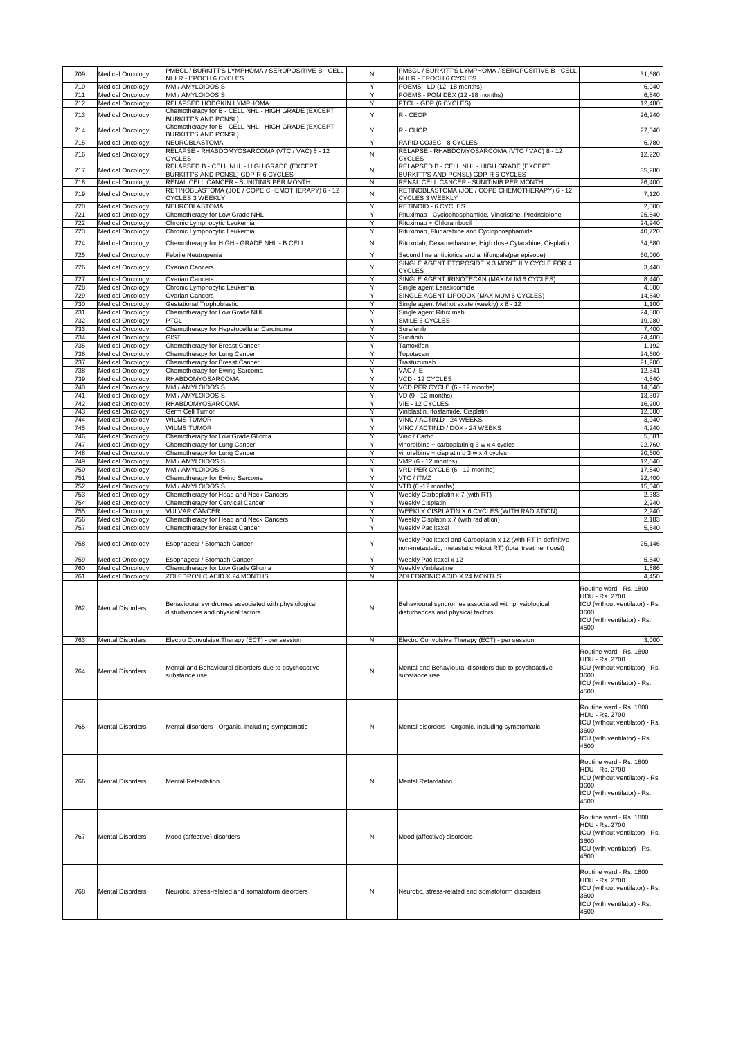| 709        | Medical Oncology                                   | <b>PMBCL / BURKITT'S LYMPHOMA / SEROPOSITIVE B - CELL</b><br>NHLR - EPOCH 6 CYCLES           | N                   | PMBCL / BURKITT'S LYMPHOMA / SEROPOSITIVE B - CELL<br>NHLR - EPOCH 6 CYCLES                         | 31,680                                                                                                                            |
|------------|----------------------------------------------------|----------------------------------------------------------------------------------------------|---------------------|-----------------------------------------------------------------------------------------------------|-----------------------------------------------------------------------------------------------------------------------------------|
| 710        | <b>Medical Oncology</b>                            | MM / AMYLOIDOSIS                                                                             | Y                   | POEMS - LD (12 -18 months)                                                                          | 6,040                                                                                                                             |
| 711<br>712 | Medical Oncology<br><b>Medical Oncology</b>        | MM / AMYLOIDOSIS<br><b>RELAPSED HODGKIN LYMPHOMA</b>                                         | Y<br>Y              | POEMS - POM DEX (12 -18 months)<br><b>PTCL - GDP (6 CYCLES)</b>                                     | 6,840<br>12,480                                                                                                                   |
| 713        | Medical Oncology                                   | Chemotherapy for B - CELL NHL - HIGH GRADE (EXCEPT<br><b>BURKITT'S AND PCNSL)</b>            | Y                   | $R - C EOP$                                                                                         | 26,240                                                                                                                            |
| 714        | <b>Medical Oncology</b>                            | Chemotherapy for B - CELL NHL - HIGH GRADE (EXCEPT                                           | Y                   | $R - CHOP$                                                                                          | 27,040                                                                                                                            |
| 715        | <b>Medical Oncology</b>                            | <b>BURKITT'S AND PCNSL)</b><br>NEUROBLASTOMA                                                 | Y                   | RAPID COJEC - 8 CYCLES                                                                              | 6,780                                                                                                                             |
| 716        | <b>Medical Oncology</b>                            | RELAPSE - RHABDOMYOSARCOMA (VTC / VAC) 8 - 12                                                | $\mathsf{N}$        | RELAPSE - RHABDOMYOSARCOMA (VTC / VAC) 8 - 12                                                       | 12,220                                                                                                                            |
| 717        |                                                    | <b>CYCLES</b><br>RELAPSED B - CELL NHL - HIGH GRADE (EXCEPT                                  |                     | <b>CYCLES</b><br>RELAPSED B - CELL NHL - HIGH GRADE (EXCEPT                                         |                                                                                                                                   |
| 718        | <b>Medical Oncology</b><br><b>Medical Oncology</b> | <b>BURKITT'S AND PCNSL) GDP-R 6 CYCLES</b><br><b>RENAL CELL CANCER - SUNITINIB PER MONTH</b> | $\mathsf{N}$<br>N   | <b>BURKITT'S AND PCNSL) GDP-R 6 CYCLES</b><br>RENAL CELL CANCER - SUNITINIB PER MONTH               | 35,280<br>26,400                                                                                                                  |
| 719        | <b>Medical Oncology</b>                            | RETINOBLASTOMA (JOE / COPE CHEMOTHERAPY) 6 - 12                                              | N                   | RETINOBLASTOMA (JOE / COPE CHEMOTHERAPY) 6 - 12                                                     | 7,120                                                                                                                             |
| 720        | <b>Medical Oncology</b>                            | <b>CYCLES 3 WEEKLY</b><br>NEUROBLASTOMA                                                      | Y                   | <b>CYCLES 3 WEEKLY</b><br><b>RETINOID - 6 CYCLES</b>                                                | 2,000                                                                                                                             |
| 721        | <b>Medical Oncology</b>                            | Chemotherapy for Low Grade NHL                                                               | Y                   | Rituximab - Cyclophosphamide, Vincristine, Prednsiolone                                             | 25,840                                                                                                                            |
| 722<br>723 | <b>Medical Oncology</b><br><b>Medical Oncology</b> | Chronic Lymphocytic Leukemia<br>Chronic Lymphocytic Leukemia                                 | Y<br>Y              | Rituximab + Chlorambucil<br>Rituximab, Fludarabine and Cyclophosphamide                             | 24,940<br>40,720                                                                                                                  |
| 724        | <b>Medical Oncology</b>                            | Chemotherapy for HIGH - GRADE NHL - B CELL                                                   | N                   | Rituxmab, Dexamethasone, High dose Cytarabine, Cisplatin                                            | 34,880                                                                                                                            |
| 725        | <b>Medical Oncology</b>                            | Febrile Neutropenia                                                                          | Y                   | Second line antibiotics and antifungals (per episode)                                               | 60,000                                                                                                                            |
| 726        | <b>Medical Oncology</b>                            | <b>Ovarian Cancers</b>                                                                       | Y                   | SINGLE AGENT ETOPOSIDE X 3 MONTHLY CYCLE FOR 4<br><b>CYCLES</b>                                     | 3,440                                                                                                                             |
| 727        | <b>Medical Oncology</b>                            | <b>Ovarian Cancers</b>                                                                       | Y                   | SINGLE AGENT IRINOTECAN (MAXIMUM 6 CYCLES)                                                          | 8,440                                                                                                                             |
| 728<br>729 | <b>Medical Oncology</b><br><b>Medical Oncology</b> | Chronic Lymphocytic Leukemia<br><b>Ovarian Cancers</b>                                       | Y<br>Y              | Single agent Lenalidomide<br>SINGLE AGENT LIPODOX (MAXIMUM 6 CYCLES)                                | 4,800<br>14,840                                                                                                                   |
| 730        | <b>Medical Oncology</b>                            | <b>Gestational Trophoblastic</b>                                                             | Y                   | Single agent Methotrexate (weekly) x 8 - 12                                                         | 1,100                                                                                                                             |
| 731        | <b>Medical Oncology</b>                            | Chemotherapy for Low Grade NHL<br><b>PTCL</b>                                                | Y<br>Y              | Single agent Rituximab<br><b>SMILE 6 CYCLES</b>                                                     | 24,800                                                                                                                            |
| 732<br>733 | <b>Medical Oncology</b><br><b>Medical Oncology</b> | Chemotherapy for Hepatocellular Carcinoma                                                    |                     | Sorafenib                                                                                           | 19,280<br>7,400                                                                                                                   |
| 734<br>735 | <b>Medical Oncology</b><br><b>Medical Oncology</b> | <b>GIST</b>                                                                                  | Y<br>Y              | Sunitinib<br>Tamoxifen                                                                              | 24,400<br>1,192                                                                                                                   |
| 736        | <b>Medical Oncology</b>                            | Chemotherapy for Breast Cancer<br>Chemotherapy for Lung Cancer                               | Y                   | Topotecan                                                                                           | 24,600                                                                                                                            |
| 737<br>738 | <b>Medical Oncology</b><br><b>Medical Oncology</b> | Chemotherapy for Breast Cancer<br>Chemotherapy for Ewing Sarcoma                             | Y<br>Y              | Trastuzumab<br>VAC / IE                                                                             | 21,200<br>12,541                                                                                                                  |
| 739        | <b>Medical Oncology</b>                            | RHABDOMYOSARCOMA                                                                             | Y                   | VCD - 12 CYCLES                                                                                     | 4,840                                                                                                                             |
| 740<br>741 | Medical Oncology<br><b>Medical Oncology</b>        | MM / AMYLOIDOSIS<br>MM / AMYLOIDOSIS                                                         | Y<br>Y              | VCD PER CYCLE (6 - 12 months)<br>VD (9 - 12 months)                                                 | 14,640<br>13,307                                                                                                                  |
| 742        | <b>Medical Oncology</b>                            | <b>RHABDOMYOSARCOMA</b>                                                                      | Y                   | VIE - 12 CYCLES                                                                                     | 16,200                                                                                                                            |
| 743<br>744 | <b>Medical Oncology</b><br><b>Medical Oncology</b> | <b>Germ Cell Tumor</b><br><b>WILMS TUMOR</b>                                                 | Y<br>Y              | Vinblastin, Ifosfamide, Cisplatin<br>VINC / ACTIN.D - 24 WEEKS                                      | 12,600<br>3,040                                                                                                                   |
| 745        | Medical Oncology                                   | <b>WILMS TUMOR</b>                                                                           | Y                   | VINC / ACTIN.D / DOX - 24 WEEKS                                                                     | 4,240                                                                                                                             |
| 746<br>747 | <b>Medical Oncology</b><br><b>Medical Oncology</b> | Chemotherapy for Low Grade Glioma<br>Chemotherapy for Lung Cancer                            | Y<br>Y              | Vinc / Carbo<br>vinorelbine + carboplatin $q$ 3 w x 4 cycles                                        | 5,581<br>22,760                                                                                                                   |
| 748        | Medical Oncology                                   | Chemotherapy for Lung Cancer                                                                 | Y                   | vinorelbine + cisplatin q 3 w x 4 cycles                                                            | 20,600                                                                                                                            |
| 749<br>750 | <b>Medical Oncology</b><br><b>Medical Oncology</b> | MM / AMYLOIDOSIS<br>MM / AMYLOIDOSIS                                                         | Y<br>Y              | VMP (6 - 12 months)<br>VRD PER CYCLE (6 - 12 months)                                                | 12,640<br>17,840                                                                                                                  |
| 751        | <b>Medical Oncology</b>                            | Chemotherapy for Ewing Sarcoma                                                               | Y                   | VTC / ITMZ                                                                                          | 22,400                                                                                                                            |
| 752<br>753 | <b>Medical Oncology</b><br><b>Medical Oncology</b> | MM / AMYLOIDOSIS<br>Chemotherapy for Head and Neck Cancers                                   | Y<br>Y              | $VTD$ (6 -12 months)<br>Weekly Carboplatin x 7 (with RT)                                            | 15,040<br>2,383                                                                                                                   |
| 754        | <b>Medical Oncology</b>                            | Chemotherapy for Cervical Cancer                                                             | Y                   | <b>Weekly Cisplatin</b>                                                                             | 2,240                                                                                                                             |
| 755<br>756 | <b>Medical Oncology</b><br><b>Medical Oncology</b> | <b>VULVAR CANCER</b><br>Chemotherapy for Head and Neck Cancers                               | $\overline{Y}$<br>Y | <b>WEEKLY CISPLATIN X 6 CYCLES (WITH RADIATION)</b><br><b>Weekly Cisplatin x 7 (with radiation)</b> | 2,240<br>2,183                                                                                                                    |
| 757        | <b>Medical Oncology</b>                            | Chemotherapy for Breast Cancer                                                               | Y                   | <b>Weekly Paclitaxel</b>                                                                            | 5,840                                                                                                                             |
| 758        | <b>Medical Oncology</b>                            | Esophageal / Stomach Cancer                                                                  | Y                   | Weekly Paclitaxel and Carboplatin x 12 (with RT in definitive                                       | 25,146                                                                                                                            |
|            |                                                    |                                                                                              |                     | non-metastatic, metastatic witout RT) (total treatment cost)                                        |                                                                                                                                   |
| 759<br>760 | <b>Medical Oncology</b><br><b>Medical Oncology</b> | Esophageal / Stomach Cancer<br>Chemotherapy for Low Grade Glioma                             | Y<br>Y              | <b>Weekly Paclitaxel x 12</b><br><b>Weekly Vinblastine</b>                                          | 5,840<br>1,886                                                                                                                    |
| 761        | <b>Medical Oncology</b>                            | ZOLEDRONIC ACID X 24 MONTHS                                                                  | N                   | ZOLEDRONIC ACID X 24 MONTHS                                                                         | 4,450                                                                                                                             |
| 762        | <b>Mental Disorders</b>                            | Behavioural syndromes associated with physiological<br>disturbances and physical factors     | N                   | Behavioural syndromes associated with physiological<br>disturbances and physical factors            | Routine ward - Rs. 1800<br><b>HDU - Rs. 2700</b><br>ICU (without ventilator) - Rs.<br>3600<br>ICU (with ventilator) - Rs.<br>4500 |
| 763        | <b>Mental Disorders</b>                            | Electro Convulsive Therapy (ECT) - per session                                               | N                   | Electro Convulsive Therapy (ECT) - per session                                                      | 3,000                                                                                                                             |
|            |                                                    |                                                                                              |                     |                                                                                                     | Routine ward - Rs. 1800                                                                                                           |
| 764        | <b>Mental Disorders</b>                            | Mental and Behavioural disorders due to psychoactive<br>substance use                        | N                   | Mental and Behavioural disorders due to psychoactive<br>substance use                               | HDU - Rs. 2700<br>ICU (without ventilator) - Rs.<br>3600<br>ICU (with ventilator) - Rs.<br>4500                                   |
| 765        | <b>Mental Disorders</b>                            | Mental disorders - Organic, including symptomatic                                            | N                   | Mental disorders - Organic, including symptomatic                                                   | Routine ward - Rs. 1800<br>HDU - Rs. 2700<br>ICU (without ventilator) - Rs.<br>3600<br>ICU (with ventilator) - Rs.<br>4500        |
| 766        | <b>Mental Disorders</b>                            | Mental Retardation                                                                           | N                   | <b>Mental Retardation</b>                                                                           | Routine ward - Rs. 1800<br><b>HDU - Rs. 2700</b><br>ICU (without ventilator) - Rs.<br>3600<br>ICU (with ventilator) - Rs.<br>4500 |
| 767        | <b>Mental Disorders</b>                            | Mood (affective) disorders                                                                   | N                   | Mood (affective) disorders                                                                          | Routine ward - Rs. 1800<br><b>HDU - Rs. 2700</b><br>ICU (without ventilator) - Rs.<br>3600<br>ICU (with ventilator) - Rs.<br>4500 |
| 768        | <b>Mental Disorders</b>                            | Neurotic, stress-related and somatoform disorders                                            | N                   | Neurotic, stress-related and somatoform disorders                                                   | Routine ward - Rs. 1800<br>HDU - Rs. 2700<br>ICU (without ventilator) - Rs.<br>3600<br>ICU (with ventilator) - Rs.<br>4500        |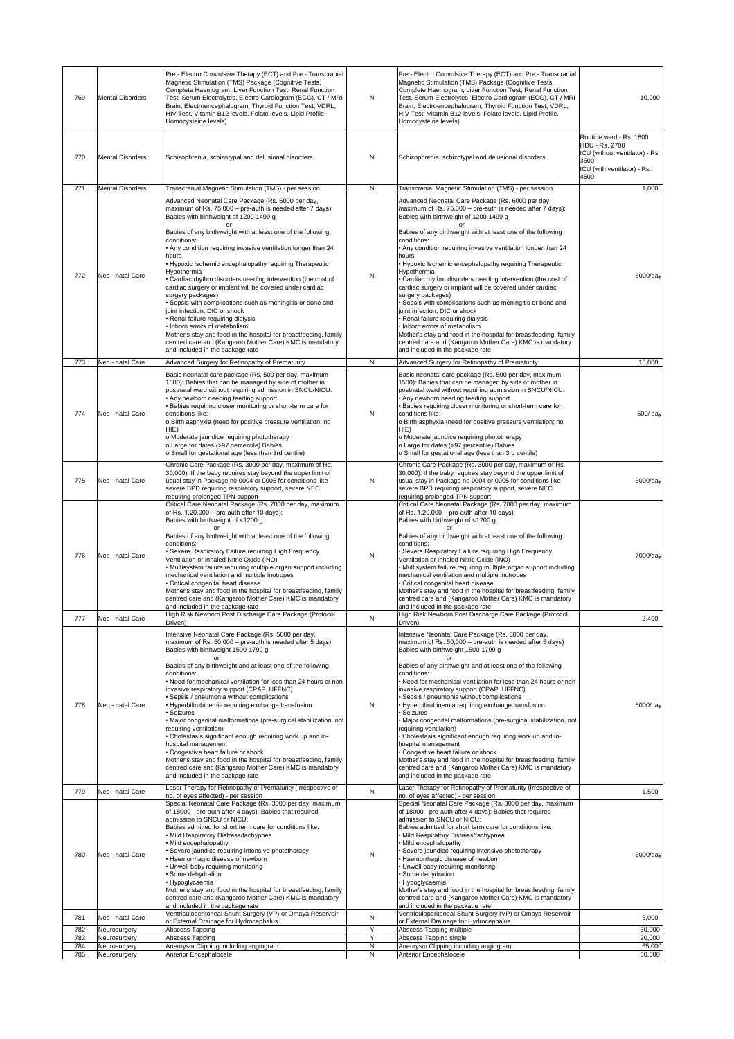| 769        | <b>Mental Disorders</b>      | Pre - Electro Convulsive Therapy (ECT) and Pre - Transcranial<br>Magnetic Stimulation (TMS) Package (Cognitive Tests,<br>Complete Haemogram, Liver Function Test, Renal Function<br>Test, Serum Electrolytes, Electro Cardiogram (ECG), CT / MRI<br>Brain, Electroencephalogram, Thyroid Function Test, VDRL,<br>HIV Test, Vitamin B12 levels, Folate levels, Lipid Profile,<br>Homocysteine levels)                                                                                                                                                                                                                                                                                                                                                                                                                                                                              | N                 | Pre - Electro Convulsive Therapy (ECT) and Pre - Transcranial<br>Magnetic Stimulation (TMS) Package (Cognitive Tests,<br>Complete Haemogram, Liver Function Test, Renal Function<br>Test, Serum Electrolytes, Electro Cardiogram (ECG), CT / MRI<br>Brain, Electroencephalogram, Thyroid Function Test, VDRL,<br>HIV Test, Vitamin B12 levels, Folate levels, Lipid Profile,<br>Homocysteine levels)                                                                                                                                                                                                                                                                                                                                                                                                                                                                                 | 10,000                                                                                                                            |
|------------|------------------------------|-----------------------------------------------------------------------------------------------------------------------------------------------------------------------------------------------------------------------------------------------------------------------------------------------------------------------------------------------------------------------------------------------------------------------------------------------------------------------------------------------------------------------------------------------------------------------------------------------------------------------------------------------------------------------------------------------------------------------------------------------------------------------------------------------------------------------------------------------------------------------------------|-------------------|--------------------------------------------------------------------------------------------------------------------------------------------------------------------------------------------------------------------------------------------------------------------------------------------------------------------------------------------------------------------------------------------------------------------------------------------------------------------------------------------------------------------------------------------------------------------------------------------------------------------------------------------------------------------------------------------------------------------------------------------------------------------------------------------------------------------------------------------------------------------------------------|-----------------------------------------------------------------------------------------------------------------------------------|
| 770        | <b>Mental Disorders</b>      | Schizophrenia, schizotypal and delusional disorders                                                                                                                                                                                                                                                                                                                                                                                                                                                                                                                                                                                                                                                                                                                                                                                                                               | N                 | Schizophrenia, schizotypal and delusional disorders                                                                                                                                                                                                                                                                                                                                                                                                                                                                                                                                                                                                                                                                                                                                                                                                                                  | Routine ward - Rs. 1800<br><b>HDU - Rs. 2700</b><br>ICU (without ventilator) - Rs.<br>3600<br>ICU (with ventilator) - Rs.<br>4500 |
| 771        | <b>Mental Disorders</b>      | Transcranial Magnetic Stimulation (TMS) - per session                                                                                                                                                                                                                                                                                                                                                                                                                                                                                                                                                                                                                                                                                                                                                                                                                             | $\mathsf{N}$      | Transcranial Magnetic Stimulation (TMS) - per session                                                                                                                                                                                                                                                                                                                                                                                                                                                                                                                                                                                                                                                                                                                                                                                                                                | 1,000                                                                                                                             |
| 772        | Neo - natal Care             | Advanced Neonatal Care Package (Rs. 6000 per day,<br>maximum of Rs. 75,000 - pre-auth is needed after 7 days):<br>Babies with birthweight of 1200-1499 g<br>Babies of any birthweight with at least one of the following<br>conditions:<br>• Any condition requiring invasive ventilation longer than 24<br>hours<br>Hypoxic Ischemic encephalopathy requiring Therapeutic<br>Hypothermia<br>Cardiac rhythm disorders needing intervention (the cost of<br>cardiac surgery or implant will be covered under cardiac<br>surgery packages)<br>Sepsis with complications such as meningitis or bone and<br>joint infection, DIC or shock<br>Renal failure requiring dialysis<br>Inborn errors of metabolism<br>Mother's stay and food in the hospital for breastfeeding, family<br>centred care and (Kangaroo Mother Care) KMC is mandatory<br>and included in the package rate      | N                 | Advanced Neonatal Care Package (Rs. 6000 per day,<br>maximum of Rs. 75,000 - pre-auth is needed after 7 days):<br>Babies with birthweight of 1200-1499 g<br>Ωľ<br>Babies of any birthweight with at least one of the following<br>conditions:<br>. Any condition requiring invasive ventilation longer than 24<br>hours<br>Hypoxic Ischemic encephalopathy requiring Therapeutic<br>Hypothermia<br>Cardiac rhythm disorders needing intervention (the cost of<br>cardiac surgery or implant will be covered under cardiac<br>surgery packages)<br>Sepsis with complications such as meningitis or bone and<br>joint infection, DIC or shock<br>• Renal failure requiring dialysis<br>Inborn errors of metabolism<br>Mother's stay and food in the hospital for breastfeeding, family<br>centred care and (Kangaroo Mother Care) KMC is mandatory<br>and included in the package rate | 6000/day                                                                                                                          |
| 773        | Neo - natal Care             | Advanced Surgery for Retinopathy of Prematurity                                                                                                                                                                                                                                                                                                                                                                                                                                                                                                                                                                                                                                                                                                                                                                                                                                   | N                 | Advanced Surgery for Retinopathy of Prematurity                                                                                                                                                                                                                                                                                                                                                                                                                                                                                                                                                                                                                                                                                                                                                                                                                                      | 15,000                                                                                                                            |
| 774        | Neo - natal Care             | Basic neonatal care package (Rs. 500 per day, maximum<br>1500): Babies that can be managed by side of mother in<br>postnatal ward without requiring admission in SNCU/NICU:<br>Any newborn needing feeding support<br>Babies requiring closer monitoring or short-term care for<br>conditions like:<br>o Birth asphyxia (need for positive pressure ventilation; no<br>HIE)<br>o Moderate jaundice requiring phototherapy<br>o Large for dates (>97 percentile) Babies                                                                                                                                                                                                                                                                                                                                                                                                            | N                 | Basic neonatal care package (Rs. 500 per day, maximum<br>1500): Babies that can be managed by side of mother in<br>postnatal ward without requiring admission in SNCU/NICU:<br>• Any newborn needing feeding support<br>Babies requiring closer monitoring or short-term care for<br>conditions like:<br>o Birth asphyxia (need for positive pressure ventilation; no<br>HIE)<br>o Moderate jaundice requiring phototherapy<br>o Large for dates (>97 percentile) Babies                                                                                                                                                                                                                                                                                                                                                                                                             | 500/ day                                                                                                                          |
| 775        | Neo - natal Care             | o Small for gestational age (less than 3rd centile)<br>Chronic Care Package (Rs. 3000 per day, maximum of Rs.<br>30,000): If the baby requires stay beyond the upper limit of<br>usual stay in Package no 0004 or 0005 for conditions like<br>severe BPD requiring respiratory support, severe NEC<br>requiring prolonged TPN support<br>Critical Care Neonatal Package (Rs. 7000 per day, maximum<br>of Rs. $1,20,000$ – pre-auth after 10 days):<br>Babies with birthweight of <1200 g                                                                                                                                                                                                                                                                                                                                                                                          | N                 | o Small for gestational age (less than 3rd centile)<br>Chronic Care Package (Rs. 3000 per day, maximum of Rs.<br>30,000): If the baby requires stay beyond the upper limit of<br>usual stay in Package no 0004 or 0005 for conditions like<br>severe BPD requiring respiratory support, severe NEC<br>requiring prolonged TPN support<br>Critical Care Neonatal Package (Rs. 7000 per day, maximum<br>of Rs. $1,20,000$ – pre-auth after 10 days):<br>Babies with birthweight of <1200 g                                                                                                                                                                                                                                                                                                                                                                                             | 3000/day                                                                                                                          |
| 776        | Neo - natal Care             | Babies of any birthweight with at least one of the following<br>conditions:<br>Severe Respiratory Failure requiring High Frequency<br>Ventilation or inhaled Nitric Oxide (iNO)<br>Multisystem failure requiring multiple organ support including<br>mechanical ventilation and multiple inotropes<br>Critical congenital heart disease<br>Mother's stay and food in the hospital for breastfeeding, family<br>centred care and (Kangaroo Mother Care) KMC is mandatory<br>and included in the package rate                                                                                                                                                                                                                                                                                                                                                                       | N                 | Babies of any birthweight with at least one of the following<br>conditions:<br>• Severe Respiratory Failure requiring High Frequency<br>Ventilation or inhaled Nitric Oxide (iNO)<br>· Multisystem failure requiring multiple organ support including<br>mechanical ventilation and multiple inotropes<br>• Critical congenital heart disease<br>Mother's stay and food in the hospital for breastfeeding, family<br>centred care and (Kangaroo Mother Care) KMC is mandatory<br>and included in the package rate                                                                                                                                                                                                                                                                                                                                                                    | 7000/day                                                                                                                          |
| 777        | Neo - natal Care             | High Risk Newborn Post Discharge Care Package (Protocol                                                                                                                                                                                                                                                                                                                                                                                                                                                                                                                                                                                                                                                                                                                                                                                                                           | $\mathsf{N}$      | High Risk Newborn Post Discharge Care Package (Protocol                                                                                                                                                                                                                                                                                                                                                                                                                                                                                                                                                                                                                                                                                                                                                                                                                              | 2,400                                                                                                                             |
| 778        | Neo - natal Care             | Driven)<br>Intensive Neonatal Care Package (Rs. 5000 per day,<br>maximum of Rs. 50,000 - pre-auth is needed after 5 days)<br>Babies with birthweight 1500-1799 g<br>nr<br>Babies of any birthweight and at least one of the following<br>conditions:<br>Need for mechanical ventilation for less than 24 hours or non-<br>invasive respiratory support (CPAP, HFFNC)<br>Sepsis / pneumonia without complications<br>Hyperbilirubinemia requiring exchange transfusion<br><b>Seizures</b><br>Major congenital malformations (pre-surgical stabilization, not<br>requiring ventilation)<br>Cholestasis significant enough requiring work up and in-<br>hospital management<br>Congestive heart failure or shock<br>Mother's stay and food in the hospital for breastfeeding, family<br>centred care and (Kangaroo Mother Care) KMC is mandatory<br>and included in the package rate | N                 | Driven)<br>Intensive Neonatal Care Package (Rs. 5000 per day,<br>maximum of Rs. 50,000 – pre-auth is needed after 5 days)<br>Babies with birthweight 1500-1799 g<br>Babies of any birthweight and at least one of the following<br>conditions:<br>• Need for mechanical ventilation for less than 24 hours or non-<br>invasive respiratory support (CPAP, HFFNC)<br>Sepsis / pneumonia without complications<br>Hyperbilirubinemia requiring exchange transfusion<br><b>Seizures</b><br>· Major congenital malformations (pre-surgical stabilization, not<br>requiring ventilation)<br>Cholestasis significant enough requiring work up and in-<br>hospital management<br>Congestive heart failure or shock<br>Mother's stay and food in the hospital for breastfeeding, family<br>centred care and (Kangaroo Mother Care) KMC is mandatory<br>and included in the package rate      | 5000/day                                                                                                                          |
| 779        | Neo - natal Care             | Laser Therapy for Retinopathy of Prematurity (Irrespective of<br>no. of eyes affected) - per session                                                                                                                                                                                                                                                                                                                                                                                                                                                                                                                                                                                                                                                                                                                                                                              | N                 | Laser Therapy for Retinopathy of Prematurity (Irrespective of<br>no. of eyes affected) - per session                                                                                                                                                                                                                                                                                                                                                                                                                                                                                                                                                                                                                                                                                                                                                                                 | 1,500                                                                                                                             |
| 780        | Neo - natal Care             | Special Neonatal Care Package (Rs. 3000 per day, maximum<br>of 18000 - pre-auth after 4 days): Babies that required<br>admission to SNCU or NICU:<br>Babies admitted for short term care for conditions like:<br>· Mild Respiratory Distress/tachypnea<br>Mild encephalopathy<br>Severe jaundice requiring intensive phototherapy<br>Haemorrhagic disease of newborn<br>Unwell baby requiring monitoring<br>Some dehydration<br>Hypoglycaemia<br>Mother's stay and food in the hospital for breastfeeding, family<br>centred care and (Kangaroo Mother Care) KMC is mandatory<br>and included in the package rate                                                                                                                                                                                                                                                                 | ${\sf N}$         | Special Neonatal Care Package (Rs. 3000 per day, maximum<br>of 18000 - pre-auth after 4 days): Babies that required<br>admission to SNCU or NICU:<br>Babies admitted for short term care for conditions like:<br>• Mild Respiratory Distress/tachypnea<br>• Mild encephalopathy<br>· Severe jaundice requiring intensive phototherapy<br>Haemorrhagic disease of newborn<br>Unwell baby requiring monitoring<br>Some dehydration<br>Hypoglycaemia<br>Mother's stay and food in the hospital for breastfeeding, family<br>centred care and (Kangaroo Mother Care) KMC is mandatory<br>and included in the package rate                                                                                                                                                                                                                                                                | 3000/day                                                                                                                          |
| 781        | Neo - natal Care             | Ventriculoperitoneal Shunt Surgery (VP) or Omaya Reservoir                                                                                                                                                                                                                                                                                                                                                                                                                                                                                                                                                                                                                                                                                                                                                                                                                        | ${\sf N}$         | Ventriculoperitoneal Shunt Surgery (VP) or Omaya Reservoir                                                                                                                                                                                                                                                                                                                                                                                                                                                                                                                                                                                                                                                                                                                                                                                                                           | 5,000                                                                                                                             |
| 782        | Neurosurgery                 | or External Drainage for Hydrocephalus<br>Abscess Tapping                                                                                                                                                                                                                                                                                                                                                                                                                                                                                                                                                                                                                                                                                                                                                                                                                         | Y                 | or External Drainage for Hydrocephalus<br>Abscess Tapping multiple                                                                                                                                                                                                                                                                                                                                                                                                                                                                                                                                                                                                                                                                                                                                                                                                                   | 30,000                                                                                                                            |
| 783        | Neurosurgery                 | Abscess Tapping                                                                                                                                                                                                                                                                                                                                                                                                                                                                                                                                                                                                                                                                                                                                                                                                                                                                   | Y                 | Abscess Tapping single                                                                                                                                                                                                                                                                                                                                                                                                                                                                                                                                                                                                                                                                                                                                                                                                                                                               | 20,000                                                                                                                            |
| 784<br>785 | Neurosurgery<br>Neurosurgery | Aneurysm Clipping including angiogram<br><b>Anterior Encephalocele</b>                                                                                                                                                                                                                                                                                                                                                                                                                                                                                                                                                                                                                                                                                                                                                                                                            | N<br>$\mathsf{N}$ | Aneurysm Clipping including angiogram<br><b>Anterior Encephalocele</b>                                                                                                                                                                                                                                                                                                                                                                                                                                                                                                                                                                                                                                                                                                                                                                                                               | 65,000<br>50,000                                                                                                                  |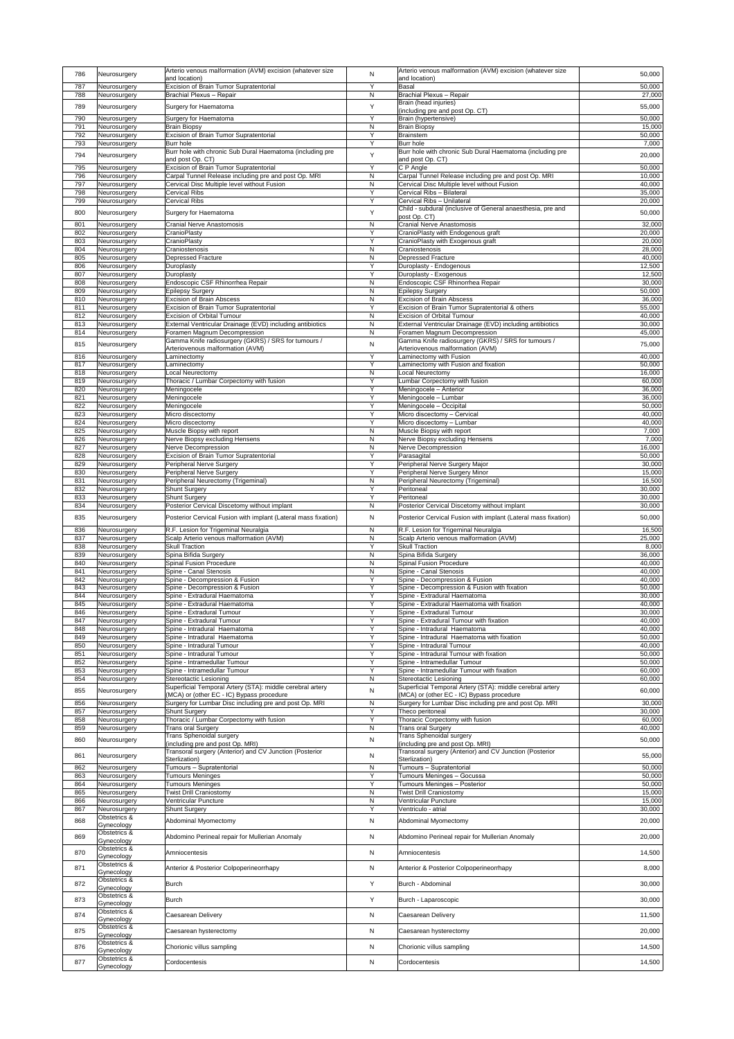| 786        | Neurosurgery                  | Arterio venous malformation (AVM) excision (whatever size<br>and location)                | N                         | Arterio venous malformation (AVM) excision (whatever size<br>and location)                          | 50,000           |
|------------|-------------------------------|-------------------------------------------------------------------------------------------|---------------------------|-----------------------------------------------------------------------------------------------------|------------------|
| 787        | Neurosurgery                  | <b>Excision of Brain Tumor Supratentorial</b>                                             | Y                         | <b>Basal</b>                                                                                        | 50,000           |
| 788        | Neurosurgery                  | <b>Brachial Plexus - Repair</b>                                                           | $\mathsf{N}$              | <b>Brachial Plexus - Repair</b>                                                                     | 27,000           |
| 789        | Neurosurgery                  | Surgery for Haematoma                                                                     | Y                         | Brain (head injuries)<br>(including pre and post Op. CT)                                            | 55,000           |
| 790        | Neurosurgery                  | Surgery for Haematoma                                                                     | Y                         | Brain (hypertensive)                                                                                | 50,000           |
| 791        | Neurosurgery                  | <b>Brain Biopsy</b>                                                                       | $\mathsf{N}$              | <b>Brain Biopsy</b>                                                                                 | 15,000           |
| 792<br>793 | Neurosurgery<br>Neurosurgery  | <b>Excision of Brain Tumor Supratentorial</b><br><b>Burr</b> hole                         | Y<br>Y                    | Brainstem<br><b>Burr</b> hole                                                                       | 50,000<br>7,000  |
| 794        | Neurosurgery                  | Burr hole with chronic Sub Dural Haematoma (including pre                                 | Y                         | Burr hole with chronic Sub Dural Haematoma (including pre                                           | 20,000           |
| 795        | Neurosurgery                  | and post Op. CT)<br><b>Excision of Brain Tumor Supratentorial</b>                         | Y                         | and post Op. CT)<br>C P Angle                                                                       | 50,000           |
| 796        | Neurosurgery                  | Carpal Tunnel Release including pre and post Op. MRI                                      | N                         | Carpal Tunnel Release including pre and post Op. MRI                                                | 10,000           |
| 797        | Neurosurgery                  | Cervical Disc Multiple level without Fusion                                               | ${\sf N}$                 | Cervical Disc Multiple level without Fusion                                                         | 40,000           |
| 798<br>799 | Neurosurgery                  | <b>Cervical Ribs</b><br><b>Cervical Ribs</b>                                              | Y<br>Y                    | Cervical Ribs - Bilateral<br>Cervical Ribs - Unilateral                                             | 35,000<br>20,000 |
|            | Neurosurgery                  |                                                                                           | Y                         | Child - subdural (inclusive of General anaesthesia, pre and                                         |                  |
| 800        | Neurosurgery                  | Surgery for Haematoma                                                                     |                           | post Op. CT)                                                                                        | 50,000           |
| 801<br>802 | Neurosurgery<br>Neurosurgery  | <b>Cranial Nerve Anastomosis</b><br>CranioPlasty                                          | N<br>Y                    | <b>Cranial Nerve Anastomosis</b><br>CranioPlasty with Endogenous graft                              | 32,000<br>20,000 |
| 803        | Neurosurgery                  | CranioPlasty                                                                              | Y                         | CranioPlasty with Exogenous graft                                                                   | 20,000           |
| 804        | Neurosurgery                  | Craniostenosis                                                                            | $\mathsf{N}$              | Craniostenosis                                                                                      | 28,000           |
| 805<br>806 | Neurosurgery<br>Neurosurgery  | <b>Depressed Fracture</b><br>Duroplasty                                                   | N<br>Y                    | <b>Depressed Fracture</b><br>Duroplasty - Endogenous                                                | 40,000<br>12,500 |
| 807        | Neurosurgery                  | Duroplasty                                                                                | Y                         | Duroplasty - Exogenous                                                                              | 12,500           |
| 808        | Neurosurgery                  | Endoscopic CSF Rhinorrhea Repair                                                          | $\mathsf{N}$              | Endoscopic CSF Rhinorrhea Repair                                                                    | 30,000           |
| 809<br>810 | Neurosurgery<br>Neurosurgery  | <b>Epilepsy Surgery</b><br><b>Excision of Brain Abscess</b>                               | ${\sf N}$<br>$\mathsf{N}$ | <b>Epilepsy Surgery</b><br><b>Excision of Brain Abscess</b>                                         | 50,000<br>36,000 |
| 811        | Neurosurgery                  | <b>Excision of Brain Tumor Supratentorial</b>                                             | Y                         | Excision of Brain Tumor Supratentorial & others                                                     | 55,000           |
| 812        | Neurosurgery                  | <b>Excision of Orbital Tumour</b>                                                         | $\mathsf{N}$              | <b>Excision of Orbital Tumour</b>                                                                   | 40,000           |
| 813<br>814 | Neurosurgery<br>Neurosurgery  | External Ventricular Drainage (EVD) including antibiotics<br>Foramen Magnum Decompression | N<br>N                    | External Ventricular Drainage (EVD) including antibiotics<br>Foramen Magnum Decompression           | 30,000<br>45,000 |
| 815        | Neurosurgery                  | Gamma Knife radiosurgery (GKRS) / SRS for tumours /                                       | $\mathsf{N}$              | Gamma Knife radiosurgery (GKRS) / SRS for tumours /                                                 | 75,000           |
| 816        | Neurosurgery                  | Arteriovenous malformation (AVM)<br>Laminectomy                                           | Y                         | Arteriovenous malformation (AVM)<br>Laminectomy with Fusion                                         | 40,000           |
| 817        | Neurosurgery                  | Laminectomy                                                                               | Y                         | Laminectomy with Fusion and fixation                                                                | 50,000           |
| 818        | Neurosurgery                  | Local Neurectomy                                                                          | $\mathsf{N}$              | Local Neurectomy                                                                                    | 16,000           |
| 819<br>820 | Neurosurgery<br>Neurosurgery  | Thoracic / Lumbar Corpectomy with fusion<br>Meningocele                                   | Y<br>Y                    | Lumbar Corpectomy with fusion<br>Meningocele - Anterior                                             | 60,000<br>36,000 |
| 821        | Neurosurgery                  | Meningocele                                                                               | Y                         | Meningocele - Lumbar                                                                                | 36,000           |
| 822        | Neurosurgery                  | Meningocele                                                                               | Y                         | Meningocele - Occipital                                                                             | 50,000           |
| 823<br>824 | Neurosurgery<br>Neurosurgery  | Micro discectomy<br>Micro discectomy                                                      | Y<br>Y                    | Micro discectomy - Cervical<br>Micro discectomy - Lumbar                                            | 40,000<br>40,000 |
| 825        | Neurosurgery                  | Muscle Biopsy with report                                                                 | $\mathsf{N}$              | Muscle Biopsy with report                                                                           | 7,000            |
| 826        | Neurosurgery                  | Nerve Biopsy excluding Hensens                                                            | N                         | Nerve Biopsy excluding Hensens                                                                      | 7,000            |
| 827<br>828 | Neurosurgery<br>Neurosurgery  | Nerve Decompression<br><b>Excision of Brain Tumor Supratentorial</b>                      | $\mathsf{N}$<br>Y         | Nerve Decompression<br>Parasagital                                                                  | 16,000<br>50,000 |
| 829        | Neurosurgery                  | Peripheral Nerve Surgery                                                                  | Y                         | Peripheral Nerve Surgery Major                                                                      | 30,000           |
| 830        | Neurosurgery                  | Peripheral Nerve Surgery                                                                  | Y                         | Peripheral Nerve Surgery Minor                                                                      | 15,000           |
| 831<br>832 | Neurosurgery<br>Neurosurgery  | Peripheral Neurectomy (Trigeminal)<br><b>Shunt Surgery</b>                                | $\mathsf{N}$<br>Y         | Peripheral Neurectomy (Trigeminal)<br>Peritoneal                                                    | 16,500<br>30,000 |
| 833        | Neurosurgery                  | <b>Shunt Surgery</b>                                                                      | Y                         | Peritoneal                                                                                          | 30,000           |
| 834        | Neurosurgery                  | Posterior Cervical Discetomy without implant                                              | N                         | Posterior Cervical Discetomy without implant                                                        | 30,000           |
| 835        | Neurosurgery                  | Posterior Cervical Fusion with implant (Lateral mass fixation)                            | N                         | Posterior Cervical Fusion with implant (Lateral mass fixation)                                      | 50,000           |
| 836        | Neurosurgery                  | R.F. Lesion for Trigeminal Neuralgia                                                      | N                         | R.F. Lesion for Trigeminal Neuralgia                                                                | 16,500           |
| 837<br>838 | Neurosurgery                  | Scalp Arterio venous malformation (AVM)<br><b>Skull Traction</b>                          | ${\sf N}$<br>Y            | Scalp Arterio venous malformation (AVM)<br><b>Skull Traction</b>                                    | 25,000           |
| 839        | Neurosurgery<br>Neurosurgery  | Spina Bifida Surgery                                                                      | $\mathsf{N}$              | Spina Bifida Surgery                                                                                | 8,000<br>36,000  |
| 840        | Neurosurgery                  | <b>Spinal Fusion Procedure</b>                                                            | $\mathsf{N}$              | <b>Spinal Fusion Procedure</b>                                                                      | 40,000           |
| 841<br>842 | Neurosurgery                  | Spine - Canal Stenosis<br>Spine - Decompression & Fusion                                  | $\mathsf{N}$<br>Y         | Spine - Canal Stenosis<br>Spine - Decompression & Fusion                                            | 40,000<br>40,000 |
| 843        | Neurosurgery<br> Neurosurgery | Spine - Decompression & Fusion                                                            |                           | Spine - Decompression & Fusion with fixation                                                        | 50,000           |
| 844        | Neurosurgery                  | Spine - Extradural Haematoma                                                              | Y                         | Spine - Extradural Haematoma                                                                        | 30,000           |
| 845<br>846 | Neurosurgery<br>Neurosurgery  | Spine - Extradural Haematoma<br>Spine - Extradural Tumour                                 | Y<br>Y                    | Spine - Extradural Haematoma with fixation<br>Spine - Extradural Tumour                             | 40,000<br>30,000 |
| 847        | Neurosurgery                  | Spine - Extradural Tumour                                                                 | Y                         | Spine - Extradural Tumour with fixation                                                             | 40,000           |
| 848        | Neurosurgery                  | Spine - Intradural Haematoma                                                              | Y                         | Spine - Intradural Haematoma                                                                        | 40,000           |
| 849<br>850 | Neurosurgery<br>Neurosurgery  | Spine - Intradural Haematoma<br>Spine - Intradural Tumour                                 | Y<br>Y                    | Spine - Intradural Haematoma with fixation<br>Spine - Intradural Tumour                             | 50,000<br>40,000 |
| 851        | Neurosurgery                  | Spine - Intradural Tumour                                                                 | Y                         | Spine - Intradural Tumour with fixation                                                             | 50,000           |
| 852        | Neurosurgery                  | Spine - Intramedullar Tumour                                                              | Y                         | Spine - Intramedullar Tumour                                                                        | 50,000           |
| 853<br>854 | Neurosurgery<br>Neurosurgery  | Spine - Intramedullar Tumour<br><b>Stereotactic Lesioning</b>                             | Y<br>$\mathsf{N}$         | Spine - Intramedullar Tumour with fixation<br><b>Stereotactic Lesioning</b>                         | 60,000<br>60,000 |
| 855        | Neurosurgery                  | Superficial Temporal Artery (STA): middle cerebral artery                                 | $\mathsf{N}$              | Superficial Temporal Artery (STA): middle cerebral artery                                           | 60,000           |
|            |                               | (MCA) or (other EC - IC) Bypass procedure                                                 |                           | (MCA) or (other EC - IC) Bypass procedure<br>Surgery for Lumbar Disc including pre and post Op. MRI |                  |
| 856<br>857 | Neurosurgery<br>Neurosurgery  | Surgery for Lumbar Disc including pre and post Op. MRI<br><b>Shunt Surgery</b>            | N<br>Y                    | Theco peritoneal                                                                                    | 30,000<br>30,000 |
| 858        | Neurosurgery                  | Thoracic / Lumbar Corpectomy with fusion                                                  | Y                         | Thoracic Corpectomy with fusion                                                                     | 60,000           |
| 859        | Neurosurgery                  | Trans oral Surgery<br><b>Trans Sphenoidal surgery</b>                                     | $\mathsf{N}$              | <b>Trans oral Surgery</b><br><b>Trans Sphenoidal surgery</b>                                        | 40,000           |
| 860        | Neurosurgery                  | (including pre and post Op. MRI)                                                          | ${\sf N}$                 | (including pre and post Op. MRI)                                                                    | 50,000           |
| 861        | Neurosurgery                  | Transoral surgery (Anterior) and CV Junction (Posterior                                   | N                         | Fransoral surgery (Anterior) and CV Junction (Posterior<br>Sterlization)                            | 55,000           |
| 862        | Neurosurgery                  | Sterlization)<br>Tumours - Supratentorial                                                 | $\mathsf{N}$              | Tumours - Supratentorial                                                                            | 50,000           |
| 863        | Neurosurgery                  | <b>Tumours Meninges</b>                                                                   | Y                         | Tumours Meninges - Gocussa                                                                          | 50,000           |
| 864<br>865 | Neurosurgery<br>Neurosurgery  | <b>Tumours Meninges</b><br><b>Twist Drill Craniostomy</b>                                 | Y<br>$\mathsf{N}$         | Tumours Meninges - Posterior<br><b>Twist Drill Craniostomy</b>                                      | 50,000<br>15,000 |
| 866        | Neurosurgery                  | <b>Ventricular Puncture</b>                                                               | $\mathsf{N}$              | <b>Ventricular Puncture</b>                                                                         | 15,000           |
| 867        | Neurosurgery                  | Shunt Surgery                                                                             | Y                         | Ventriculo - atrial                                                                                 | 30,000           |
| 868        | Obstetrics &<br>Gynecology    | Abdominal Myomectomy                                                                      | N                         | Abdominal Myomectomy                                                                                | 20,000           |
| 869        | Obstetrics &                  | Abdomino Perineal repair for Mullerian Anomaly                                            | N                         | Abdomino Perineal repair for Mullerian Anomaly                                                      | 20,000           |
|            | Gynecology<br>Obstetrics &    |                                                                                           |                           |                                                                                                     |                  |
| 870        | Gynecology                    | Amniocentesis                                                                             | $\mathsf{N}$              | Amniocentesis                                                                                       | 14,500           |
| 871        | Obstetrics &                  | Anterior & Posterior Colpoperineorrhapy                                                   | N                         | Anterior & Posterior Colpoperineorrhapy                                                             | 8,000            |
|            | Gynecology<br>Obstetrics &    |                                                                                           |                           |                                                                                                     |                  |
| 872        | Gynecology                    | <b>Burch</b>                                                                              | Y                         | Burch - Abdominal                                                                                   | 30,000           |
| 873        | Obstetrics &<br>Gynecology    | <b>Burch</b>                                                                              | Y                         | Burch - Laparoscopic                                                                                | 30,000           |
| 874        | Obstetrics &                  | Caesarean Delivery                                                                        | $\mathsf{N}$              | <b>Caesarean Delivery</b>                                                                           | 11,500           |
|            | Gynecology<br>Obstetrics &    |                                                                                           |                           |                                                                                                     |                  |
| 875        | Gynecology                    | Caesarean hysterectomy                                                                    | N                         | Caesarean hysterectomy                                                                              | 20,000           |
| 876        | Obstetrics &                  | Chorionic villus sampling                                                                 | $\mathsf{N}$              | Chorionic villus sampling                                                                           | 14,500           |
|            | Gynecology<br>Obstetrics &    |                                                                                           |                           |                                                                                                     |                  |
| 877        | Gynecology                    | Cordocentesis                                                                             | $\mathsf{N}$              | Cordocentesis                                                                                       | 14,500           |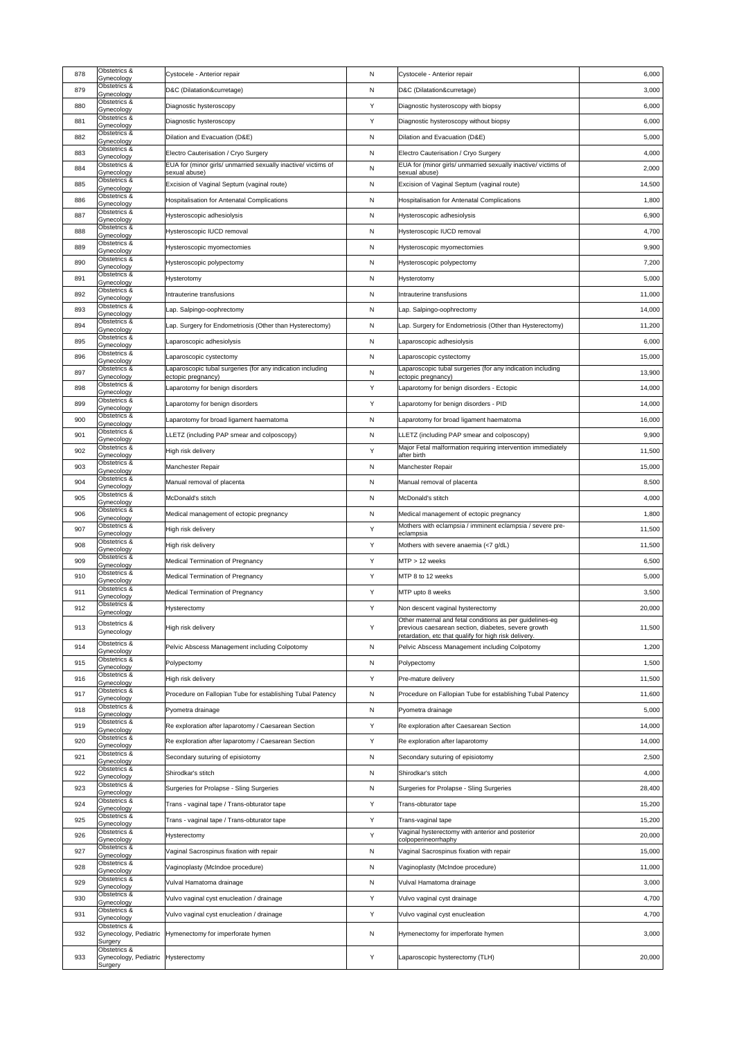| 878 | Obstetrics &<br>Gynecology                    | Cystocele - Anterior repair                                                    | N            | Cystocele - Anterior repair                                                                                  | 6,000  |
|-----|-----------------------------------------------|--------------------------------------------------------------------------------|--------------|--------------------------------------------------------------------------------------------------------------|--------|
| 879 | Obstetrics &<br>Gynecology                    | D&C (Dilatation&curretage)                                                     | N            | D&C (Dilatation&curretage)                                                                                   | 3,000  |
| 880 | Obstetrics &<br>Gynecology                    | Diagnostic hysteroscopy                                                        | Y            | Diagnostic hysteroscopy with biopsy                                                                          | 6,000  |
| 881 | Obstetrics &<br>Gynecology                    | Diagnostic hysteroscopy                                                        | Y            | Diagnostic hysteroscopy without biopsy                                                                       | 6,000  |
| 882 | Obstetrics &<br>Gynecology                    | Dilation and Evacuation (D&E)                                                  | N            | Dilation and Evacuation (D&E)                                                                                | 5,000  |
| 883 | Obstetrics &<br>Gynecology                    | Electro Cauterisation / Cryo Surgery                                           | N            | Electro Cauterisation / Cryo Surgery                                                                         | 4,000  |
| 884 | Obstetrics &                                  | EUA for (minor girls/ unmarried sexually inactive/ victims of<br>sexual abuse) | $\mathsf{N}$ | EUA for (minor girls/ unmarried sexually inactive/ victims of<br>sexual abuse)                               | 2,000  |
| 885 | Gynecology<br>Obstetrics &                    | Excision of Vaginal Septum (vaginal route)                                     | N            | Excision of Vaginal Septum (vaginal route)                                                                   | 14,500 |
| 886 | Gynecology<br>Obstetrics &                    | <b>Hospitalisation for Antenatal Complications</b>                             | N            | <b>Hospitalisation for Antenatal Complications</b>                                                           | 1,800  |
| 887 | Gynecology<br>Obstetrics &                    | Hysteroscopic adhesiolysis                                                     | N            | Hysteroscopic adhesiolysis                                                                                   | 6,900  |
| 888 | Gynecology<br>Obstetrics &                    | Hysteroscopic IUCD removal                                                     | N            | Hysteroscopic IUCD removal                                                                                   | 4,700  |
| 889 | Gynecology<br>Obstetrics &                    | Hysteroscopic myomectomies                                                     | N            | Hysteroscopic myomectomies                                                                                   | 9,900  |
| 890 | Gynecology<br>Obstetrics &                    | Hysteroscopic polypectomy                                                      | N            | Hysteroscopic polypectomy                                                                                    | 7,200  |
| 891 | Gynecology<br>Obstetrics &                    | Hysterotomy                                                                    | N            | <b>Hysterotomy</b>                                                                                           | 5,000  |
| 892 | Gynecology<br>Obstetrics &                    | Intrauterine transfusions                                                      | N            | Intrauterine transfusions                                                                                    | 11,000 |
| 893 | Gynecology<br>Obstetrics &                    | Lap. Salpingo-oophrectomy                                                      | N            | Lap. Salpingo-oophrectomy                                                                                    | 14,000 |
| 894 | Gynecology<br>Obstetrics &                    | Lap. Surgery for Endometriosis (Other than Hysterectomy)                       | N            | Lap. Surgery for Endometriosis (Other than Hysterectomy)                                                     | 11,200 |
| 895 | Gynecology<br>Obstetrics &                    | Laparoscopic adhesiolysis                                                      | N            | Laparoscopic adhesiolysis                                                                                    | 6,000  |
| 896 | Gynecology<br>Obstetrics &                    | Laparoscopic cystectomy                                                        | N            | Laparoscopic cystectomy                                                                                      | 15,000 |
| 897 | Gynecology<br>Obstetrics &                    | Laparoscopic tubal surgeries (for any indication including                     | $\mathsf{N}$ | Laparoscopic tubal surgeries (for any indication including                                                   | 13,900 |
| 898 | Gynecology<br>Obstetrics &                    | ectopic pregnancy)<br>Laparotomy for benign disorders                          | Y            | ectopic pregnancy)<br>Laparotomy for benign disorders - Ectopic                                              | 14,000 |
| 899 | Gynecology<br>Obstetrics &                    | Laparotomy for benign disorders                                                | Y            | Laparotomy for benign disorders - PID                                                                        | 14,000 |
| 900 | Gynecology<br>Obstetrics &                    | Laparotomy for broad ligament haematoma                                        | $\mathsf{N}$ | Laparotomy for broad ligament haematoma                                                                      | 16,000 |
| 901 | Gynecology<br>Obstetrics &                    | LLETZ (including PAP smear and colposcopy)                                     | N            | LLETZ (including PAP smear and colposcopy)                                                                   | 9,900  |
| 902 | Gynecology<br>Obstetrics &                    | High risk delivery                                                             | Y            | Major Fetal malformation requiring intervention immediately                                                  | 11,500 |
| 903 | Gynecology<br>Obstetrics &                    | <b>Manchester Repair</b>                                                       | N            | after birth<br>Manchester Repair                                                                             | 15,000 |
| 904 | Gynecology<br>Obstetrics &                    | Manual removal of placenta                                                     | $\mathsf{N}$ | Manual removal of placenta                                                                                   | 8,500  |
| 905 | Gynecology<br>Obstetrics &                    | McDonald's stitch                                                              | N            | McDonald's stitch                                                                                            | 4,000  |
| 906 | Gynecology<br>Obstetrics &                    | Medical management of ectopic pregnancy                                        | N            | Medical management of ectopic pregnancy                                                                      | 1,800  |
| 907 | Gynecology<br>Obstetrics &                    | High risk delivery                                                             | Y            | Mothers with eclampsia / imminent eclampsia / severe pre-                                                    | 11,500 |
| 908 | Gynecology<br>Obstetrics &                    | High risk delivery                                                             | Y            | eclampsia<br>Mothers with severe anaemia (<7 g/dL)                                                           | 11,500 |
| 909 | Gynecology<br>Obstetrics &                    | <b>Medical Termination of Pregnancy</b>                                        | Y            | $MTP > 12$ weeks                                                                                             | 6,500  |
| 910 | Gynecology<br>Obstetrics &                    | <b>Medical Termination of Pregnancy</b>                                        | Y            | MTP 8 to 12 weeks                                                                                            | 5,000  |
| 911 | Gynecology<br>Obstetrics &                    | <b>Medical Termination of Pregnancy</b>                                        | Y            | MTP upto 8 weeks                                                                                             | 3,500  |
| 912 | Gynecology<br>Obstetrics &                    | Hysterectomy                                                                   | Y            | Non descent vaginal hysterectomy                                                                             | 20,000 |
|     | Gynecology<br>Obstetrics &                    |                                                                                |              | Other maternal and fetal conditions as per guidelines-eg                                                     |        |
| 913 | Gynecology                                    | High risk delivery                                                             | Υ            | previous caesarean section, diabetes, severe growth<br>retardation, etc that qualify for high risk delivery. | 11,500 |
| 914 | Obstetrics &<br>Gynecology                    | Pelvic Abscess Management including Colpotomy                                  | N            | Pelvic Abscess Management including Colpotomy                                                                | 1,200  |
| 915 | Obstetrics &<br>Gynecology                    | Polypectomy                                                                    | N            | Polypectomy                                                                                                  | 1,500  |
| 916 | Obstetrics &<br>Gynecology                    | High risk delivery                                                             | Y            | Pre-mature delivery                                                                                          | 11,500 |
| 917 | Obstetrics &<br>Gynecology                    | Procedure on Fallopian Tube for establishing Tubal Patency                     | $\mathsf{N}$ | Procedure on Fallopian Tube for establishing Tubal Patency                                                   | 11,600 |
| 918 | Obstetrics &<br>Gynecology                    | Pyometra drainage                                                              | N            | Pyometra drainage                                                                                            | 5,000  |
| 919 | Obstetrics &<br>Gynecology                    | Re exploration after Iaparotomy / Caesarean Section                            | Y            | Re exploration after Caesarean Section                                                                       | 14,000 |
| 920 | Obstetrics &<br>Gynecology                    | Re exploration after laparotomy / Caesarean Section                            | Y            | Re exploration after laparotomy                                                                              | 14,000 |
| 921 | Obstetrics &<br>Gynecology                    | Secondary suturing of episiotomy                                               | $\mathsf{N}$ | Secondary suturing of episiotomy                                                                             | 2,500  |
| 922 | Obstetrics &<br>Gynecology                    | Shirodkar's stitch                                                             | N            | Shirodkar's stitch                                                                                           | 4,000  |
| 923 | Obstetrics &<br>Gynecology                    | Surgeries for Prolapse - Sling Surgeries                                       | $\mathsf{N}$ | Surgeries for Prolapse - Sling Surgeries                                                                     | 28,400 |
| 924 | Obstetrics &<br>Gynecology                    | Trans - vaginal tape / Trans-obturator tape                                    | Y            | Trans-obturator tape                                                                                         | 15,200 |
| 925 | Obstetrics &<br>Gynecology                    | Trans - vaginal tape / Trans-obturator tape                                    | Y            | Trans-vaginal tape                                                                                           | 15,200 |
| 926 | Obstetrics &<br>Gynecology                    | Hysterectomy                                                                   | Y            | Vaginal hysterectomy with anterior and posterior<br>colpoperineorrhaphy                                      | 20,000 |
| 927 | Obstetrics &<br>Gynecology                    | Vaginal Sacrospinus fixation with repair                                       | $\mathsf{N}$ | Vaginal Sacrospinus fixation with repair                                                                     | 15,000 |
| 928 | Obstetrics &<br>Gynecology                    | Vaginoplasty (McIndoe procedure)                                               | N            | Vaginoplasty (McIndoe procedure)                                                                             | 11,000 |
| 929 | Obstetrics &<br>Gynecology                    | Vulval Hamatoma drainage                                                       | $\mathsf{N}$ | Vulval Hamatoma drainage                                                                                     | 3,000  |
| 930 | Obstetrics &<br>Gynecology                    | Vulvo vaginal cyst enucleation / drainage                                      | Y            | Vulvo vaginal cyst drainage                                                                                  | 4,700  |
| 931 | Obstetrics &<br>Gynecology                    | Vulvo vaginal cyst enucleation / drainage                                      | Y            | Vulvo vaginal cyst enucleation                                                                               | 4,700  |
| 932 | Obstetrics &<br>Gynecology, Pediatric         | Hymenectomy for imperforate hymen                                              | $\mathsf{N}$ | Hymenectomy for imperforate hymen                                                                            | 3,000  |
|     | Surgery<br>Obstetrics &                       |                                                                                |              |                                                                                                              |        |
| 933 | Gynecology, Pediatric Hysterectomy<br>Surgery |                                                                                | Y            | Laparoscopic hysterectomy (TLH)                                                                              | 20,000 |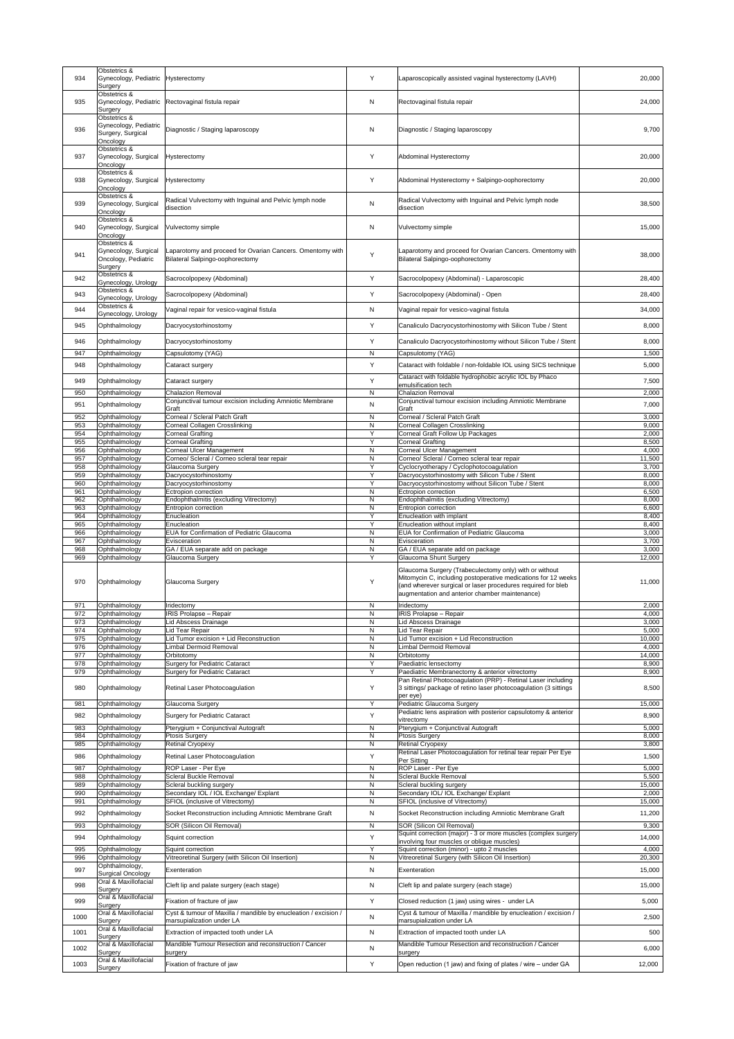| 934        | Obstetrics &<br>Gynecology, Pediatric Hysterectomy<br>Surgery          |                                                                                              | Y                            | Laparoscopically assisted vaginal hysterectomy (LAVH)                                                                                                                                                                                     | 20,000          |
|------------|------------------------------------------------------------------------|----------------------------------------------------------------------------------------------|------------------------------|-------------------------------------------------------------------------------------------------------------------------------------------------------------------------------------------------------------------------------------------|-----------------|
| 935        | Obstetrics &<br>Gynecology, Pediatric                                  | Rectovaginal fistula repair                                                                  | $\mathsf{N}$                 | Rectovaginal fistula repair                                                                                                                                                                                                               | 24,000          |
|            | Surgery<br>Obstetrics &                                                |                                                                                              |                              |                                                                                                                                                                                                                                           |                 |
| 936        | Gynecology, Pediatric<br>Surgery, Surgical<br>Oncology                 | Diagnostic / Staging laparoscopy                                                             | N                            | Diagnostic / Staging laparoscopy                                                                                                                                                                                                          | 9,700           |
| 937        | Obstetrics &<br>Gynecology, Surgical<br>Oncology                       | <b>Hysterectomy</b>                                                                          | Y                            | Abdominal Hysterectomy                                                                                                                                                                                                                    | 20,000          |
| 938        | Obstetrics &<br>Gynecology, Surgical<br>Oncology                       | <b>Hysterectomy</b>                                                                          | Y                            | Abdominal Hysterectomy + Salpingo-oophorectomy                                                                                                                                                                                            | 20,000          |
| 939        | Obstetrics &<br>Gynecology, Surgical<br>Oncology                       | Radical Vulvectomy with Inguinal and Pelvic lymph node<br>disection                          | $\mathsf{N}$                 | Radical Vulvectomy with Inguinal and Pelvic lymph node<br>disection                                                                                                                                                                       | 38,500          |
| 940        | Obstetrics &<br>Gynecology, Surgical<br>Oncology                       | Vulvectomy simple                                                                            | $\mathsf{N}$                 | Vulvectomy simple                                                                                                                                                                                                                         | 15,000          |
| 941        | Obstetrics &<br>Gynecology, Surgical<br>Oncology, Pediatric<br>Surgery | Laparotomy and proceed for Ovarian Cancers. Omentomy with<br>Bilateral Salpingo-oophorectomy | Y                            | Laparotomy and proceed for Ovarian Cancers. Omentomy with<br><b>Bilateral Salpingo-oophorectomy</b>                                                                                                                                       | 38,000          |
| 942        | Obstetrics &<br>Gynecology, Urology                                    | Sacrocolpopexy (Abdominal)                                                                   | Y                            | Sacrocolpopexy (Abdominal) - Laparoscopic                                                                                                                                                                                                 | 28,400          |
| 943        | Obstetrics &<br>Gynecology, Urology                                    | Sacrocolpopexy (Abdominal)                                                                   | Y                            | Sacrocolpopexy (Abdominal) - Open                                                                                                                                                                                                         | 28,400          |
| 944        | Obstetrics &                                                           | Vaginal repair for vesico-vaginal fistula                                                    | N                            | Vaginal repair for vesico-vaginal fistula                                                                                                                                                                                                 | 34,000          |
| 945        | Gynecology, Urology<br>Ophthalmology                                   | Dacryocystorhinostomy                                                                        |                              | Canaliculo Dacryocystorhinostomy with Silicon Tube / Stent                                                                                                                                                                                | 8,000           |
| 946        | Ophthalmology                                                          | Dacryocystorhinostomy                                                                        | Y                            | Canaliculo Dacryocystorhinostomy without Silicon Tube / Stent                                                                                                                                                                             | 8,000           |
| 947        | Ophthalmology                                                          | Capsulotomy (YAG)                                                                            | N                            | Capsulotomy (YAG)                                                                                                                                                                                                                         | 1,500           |
| 948        | Ophthalmology                                                          | Cataract surgery                                                                             | Y                            | Cataract with foldable / non-foldable IOL using SICS technique                                                                                                                                                                            | 5,000           |
|            |                                                                        |                                                                                              |                              | Cataract with foldable hydrophobic acrylic IOL by Phaco                                                                                                                                                                                   |                 |
| 949        | Ophthalmology                                                          | Cataract surgery                                                                             | Y                            | emulsification tech                                                                                                                                                                                                                       | 7,500           |
| 950        | Ophthalmology                                                          | <b>Chalazion Removal</b><br>Conjunctival tumour excision including Amniotic Membrane         | N                            | <b>Chalazion Removal</b><br>Conjunctival tumour excision including Amniotic Membrane                                                                                                                                                      | 2,000           |
| 951        | Ophthalmology                                                          | Graft                                                                                        | $\mathsf{N}$                 | Graft                                                                                                                                                                                                                                     | 7,000           |
| 952        | Ophthalmology                                                          | <b>Corneal / Scleral Patch Graft</b>                                                         | N                            | Corneal / Scleral Patch Graft                                                                                                                                                                                                             | 3,000           |
| 953<br>954 | Ophthalmology<br>Ophthalmology                                         | <b>Corneal Collagen Crosslinking</b><br><b>Corneal Grafting</b>                              | ${\sf N}$<br>Y               | <b>Corneal Collagen Crosslinking</b><br>Corneal Graft Follow Up Packages                                                                                                                                                                  | 9,000<br>2,000  |
| 955        | Ophthalmology                                                          | <b>Corneal Grafting</b>                                                                      | Y                            | <b>Corneal Grafting</b>                                                                                                                                                                                                                   | 8,500           |
| 956<br>957 | Ophthalmology<br>Ophthalmology                                         | <b>Corneal Ulcer Management</b><br>Corneo/ Scleral / Corneo scleral tear repair              | $\mathsf{N}$<br>N            | <b>Corneal Ulcer Management</b><br>Corneo/ Scleral / Corneo scleral tear repair                                                                                                                                                           | 4,000<br>11,500 |
| 958        | Ophthalmology                                                          | Glaucoma Surgery                                                                             | Y                            | Cyclocryotherapy / Cyclophotocoagulation                                                                                                                                                                                                  | 3,700           |
| 959        | Ophthalmology                                                          | Dacryocystorhinostomy                                                                        | Y                            | Dacryocystorhinostomy with Silicon Tube / Stent                                                                                                                                                                                           | 8,000           |
| 960<br>961 | Ophthalmology<br>Ophthalmology                                         | Dacryocystorhinostomy<br>Ectropion correction                                                | Y<br>N                       | Dacryocystorhinostomy without Silicon Tube / Stent<br>Ectropion correction                                                                                                                                                                | 8,000<br>6,500  |
| 962        | Ophthalmology                                                          | Endophthalmitis (excluding Vitrectomy)                                                       | N                            | Endophthalmitis (excluding Vitrectomy)                                                                                                                                                                                                    | 8,000           |
| 963<br>964 | Ophthalmology<br>Ophthalmology                                         | Entropion correction<br>Enucleation                                                          | N<br>Y                       | Entropion correction<br>Enucleation with implant                                                                                                                                                                                          | 6,600<br>8,400  |
|            |                                                                        |                                                                                              |                              |                                                                                                                                                                                                                                           |                 |
| 965        | Ophthalmology                                                          | Enucleation                                                                                  | Y                            | Enucleation without implant                                                                                                                                                                                                               | 8,400           |
| 966        | Ophthalmology                                                          | <b>EUA for Confirmation of Pediatric Glaucoma</b>                                            | ${\sf N}$                    | <b>EUA for Confirmation of Pediatric Glaucoma</b>                                                                                                                                                                                         | 3,000           |
| 967<br>968 | Ophthalmology<br>Ophthalmology                                         | Evisceration<br>GA / EUA separate add on package                                             | $\mathsf{N}$<br>N            | Evisceration<br>GA / EUA separate add on package                                                                                                                                                                                          | 3,700<br>3,000  |
| 969        | Ophthalmology                                                          | Glaucoma Surgery                                                                             | Y                            | <b>Glaucoma Shunt Surgery</b>                                                                                                                                                                                                             | 12,000          |
| 970        | Ophthalmology                                                          | Glaucoma Surgery                                                                             | Υ                            | Glaucoma Surgery (Trabeculectomy only) with or without<br>Mitomycin C, including postoperative medications for 12 weeks<br>(and wherever surgical or laser procedures required for bleb<br>augmentation and anterior chamber maintenance) | 11,000          |
| 971        | Ophthalmology                                                          | Iridectomy                                                                                   | N                            | Iridectomy                                                                                                                                                                                                                                | 2,000           |
| 972<br>973 | Ophthalmology<br>Ophthalmology                                         | <b>IRIS Prolapse - Repair</b><br>Lid Abscess Drainage                                        | $\mathsf{N}$<br>N            | <b>IRIS Prolapse - Repair</b><br>Lid Abscess Drainage                                                                                                                                                                                     | 4,000<br>3,000  |
| 974        | Ophthalmology                                                          | Lid Tear Repair                                                                              | $\mathsf{N}$                 | Lid Tear Repair                                                                                                                                                                                                                           | 5,000           |
| 975        | Ophthalmology                                                          | Lid Tumor excision + Lid Reconstruction                                                      | ${\sf N}$                    | Lid Tumor excision + Lid Reconstruction                                                                                                                                                                                                   | 10,000          |
| 976<br>977 | Ophthalmology<br>Ophthalmology                                         | <b>Limbal Dermoid Removal</b><br>Orbitotomy                                                  | N<br>$\mathsf{N}$            | Limbal Dermoid Removal<br>Orbitotomy                                                                                                                                                                                                      | 4,000<br>14,000 |
| 978        | Ophthalmology                                                          | <b>Surgery for Pediatric Cataract</b>                                                        | Y                            | Paediatric lensectomy                                                                                                                                                                                                                     | 8,900           |
| 979        | Ophthalmology                                                          | Surgery for Pediatric Cataract                                                               | Y                            | Paediatric Membranectomy & anterior vitrectomy<br>Pan Retinal Photocoagulation (PRP) - Retinal Laser including                                                                                                                            | 8,900           |
| 980        | Ophthalmology                                                          | Retinal Laser Photocoagulation                                                               | Y                            | 3 sittings/ package of retino laser photocoagulation (3 sittings<br>per eye)                                                                                                                                                              | 8,500           |
| 981        | Ophthalmology                                                          | Glaucoma Surgery                                                                             | Y                            | Pediatric Glaucoma Surgery<br>Pediatric lens aspiration with posterior capsulotomy & anterior                                                                                                                                             | 15,000          |
| 982        | Ophthalmology                                                          | Surgery for Pediatric Cataract                                                               | Y                            | vitrectomy                                                                                                                                                                                                                                | 8,900           |
| 983<br>984 | Ophthalmology<br>Ophthalmology                                         | Pterygium + Conjunctival Autograft<br><b>Ptosis Surgery</b>                                  | $\mathsf{N}$<br>$\mathsf{N}$ | Pterygium + Conjunctival Autograft<br><b>Ptosis Surgery</b>                                                                                                                                                                               | 5,000<br>8,000  |
| 985        | Ophthalmology                                                          | <b>Retinal Cryopexy</b>                                                                      | N                            | <b>Retinal Cryopexy</b>                                                                                                                                                                                                                   | 3,800           |
| 986        | Ophthalmology                                                          | Retinal Laser Photocoagulation                                                               | Y                            | Retinal Laser Photocoagulation for retinal tear repair Per Eye<br>Per Sitting                                                                                                                                                             | 1,500           |
| 987        | Ophthalmology                                                          | ROP Laser - Per Eye                                                                          | $\mathsf{N}$                 | ROP Laser - Per Eye                                                                                                                                                                                                                       | 5,000           |
| 988<br>989 | Ophthalmology<br>Ophthalmology                                         | <b>Scleral Buckle Removal</b>                                                                | ${\sf N}$<br>${\sf N}$       | <b>Scleral Buckle Removal</b>                                                                                                                                                                                                             | 5,500<br>15,000 |
| 990        | Ophthalmology                                                          | Scleral buckling surgery<br>Secondary IOL / IOL Exchange/ Explant                            | N                            | Scleral buckling surgery<br>Secondary IOL/ IOL Exchange/ Explant                                                                                                                                                                          | 2,000           |
| 991        | Ophthalmology                                                          | <b>SFIOL</b> (inclusive of Vitrectomy)                                                       | $\mathsf{N}$                 | SFIOL (inclusive of Vitrectomy)                                                                                                                                                                                                           | 15,000          |
| 992        | Ophthalmology                                                          | Socket Reconstruction including Amniotic Membrane Graft                                      | N                            | Socket Reconstruction including Amniotic Membrane Graft                                                                                                                                                                                   | 11,200          |
| 993        | Ophthalmology                                                          | SOR (Silicon Oil Removal)                                                                    | $\mathsf{N}$                 | <b>SOR (Silicon Oil Removal)</b>                                                                                                                                                                                                          | 9,300           |
| 994        | Ophthalmology                                                          | Squint correction                                                                            | Y                            | Squint correction (major) - 3 or more muscles (complex surgery<br>involving four muscles or oblique muscles)                                                                                                                              | 14,000          |
| 995        | Ophthalmology                                                          | Squint correction                                                                            | Υ                            | Squint correction (minor) - upto 2 muscles                                                                                                                                                                                                | 4,000           |
| 996        | Ophthalmology<br>Ophthalmology,                                        | Vitreoretinal Surgery (with Silicon Oil Insertion)                                           | $\mathsf{N}$                 | Vitreoretinal Surgery (with Silicon Oil Insertion)                                                                                                                                                                                        | 20,300          |
| 997        | <b>Surgical Oncology</b>                                               | Exenteration                                                                                 | N                            | Exenteration                                                                                                                                                                                                                              | 15,000          |
| 998        | Oral & Maxillofacial<br>Surgery                                        | Cleft lip and palate surgery (each stage)                                                    | $\mathsf{N}$                 | Cleft lip and palate surgery (each stage)                                                                                                                                                                                                 | 15,000          |
| 999        | Oral & Maxillofacial<br>Surgery                                        | Fixation of fracture of jaw                                                                  | Y                            | Closed reduction (1 jaw) using wires - under LA                                                                                                                                                                                           | 5,000           |
| 1000       | Oral & Maxillofacial<br>Surgery                                        | Cyst & tumour of Maxilla / mandible by enucleation / excision /<br>marsupialization under LA | $\mathsf{N}$                 | Cyst & tumour of Maxilla / mandible by enucleation / excision /<br>marsupialization under LA                                                                                                                                              | 2,500           |
| 1001       | Oral & Maxillofacial                                                   | Extraction of impacted tooth under LA                                                        | N                            | Extraction of impacted tooth under LA                                                                                                                                                                                                     | 500             |
| 1002       | Surgery<br>Oral & Maxillofacial                                        | Mandible Tumour Resection and reconstruction / Cancer                                        | $\mathsf{N}$                 | Mandible Tumour Resection and reconstruction / Cancer                                                                                                                                                                                     |                 |
| 1003       | Surgery<br>Oral & Maxillofacial                                        | surgery<br>Fixation of fracture of jaw                                                       | Y                            | surgery<br>Open reduction (1 jaw) and fixing of plates / wire - under GA                                                                                                                                                                  | 6,000<br>12,000 |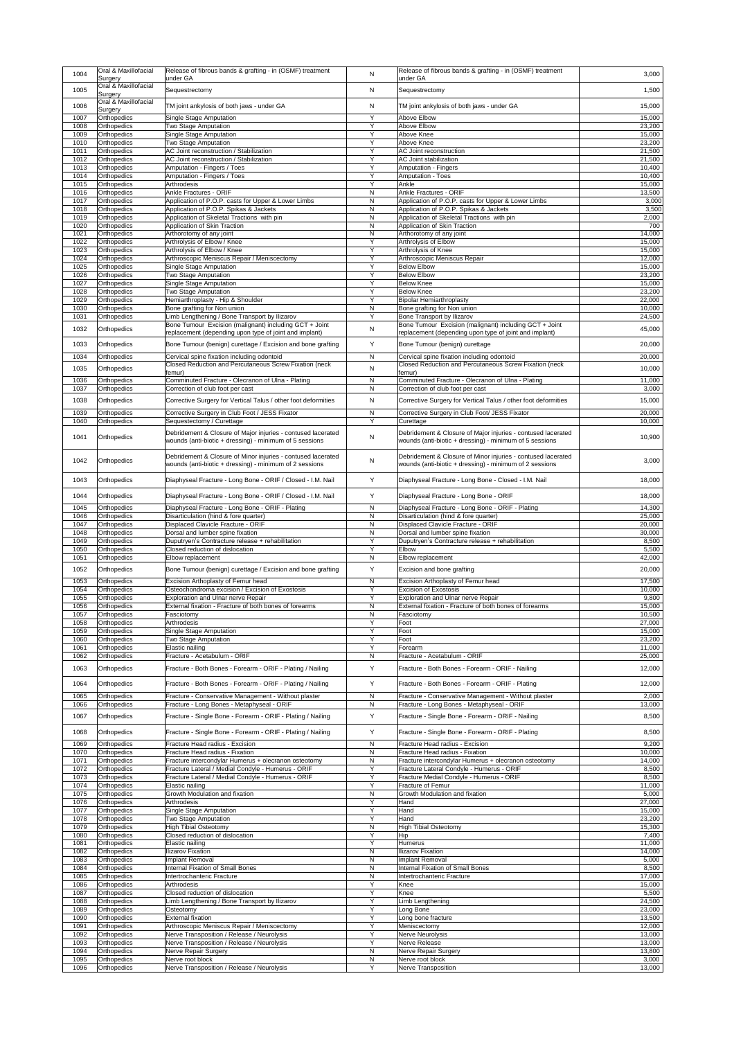| 1004         | Oral & Maxillofacial<br>Surgery          | Release of fibrous bands & grafting - in (OSMF) treatment<br>under GA                                            | N                            | Release of fibrous bands & grafting - in (OSMF) treatment<br>under GA                                            | 3,000            |
|--------------|------------------------------------------|------------------------------------------------------------------------------------------------------------------|------------------------------|------------------------------------------------------------------------------------------------------------------|------------------|
| 1005         | Oral & Maxillofacial<br>Surgery          | Sequestrectomy                                                                                                   | N                            | Sequestrectomy                                                                                                   | 1,500            |
| 1006         | Oral & Maxillofacial                     | TM joint ankylosis of both jaws - under GA                                                                       | N                            | TM joint ankylosis of both jaws - under GA                                                                       | 15,000           |
| 1007         | Surgery<br><b>Orthopedics</b>            | Single Stage Amputation                                                                                          | Y                            | <b>Above Elbow</b>                                                                                               | 15,000           |
| 1008         | <b>Orthopedics</b>                       | Two Stage Amputation                                                                                             | Y                            | Above Elbow                                                                                                      | 23,200           |
| 1009<br>1010 | <b>Orthopedics</b><br><b>Orthopedics</b> | Single Stage Amputation<br><b>Two Stage Amputation</b>                                                           | Y<br>Y                       | Above Knee<br>Above Knee                                                                                         | 15,000<br>23,200 |
| 1011         | <b>Orthopedics</b>                       | AC Joint reconstruction / Stabilization                                                                          | Y                            | <b>AC Joint reconstruction</b>                                                                                   | 21,500           |
| 1012<br>1013 | <b>Orthopedics</b><br><b>Orthopedics</b> | AC Joint reconstruction / Stabilization<br>Amputation - Fingers / Toes                                           | Y<br>Y                       | <b>AC Joint stabilization</b><br><b>Amputation - Fingers</b>                                                     | 21,500<br>10,400 |
| 1014         | <b>Orthopedics</b>                       | Amputation - Fingers / Toes                                                                                      | Y                            | <b>Amputation - Toes</b>                                                                                         | 10,400           |
| 1015<br>1016 | <b>Orthopedics</b><br><b>Orthopedics</b> | Arthrodesis<br><b>Ankle Fractures - ORIF</b>                                                                     | Y<br>$\mathsf{N}$            | Ankle<br><b>Ankle Fractures - ORIF</b>                                                                           | 15,000<br>13,500 |
| 1017         | <b>Orthopedics</b>                       | Application of P.O.P. casts for Upper & Lower Limbs                                                              | $\mathsf{N}$                 | Application of P.O.P. casts for Upper & Lower Limbs                                                              | 3,000            |
| 1018<br>1019 | <b>Orthopedics</b><br><b>Orthopedics</b> | Application of P.O.P. Spikas & Jackets<br>Application of Skeletal Tractions with pin                             | N<br>$\mathsf{N}$            | Application of P.O.P. Spikas & Jackets<br>Application of Skeletal Tractions with pin                             | 3,500<br>2,000   |
| 1020         | <b>Orthopedics</b>                       | Application of Skin Traction<br>Arthorotomy of any joint                                                         | N<br>$\mathsf{N}$            | Application of Skin Traction<br>Arthorotomy of any joint                                                         | 700<br>14,000    |
| 1021<br>1022 | <b>Orthopedics</b><br><b>Orthopedics</b> | Arthrolysis of Elbow / Knee                                                                                      | Y                            | Arthrolysis of Elbow                                                                                             | 15,000           |
| 1023<br>1024 | <b>Orthopedics</b><br><b>Orthopedics</b> | Arthrolysis of Elbow / Knee<br>Arthroscopic Meniscus Repair / Meniscectomy                                       | Y<br>Y                       | Arthrolysis of Knee<br>Arthroscopic Meniscus Repair                                                              | 15,000<br>12,000 |
| 1025         | <b>Orthopedics</b>                       | Single Stage Amputation                                                                                          | Y                            | <b>Below Elbow</b>                                                                                               | 15,000           |
| 1026<br>1027 | Orthopedics<br><b>Orthopedics</b>        | Two Stage Amputation<br><b>Single Stage Amputation</b>                                                           | Y<br>Y                       | <b>Below Elbow</b><br><b>Below Knee</b>                                                                          | 23,200<br>15,000 |
| 1028         | <b>Orthopedics</b>                       | Two Stage Amputation                                                                                             | Y                            | <b>Below Knee</b>                                                                                                | 23,200           |
| 1029<br>1030 | <b>Orthopedics</b><br><b>Orthopedics</b> | Hemiarthroplasty - Hip & Shoulder<br>Bone grafting for Non union                                                 | Y<br>$\mathsf{N}$            | <b>Bipolar Hemiarthroplasty</b><br>Bone grafting for Non union                                                   | 22,000<br>10,000 |
| 1031         | <b>Orthopedics</b>                       | Limb Lengthening / Bone Transport by Ilizarov                                                                    | Y                            | Bone Transport by Ilizarov                                                                                       | 24,500           |
| 1032         | <b>Orthopedics</b>                       | Bone Tumour Excision (malignant) including GCT + Joint<br>replacement (depending upon type of joint and implant) | N                            | Bone Tumour Excision (malignant) including GCT + Joint<br>replacement (depending upon type of joint and implant) | 45,000           |
| 1033         | <b>Orthopedics</b>                       | Bone Tumour (benign) curettage / Excision and bone grafting                                                      | Y                            | Bone Tumour (benign) curettage                                                                                   | 20,000           |
| 1034         | <b>Orthopedics</b>                       | Cervical spine fixation including odontoid                                                                       | N                            | Cervical spine fixation including odontoid                                                                       | 20,000           |
| 1035         | <b>Orthopedics</b>                       | Closed Reduction and Percutaneous Screw Fixation (neck<br>femur)                                                 | $\mathsf{N}$                 | Closed Reduction and Percutaneous Screw Fixation (neck<br>femur)                                                 | 10,000           |
| 1036         | <b>Orthopedics</b>                       | Comminuted Fracture - Olecranon of Ulna - Plating                                                                | N                            | Comminuted Fracture - Olecranon of Ulna - Plating                                                                | 11,000           |
| 1037         | <b>Orthopedics</b>                       | Correction of club foot per cast                                                                                 | $\mathsf{N}$                 | Correction of club foot per cast                                                                                 | 3,000            |
| 1038         | Orthopedics                              | Corrective Surgery for Vertical Talus / other foot deformities                                                   | N                            | Corrective Surgery for Vertical Talus / other foot deformities                                                   | 15,000           |
| 1039<br>1040 | <b>Orthopedics</b><br><b>Orthopedics</b> | Corrective Surgery in Club Foot / JESS Fixator<br>Sequestectomy / Curettage                                      | $\mathsf{N}$<br>Y            | Corrective Surgery in Club Foot/ JESS Fixator<br>Curettage                                                       | 20,000<br>10,000 |
|              |                                          | Debridement & Closure of Major injuries - contused lacerated                                                     |                              | Debridement & Closure of Major injuries - contused lacerated                                                     |                  |
| 1041         | <b>Orthopedics</b>                       | wounds (anti-biotic $+$ dressing) - minimum of 5 sessions                                                        | ${\sf N}$                    | wounds (anti-biotic + dressing) - minimum of 5 sessions                                                          | 10,900           |
| 1042         | <b>Orthopedics</b>                       | Debridement & Closure of Minor injuries - contused lacerated                                                     | $\mathsf{N}$                 | Debridement & Closure of Minor injuries - contused lacerated                                                     | 3,000            |
|              |                                          | wounds (anti-biotic + dressing) - minimum of 2 sessions                                                          |                              | wounds (anti-biotic + dressing) - minimum of 2 sessions                                                          |                  |
| 1043         | <b>Orthopedics</b>                       | Diaphyseal Fracture - Long Bone - ORIF / Closed - I.M. Nail                                                      | Y                            | Diaphyseal Fracture - Long Bone - Closed - I.M. Nail                                                             | 18,000           |
| 1044         | Orthopedics                              | Diaphyseal Fracture - Long Bone - ORIF / Closed - I.M. Nail                                                      | Y                            | Diaphyseal Fracture - Long Bone - ORIF                                                                           | 18,000           |
| 1045         | <b>Orthopedics</b>                       | Diaphyseal Fracture - Long Bone - ORIF - Plating                                                                 | N                            | Diaphyseal Fracture - Long Bone - ORIF - Plating                                                                 | 14,300           |
|              |                                          |                                                                                                                  |                              |                                                                                                                  |                  |
| 1046         | <b>Orthopedics</b>                       | Disarticulation (hind & fore quarter)                                                                            | $\mathsf{N}$                 | Disarticulation (hind & fore quarter)                                                                            | 25,000           |
| 1047<br>1048 | <b>Orthopedics</b><br><b>Orthopedics</b> | Displaced Clavicle Fracture - ORIF<br>Dorsal and lumber spine fixation                                           | $\mathsf{N}$<br>N            | Displaced Clavicle Fracture - ORIF<br>Dorsal and lumber spine fixation                                           | 20,000<br>30,000 |
| 1049         | <b>Orthopedics</b>                       | Duputryen's Contracture release + rehabilitation                                                                 | Y                            | Duputryen's Contracture release + rehabilitation                                                                 | 8,500            |
| 1050<br>1051 | <b>Orthopedics</b><br>Orthopedics        | Closed reduction of dislocation<br>Elbow replacement                                                             | Y<br>$\mathsf{N}$            | Elbow<br>Elbow replacement                                                                                       | 5,500<br>42,000  |
| 1052         | <b>Orthopedics</b>                       | Bone Tumour (benign) curettage / Excision and bone grafting                                                      | Y                            | Excision and bone grafting                                                                                       | 20,000           |
| 1053         | <b>Orthopedics</b>                       | Excision Arthoplasty of Femur head                                                                               | $\mathsf{N}$                 | Excision Arthoplasty of Femur head                                                                               | 17,500           |
| 1054<br>1055 | <b>Orthopedics</b><br><b>Orthopedics</b> | Osteochondroma excision / Excision of Exostosis<br><b>Exploration and Ulnar nerve Repair</b>                     | Y<br>$\vee$                  | <b>Excision of Exostosis</b><br><b>Exploration and Ulnar nerve Repair</b>                                        | 10,000<br>9,800  |
| 1056         | <b>Orthopedics</b>                       | External fixation - Fracture of both bones of forearms                                                           | N                            | External fixation - Fracture of both bones of forearms                                                           | 15,000           |
| 1057<br>1058 | <b>Orthopedics</b><br><b>Orthopedics</b> | Fasciotomy<br>Arthrodesis                                                                                        | $\mathsf{N}$<br>Y            | Fasciotomy<br>Foot                                                                                               | 10,500<br>27,000 |
| 1059         | <b>Orthopedics</b>                       | Single Stage Amputation                                                                                          | Y                            | Foot                                                                                                             | 15,000           |
| 1060<br>1061 | <b>Orthopedics</b><br><b>Orthopedics</b> | <b>Two Stage Amputation</b><br><b>Elastic nailing</b>                                                            | Y<br>Y                       | Foot<br>Forearm                                                                                                  | 23,200<br>11,000 |
| 1062         | <b>Orthopedics</b>                       | Fracture - Acetabulum - ORIF                                                                                     | $\mathsf{N}$                 | Fracture - Acetabulum - ORIF                                                                                     | 25,000           |
| 1063         | <b>Orthopedics</b>                       | Fracture - Both Bones - Forearm - ORIF - Plating / Nailing                                                       | Y                            | Fracture - Both Bones - Forearm - ORIF - Nailing                                                                 | 12,000           |
| 1064         | <b>Orthopedics</b>                       | Fracture - Both Bones - Forearm - ORIF - Plating / Nailing                                                       | Y                            | Fracture - Both Bones - Forearm - ORIF - Plating                                                                 | 12,000           |
| 1065         | <b>Orthopedics</b>                       | Fracture - Conservative Management - Without plaster                                                             | N                            | Fracture - Conservative Management - Without plaster                                                             | 2,000            |
| 1066         | <b>Orthopedics</b>                       | Fracture - Long Bones - Metaphyseal - ORIF                                                                       | $\mathsf{N}$<br>Y            | Fracture - Long Bones - Metaphyseal - ORIF                                                                       | 13,000           |
| 1067         | <b>Orthopedics</b>                       | Fracture - Single Bone - Forearm - ORIF - Plating / Nailing                                                      |                              | Fracture - Single Bone - Forearm - ORIF - Nailing                                                                | 8,500            |
| 1068         | <b>Orthopedics</b>                       | Fracture - Single Bone - Forearm - ORIF - Plating / Nailing                                                      | Y                            | Fracture - Single Bone - Forearm - ORIF - Plating                                                                | 8,500            |
| 1069<br>1070 | <b>Orthopedics</b><br>Orthopedics        | Fracture Head radius - Excision<br>Fracture Head radius - Fixation                                               | N<br>${\sf N}$               | Fracture Head radius - Excision<br>Fracture Head radius - Fixation                                               | 9,200<br>10,000  |
| 1071         | <b>Orthopedics</b>                       | Fracture intercondylar Humerus + olecranon osteotomy                                                             | $\mathsf{N}$                 | Fracture intercondylar Humerus + olecranon osteotomy                                                             | 14,000           |
| 1072<br>1073 | <b>Orthopedics</b><br><b>Orthopedics</b> | Fracture Lateral / Medial Condyle - Humerus - ORIF<br>Fracture Lateral / Medial Condyle - Humerus - ORIF         | Y<br>Y                       | Fracture Lateral Condyle - Humerus - ORIF<br>Fracture Medial Condyle - Humerus - ORIF                            | 8,500<br>8,500   |
| 1074         | <b>Orthopedics</b>                       | Elastic nailing                                                                                                  | Y                            | <b>Fracture of Femur</b>                                                                                         | 11,000           |
| 1075<br>1076 | <b>Orthopedics</b><br><b>Orthopedics</b> | Growth Modulation and fixation<br>Arthrodesis                                                                    | N<br>Y                       | Growth Modulation and fixation<br>Hand                                                                           | 5,000<br>27,000  |
| 1077         | <b>Orthopedics</b>                       | <b>Single Stage Amputation</b>                                                                                   | Y                            | Hand                                                                                                             | 15,000           |
| 1078<br>1079 | Orthopedics<br><b>Orthopedics</b>        | Two Stage Amputation<br><b>High Tibial Osteotomy</b>                                                             | Y<br>$\mathsf{N}$            | Hand<br><b>High Tibial Osteotomy</b>                                                                             | 23,200<br>15,300 |
| 1080<br>1081 | <b>Orthopedics</b>                       | Closed reduction of dislocation                                                                                  | Y<br>Y                       | <b>Hip</b><br><b>Humerus</b>                                                                                     | 7,400            |
| 1082         | <b>Orthopedics</b><br>Orthopedics        | Elastic nailing<br><b>Ilizarov Fixation</b>                                                                      | $\mathsf{N}$                 | <b>Ilizarov Fixation</b>                                                                                         | 11,000<br>14,000 |
| 1083<br>1084 | <b>Orthopedics</b><br><b>Orthopedics</b> | Implant Removal<br><b>Internal Fixation of Small Bones</b>                                                       | N<br>$\mathsf{N}$            | <b>Implant Removal</b><br><b>Internal Fixation of Small Bones</b>                                                | 5,000<br>8,500   |
| 1085         | <b>Orthopedics</b>                       | Intertrochanteric Fracture                                                                                       | ${\sf N}$                    | Intertrochanteric Fracture                                                                                       | 17,000           |
| 1086<br>1087 | <b>Orthopedics</b><br><b>Orthopedics</b> | Arthrodesis<br>Closed reduction of dislocation                                                                   | Y<br>Y                       | Knee<br>Knee                                                                                                     | 15,000<br>5,500  |
| 1088         | <b>Orthopedics</b>                       | Limb Lengthening / Bone Transport by Ilizarov                                                                    | Y                            | Limb Lengthening                                                                                                 | 24,500           |
| 1089<br>1090 | <b>Orthopedics</b><br><b>Orthopedics</b> | Osteotomy<br><b>External fixation</b>                                                                            | Y<br>Y                       | Long Bone<br>Long bone fracture                                                                                  | 23,000<br>13,500 |
| 1091         | <b>Orthopedics</b>                       | Arthroscopic Meniscus Repair / Meniscectomy                                                                      | Y                            | Meniscectomy                                                                                                     | 12,000           |
| 1092<br>1093 | <b>Orthopedics</b><br><b>Orthopedics</b> | Nerve Transposition / Release / Neurolysis<br>Nerve Transposition / Release / Neurolysis                         | Y<br>Y                       | <b>Nerve Neurolysis</b><br>Nerve Release                                                                         | 13,000<br>13,000 |
| 1094<br>1095 | <b>Orthopedics</b><br><b>Orthopedics</b> | Nerve Repair Surgery<br>Nerve root block                                                                         | $\mathsf{N}$<br>$\mathsf{N}$ | Nerve Repair Surgery<br>Nerve root block                                                                         | 13,800<br>3,000  |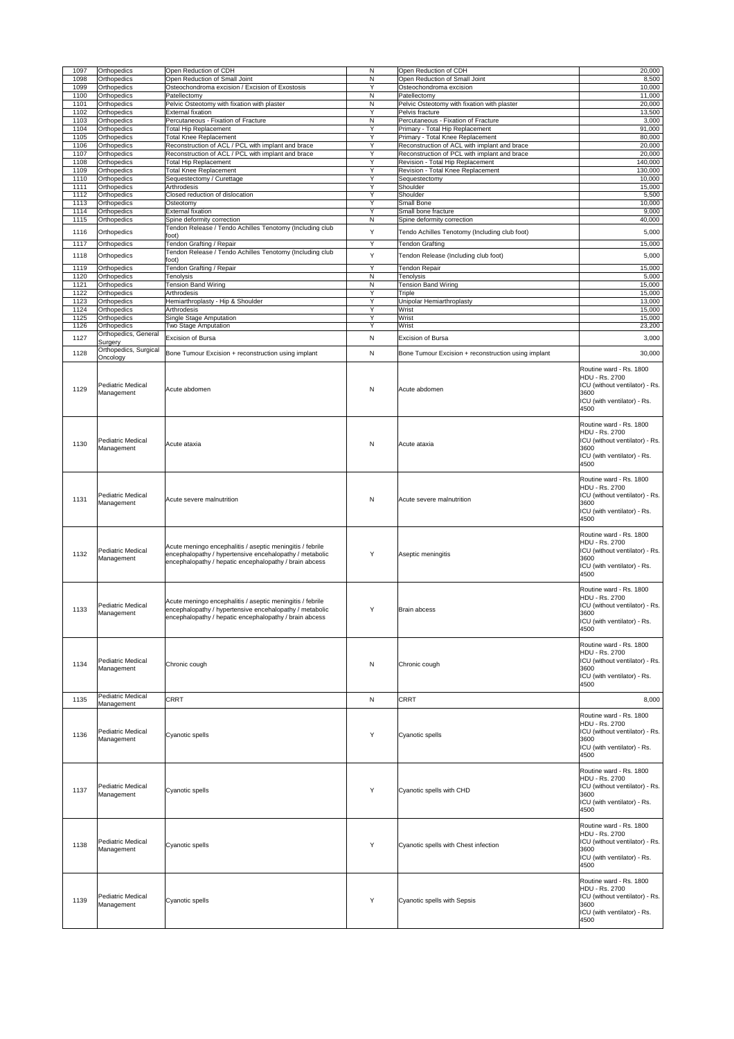| 1097         | <b>Orthopedics</b>                                   | Open Reduction of CDH                                                                                                                                                          | N         | Open Reduction of CDH                                                 | 20,000                                                                                                                            |
|--------------|------------------------------------------------------|--------------------------------------------------------------------------------------------------------------------------------------------------------------------------------|-----------|-----------------------------------------------------------------------|-----------------------------------------------------------------------------------------------------------------------------------|
| 1098<br>1099 | <b>Orthopedics</b><br><b>Orthopedics</b>             | Open Reduction of Small Joint<br>Osteochondroma excision / Excision of Exostosis                                                                                               | N<br>Y    | Open Reduction of Small Joint<br>Osteochondroma excision              | 8,500<br>10,000                                                                                                                   |
| 1100         | <b>Orthopedics</b>                                   | Patellectomy                                                                                                                                                                   | N         | Patellectomy                                                          | 11,000                                                                                                                            |
| 1101<br>1102 | <b>Orthopedics</b><br><b>Orthopedics</b>             | Pelvic Osteotomy with fixation with plaster<br><b>External fixation</b>                                                                                                        | N<br>Y    | Pelvic Osteotomy with fixation with plaster<br>Pelvis fracture        | 20,000<br>13,500                                                                                                                  |
| 1103         | <b>Orthopedics</b>                                   | Percutaneous - Fixation of Fracture                                                                                                                                            | N         | Percutaneous - Fixation of Fracture                                   | 3,000                                                                                                                             |
| 1104<br>1105 | <b>Orthopedics</b><br><b>Orthopedics</b>             | <b>Total Hip Replacement</b><br><b>Total Knee Replacement</b>                                                                                                                  | Y<br>Y    | Primary - Total Hip Replacement<br>Primary - Total Knee Replacement   | 91,000<br>80,000                                                                                                                  |
| 1106         | <b>Orthopedics</b>                                   | Reconstruction of ACL / PCL with implant and brace                                                                                                                             | Y         | Reconstruction of ACL with implant and brace                          | 20,000                                                                                                                            |
| 1107         | <b>Orthopedics</b>                                   | Reconstruction of ACL / PCL with implant and brace                                                                                                                             | Y         | Reconstruction of PCL with implant and brace                          | 20,000                                                                                                                            |
| 1108<br>1109 | <b>Orthopedics</b><br><b>Orthopedics</b>             | <b>Total Hip Replacement</b><br><b>Total Knee Replacement</b>                                                                                                                  | Y<br>Y    | Revision - Total Hip Replacement<br>Revision - Total Knee Replacement | 140,000<br>130,000                                                                                                                |
| 1110         | <b>Orthopedics</b>                                   | Sequestectomy / Curettage                                                                                                                                                      | Y         | Sequestectomy                                                         | 10,000                                                                                                                            |
| 1111         | <b>Orthopedics</b>                                   | Arthrodesis                                                                                                                                                                    | Y         | Shoulder                                                              | 15,000                                                                                                                            |
| 1112<br>1113 | <b>Orthopedics</b><br><b>Orthopedics</b>             | Closed reduction of dislocation<br>Osteotomy                                                                                                                                   | Y<br>Y    | Shoulder<br><b>Small Bone</b>                                         | 5,500<br>10,000                                                                                                                   |
| 1114         | <b>Orthopedics</b>                                   | <b>External fixation</b>                                                                                                                                                       | Y         | Small bone fracture                                                   | 9,000                                                                                                                             |
| 1115         | <b>Orthopedics</b>                                   | Spine deformity correction<br>Tendon Release / Tendo Achilles Tenotomy (Including club                                                                                         | N         | Spine deformity correction                                            | 40,000                                                                                                                            |
| 1116         | <b>Orthopedics</b>                                   | foot)                                                                                                                                                                          | Y         | Tendo Achilles Tenotomy (Including club foot)                         | 5,000                                                                                                                             |
| 1117         | <b>Orthopedics</b>                                   | Tendon Grafting / Repair                                                                                                                                                       | Y         | <b>Tendon Grafting</b>                                                | 15,000                                                                                                                            |
| 1118         | <b>Orthopedics</b>                                   | Tendon Release / Tendo Achilles Tenotomy (Including club<br>foot)                                                                                                              | Y         | Tendon Release (Including club foot)                                  | 5,000                                                                                                                             |
| 1119         | <b>Orthopedics</b>                                   | Tendon Grafting / Repair                                                                                                                                                       | Y         | Tendon Repair                                                         | 15,000                                                                                                                            |
| 1120<br>1121 | <b>Orthopedics</b><br><b>Orthopedics</b>             | <b>Tenolysis</b><br><b>Tension Band Wiring</b>                                                                                                                                 | N<br>N    | Tenolysis<br><b>Tension Band Wiring</b>                               | 5,000<br>15,000                                                                                                                   |
| 1122         | <b>Orthopedics</b>                                   | Arthrodesis                                                                                                                                                                    | Y         | Triple                                                                | 15,000                                                                                                                            |
| 1123         | <b>Orthopedics</b>                                   | Hemiarthroplasty - Hip & Shoulder                                                                                                                                              | Y         | Unipolar Hemiarthroplasty                                             | 13,000                                                                                                                            |
| 1124<br>1125 | <b>Orthopedics</b><br>Orthopedics                    | Arthrodesis<br><b>Single Stage Amputation</b>                                                                                                                                  | Y<br>Y    | Wrist<br>Wrist                                                        | 15,000<br>15,000                                                                                                                  |
| 1126         | <b>Orthopedics</b>                                   | Two Stage Amputation                                                                                                                                                           | Y         | Wrist                                                                 | 23,200                                                                                                                            |
| 1127         | Orthopedics, General<br>Surgery                      | <b>Excision of Bursa</b>                                                                                                                                                       | N         | <b>Excision of Bursa</b>                                              | 3,000                                                                                                                             |
| 1128         | Orthopedics, Surgical                                |                                                                                                                                                                                |           |                                                                       |                                                                                                                                   |
|              | Oncology                                             | Bone Tumour Excision + reconstruction using implant                                                                                                                            | N         | Bone Tumour Excision + reconstruction using implant                   | 30,000                                                                                                                            |
| 1129         | <b>Pediatric Medical</b><br>Management               | Acute abdomen                                                                                                                                                                  | ${\sf N}$ | Acute abdomen                                                         | Routine ward - Rs. 1800<br>HDU - Rs. 2700<br>ICU (without ventilator) - Rs.<br>3600<br>ICU (with ventilator) - Rs.<br>4500        |
| 1130         | <b>Pediatric Medical</b><br>Management               | Acute ataxia                                                                                                                                                                   | ${\sf N}$ | Acute ataxia                                                          | Routine ward - Rs. 1800<br>HDU - Rs. 2700<br>ICU (without ventilator) - Rs.<br>3600<br>ICU (with ventilator) - Rs.<br>4500        |
| 1131         | <b>Pediatric Medical</b><br>Management               | Acute severe malnutrition                                                                                                                                                      | ${\sf N}$ | Acute severe malnutrition                                             | Routine ward - Rs. 1800<br><b>HDU - Rs. 2700</b><br>ICU (without ventilator) - Rs.<br>3600<br>ICU (with ventilator) - Rs.<br>4500 |
| 1132         | <b>Pediatric Medical</b><br>Management               | Acute meningo encephalitis / aseptic meningitis / febrile<br>encephalopathy / hypertensive encehalopathy / metabolic<br>encephalopathy / hepatic encephalopathy / brain abcess | Y         | Aseptic meningitis                                                    | Routine ward - Rs. 1800<br><b>HDU - Rs. 2700</b><br>ICU (without ventilator) - Rs.<br>3600<br>ICU (with ventilator) - Rs.<br>4500 |
| 1133         | <b>Pediatric Medical</b><br>Management               | Acute meningo encephalitis / aseptic meningitis / febrile<br>encephalopathy / hypertensive encehalopathy / metabolic<br>encephalopathy / hepatic encephalopathy / brain abcess | Y         | <b>Brain abcess</b>                                                   | Routine ward - Rs. 1800<br><b>HDU - Rs. 2700</b><br>ICU (without ventilator) - Rs.<br>3600<br>ICU (with ventilator) - Rs.<br>4500 |
| 1134         | <b>Pediatric Medical</b><br>Management               | Chronic cough                                                                                                                                                                  | ${\sf N}$ | Chronic cough                                                         | Routine ward - Rs. 1800<br><b>HDU - Rs. 2700</b><br>ICU (without ventilator) - Rs.<br>3600<br>ICU (with ventilator) - Rs.<br>4500 |
| 1135         | <b>Pediatric Medical</b>                             | <b>CRRT</b>                                                                                                                                                                    | N         | <b>CRRT</b>                                                           | 8,000                                                                                                                             |
| 1136         | Management<br><b>Pediatric Medical</b><br>Management | Cyanotic spells                                                                                                                                                                | Υ         | Cyanotic spells                                                       | Routine ward - Rs. 1800<br><b>HDU - Rs. 2700</b><br>ICU (without ventilator) - Rs.<br>3600<br>ICU (with ventilator) - Rs.<br>4500 |
| 1137         | <b>Pediatric Medical</b><br>Management               | Cyanotic spells                                                                                                                                                                | Y         | Cyanotic spells with CHD                                              | Routine ward - Rs. 1800<br><b>HDU - Rs. 2700</b><br>ICU (without ventilator) - Rs.<br>3600<br>ICU (with ventilator) - Rs.<br>4500 |
| 1138         | <b>Pediatric Medical</b><br>Management               | Cyanotic spells                                                                                                                                                                |           | Cyanotic spells with Chest infection                                  | Routine ward - Rs. 1800<br>HDU - Rs. 2700<br>ICU (without ventilator) - Rs.<br>3600<br>ICU (with ventilator) - Rs.<br>4500        |
| 1139         | <b>Pediatric Medical</b><br>Management               | Cyanotic spells                                                                                                                                                                | Y         | Cyanotic spells with Sepsis                                           | Routine ward - Rs. 1800<br>HDU - Rs. 2700<br>ICU (without ventilator) - Rs.<br>3600<br>ICU (with ventilator) - Rs.<br>4500        |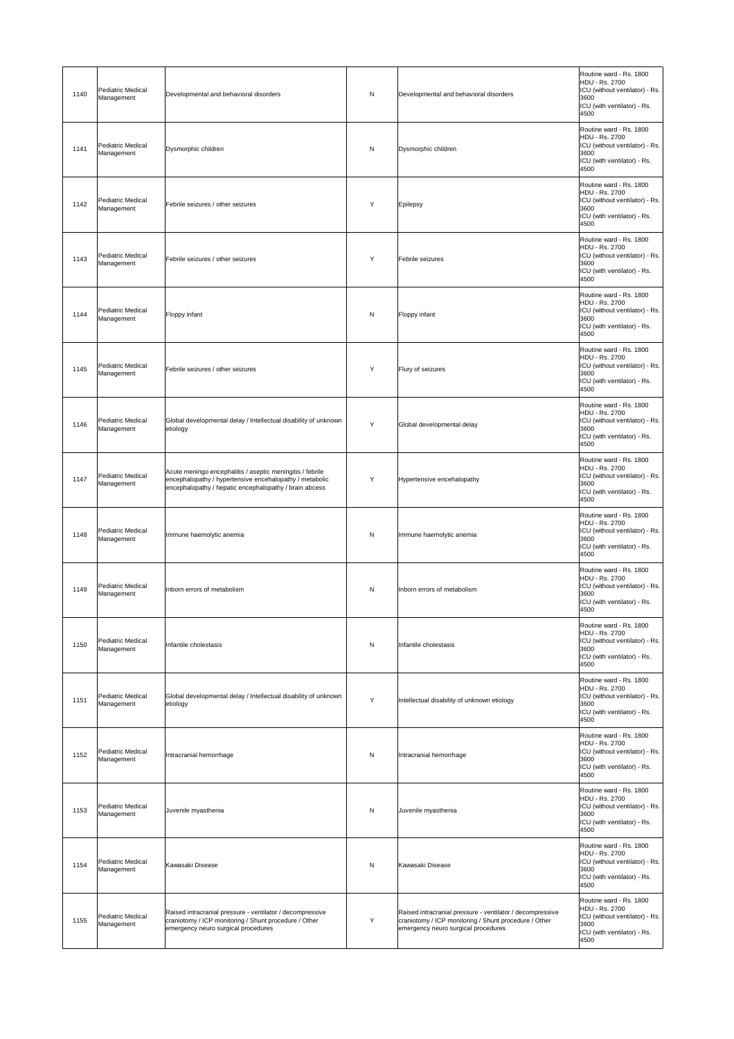| 1140 | <b>Pediatric Medical</b><br>Management | Developmental and behavioral disorders                                                                                                                                         | N            | Developmental and behavioral disorders                                                                                                                    | Routine ward - Rs. 1800<br><b>HDU - Rs. 2700</b><br>ICU (without ventilator) - Rs.<br>3600<br>ICU (with ventilator) - Rs.<br>4500 |
|------|----------------------------------------|--------------------------------------------------------------------------------------------------------------------------------------------------------------------------------|--------------|-----------------------------------------------------------------------------------------------------------------------------------------------------------|-----------------------------------------------------------------------------------------------------------------------------------|
| 1141 | <b>Pediatric Medical</b><br>Management | Dysmorphic children                                                                                                                                                            | N            | Dysmorphic children                                                                                                                                       | Routine ward - Rs. 1800<br><b>HDU - Rs. 2700</b><br>ICU (without ventilator) - Rs.<br>3600<br>ICU (with ventilator) - Rs.<br>4500 |
| 1142 | Pediatric Medical<br>Management        | Febrile seizures / other seizures                                                                                                                                              | Y            | Epilepsy                                                                                                                                                  | Routine ward - Rs. 1800<br><b>HDU - Rs. 2700</b><br>ICU (without ventilator) - Rs.<br>3600<br>ICU (with ventilator) - Rs.<br>4500 |
| 1143 | Pediatric Medical<br>Management        | Febrile seizures / other seizures                                                                                                                                              | Y            | Febrile seizures                                                                                                                                          | Routine ward - Rs. 1800<br><b>HDU - Rs. 2700</b><br>ICU (without ventilator) - Rs.<br>3600<br>ICU (with ventilator) - Rs.<br>4500 |
| 1144 | <b>Pediatric Medical</b><br>Management | Floppy infant                                                                                                                                                                  | $\mathsf{N}$ | <b>Floppy infant</b>                                                                                                                                      | Routine ward - Rs. 1800<br><b>HDU - Rs. 2700</b><br>ICU (without ventilator) - Rs.<br>3600<br>ICU (with ventilator) - Rs.<br>4500 |
| 1145 | Pediatric Medical<br>Management        | Febrile seizures / other seizures                                                                                                                                              | Y            | Flury of seizures                                                                                                                                         | Routine ward - Rs. 1800<br>HDU - Rs. 2700<br>ICU (without ventilator) - Rs.<br>3600<br>ICU (with ventilator) - Rs.<br>4500        |
| 1146 | <b>Pediatric Medical</b><br>Management | Global developmental delay / Intellectual disability of unknown<br>etiology                                                                                                    | Y            | Global developmental delay                                                                                                                                | Routine ward - Rs. 1800<br>HDU - Rs. 2700<br>ICU (without ventilator) - Rs.<br>3600<br>ICU (with ventilator) - Rs.<br>4500        |
| 1147 | Pediatric Medical<br>Management        | Acute meningo encephalitis / aseptic meningitis / febrile<br>encephalopathy / hypertensive encehalopathy / metabolic<br>encephalopathy / hepatic encephalopathy / brain abcess | Y            | Hypertensive encehalopathy                                                                                                                                | Routine ward - Rs. 1800<br><b>HDU - Rs. 2700</b><br>ICU (without ventilator) - Rs.<br>3600<br>ICU (with ventilator) - Rs.<br>4500 |
| 1148 | <b>Pediatric Medical</b><br>Management | Immune haemolytic anemia                                                                                                                                                       | $\mathsf{N}$ | Immune haemolytic anemia                                                                                                                                  | Routine ward - Rs. 1800<br><b>HDU - Rs. 2700</b><br>ICU (without ventilator) - Rs.<br>3600<br>ICU (with ventilator) - Rs.<br>4500 |
| 1149 | <b>Pediatric Medical</b><br>Management | Inborn errors of metabolism                                                                                                                                                    | N            | Inborn errors of metabolism                                                                                                                               | Routine ward - Rs. 1800<br><b>HDU - Rs. 2700</b><br>ICU (without ventilator) - Rs.<br>3600<br>ICU (with ventilator) - Rs.<br>4500 |
| 1150 | Pediatric Medical<br>Management        | Infantile cholestasis                                                                                                                                                          | N            | Infantile cholestasis                                                                                                                                     | Routine ward - Rs. 1800<br><b>HDU - Rs. 2700</b><br>ICU (without ventilator) - Rs.<br>3600<br>ICU (with ventilator) - Rs.<br>4500 |
| 1151 | Pediatric Medical<br>Management        | Global developmental delay / Intellectual disability of unknown<br>etiology                                                                                                    | Y            | Intellectual disability of unknown etiology                                                                                                               | Routine ward - Rs. 1800<br><b>HDU - Rs. 2700</b><br>ICU (without ventilator) - Rs.<br>3600<br>ICU (with ventilator) - Rs.<br>4500 |
| 1152 | <b>Pediatric Medical</b><br>Management | Intracranial hemorrhage                                                                                                                                                        | N            | Intracranial hemorrhage                                                                                                                                   | Routine ward - Rs. 1800<br><b>HDU - Rs. 2700</b><br>ICU (without ventilator) - Rs.<br>3600<br>ICU (with ventilator) - Rs.<br>4500 |
| 1153 | <b>Pediatric Medical</b><br>Management | Juvenile myasthenia                                                                                                                                                            | $\mathsf{N}$ | Juvenile myasthenia                                                                                                                                       | Routine ward - Rs. 1800<br><b>HDU - Rs. 2700</b><br>ICU (without ventilator) - Rs.<br>3600<br>ICU (with ventilator) - Rs.<br>4500 |
| 1154 | Pediatric Medical<br>Management        | Kawasaki Disease                                                                                                                                                               | N            | Kawasaki Disease                                                                                                                                          | Routine ward - Rs. 1800<br>HDU - Rs. 2700<br>ICU (without ventilator) - Rs.<br>3600<br>ICU (with ventilator) - Rs.<br>4500        |
| 1155 | <b>Pediatric Medical</b><br>Management | Raised intracranial pressure - ventilator / decompressive<br>craniotomy / ICP monitoring / Shunt procedure / Other<br>emergency neuro surgical procedures                      | Y            | Raised intracranial pressure - ventilator / decompressive<br>craniotomy / ICP monitoring / Shunt procedure / Other<br>emergency neuro surgical procedures | Routine ward - Rs. 1800<br><b>HDU - Rs. 2700</b><br>ICU (without ventilator) - Rs.<br>3600<br>ICU (with ventilator) - Rs.<br>4500 |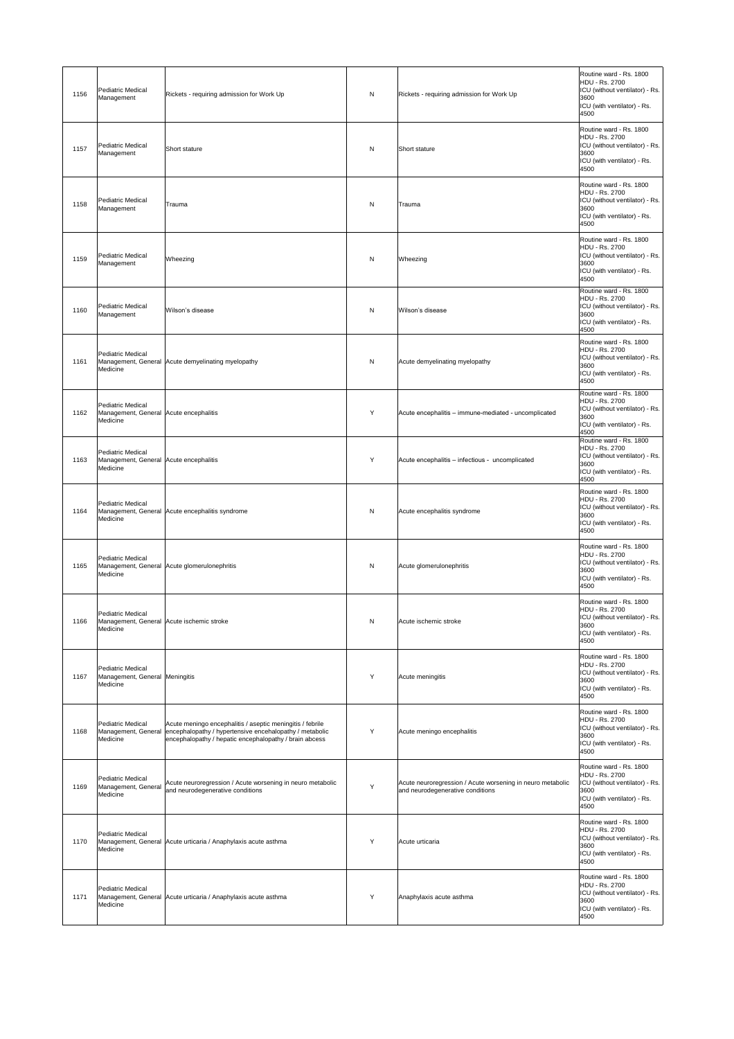| 1156 | <b>Pediatric Medical</b><br>Management                                         | Rickets - requiring admission for Work Up                                                                                                                                                          | N            | Rickets - requiring admission for Work Up                                                      | Routine ward - Rs. 1800<br><b>HDU - Rs. 2700</b><br>ICU (without ventilator) - Rs.<br>3600<br>ICU (with ventilator) - Rs.<br>4500 |
|------|--------------------------------------------------------------------------------|----------------------------------------------------------------------------------------------------------------------------------------------------------------------------------------------------|--------------|------------------------------------------------------------------------------------------------|-----------------------------------------------------------------------------------------------------------------------------------|
| 1157 | <b>Pediatric Medical</b><br>Management                                         | <b>Short stature</b>                                                                                                                                                                               | N            | Short stature                                                                                  | Routine ward - Rs. 1800<br><b>HDU - Rs. 2700</b><br>ICU (without ventilator) - Rs.<br>3600<br>ICU (with ventilator) - Rs.<br>4500 |
| 1158 | <b>Pediatric Medical</b><br>Management                                         | Trauma                                                                                                                                                                                             | N            | Trauma                                                                                         | Routine ward - Rs. 1800<br><b>HDU - Rs. 2700</b><br>ICU (without ventilator) - Rs.<br>3600<br>ICU (with ventilator) - Rs.<br>4500 |
| 1159 | <b>Pediatric Medical</b><br>Management                                         | Wheezing                                                                                                                                                                                           | N            | Wheezing                                                                                       | Routine ward - Rs. 1800<br><b>HDU - Rs. 2700</b><br>ICU (without ventilator) - Rs.<br>3600<br>ICU (with ventilator) - Rs.<br>4500 |
| 1160 | <b>Pediatric Medical</b><br>Management                                         | Wilson's disease                                                                                                                                                                                   | N            | Wilson's disease                                                                               | Routine ward - Rs. 1800<br><b>HDU - Rs. 2700</b><br>ICU (without ventilator) - Rs.<br>3600<br>ICU (with ventilator) - Rs.<br>4500 |
| 1161 | <b>Pediatric Medical</b><br>Medicine                                           | Management, General Acute demyelinating myelopathy                                                                                                                                                 | $\mathsf{N}$ | Acute demyelinating myelopathy                                                                 | Routine ward - Rs. 1800<br><b>HDU - Rs. 2700</b><br>ICU (without ventilator) - Rs.<br>3600<br>ICU (with ventilator) - Rs.<br>4500 |
| 1162 | <b>Pediatric Medical</b><br>Management, General Acute encephalitis<br>Medicine |                                                                                                                                                                                                    | Y            | Acute encephalitis – immune-mediated - uncomplicated                                           | Routine ward - Rs. 1800<br><b>HDU - Rs. 2700</b><br>ICU (without ventilator) - Rs.<br>3600<br>ICU (with ventilator) - Rs.<br>4500 |
| 1163 | <b>Pediatric Medical</b><br>Management, General Acute encephalitis<br>Medicine |                                                                                                                                                                                                    | Y            | Acute encephalitis – infectious - uncomplicated                                                | Routine ward - Rs. 1800<br><b>HDU - Rs. 2700</b><br>ICU (without ventilator) - Rs.<br>3600<br>ICU (with ventilator) - Rs.<br>4500 |
| 1164 | <b>Pediatric Medical</b><br>Medicine                                           | Management, General Acute encephalitis syndrome                                                                                                                                                    | N            | Acute encephalitis syndrome                                                                    | Routine ward - Rs. 1800<br><b>HDU - Rs. 2700</b><br>ICU (without ventilator) - Rs.<br>3600<br>ICU (with ventilator) - Rs.<br>4500 |
| 1165 | <b>Pediatric Medical</b><br>Medicine                                           | Management, General Acute glomerulonephritis                                                                                                                                                       | N            | Acute glomerulonephritis                                                                       | Routine ward - Rs. 1800<br><b>HDU - Rs. 2700</b><br>ICU (without ventilator) - Rs.<br>3600<br>ICU (with ventilator) - Rs.<br>4500 |
| 1166 | <b>Pediatric Medical</b><br>Medicine                                           | Management, General Acute ischemic stroke                                                                                                                                                          | $\mathsf{N}$ | Acute ischemic stroke                                                                          | Routine ward - Rs. 1800<br><b>HDU - Rs. 2700</b><br>ICU (without ventilator) - Rs.<br>3600<br>ICU (with ventilator) - Rs.<br>4500 |
| 1167 | <b>Pediatric Medical</b><br>Management, General Meningitis<br>Medicine         |                                                                                                                                                                                                    | Y            | Acute meningitis                                                                               | Routine ward - Rs. 1800<br>HDU - Rs. 2700<br>ICU (without ventilator) - Rs.<br>3600<br>ICU (with ventilator) - Rs.<br>4500        |
| 1168 | <b>Pediatric Medical</b><br>Medicine                                           | Acute meningo encephalitis / aseptic meningitis / febrile<br>Management, General encephalopathy / hypertensive encehalopathy / metabolic<br>encephalopathy / hepatic encephalopathy / brain abcess | Y            | Acute meningo encephalitis                                                                     | Routine ward - Rs. 1800<br>HDU - Rs. 2700<br>ICU (without ventilator) - Rs.<br>3600<br>ICU (with ventilator) - Rs.<br>4500        |
| 1169 | <b>Pediatric Medical</b><br>Management, General<br>Medicine                    | Acute neuroregression / Acute worsening in neuro metabolic<br>and neurodegenerative conditions                                                                                                     | Y            | Acute neuroregression / Acute worsening in neuro metabolic<br>and neurodegenerative conditions | Routine ward - Rs. 1800<br><b>HDU - Rs. 2700</b><br>ICU (without ventilator) - Rs.<br>3600<br>ICU (with ventilator) - Rs.<br>4500 |
| 1170 | <b>Pediatric Medical</b><br>Medicine                                           | Management, General Acute urticaria / Anaphylaxis acute asthma                                                                                                                                     | Y            | Acute urticaria                                                                                | Routine ward - Rs. 1800<br><b>HDU - Rs. 2700</b><br>ICU (without ventilator) - Rs.<br>3600<br>ICU (with ventilator) - Rs.<br>4500 |
| 1171 | <b>Pediatric Medical</b><br>Medicine                                           | Management, General Acute urticaria / Anaphylaxis acute asthma                                                                                                                                     | Y            | Anaphylaxis acute asthma                                                                       | Routine ward - Rs. 1800<br><b>HDU - Rs. 2700</b><br>ICU (without ventilator) - Rs.<br>3600<br>ICU (with ventilator) - Rs.<br>4500 |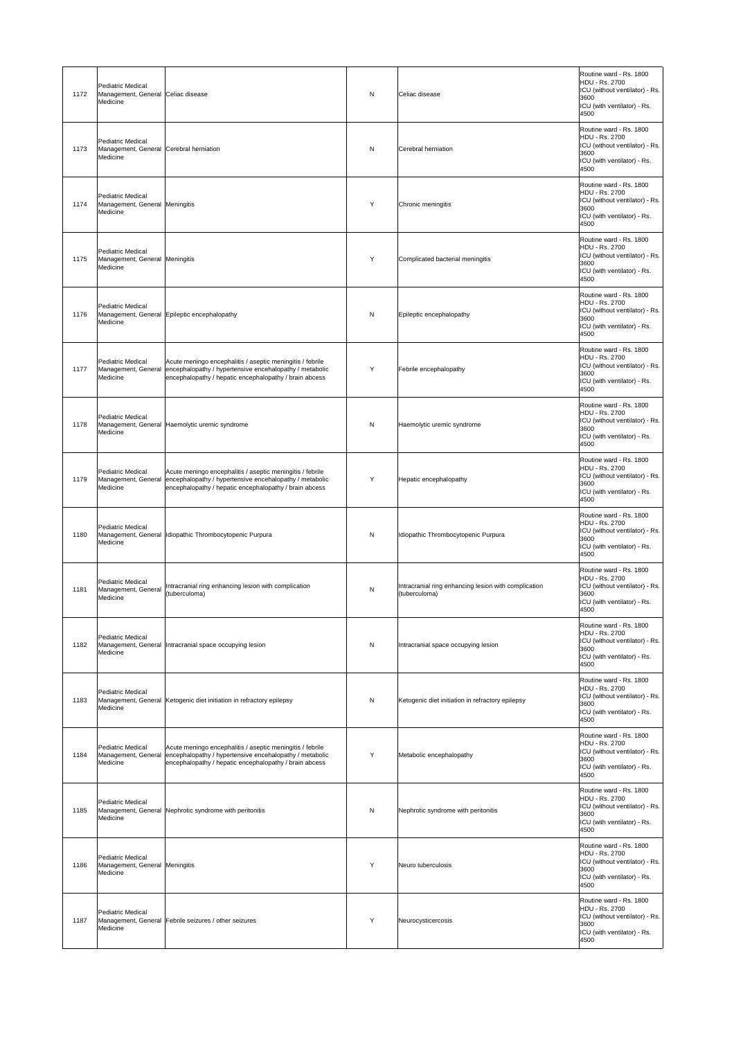| 1172 | <b>Pediatric Medical</b><br>Management, General Celiac disease<br>Medicine      |                                                                                                                                                                                | N            | Celiac disease                                                        | Routine ward - Rs. 1800<br>HDU - Rs. 2700<br>ICU (without ventilator) - Rs.<br>3600<br>ICU (with ventilator) - Rs.<br>4500        |
|------|---------------------------------------------------------------------------------|--------------------------------------------------------------------------------------------------------------------------------------------------------------------------------|--------------|-----------------------------------------------------------------------|-----------------------------------------------------------------------------------------------------------------------------------|
| 1173 | <b>Pediatric Medical</b><br>Management, General Cerebral herniation<br>Medicine |                                                                                                                                                                                | N            | Cerebral herniation                                                   | Routine ward - Rs. 1800<br><b>HDU - Rs. 2700</b><br>ICU (without ventilator) - Rs.<br>3600<br>ICU (with ventilator) - Rs.<br>4500 |
| 1174 | <b>Pediatric Medical</b><br>Management, General Meningitis<br>Medicine          |                                                                                                                                                                                | Y            | Chronic meningitis                                                    | Routine ward - Rs. 1800<br><b>HDU - Rs. 2700</b><br>ICU (without ventilator) - Rs.<br>3600<br>ICU (with ventilator) - Rs.<br>4500 |
| 1175 | <b>Pediatric Medical</b><br>Management, General Meningitis<br>Medicine          |                                                                                                                                                                                | Y            | Complicated bacterial meningitis                                      | Routine ward - Rs. 1800<br><b>HDU - Rs. 2700</b><br>ICU (without ventilator) - Rs.<br>3600<br>ICU (with ventilator) - Rs.<br>4500 |
| 1176 | <b>Pediatric Medical</b><br>Medicine                                            | Management, General Epileptic encephalopathy                                                                                                                                   | N            | Epileptic encephalopathy                                              | Routine ward - Rs. 1800<br><b>HDU - Rs. 2700</b><br>ICU (without ventilator) - Rs.<br>3600<br>ICU (with ventilator) - Rs.<br>4500 |
| 1177 | Pediatric Medical<br>Management, General<br>Medicine                            | Acute meningo encephalitis / aseptic meningitis / febrile<br>encephalopathy / hypertensive encehalopathy / metabolic<br>encephalopathy / hepatic encephalopathy / brain abcess | Y            | Febrile encephalopathy                                                | Routine ward - Rs. 1800<br>HDU - Rs. 2700<br>ICU (without ventilator) - Rs.<br>3600<br>ICU (with ventilator) - Rs.<br>4500        |
| 1178 | <b>Pediatric Medical</b><br>Medicine                                            | Management, General Haemolytic uremic syndrome                                                                                                                                 | N            | Haemolytic uremic syndrome                                            | Routine ward - Rs. 1800<br>HDU - Rs. 2700<br>ICU (without ventilator) - Rs.<br>3600<br>ICU (with ventilator) - Rs.<br>4500        |
| 1179 | Pediatric Medical<br>Management, General<br>Medicine                            | Acute meningo encephalitis / aseptic meningitis / febrile<br>encephalopathy / hypertensive encehalopathy / metabolic<br>encephalopathy / hepatic encephalopathy / brain abcess | Y            | Hepatic encephalopathy                                                | Routine ward - Rs. 1800<br><b>HDU - Rs. 2700</b><br>ICU (without ventilator) - Rs.<br>3600<br>ICU (with ventilator) - Rs.<br>4500 |
| 1180 | <b>Pediatric Medical</b><br>Medicine                                            | Management, General   Idiopathic Thrombocytopenic Purpura                                                                                                                      | $\mathsf{N}$ | Idiopathic Thrombocytopenic Purpura                                   | Routine ward - Rs. 1800<br><b>HDU - Rs. 2700</b><br>ICU (without ventilator) - Rs.<br>3600<br>ICU (with ventilator) - Rs.<br>4500 |
| 1181 | <b>Pediatric Medical</b><br>Management, General<br>Medicine                     | Intracranial ring enhancing lesion with complication<br>(tuberculoma)                                                                                                          | N            | Intracranial ring enhancing lesion with complication<br>(tuberculoma) | Routine ward - Rs. 1800<br>HDU - Rs. 2700<br>ICU (without ventilator) - Rs.<br>3600<br>ICU (with ventilator) - Rs.<br>4500        |
| 1182 | <b>Pediatric Medical</b><br>Medicine                                            | Management, General Intracranial space occupying lesion                                                                                                                        | $\mathsf{N}$ | Intracranial space occupying lesion                                   | Routine ward - Rs. 1800<br>HDU - Rs. 2700<br>ICU (without ventilator) - Rs.<br>3600<br>ICU (with ventilator) - Rs.<br>4500        |
| 1183 | <b>Pediatric Medical</b><br>Medicine                                            | Management, General Ketogenic diet initiation in refractory epilepsy                                                                                                           | $\mathsf{N}$ | Ketogenic diet initiation in refractory epilepsy                      | Routine ward - Rs. 1800<br>HDU - Rs. 2700<br>ICU (without ventilator) - Rs.<br>3600<br>ICU (with ventilator) - Rs.<br>4500        |
| 1184 | Pediatric Medical<br>Management, General<br>Medicine                            | Acute meningo encephalitis / aseptic meningitis / febrile<br>encephalopathy / hypertensive encehalopathy / metabolic<br>encephalopathy / hepatic encephalopathy / brain abcess | Y            | Metabolic encephalopathy                                              | Routine ward - Rs. 1800<br>HDU - Rs. 2700<br>ICU (without ventilator) - Rs.<br>3600<br>ICU (with ventilator) - Rs.<br>4500        |
| 1185 | <b>Pediatric Medical</b><br>Medicine                                            | Management, General Nephrotic syndrome with peritonitis                                                                                                                        | N            | Nephrotic syndrome with peritonitis                                   | Routine ward - Rs. 1800<br><b>HDU - Rs. 2700</b><br>ICU (without ventilator) - Rs.<br>3600<br>ICU (with ventilator) - Rs.<br>4500 |
| 1186 | <b>Pediatric Medical</b><br>Management, General Meningitis<br>Medicine          |                                                                                                                                                                                | Y            | Neuro tuberculosis                                                    | Routine ward - Rs. 1800<br><b>HDU - Rs. 2700</b><br>ICU (without ventilator) - Rs.<br>3600<br>ICU (with ventilator) - Rs.<br>4500 |
| 1187 | <b>Pediatric Medical</b><br>Medicine                                            | Management, General Febrile seizures / other seizures                                                                                                                          | Y            | Neurocysticercosis                                                    | Routine ward - Rs. 1800<br><b>HDU - Rs. 2700</b><br>ICU (without ventilator) - Rs.<br>3600<br>ICU (with ventilator) - Rs.<br>4500 |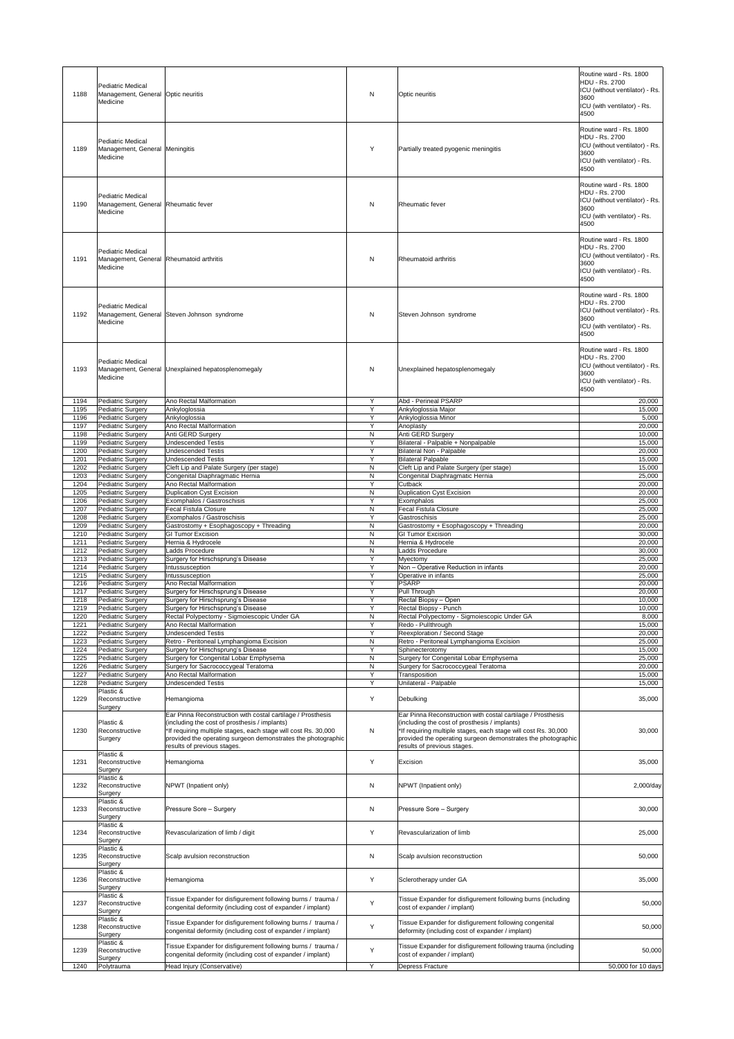| 1188         | <b>Pediatric Medical</b><br>Management, General   Optic neuritis<br>Medicine     |                                                                                                                                                                                                                                                                               | N                            | Optic neuritis                                                                                                                                                                                                                                                                | Routine ward - Rs. 1800<br><b>HDU - Rs. 2700</b><br>ICU (without ventilator) - Rs.<br>3600<br>ICU (with ventilator) - Rs.<br>4500 |
|--------------|----------------------------------------------------------------------------------|-------------------------------------------------------------------------------------------------------------------------------------------------------------------------------------------------------------------------------------------------------------------------------|------------------------------|-------------------------------------------------------------------------------------------------------------------------------------------------------------------------------------------------------------------------------------------------------------------------------|-----------------------------------------------------------------------------------------------------------------------------------|
| 1189         | <b>Pediatric Medical</b><br>Management, General Meningitis<br>Medicine           |                                                                                                                                                                                                                                                                               | Y                            | Partially treated pyogenic meningitis                                                                                                                                                                                                                                         | Routine ward - Rs. 1800<br><b>HDU - Rs. 2700</b><br>ICU (without ventilator) - Rs.<br>3600<br>ICU (with ventilator) - Rs.<br>4500 |
| 1190         | <b>Pediatric Medical</b><br>Management, General Rheumatic fever<br>Medicine      |                                                                                                                                                                                                                                                                               | N                            | <b>Rheumatic fever</b>                                                                                                                                                                                                                                                        | Routine ward - Rs. 1800<br>HDU - Rs. 2700<br>ICU (without ventilator) - Rs.<br>3600<br>ICU (with ventilator) - Rs.<br>4500        |
| 1191         | <b>Pediatric Medical</b><br>Management, General Rheumatoid arthritis<br>Medicine |                                                                                                                                                                                                                                                                               | N                            | <b>Rheumatoid arthritis</b>                                                                                                                                                                                                                                                   | Routine ward - Rs. 1800<br>HDU - Rs. 2700<br>ICU (without ventilator) - Rs.<br>3600<br>ICU (with ventilator) - Rs.<br>4500        |
| 1192         | <b>Pediatric Medical</b><br>Medicine                                             | Management, General Steven Johnson syndrome                                                                                                                                                                                                                                   | N                            | Steven Johnson syndrome                                                                                                                                                                                                                                                       | Routine ward - Rs. 1800<br><b>HDU - Rs. 2700</b><br>ICU (without ventilator) - Rs.<br>3600<br>ICU (with ventilator) - Rs.<br>4500 |
| 1193         | <b>Pediatric Medical</b><br>Medicine                                             | Management, General Unexplained hepatosplenomegaly                                                                                                                                                                                                                            | N                            | Unexplained hepatosplenomegaly                                                                                                                                                                                                                                                | Routine ward - Rs. 1800<br><b>HDU - Rs. 2700</b><br>ICU (without ventilator) - Rs.<br>3600<br>ICU (with ventilator) - Rs.<br>4500 |
| 1194         | Pediatric Surgery                                                                | Ano Rectal Malformation                                                                                                                                                                                                                                                       | Y                            | Abd - Perineal PSARP                                                                                                                                                                                                                                                          | 20,000                                                                                                                            |
| 1195<br>1196 | <b>Pediatric Surgery</b><br>Pediatric Surgery                                    | Ankyloglossia<br>Ankyloglossia                                                                                                                                                                                                                                                | Y<br>Y                       | Ankyloglossia Major<br>Ankyloglossia Minor                                                                                                                                                                                                                                    | 15,000<br>5,000                                                                                                                   |
| 1197         | Pediatric Surgery                                                                | <b>Ano Rectal Malformation</b>                                                                                                                                                                                                                                                | Y                            | Anoplasty                                                                                                                                                                                                                                                                     | 20,000                                                                                                                            |
| 1198<br>1199 | Pediatric Surgery<br><b>Pediatric Surgery</b>                                    | Anti GERD Surgery<br><b>Undescended Testis</b>                                                                                                                                                                                                                                | N<br>Y                       | <b>Anti GERD Surgery</b><br>Bilateral - Palpable + Nonpalpable                                                                                                                                                                                                                | 10,000<br>15,000                                                                                                                  |
| 1200         | <b>Pediatric Surgery</b>                                                         | <b>Undescended Testis</b>                                                                                                                                                                                                                                                     | Y                            | <b>Bilateral Non - Palpable</b>                                                                                                                                                                                                                                               | 20,000                                                                                                                            |
| 1201         | <b>Pediatric Surgery</b>                                                         | <b>Undescended Testis</b>                                                                                                                                                                                                                                                     | Y                            | <b>Bilateral Palpable</b>                                                                                                                                                                                                                                                     | 15,000                                                                                                                            |
| 1202         | Pediatric Surgery                                                                | Cleft Lip and Palate Surgery (per stage)                                                                                                                                                                                                                                      | N                            | Cleft Lip and Palate Surgery (per stage)                                                                                                                                                                                                                                      | 15,000                                                                                                                            |
| 1203<br>1204 | Pediatric Surgery<br><b>Pediatric Surgery</b>                                    | Congenital Diaphragmatic Hernia<br>Ano Rectal Malformation                                                                                                                                                                                                                    | N<br>Y                       | Congenital Diaphragmatic Hernia<br><b>Cutback</b>                                                                                                                                                                                                                             | 25,000<br>20,000                                                                                                                  |
| 1205         | Pediatric Surgery                                                                | <b>Duplication Cyst Excision</b>                                                                                                                                                                                                                                              | N                            | <b>Duplication Cyst Excision</b>                                                                                                                                                                                                                                              | 20,000                                                                                                                            |
| 1206         | Pediatric Surgery                                                                | Exomphalos / Gastroschisis                                                                                                                                                                                                                                                    | Y                            | Exomphalos                                                                                                                                                                                                                                                                    | 25,000                                                                                                                            |
| 1207<br>1208 | Pediatric Surgery<br>Pediatric Surgery                                           | <b>Fecal Fistula Closure</b><br>Exomphalos / Gastroschisis                                                                                                                                                                                                                    | $\mathsf{N}$<br>Y            | <b>Fecal Fistula Closure</b><br>Gastroschisis                                                                                                                                                                                                                                 | 25,000<br>25,000                                                                                                                  |
| 1209         | Pediatric Surgery                                                                | Gastrostomy + Esophagoscopy + Threading                                                                                                                                                                                                                                       | $\mathsf{N}$                 | Gastrostomy + Esophagoscopy + Threading                                                                                                                                                                                                                                       | 20,000                                                                                                                            |
| 1210         | Pediatric Surgery                                                                | <b>GI Tumor Excision</b>                                                                                                                                                                                                                                                      | $\mathsf{N}$                 | <b>GI Tumor Excision</b>                                                                                                                                                                                                                                                      | 30,000                                                                                                                            |
| 1211<br>1212 | Pediatric Surgery<br><b>Pediatric Surgery</b>                                    | Hernia & Hydrocele<br><b>Ladds Procedure</b>                                                                                                                                                                                                                                  | $\mathsf{N}$<br>$\mathsf{N}$ | Hernia & Hydrocele<br><b>Ladds Procedure</b>                                                                                                                                                                                                                                  | 20,000<br>30,000                                                                                                                  |
| 1213         | Pediatric Surgery                                                                | Surgery for Hirschsprung's Disease                                                                                                                                                                                                                                            | Y                            | Myectomy                                                                                                                                                                                                                                                                      | 25,000                                                                                                                            |
| 1214         | <b>Pediatric Surgery</b>                                                         | Intussusception                                                                                                                                                                                                                                                               | Y                            | Non - Operative Reduction in infants                                                                                                                                                                                                                                          | 20,000                                                                                                                            |
| 1215<br>1216 | Pediatric Surgery<br>Pediatric Surgery                                           | Intussusception<br><b>Ano Rectal Malformation</b>                                                                                                                                                                                                                             | Y<br>Y                       | Operative in infants<br><b>PSARP</b>                                                                                                                                                                                                                                          | 25,000<br>20,000                                                                                                                  |
| 1217         | <b>Pediatric Surgery</b>                                                         | Surgery for Hirschsprung's Disease                                                                                                                                                                                                                                            | Y                            | Pull Through                                                                                                                                                                                                                                                                  | 20,000                                                                                                                            |
| 1218         | Pediatric Surgery                                                                | Surgery for Hirschsprung's Disease                                                                                                                                                                                                                                            | Y                            | Rectal Biopsy - Open                                                                                                                                                                                                                                                          | 10,000                                                                                                                            |
| 1219<br>1220 | <b>Pediatric Surgery</b><br>Pediatric Surgery                                    | Surgery for Hirschsprung's Disease<br>Rectal Polypectomy - Sigmoiescopic Under GA                                                                                                                                                                                             | Y<br>$\mathsf{N}$            | Rectal Biopsy - Punch<br>Rectal Polypectomy - Sigmoiescopic Under GA                                                                                                                                                                                                          | 10,000<br>8,000                                                                                                                   |
| 1221         | <b>Pediatric Surgery</b>                                                         | Ano Rectal Malformation                                                                                                                                                                                                                                                       | Y                            | Redo - Pullthrough                                                                                                                                                                                                                                                            | 15,000                                                                                                                            |
| 1222         | <b>Pediatric Surgery</b>                                                         | <b>Undescended Testis</b>                                                                                                                                                                                                                                                     | Y                            | Reexploration / Second Stage                                                                                                                                                                                                                                                  | 20,000                                                                                                                            |
| 1223<br>1224 | Pediatric Surgery<br>Pediatric Surgery                                           | Retro - Peritoneal Lymphangioma Excision<br>Surgery for Hirschsprung's Disease                                                                                                                                                                                                | $\mathsf{N}$<br>Y            | Retro - Peritoneal Lymphangioma Excision<br>Sphinecterotomy                                                                                                                                                                                                                   | 25,000<br>15,000                                                                                                                  |
| 1225         | <b>Pediatric Surgery</b>                                                         | Surgery for Congenital Lobar Emphysema                                                                                                                                                                                                                                        | $\mathsf{N}$                 | Surgery for Congenital Lobar Emphysema                                                                                                                                                                                                                                        | 25,000                                                                                                                            |
| 1226         | <b>Pediatric Surgery</b>                                                         | Surgery for Sacrococcygeal Teratoma                                                                                                                                                                                                                                           | N                            | Surgery for Sacrococcygeal Teratoma                                                                                                                                                                                                                                           | 20,000                                                                                                                            |
| 1227<br>1228 | Pediatric Surgery<br><b>Pediatric Surgery</b>                                    | Ano Rectal Malformation<br><b>Undescended Testis</b>                                                                                                                                                                                                                          | Y<br>Y                       | Transposition<br>Unilateral - Palpable                                                                                                                                                                                                                                        | 15,000<br>15,000                                                                                                                  |
| 1229         | Plastic &<br>Reconstructive                                                      | Hemangioma                                                                                                                                                                                                                                                                    | Y                            | Debulking                                                                                                                                                                                                                                                                     | 35,000                                                                                                                            |
| 1230         | Surgery<br>Plastic &<br>Reconstructive<br>Surgery                                | Ear Pinna Reconstruction with costal cartilage / Prosthesis<br>(including the cost of prosthesis / implants)<br>*If requiring multiple stages, each stage will cost Rs. 30,000<br>provided the operating surgeon demonstrates the photographic<br>results of previous stages. | N                            | Ear Pinna Reconstruction with costal cartilage / Prosthesis<br>(including the cost of prosthesis / implants)<br>*If requiring multiple stages, each stage will cost Rs. 30,000<br>provided the operating surgeon demonstrates the photographic<br>results of previous stages. | 30,000                                                                                                                            |
| 1231         | Plastic &<br>Reconstructive<br>Surgery                                           | Hemangioma                                                                                                                                                                                                                                                                    | Y                            | Excision                                                                                                                                                                                                                                                                      | 35,000                                                                                                                            |
| 1232         | Plastic &<br>Reconstructive<br>Surgery                                           | NPWT (Inpatient only)                                                                                                                                                                                                                                                         | N                            | NPWT (Inpatient only)                                                                                                                                                                                                                                                         | 2,000/day                                                                                                                         |
| 1233         | Plastic &<br>Reconstructive<br>Surgery                                           | Pressure Sore - Surgery                                                                                                                                                                                                                                                       | N                            | Pressure Sore - Surgery                                                                                                                                                                                                                                                       | 30,000                                                                                                                            |
| 1234         | Plastic &<br>Reconstructive<br><b>Surgery</b><br>Plastic &                       | Revascularization of limb / digit                                                                                                                                                                                                                                             | Y                            | Revascularization of limb                                                                                                                                                                                                                                                     | 25,000                                                                                                                            |
| 1235         | Reconstructive<br>Surgery<br>Plastic &                                           | Scalp avulsion reconstruction                                                                                                                                                                                                                                                 | $\mathsf{N}$                 | Scalp avulsion reconstruction                                                                                                                                                                                                                                                 | 50,000                                                                                                                            |
| 1236         | Reconstructive<br>Surgery<br>Plastic &                                           | Hemangioma                                                                                                                                                                                                                                                                    | Y                            | Sclerotherapy under GA                                                                                                                                                                                                                                                        | 35,000                                                                                                                            |
| 1237         | Reconstructive<br>Surgery<br>Plastic &                                           | Tissue Expander for disfigurement following burns / trauma /<br>congenital deformity (including cost of expander / implant)                                                                                                                                                   | Y                            | Tissue Expander for disfigurement following burns (including<br>cost of expander / implant)                                                                                                                                                                                   | 50,000                                                                                                                            |
| 1238         | Reconstructive<br>Surgery<br>Plastic &                                           | Tissue Expander for disfigurement following burns / trauma /<br>congenital deformity (including cost of expander / implant)                                                                                                                                                   | Y                            | Tissue Expander for disfigurement following congenital<br>deformity (including cost of expander / implant)                                                                                                                                                                    | 50,000                                                                                                                            |
| 1239<br>1240 | Reconstructive<br>Surgery<br>Polytrauma                                          | Tissue Expander for disfigurement following burns / trauma /<br>congenital deformity (including cost of expander / implant)<br>Head Injury (Conservative)                                                                                                                     | Y<br>Y                       | Tissue Expander for disfigurement following trauma (including<br>cost of expander / implant)<br><b>Depress Fracture</b>                                                                                                                                                       | 50,000<br>50,000 for 10 days                                                                                                      |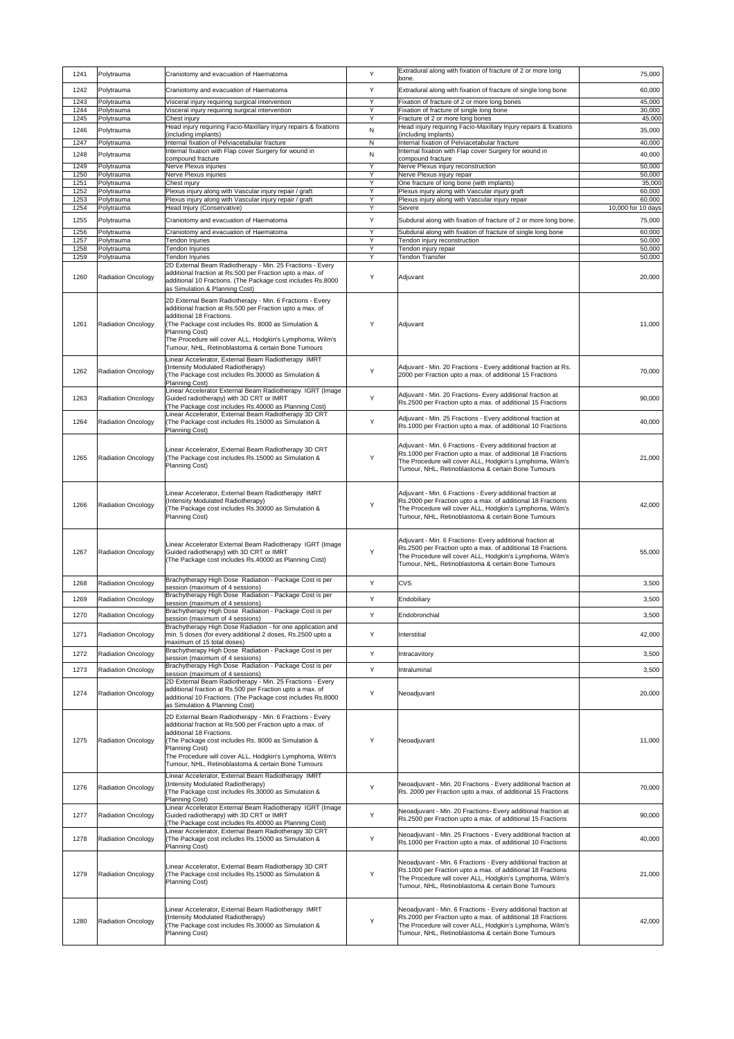| 1241         | Polytrauma                              | Craniotomy and evacuation of Haematoma                                                                                                                                                                                                                                                                                                              | Y           | Extradural along with fixation of fracture of 2 or more long<br>bone.                                                                                                                                                                          | 75,000             |
|--------------|-----------------------------------------|-----------------------------------------------------------------------------------------------------------------------------------------------------------------------------------------------------------------------------------------------------------------------------------------------------------------------------------------------------|-------------|------------------------------------------------------------------------------------------------------------------------------------------------------------------------------------------------------------------------------------------------|--------------------|
| 1242         | Polytrauma                              | Craniotomy and evacuation of Haematoma                                                                                                                                                                                                                                                                                                              | Y           | Extradural along with fixation of fracture of single long bone                                                                                                                                                                                 | 60,000             |
| 1243         | Polytrauma                              | Visceral injury requiring surgical intervention                                                                                                                                                                                                                                                                                                     | Y           | Fixation of fracture of 2 or more long bones                                                                                                                                                                                                   | 45,000             |
| 1244         | Polytrauma                              | Visceral injury requiring surgical intervention                                                                                                                                                                                                                                                                                                     | Y           | Fixation of fracture of single long bone                                                                                                                                                                                                       | 30,000             |
| 1245         | Polytrauma                              | Chest injury<br>Head injury requiring Facio-Maxillary Injury repairs & fixations                                                                                                                                                                                                                                                                    | Y           | Fracture of 2 or more long bones<br>Head injury requiring Facio-Maxillary Injury repairs & fixations                                                                                                                                           | 45,000             |
| 1246         | Polytrauma                              | (including implants)                                                                                                                                                                                                                                                                                                                                | N           | (including implants)                                                                                                                                                                                                                           | 35,000             |
| 1247<br>1248 | Polytrauma                              | Internal fixation of Pelviacetabular fracture<br>Internal fixation with Flap cover Surgery for wound in                                                                                                                                                                                                                                             | N<br>N      | Internal fixation of Pelviacetabular fracture<br>Internal fixation with Flap cover Surgery for wound in                                                                                                                                        | 40,000<br>40,000   |
| 1249         | Polytrauma<br>Polytrauma                | compound fracture<br>Nerve Plexus injuries                                                                                                                                                                                                                                                                                                          | Y           | compound fracture<br>Nerve Plexus injury reconstruction                                                                                                                                                                                        | 50,000             |
| 1250         | Polytrauma                              | Nerve Plexus injuries                                                                                                                                                                                                                                                                                                                               | Y           | Nerve Plexus injury repair                                                                                                                                                                                                                     | 50,000             |
| 1251<br>1252 | Polytrauma<br>Polytrauma                | Chest injury<br>Plexus injury along with Vascular injury repair / graft                                                                                                                                                                                                                                                                             | $\vee$<br>Y | One fracture of long bone (with implants)<br>Plexus injury along with Vascular injury graft                                                                                                                                                    | 35,000<br>60,000   |
| 1253         | Polytrauma                              | Plexus injury along with Vascular injury repair / graft                                                                                                                                                                                                                                                                                             | Y           | Plexus injury along with Vascular injury repair                                                                                                                                                                                                | 60,000             |
| 1254         | Polytrauma                              | Head Injury (Conservative)                                                                                                                                                                                                                                                                                                                          | Y           | Severe                                                                                                                                                                                                                                         | 10,000 for 10 days |
| 1255         | Polytrauma                              | Craniotomy and evacuation of Haematoma                                                                                                                                                                                                                                                                                                              | Y           | Subdural along with fixation of fracture of 2 or more long bone.                                                                                                                                                                               | 75,000             |
| 1256<br>1257 | Polytrauma<br>Polytrauma                | Craniotomy and evacuation of Haematoma<br>Tendon Injuries                                                                                                                                                                                                                                                                                           | Y<br>Y      | Subdural along with fixation of fracture of single long bone<br>Tendon injury reconstruction                                                                                                                                                   | 60,000<br>50,000   |
| 1258         | Polytrauma                              | Tendon Injuries                                                                                                                                                                                                                                                                                                                                     | Y           | Tendon injury repair                                                                                                                                                                                                                           | 50,000             |
| 1259<br>1260 | Polytrauma<br><b>Radiation Oncology</b> | Tendon Injuries<br>2D External Beam Radiotherapy - Min. 25 Fractions - Every<br>additional fraction at Rs.500 per Fraction upto a max. of<br>additional 10 Fractions. (The Package cost includes Rs.8000<br>as Simulation & Planning Cost)                                                                                                          | Y<br>Y      | <b>Tendon Transfer</b><br>Adjuvant                                                                                                                                                                                                             | 50,000<br>20,000   |
| 1261         | Radiation Oncology                      | 2D External Beam Radiotherapy - Min. 6 Fractions - Every<br>additional fraction at Rs.500 per Fraction upto a max. of<br>additional 18 Fractions.<br>(The Package cost includes Rs. 8000 as Simulation &<br>Planning Cost)<br>The Procedure will cover ALL, Hodgkin's Lymphoma, Wilm's<br>Tumour, NHL, Retinoblastoma & certain Bone Tumours        |             | Adjuvant                                                                                                                                                                                                                                       | 11,000             |
| 1262         | Radiation Oncology                      | Linear Accelerator, External Beam Radiotherapy IMRT<br>(Intensity Modulated Radiotherapy)<br>(The Package cost includes Rs.30000 as Simulation &<br><b>Planning Cost)</b>                                                                                                                                                                           | Y           | Adjuvant - Min. 20 Fractions - Every additional fraction at Rs.<br>2000 per Fraction upto a max. of additional 15 Fractions                                                                                                                    | 70,000             |
| 1263         | <b>Radiation Oncology</b>               | Linear Accelerator External Beam Radiotherapy IGRT (Image<br>Guided radiotherapy) with 3D CRT or IMRT<br>(The Package cost includes Rs.40000 as Planning Cost)                                                                                                                                                                                      | Y           | Adjuvant - Min. 20 Fractions- Every additional fraction at<br>Rs.2500 per Fraction upto a max. of additional 15 Fractions                                                                                                                      | 90,000             |
| 1264         | Radiation Oncology                      | Linear Accelerator, External Beam Radiotherapy 3D CRT<br>(The Package cost includes Rs.15000 as Simulation &<br><b>Planning Cost)</b>                                                                                                                                                                                                               | Y           | Adjuvant - Min. 25 Fractions - Every additional fraction at<br>Rs.1000 per Fraction upto a max. of additional 10 Fractions                                                                                                                     | 40,000             |
| 1265         | Radiation Oncology                      | Linear Accelerator, External Beam Radiotherapy 3D CRT<br>(The Package cost includes Rs.15000 as Simulation &<br><b>Planning Cost)</b>                                                                                                                                                                                                               | Y           | Adjuvant - Min. 6 Fractions - Every additional fraction at<br>Rs.1000 per Fraction upto a max. of additional 18 Fractions<br>The Procedure will cover ALL, Hodgkin's Lymphoma, Wilm's<br>Tumour, NHL, Retinoblastoma & certain Bone Tumours    | 21,000             |
| 1266         | <b>Radiation Oncology</b>               | Linear Accelerator, External Beam Radiotherapy IMRT<br>(Intensity Modulated Radiotherapy)<br>(The Package cost includes Rs.30000 as Simulation &<br><b>Planning Cost)</b>                                                                                                                                                                           | Y           | Adjuvant - Min. 6 Fractions - Every additional fraction at<br>Rs.2000 per Fraction upto a max. of additional 18 Fractions<br>The Procedure will cover ALL, Hodgkin's Lymphoma, Wilm's<br>Tumour, NHL, Retinoblastoma & certain Bone Tumours    | 42,000             |
| 1267         | <b>Radiation Oncology</b>               | Linear Accelerator External Beam Radiotherapy IGRT (Image<br>Guided radiotherapy) with 3D CRT or IMRT<br>(The Package cost includes Rs.40000 as Planning Cost)                                                                                                                                                                                      | Y           | Adjuvant - Min. 6 Fractions- Every additional fraction at<br>Rs.2500 per Fraction upto a max. of additional 18 Fractions<br>The Procedure will cover ALL, Hodgkin's Lymphoma, Wilm's<br>Tumour, NHL, Retinoblastoma & certain Bone Tumours     | 55,000             |
| 1268         | <b>Radiation Oncology</b>               | Brachytherapy High Dose Radiation - Package Cost is per<br>session (maximum of 4 sessions)                                                                                                                                                                                                                                                          | Y           | <b>CVS</b>                                                                                                                                                                                                                                     | 3,500              |
| 1269         | <b>Radiation Oncology</b>               | Brachytherapy High Dose Radiation - Package Cost is per                                                                                                                                                                                                                                                                                             | Y           | Endobiliary                                                                                                                                                                                                                                    | 3,500              |
|              |                                         | session (maximum of 4 sessions)<br>Brachytherapy High Dose Radiation - Package Cost is per                                                                                                                                                                                                                                                          |             |                                                                                                                                                                                                                                                |                    |
| 1270         | <b>Radiation Oncology</b>               | session (maximum of 4 sessions)                                                                                                                                                                                                                                                                                                                     | Y           | Endobronchial                                                                                                                                                                                                                                  | 3,500              |
| 1271         | Radiation Oncology                      | Brachytherapy High Dose Radiation - for one application and<br>min. 5 doses (for every additional 2 doses, Rs.2500 upto a<br>maximum of 15 total doses)                                                                                                                                                                                             | Y           | Interstitial                                                                                                                                                                                                                                   | 42,000             |
| 1272         | <b>Radiation Oncology</b>               | Brachytherapy High Dose Radiation - Package Cost is per<br>session (maximum of 4 sessions)                                                                                                                                                                                                                                                          | Y           | Intracavitory                                                                                                                                                                                                                                  | 3,500              |
| 1273         | <b>Radiation Oncology</b>               | Brachytherapy High Dose Radiation - Package Cost is per<br>session (maximum of 4 sessions)                                                                                                                                                                                                                                                          | Y           | Intraluminal                                                                                                                                                                                                                                   | 3,500              |
| 1274         | Radiation Oncology                      | 2D External Beam Radiotherapy - Min. 25 Fractions - Every<br>additional fraction at Rs.500 per Fraction upto a max. of<br>additional 10 Fractions. (The Package cost includes Rs.8000<br>as Simulation & Planning Cost)                                                                                                                             | Y           | Neoadjuvant                                                                                                                                                                                                                                    | 20,000             |
| 1275         | <b>Radiation Oncology</b>               | 2D External Beam Radiotherapy - Min. 6 Fractions - Every<br>additional fraction at Rs.500 per Fraction upto a max. of<br>additional 18 Fractions.<br>(The Package cost includes Rs. 8000 as Simulation &<br><b>Planning Cost)</b><br>The Procedure will cover ALL, Hodgkin's Lymphoma, Wilm's<br>Tumour, NHL, Retinoblastoma & certain Bone Tumours | Y           | Neoadjuvant                                                                                                                                                                                                                                    | 11,000             |
| 1276         | <b>Radiation Oncology</b>               | Linear Accelerator, External Beam Radiotherapy IMRT<br>(Intensity Modulated Radiotherapy)<br>(The Package cost includes Rs.30000 as Simulation &<br><b>Planning Cost)</b>                                                                                                                                                                           | Y           | Neoadjuvant - Min. 20 Fractions - Every additional fraction at<br>Rs. 2000 per Fraction upto a max. of additional 15 Fractions                                                                                                                 | 70,000             |
| 1277         | Radiation Oncology                      | Linear Accelerator External Beam Radiotherapy IGRT (Image<br>Guided radiotherapy) with 3D CRT or IMRT<br>(The Package cost includes Rs.40000 as Planning Cost)                                                                                                                                                                                      | Y           | Neoadjuvant - Min. 20 Fractions- Every additional fraction at<br>Rs.2500 per Fraction upto a max. of additional 15 Fractions                                                                                                                   | 90,000             |
| 1278         | <b>Radiation Oncology</b>               | Linear Accelerator, External Beam Radiotherapy 3D CRT<br>(The Package cost includes Rs.15000 as Simulation &<br><b>Planning Cost)</b>                                                                                                                                                                                                               | Y           | Neoadjuvant - Min. 25 Fractions - Every additional fraction at<br>Rs.1000 per Fraction upto a max. of additional 10 Fractions                                                                                                                  | 40,000             |
| 1279         | <b>Radiation Oncology</b>               | Linear Accelerator, External Beam Radiotherapy 3D CRT<br>(The Package cost includes Rs.15000 as Simulation &<br>Planning Cost)                                                                                                                                                                                                                      | Y           | Neoadjuvant - Min. 6 Fractions - Every additional fraction at<br>Rs.1000 per Fraction upto a max. of additional 18 Fractions<br>The Procedure will cover ALL, Hodgkin's Lymphoma, Wilm's<br>Tumour, NHL, Retinoblastoma & certain Bone Tumours | 21,000             |
| 1280         | <b>Radiation Oncology</b>               | Linear Accelerator, External Beam Radiotherapy IMRT<br>(Intensity Modulated Radiotherapy)<br>The Package cost includes Rs.30000 as Simulation &<br><b>Planning Cost)</b>                                                                                                                                                                            | Y           | Neoadjuvant - Min. 6 Fractions - Every additional fraction at<br>Rs.2000 per Fraction upto a max. of additional 18 Fractions<br>The Procedure will cover ALL, Hodgkin's Lymphoma, Wilm's<br>Tumour, NHL, Retinoblastoma & certain Bone Tumours | 42,000             |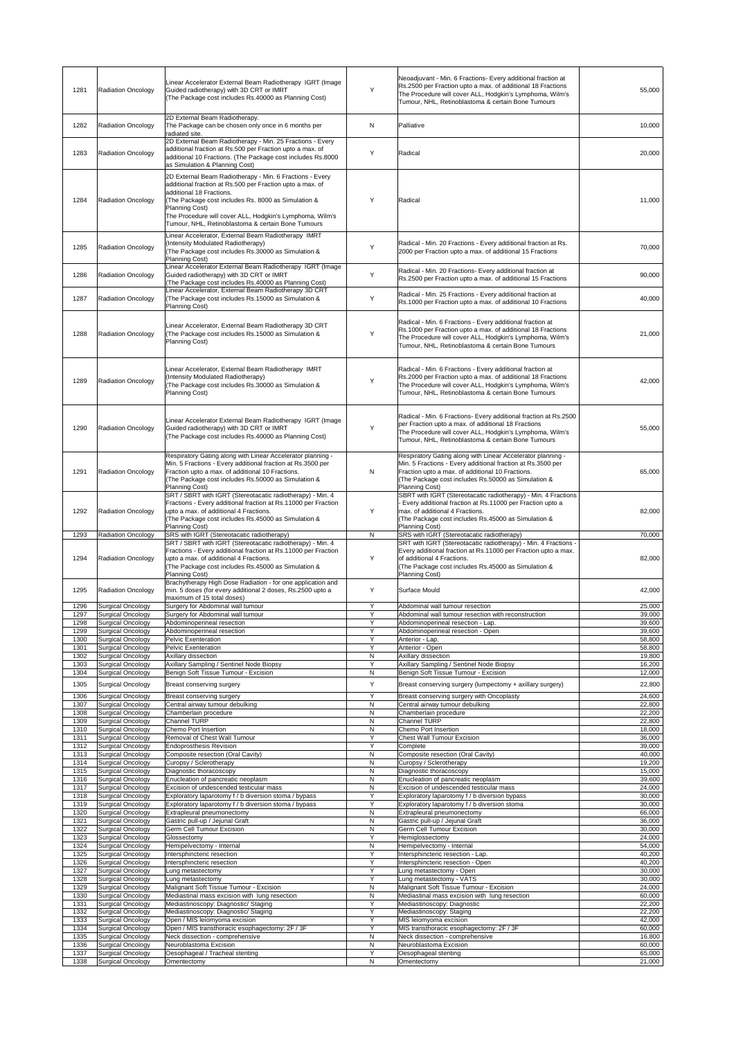| 1281         | <b>Radiation Oncology</b>                            | Linear Accelerator External Beam Radiotherapy IGRT (Image<br>Guided radiotherapy) with 3D CRT or IMRT<br>(The Package cost includes Rs.40000 as Planning Cost)                                                                                                                                                                              | Y         | Neoadjuvant - Min. 6 Fractions- Every additional fraction at<br>Rs.2500 per Fraction upto a max. of additional 18 Fractions<br>The Procedure will cover ALL, Hodgkin's Lymphoma, Wilm's<br>Tumour, NHL, Retinoblastoma & certain Bone Tumours                  | 55,000           |
|--------------|------------------------------------------------------|---------------------------------------------------------------------------------------------------------------------------------------------------------------------------------------------------------------------------------------------------------------------------------------------------------------------------------------------|-----------|----------------------------------------------------------------------------------------------------------------------------------------------------------------------------------------------------------------------------------------------------------------|------------------|
| 1282         | <b>Radiation Oncology</b>                            | 2D External Beam Radiotherapy.<br>The Package can be chosen only once in 6 months per<br>radiated site.                                                                                                                                                                                                                                     | N         | Palliative                                                                                                                                                                                                                                                     | 10,000           |
| 1283         | <b>Radiation Oncology</b>                            | 2D External Beam Radiotherapy - Min. 25 Fractions - Every<br>additional fraction at Rs.500 per Fraction upto a max. of<br>additional 10 Fractions. (The Package cost includes Rs.8000<br>as Simulation & Planning Cost)                                                                                                                     | Y         | Radical                                                                                                                                                                                                                                                        | 20,000           |
| 1284         | <b>Radiation Oncology</b>                            | 2D External Beam Radiotherapy - Min. 6 Fractions - Every<br>additional fraction at Rs.500 per Fraction upto a max. of<br>additional 18 Fractions.<br>The Package cost includes Rs. 8000 as Simulation &<br>Planning Cost)<br>The Procedure will cover ALL, Hodgkin's Lymphoma, Wilm's<br>Tumour, NHL, Retinoblastoma & certain Bone Tumours | Y         | Radical                                                                                                                                                                                                                                                        | 11,000           |
| 1285         | <b>Radiation Oncology</b>                            | Linear Accelerator, External Beam Radiotherapy IMRT<br>(Intensity Modulated Radiotherapy)<br>(The Package cost includes Rs.30000 as Simulation &<br>Planning Cost)                                                                                                                                                                          | Y         | Radical - Min. 20 Fractions - Every additional fraction at Rs.<br>2000 per Fraction upto a max. of additional 15 Fractions                                                                                                                                     | 70,000           |
| 1286         | <b>Radiation Oncology</b>                            | Linear Accelerator External Beam Radiotherapy IGRT (Image<br>Guided radiotherapy) with 3D CRT or IMRT<br>(The Package cost includes Rs.40000 as Planning Cost)                                                                                                                                                                              | Y         | Radical - Min. 20 Fractions- Every additional fraction at<br>Rs.2500 per Fraction upto a max. of additional 15 Fractions                                                                                                                                       | 90,000           |
| 1287         | <b>Radiation Oncology</b>                            | Linear Accelerator, External Beam Radiotherapy 3D CRT<br>The Package cost includes Rs.15000 as Simulation &<br>Planning Cost)                                                                                                                                                                                                               | Y         | Radical - Min. 25 Fractions - Every additional fraction at<br>Rs.1000 per Fraction upto a max. of additional 10 Fractions                                                                                                                                      | 40,000           |
| 1288         | <b>Radiation Oncology</b>                            | Linear Accelerator, External Beam Radiotherapy 3D CRT<br>(The Package cost includes Rs.15000 as Simulation &<br>Planning Cost)                                                                                                                                                                                                              | Y         | Radical - Min. 6 Fractions - Every additional fraction at<br>Rs.1000 per Fraction upto a max. of additional 18 Fractions<br>The Procedure will cover ALL, Hodgkin's Lymphoma, Wilm's<br>Tumour, NHL, Retinoblastoma & certain Bone Tumours                     | 21,000           |
| 1289         | Radiation Oncology                                   | Linear Accelerator, External Beam Radiotherapy IMRT<br>(Intensity Modulated Radiotherapy)<br>(The Package cost includes Rs.30000 as Simulation &<br>Planning Cost)                                                                                                                                                                          | Y         | Radical - Min. 6 Fractions - Every additional fraction at<br>Rs.2000 per Fraction upto a max. of additional 18 Fractions<br>The Procedure will cover ALL, Hodgkin's Lymphoma, Wilm's<br>Tumour, NHL, Retinoblastoma & certain Bone Tumours                     | 42,000           |
| 1290         | Radiation Oncology                                   | Linear Accelerator External Beam Radiotherapy IGRT (Image<br>Guided radiotherapy) with 3D CRT or IMRT<br>(The Package cost includes Rs.40000 as Planning Cost)                                                                                                                                                                              | Y         | Radical - Min. 6 Fractions- Every additional fraction at Rs.2500<br>per Fraction upto a max. of additional 18 Fractions<br>The Procedure will cover ALL, Hodgkin's Lymphoma, Wilm's<br>Tumour, NHL, Retinoblastoma & certain Bone Tumours                      | 55,000           |
| 1291         | Radiation Oncology                                   | Respiratory Gating along with Linear Accelerator planning -<br>Min. 5 Fractions - Every additional fraction at Rs.3500 per<br>Fraction upto a max. of additional 10 Fractions.<br>The Package cost includes Rs.50000 as Simulation &<br>Planning Cost)                                                                                      | N         | Respiratory Gating along with Linear Accelerator planning -<br>Min. 5 Fractions - Every additional fraction at Rs.3500 per<br>Fraction upto a max. of additional 10 Fractions.<br>(The Package cost includes Rs.50000 as Simulation &<br><b>Planning Cost)</b> | 65,000           |
| 1292         | <b>Radiation Oncology</b>                            | SRT / SBRT with IGRT (Stereotacatic radiotherapy) - Min. 4<br>Fractions - Every additional fraction at Rs.11000 per Fraction<br>upto a max. of additional 4 Fractions.<br>The Package cost includes Rs.45000 as Simulation &<br>Planning Cost)                                                                                              | Y         | SBRT with IGRT (Stereotacatic radiotherapy) - Min. 4 Fractions<br>Every additional fraction at Rs.11000 per Fraction upto a<br>max. of additional 4 Fractions.<br>(The Package cost includes Rs.45000 as Simulation &<br><b>Planning Cost)</b>                 | 82,000           |
| 1293         | Radiation Oncology                                   | <b>SRS with IGRT (Stereotacatic radiotherapy)</b><br>SRT / SBRT with IGRT (Stereotacatic radiotherapy) - Min. 4                                                                                                                                                                                                                             | N         | SRS with IGRT (Stereotacatic radiotherapy)<br>SRT with IGRT (Stereotacatic radiotherapy) - Min. 4 Fractions -                                                                                                                                                  | 70,000           |
| 1294         | Radiation Oncology                                   | Fractions - Every additional fraction at Rs.11000 per Fraction<br>upto a max. of additional 4 Fractions.<br>The Package cost includes Rs.45000 as Simulation &<br>Planning Cost)                                                                                                                                                            | Y         | Every additional fraction at Rs.11000 per Fraction upto a max.<br>of additional 4 Fractions.<br>The Package cost includes Rs.45000 as Simulation &<br><b>Planning Cost)</b>                                                                                    | 82,000           |
| 1295         | <b>Radiation Oncology</b>                            | Brachytherapy High Dose Radiation - for one application and<br>min. 5 doses (for every additional 2 doses, Rs.2500 upto a<br>maximum of 15 total doses)                                                                                                                                                                                     | Y         | <b>Surface Mould</b>                                                                                                                                                                                                                                           | 42,000           |
| 1296<br>1297 | Surgical Oncology<br><b>Surgical Oncology</b>        | Surgery for Abdominal wall tumour<br>Surgery for Abdominal wall tumour                                                                                                                                                                                                                                                                      | Y<br>Y    | Abdominal wall tumour resection<br>Abdominal wall tumour resection with reconstruction                                                                                                                                                                         | 25,000<br>39,000 |
| 1298         | Surgical Oncology                                    | Abdominoperineal resection                                                                                                                                                                                                                                                                                                                  | Y         | Abdominoperineal resection - Lap.                                                                                                                                                                                                                              | 39,600           |
| 1299<br>1300 | <b>Surgical Oncology</b><br>Surgical Oncology        | Abdominoperineal resection<br>Pelvic Exenteration                                                                                                                                                                                                                                                                                           | Y<br>Y    | Abdominoperineal resection - Open<br>Anterior - Lap.                                                                                                                                                                                                           | 39,600<br>58,800 |
| 1301         | <b>Surgical Oncology</b>                             | <b>Pelvic Exenteration</b>                                                                                                                                                                                                                                                                                                                  | Y         | Anterior - Open                                                                                                                                                                                                                                                | 58,800           |
| 1302<br>1303 | <b>Surgical Oncology</b><br><b>Surgical Oncology</b> | Axillary dissection<br>Axillary Sampling / Sentinel Node Biopsy                                                                                                                                                                                                                                                                             | N<br>Y    | Axillary dissection<br>Axillary Sampling / Sentinel Node Biopsy                                                                                                                                                                                                | 19,800<br>16,200 |
| 1304         | <b>Surgical Oncology</b>                             | Benign Soft Tissue Tumour - Excision                                                                                                                                                                                                                                                                                                        | N         | Benign Soft Tissue Tumour - Excision                                                                                                                                                                                                                           | 12,000           |
| 1305         | <b>Surgical Oncology</b>                             | <b>Breast conserving surgery</b>                                                                                                                                                                                                                                                                                                            | Y         | Breast conserving surgery (lumpectomy + axillary surgery)                                                                                                                                                                                                      | 22,800           |
| 1306         | Surgical Oncology                                    | <b>Breast conserving surgery</b>                                                                                                                                                                                                                                                                                                            | Y         | Breast conserving surgery with Oncoplasty                                                                                                                                                                                                                      | 24,600           |
| 1307<br>1308 | <b>Surgical Oncology</b><br>Surgical Oncology        | Central airway tumour debulking<br>Chamberlain procedure                                                                                                                                                                                                                                                                                    | N<br>N    | Central airway tumour debulking<br>Chamberlain procedure                                                                                                                                                                                                       | 22,800<br>22,200 |
| 1309         | Surgical Oncology                                    | <b>Channel TURP</b>                                                                                                                                                                                                                                                                                                                         | N         | Channel TURP                                                                                                                                                                                                                                                   | 22,800           |
| 1310<br>1311 | Surgical Oncology<br>Surgical Oncology               | Chemo Port Insertion<br><b>Removal of Chest Wall Tumour</b>                                                                                                                                                                                                                                                                                 | N<br>Y    | <b>Chemo Port Insertion</b><br><b>Chest Wall Tumour Excision</b>                                                                                                                                                                                               | 18,000<br>36,000 |
| 1312         | Surgical Oncology                                    | <b>Endoprosthesis Revision</b>                                                                                                                                                                                                                                                                                                              | Y         | Complete                                                                                                                                                                                                                                                       | 39,000           |
| 1313<br>1314 | <b>Surgical Oncology</b><br>Surgical Oncology        | Composite resection (Oral Cavity)<br>Curopsy / Sclerotherapy                                                                                                                                                                                                                                                                                | N<br>N    | Composite resection (Oral Cavity)<br>Curopsy / Sclerotherapy                                                                                                                                                                                                   | 40,000<br>19,200 |
| 1315         | <b>Surgical Oncology</b>                             | Diagnostic thoracoscopy                                                                                                                                                                                                                                                                                                                     | N         | Diagnostic thoracoscopy                                                                                                                                                                                                                                        | 15,000           |
| 1316<br>1317 | Surgical Oncology<br>Surgical Oncology               | Enucleation of pancreatic neoplasm<br>Excision of undescended testicular mass                                                                                                                                                                                                                                                               | N<br>N    | Enucleation of pancreatic neoplasm<br><b>Excision of undescended testicular mass</b>                                                                                                                                                                           | 39,600<br>24,000 |
| 1318         | <b>Surgical Oncology</b>                             | Exploratory laparotomy f / b diversion stoma / bypass                                                                                                                                                                                                                                                                                       | Y         | Exploratory laparotomy f / b diversion bypass                                                                                                                                                                                                                  | 30,000           |
| 1319<br>1320 | <b>Surgical Oncology</b><br><b>Surgical Oncology</b> | Exploratory laparotomy f / b diversion stoma / bypass<br>Extrapleural pneumonectomy                                                                                                                                                                                                                                                         | Y<br>N    | Exploratory laparotomy f / b diversion stoma<br>Extrapleural pneumonectomy                                                                                                                                                                                     | 30,000<br>66,000 |
| 1321         | Surgical Oncology                                    | Gastric pull-up / Jejunal Graft                                                                                                                                                                                                                                                                                                             | N         | Gastric pull-up / Jejunal Graft                                                                                                                                                                                                                                | 36,000           |
| 1322         | Surgical Oncology                                    | <b>Germ Cell Tumour Excision</b>                                                                                                                                                                                                                                                                                                            | N<br>Y    | <b>Germ Cell Tumour Excision</b>                                                                                                                                                                                                                               | 30,000           |
| 1323<br>1324 | <b>Surgical Oncology</b><br>Surgical Oncology        | Glossectomy<br>Hemipelvectomy - Internal                                                                                                                                                                                                                                                                                                    | N         | Hemiglossectomy<br>Hemipelvectomy - Internal                                                                                                                                                                                                                   | 24,000<br>54,000 |
| 1325         | Surgical Oncology                                    | Intersphincteric resection                                                                                                                                                                                                                                                                                                                  | Y         | Intersphincteric resection - Lap.                                                                                                                                                                                                                              | 40,200           |
| 1326<br>1327 | <b>Surgical Oncology</b><br>Surgical Oncology        | Intersphincteric resection<br>Lung metastectomy                                                                                                                                                                                                                                                                                             | Y<br>Y    | Intersphincteric resection - Open<br>Lung metastectomy - Open                                                                                                                                                                                                  | 40,200<br>30,000 |
| 1328         | Surgical Oncology                                    | Lung metastectomy                                                                                                                                                                                                                                                                                                                           | Y         | Lung metastectomy - VATS                                                                                                                                                                                                                                       | 30,000           |
| 1329<br>1330 | Surgical Oncology<br><b>Surgical Oncology</b>        | Malignant Soft Tissue Tumour - Excision<br>Mediastinal mass excision with lung resection                                                                                                                                                                                                                                                    | N<br>N    | Malignant Soft Tissue Tumour - Excision<br>Mediastinal mass excision with lung resection                                                                                                                                                                       | 24,000<br>60,000 |
| 1331         | <b>Surgical Oncology</b>                             | Mediastinoscopy: Diagnostic/ Staging                                                                                                                                                                                                                                                                                                        | Y         | Mediastinoscopy: Diagnostic                                                                                                                                                                                                                                    | 22,200           |
| 1332<br>1333 | <b>Surgical Oncology</b><br><b>Surgical Oncology</b> | Mediastinoscopy: Diagnostic/ Staging<br>Open / MIS leiomyoma excision                                                                                                                                                                                                                                                                       | Y<br>Y    | Mediastinoscopy: Staging<br>MIS leiomyoma excision                                                                                                                                                                                                             | 22,200<br>42,000 |
| 1334         | Surgical Oncology                                    | Open / MIS transthoracic esophagectomy: 2F / 3F                                                                                                                                                                                                                                                                                             | Y         | MIS transthoracic esophagectomy: 2F / 3F                                                                                                                                                                                                                       | 60,000           |
| 1335<br>1336 | Surgical Oncology<br><b>Surgical Oncology</b>        | Neck dissection - comprehensive<br>Neuroblastoma Excision                                                                                                                                                                                                                                                                                   | N<br>N    | Neck dissection - comprehensive<br>Neuroblastoma Excision                                                                                                                                                                                                      | 16,800<br>60,000 |
| 1337         | Surgical Oncology                                    | Oesophageal / Tracheal stenting                                                                                                                                                                                                                                                                                                             | Y         | Oesophageal stenting                                                                                                                                                                                                                                           | 65,000           |
| 1338         | <b>Surgical Oncology</b>                             | Omentectomy                                                                                                                                                                                                                                                                                                                                 | ${\sf N}$ | Omentectomy                                                                                                                                                                                                                                                    | 21,000           |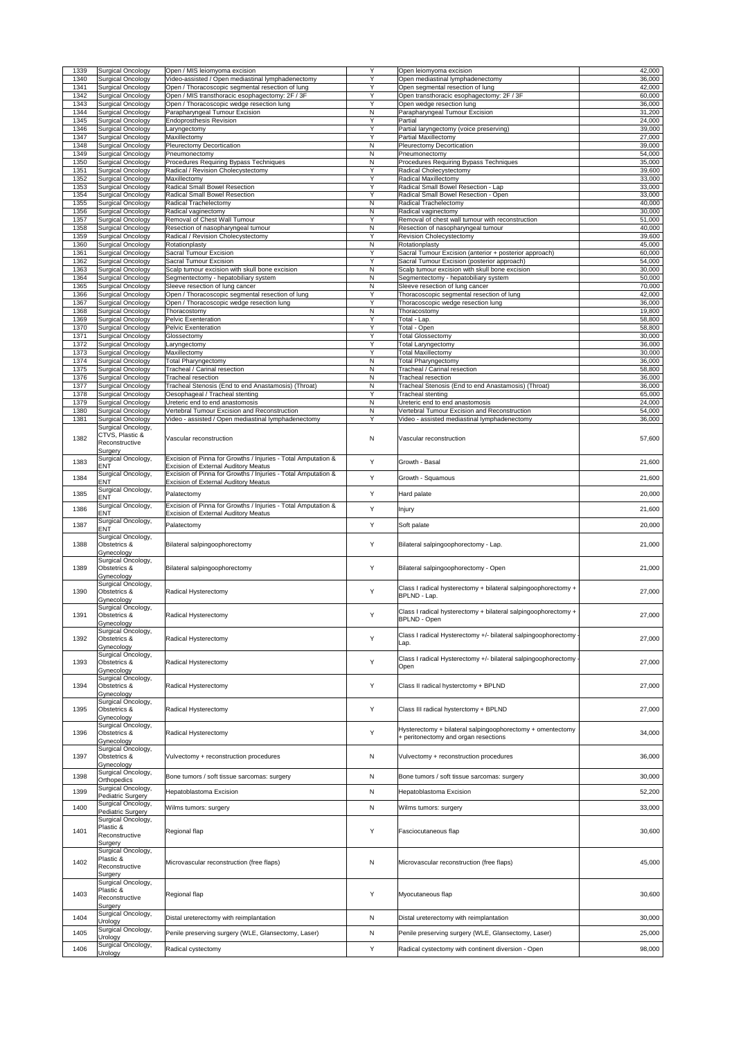| 1339         | Surgical Oncology                                           | Open / MIS leiomyoma excision                                                                                | Y                            | Open leiomyoma excision                                                                                   | 42,000           |
|--------------|-------------------------------------------------------------|--------------------------------------------------------------------------------------------------------------|------------------------------|-----------------------------------------------------------------------------------------------------------|------------------|
| 1340<br>1341 | <b>Surgical Oncology</b><br><b>Surgical Oncology</b>        | Video-assisted / Open mediastinal lymphadenectomy<br>Open / Thoracoscopic segmental resection of lung        | Y<br>Y                       | Open mediastinal lymphadenectomy<br>Open segmental resection of lung                                      | 36,000<br>42,000 |
| 1342         | <b>Surgical Oncology</b>                                    | Open / MIS transthoracic esophagectomy: 2F / 3F                                                              | Y                            | Open transthoracic esophagectomy: 2F / 3F                                                                 | 60,000           |
| 1343         | <b>Surgical Oncology</b>                                    | Open / Thoracoscopic wedge resection lung                                                                    | Y                            | Open wedge resection lung                                                                                 | 36,000           |
| 1344<br>1345 | Surgical Oncology<br><b>Surgical Oncology</b>               | Parapharyngeal Tumour Excision<br><b>Endoprosthesis Revision</b>                                             | $\mathsf{N}$<br>Y            | Parapharyngeal Tumour Excision<br>Partial                                                                 | 31,200<br>24,000 |
| 1346         | <b>Surgical Oncology</b>                                    | Laryngectomy                                                                                                 | Y                            | Partial laryngectomy (voice preserving)                                                                   | 39,000           |
| 1347<br>1348 | <b>Surgical Oncology</b><br><b>Surgical Oncology</b>        | Maxillectomy<br>Pleurectomy Decortication                                                                    | Y<br>$\mathsf{N}$            | <b>Partial Maxillectomy</b><br><b>Pleurectomy Decortication</b>                                           | 27,000<br>39,000 |
| 1349         | <b>Surgical Oncology</b>                                    | Pneumonectomy                                                                                                | $\mathsf{N}$                 | Pneumonectomy                                                                                             | 54,000           |
| 1350         | <b>Surgical Oncology</b>                                    | Procedures Requiring Bypass Techniques                                                                       | $\mathsf{N}$<br>Y            | Procedures Requiring Bypass Techniques                                                                    | 35,000           |
| 1351<br>1352 | <b>Surgical Oncology</b><br><b>Surgical Oncology</b>        | Radical / Revision Cholecystectomy<br>Maxillectomy                                                           | Y                            | <b>Radical Cholecystectomy</b><br><b>Radical Maxillectomy</b>                                             | 39,600<br>33,000 |
| 1353         | <b>Surgical Oncology</b>                                    | Radical Small Bowel Resection                                                                                | Y                            | Radical Small Bowel Resection - Lap                                                                       | 33,000           |
| 1354<br>1355 | <b>Surgical Oncology</b><br><b>Surgical Oncology</b>        | Radical Small Bowel Resection<br>Radical Trachelectomy                                                       | Y<br>$\mathsf{N}$            | Radical Small Bowel Resection - Open<br><b>Radical Trachelectomy</b>                                      | 33,000<br>40,000 |
| 1356         | <b>Surgical Oncology</b>                                    | Radical vaginectomy                                                                                          | ${\sf N}$                    | Radical vaginectomy                                                                                       | 30,000           |
| 1357<br>1358 | <b>Surgical Oncology</b>                                    | Removal of Chest Wall Tumour                                                                                 | Y<br>$\mathsf{N}$            | Removal of chest wall tumour with reconstruction                                                          | 51,000           |
| 1359         | <b>Surgical Oncology</b><br><b>Surgical Oncology</b>        | Resection of nasopharyngeal tumour<br>Radical / Revision Cholecystectomy                                     | Y                            | Resection of nasopharyngeal tumour<br><b>Revision Cholecystectomy</b>                                     | 40,000<br>39,600 |
| 1360         | <b>Surgical Oncology</b>                                    | Rotationplasty                                                                                               | $\mathsf{N}$                 | Rotationplasty                                                                                            | 45,000           |
| 1361<br>1362 | <b>Surgical Oncology</b><br><b>Surgical Oncology</b>        | <b>Sacral Tumour Excision</b><br>Sacral Tumour Excision                                                      | Y<br>Y                       | Sacral Tumour Excision (anterior + posterior approach)<br>Sacral Tumour Excision (posterior approach)     | 60,000<br>54,000 |
| 1363         | <b>Surgical Oncology</b>                                    | Scalp tumour excision with skull bone excision                                                               | $\mathsf{N}$                 | Scalp tumour excision with skull bone excision                                                            | 30,000           |
| 1364<br>1365 | <b>Surgical Oncology</b><br>Surgical Oncology               | Segmentectomy - hepatobiliary system<br>Sleeve resection of lung cancer                                      | $\mathsf{N}$<br>$\mathsf{N}$ | Segmentectomy - hepatobiliary system<br>Sleeve resection of lung cancer                                   | 50,000<br>70,000 |
| 1366         | <b>Surgical Oncology</b>                                    | Open / Thoracoscopic segmental resection of lung                                                             | Y                            | Thoracoscopic segmental resection of lung                                                                 | 42,000           |
| 1367         | <b>Surgical Oncology</b>                                    | Open / Thoracoscopic wedge resection lung                                                                    | Y                            | Thoracoscopic wedge resection lung                                                                        | 36,000           |
| 1368<br>1369 | <b>Surgical Oncology</b><br><b>Surgical Oncology</b>        | Thoracostomy<br>Pelvic Exenteration                                                                          | $\mathsf{N}$<br>Y            | Thoracostomy<br>Total - Lap.                                                                              | 19,800<br>58,800 |
| 1370         | Surgical Oncology                                           | Pelvic Exenteration                                                                                          |                              | Total - Open                                                                                              | 58,800           |
| 1371         | <b>Surgical Oncology</b>                                    | Glossectomy                                                                                                  | $\overline{\mathsf{Y}}$<br>Υ | <b>Total Glossectomy</b>                                                                                  | 30,000           |
| 1372<br>1373 | <b>Surgical Oncology</b><br><b>Surgical Oncology</b>        | Laryngectomy<br>Maxillectomy                                                                                 | Y                            | <b>Total Laryngectomy</b><br><b>Total Maxillectomy</b>                                                    | 36,000<br>30,000 |
| 1374         | <b>Surgical Oncology</b>                                    | <b>Total Pharyngectomy</b>                                                                                   | N                            | <b>Total Pharyngectomy</b>                                                                                | 36,000           |
| 1375<br>1376 | <b>Surgical Oncology</b><br><b>Surgical Oncology</b>        | Tracheal / Carinal resection<br><b>Tracheal resection</b>                                                    | $\mathsf{N}$<br>$\mathsf{N}$ | Tracheal / Carinal resection<br><b>Tracheal resection</b>                                                 | 58,800<br>36,000 |
| 1377         | <b>Surgical Oncology</b>                                    | Tracheal Stenosis (End to end Anastamosis) (Throat)                                                          | $\mathsf{N}$                 | Tracheal Stenosis (End to end Anastamosis) (Throat)                                                       | 36,000           |
| 1378         | Surgical Oncology                                           | Oesophageal / Tracheal stenting                                                                              | Y                            | Tracheal stenting                                                                                         | 65,000           |
| 1379<br>1380 | <b>Surgical Oncology</b><br><b>Surgical Oncology</b>        | Ureteric end to end anastomosis<br>Vertebral Tumour Excision and Reconstruction                              | $\mathsf{N}$<br>N            | Ureteric end to end anastomosis<br>Vertebral Tumour Excision and Reconstruction                           | 24,000<br>54,000 |
| 1381         | <b>Surgical Oncology</b>                                    | Video - assisted / Open mediastinal lymphadenectomy                                                          | Y                            | Video - assisted mediastinal lymphadenectomy                                                              | 36,000           |
|              | Surgical Oncology,                                          |                                                                                                              |                              |                                                                                                           |                  |
| 1382         | CTVS, Plastic &<br>Reconstructive<br>Surgery                | Vascular reconstruction                                                                                      | N                            | Vascular reconstruction                                                                                   | 57,600           |
| 1383         | Surgical Oncology,                                          | Excision of Pinna for Growths / Injuries - Total Amputation &                                                | Y                            | Growth - Basal                                                                                            | 21,600           |
|              | <b>ENT</b><br>Surgical Oncology,                            | <b>Excision of External Auditory Meatus</b><br>Excision of Pinna for Growths / Injuries - Total Amputation & |                              |                                                                                                           |                  |
| 1384         | <b>ENT</b>                                                  | <b>Excision of External Auditory Meatus</b>                                                                  | Y                            | Growth - Squamous                                                                                         | 21,600           |
| 1385         | Surgical Oncology,<br><b>ENT</b>                            | Palatectomy                                                                                                  | Y                            | Hard palate                                                                                               | 20,000           |
| 1386         | Surgical Oncology,                                          | Excision of Pinna for Growths / Injuries - Total Amputation &                                                | Y                            |                                                                                                           |                  |
|              |                                                             |                                                                                                              |                              |                                                                                                           |                  |
|              | <b>ENT</b>                                                  | <b>Excision of External Auditory Meatus</b>                                                                  |                              | <b>Injury</b>                                                                                             | 21,600           |
| 1387         | Surgical Oncology,<br><b>ENT</b>                            | Palatectomy                                                                                                  | Y                            | Soft palate                                                                                               | 20,000           |
| 1388         | Surgical Oncology,<br>Obstetrics &                          | Bilateral salpingoophorectomy                                                                                | Y                            | Bilateral salpingoophorectomy - Lap.                                                                      | 21,000           |
|              | Gynecology<br>Surgical Oncology,                            |                                                                                                              |                              |                                                                                                           |                  |
| 1389         | Obstetrics &<br>Gynecology                                  | Bilateral salpingoophorectomy                                                                                | Y                            | Bilateral salpingoophorectomy - Open                                                                      | 21,000           |
| 1390         | Surgical Oncology,<br>Obstetrics &<br>Gynecology            | Radical Hysterectomy                                                                                         | Y                            | Class I radical hysterectomy + bilateral salpingoophorectomy +<br>BPLND - Lap.                            | 27,000           |
| 1391         | Surgical Oncology,<br>Obstetrics &                          | Radical Hysterectomy                                                                                         | Y                            | Class I radical hysterectomy + bilateral salpingoophorectomy +<br><b>BPLND - Open</b>                     | 27,000           |
| 1392         | Gynecology<br>Surgical Oncology,<br>Obstetrics &            | Radical Hysterectomy                                                                                         | Y                            | Class I radical Hysterectomy +/- bilateral salpingoophorectomy                                            | 27,000           |
|              | Gynecology                                                  |                                                                                                              |                              | Lap.                                                                                                      |                  |
| 1393         | Surgical Oncology,<br><b>Obstetrics &amp;</b><br>Gynecology | Radical Hysterectomy                                                                                         | Y                            | Class I radical Hysterectomy +/- bilateral salpingoophorectomy<br>Open                                    | 27,000           |
| 1394         | Surgical Oncology,<br>Obstetrics &                          | Radical Hysterectomy                                                                                         | Y                            | Class II radical hysterctomy + BPLND                                                                      | 27,000           |
| 1395         | Gynecology<br>Surgical Oncology,<br>Obstetrics &            | Radical Hysterectomy                                                                                         | Y                            | Class III radical hysterctomy + BPLND                                                                     | 27,000           |
|              | Gynecology                                                  |                                                                                                              |                              |                                                                                                           |                  |
| 1396         | Surgical Oncology,<br>Obstetrics &                          | Radical Hysterectomy                                                                                         | Y                            | Hysterectomy + bilateral salpingoophorectomy + omentectomy<br>+ peritonectomy and organ resections        | 34,000           |
| 1397         | Gynecology<br>Surgical Oncology,<br>Obstetrics &            | Vulvectomy + reconstruction procedures                                                                       | N                            | Vulvectomy + reconstruction procedures                                                                    | 36,000           |
|              | Gynecology<br>Surgical Oncology,                            |                                                                                                              |                              |                                                                                                           |                  |
| 1398         | Orthopedics<br>Surgical Oncology,                           | Bone tumors / soft tissue sarcomas: surgery                                                                  | N                            | Bone tumors / soft tissue sarcomas: surgery                                                               | 30,000           |
| 1399         | Pediatric Surgery                                           | Hepatoblastoma Excision                                                                                      | $\mathsf{N}$                 | <b>Hepatoblastoma Excision</b>                                                                            | 52,200           |
| 1400         | Surgical Oncology,                                          | Wilms tumors: surgery                                                                                        | N                            | Wilms tumors: surgery                                                                                     | 33,000           |
| 1401         | <b>Pediatric Surgery</b><br>Surgical Oncology,<br>Plastic & |                                                                                                              | Y                            |                                                                                                           |                  |
|              | Reconstructive                                              | Regional flap                                                                                                |                              | Fasciocutaneous flap                                                                                      | 30,600           |
|              | Surgery<br>Surgical Oncology,<br>Plastic &                  |                                                                                                              |                              |                                                                                                           |                  |
| 1402         | Reconstructive                                              | Microvascular reconstruction (free flaps)                                                                    | $\mathsf{N}$                 | Microvascular reconstruction (free flaps)                                                                 | 45,000           |
|              | Surgery<br>Surgical Oncology,                               |                                                                                                              |                              |                                                                                                           |                  |
| 1403         | Plastic &                                                   | Regional flap                                                                                                | Y                            | Myocutaneous flap                                                                                         | 30,600           |
|              | Reconstructive<br>Surgery                                   |                                                                                                              |                              |                                                                                                           |                  |
| 1404         | Surgical Oncology,                                          | Distal ureterectomy with reimplantation                                                                      | N                            | Distal ureterectomy with reimplantation                                                                   | 30,000           |
|              | Urology<br>Surgical Oncology,                               |                                                                                                              |                              |                                                                                                           |                  |
| 1405<br>1406 | Urology<br>Surgical Oncology,                               | Penile preserving surgery (WLE, Glansectomy, Laser)<br>Radical cystectomy                                    | N<br>Y                       | Penile preserving surgery (WLE, Glansectomy, Laser)<br>Radical cystectomy with continent diversion - Open | 25,000           |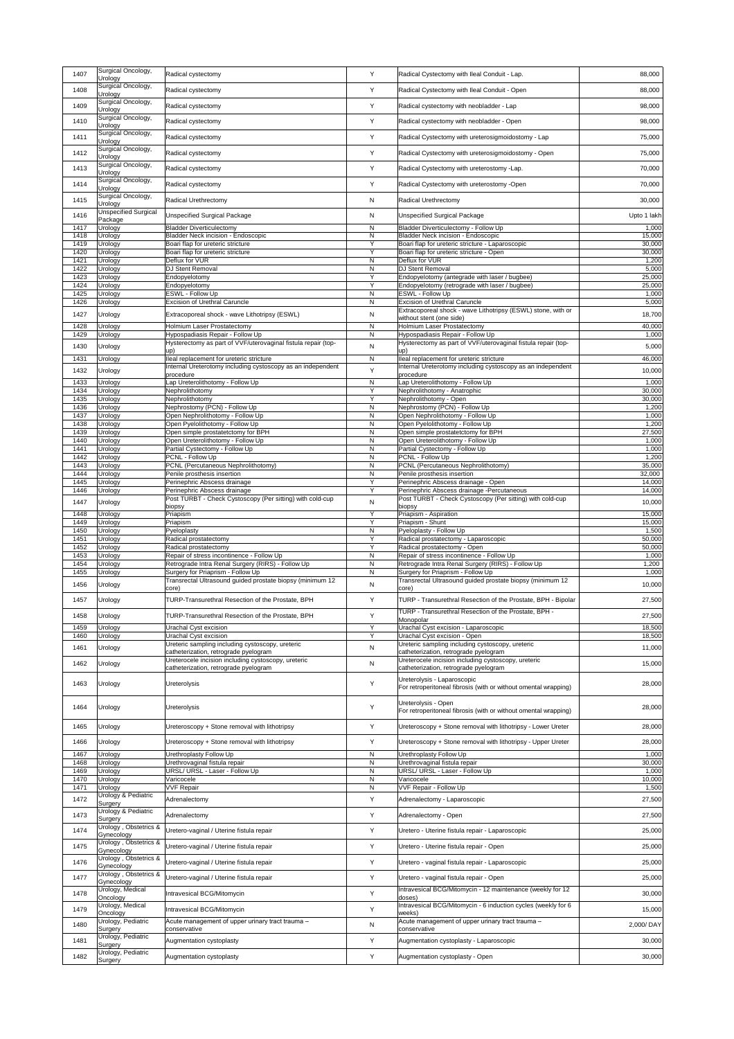| 1407         | Surgical Oncology,<br>Urology       | Radical cystectomy                                                                                      | Y                            | Radical Cystectomy with Ileal Conduit - Lap.                                                            | 88,000           |
|--------------|-------------------------------------|---------------------------------------------------------------------------------------------------------|------------------------------|---------------------------------------------------------------------------------------------------------|------------------|
| 1408         | Surgical Oncology,<br>Urology       | Radical cystectomy                                                                                      | Y                            | Radical Cystectomy with Ileal Conduit - Open                                                            | 88,000           |
| 1409         | Surgical Oncology,                  | Radical cystectomy                                                                                      | Y                            | Radical cystectomy with neobladder - Lap                                                                | 98,000           |
| 1410         | Urology<br>Surgical Oncology,       | Radical cystectomy                                                                                      | Y                            | Radical cystectomy with neobladder - Open                                                               | 98,000           |
| 1411         | Urology<br>Surgical Oncology,       | Radical cystectomy                                                                                      | Y                            | Radical Cystectomy with ureterosigmoidostomy - Lap                                                      | 75,000           |
| 1412         | Urology<br>Surgical Oncology,       | Radical cystectomy                                                                                      | Y                            | Radical Cystectomy with ureterosigmoidostomy - Open                                                     | 75,000           |
| 1413         | Urology<br>Surgical Oncology,       | Radical cystectomy                                                                                      | Y                            | Radical Cystectomy with ureterostomy -Lap.                                                              | 70,000           |
|              | Urology<br>Surgical Oncology,       |                                                                                                         |                              |                                                                                                         |                  |
| 1414         | Urology<br>Surgical Oncology,       | Radical cystectomy                                                                                      | Y                            | Radical Cystectomy with ureterostomy -Open                                                              | 70,000           |
| 1415         | Urology<br>Unspecified Surgical     | Radical Urethrectomy                                                                                    | $\mathsf{N}$                 | Radical Urethrectomy                                                                                    | 30,000           |
| 1416         | Package                             | <b>Unspecified Surgical Package</b>                                                                     | N                            | <b>Unspecified Surgical Package</b>                                                                     | Upto 1 lakh      |
| 1417<br>1418 | Urology<br>Urology                  | <b>Bladder Diverticulectomy</b><br><b>Bladder Neck incision - Endoscopic</b>                            | $\mathsf{N}$<br>N            | <b>Bladder Diverticulectomy - Follow Up</b><br><b>Bladder Neck incision - Endoscopic</b>                | 1,000<br>15,000  |
| 1419<br>1420 | Urology<br>Urology                  | Boari flap for ureteric stricture<br>Boari flap for ureteric stricture                                  | Y<br>Y                       | Boari flap for ureteric stricture - Laparoscopic<br>Boari flap for ureteric stricture - Open            | 30,000<br>30,000 |
| 1421<br>1422 | Urology<br>Urology                  | Deflux for VUR<br><b>DJ Stent Removal</b>                                                               | $\mathsf{N}$<br>$\mathsf{N}$ | Deflux for VUR<br><b>DJ Stent Removal</b>                                                               | 1,200<br>5,000   |
| 1423         | Urology                             | Endopyelotomy                                                                                           | Y                            | Endopyelotomy (antegrade with laser / bugbee)                                                           | 25,000           |
| 1424<br>1425 | Urology<br>Urology                  | Endopyelotomy<br><b>ESWL - Follow Up</b>                                                                | Y<br>$\mathsf{N}$            | Endopyelotomy (retrograde with laser / bugbee)<br><b>ESWL - Follow Up</b>                               | 25,000<br>1,000  |
| 1426         | Urology                             | <b>Excision of Urethral Caruncle</b>                                                                    | $\mathsf{N}$                 | <b>Excision of Urethral Caruncle</b><br>Extracoporeal shock - wave Lithotripsy (ESWL) stone, with or    | 5,000            |
| 1427<br>1428 | Urology<br>Urology                  | Extracoporeal shock - wave Lithotripsy (ESWL)<br>Holmium Laser Prostatectomy                            | N<br>N                       | without stent (one side)<br><b>Holmium Laser Prostatectomy</b>                                          | 18,700<br>40,000 |
| 1429         | Jrology                             | Hypospadiasis Repair - Follow Up                                                                        | $\mathsf{N}$                 | Hypospadiasis Repair - Follow Up<br>Hysterectomy as part of VVF/uterovaginal fistula repair (top-       | 1,000            |
| 1430         | Urology                             | Hysterectomy as part of VVF/uterovaginal fistula repair (top-<br>up)                                    | $\mathsf{N}$                 | up)                                                                                                     | 5,000            |
| 1431<br>1432 | Urology<br>Urology                  | lleal replacement for ureteric stricture<br>Internal Ureterotomy including cystoscopy as an independent | N<br>Y                       | lleal replacement for ureteric stricture<br>Internal Ureterotomy including cystoscopy as an independent | 46,000<br>10,000 |
| 1433         | Urology                             | procedure<br>Lap Ureterolithotomy - Follow Up                                                           | $\mathsf{N}$                 | procedure<br>Lap Ureterolithotomy - Follow Up                                                           | 1,000            |
| 1434<br>1435 | Urology<br>Urology                  | Nephrolithotomy<br>Nephrolithotomy                                                                      | Y<br>Y                       | Nephrolithotomy - Anatrophic<br>Nephrolithotomy - Open                                                  | 30,000<br>30,000 |
| 1436         | Urology                             | Nephrostomy (PCN) - Follow Up                                                                           | N                            | Nephrostomy (PCN) - Follow Up                                                                           | 1,200            |
| 1437<br>1438 | Urology<br>Urology                  | Open Nephrolithotomy - Follow Up<br>Open Pyelolithotomy - Follow Up                                     | $\mathsf{N}$<br>$\mathsf{N}$ | Open Nephrolithotomy - Follow Up<br>Open Pyelolithotomy - Follow Up                                     | 1,000<br>1,200   |
| 1439<br>1440 | Urology<br>Urology                  | Open simple prostatetctomy for BPH<br>Open Ureterolithotomy - Follow Up                                 | $\mathsf{N}$<br>N            | Open simple prostatetctomy for BPH<br>Open Ureterolithotomy - Follow Up                                 | 27,500<br>1,000  |
| 1441<br>1442 | Urology<br>Urology                  | Partial Cystectomy - Follow Up<br>PCNL - Follow Up                                                      | ${\sf N}$<br>$\mathsf{N}$    | Partial Cystectomy - Follow Up<br>PCNL - Follow Up                                                      | 1,000<br>1,200   |
| 1443         | Jrology                             | PCNL (Percutaneous Nephrolithotomy)                                                                     | N                            | PCNL (Percutaneous Nephrolithotomy)                                                                     | 35,000           |
| 1444<br>1445 | Urology<br>Urology                  | Penile prosthesis insertion<br>Perinephric Abscess drainage                                             | $\mathsf{N}$<br>Y            | Penile prosthesis insertion<br>Perinephric Abscess drainage - Open                                      | 32,000<br>14,000 |
| 1446         | Urology                             | Perinephric Abscess drainage<br>Post TURBT - Check Cystoscopy (Per sitting) with cold-cup               | Y                            | Perinephric Abscess drainage -Percutaneous<br>Post TURBT - Check Cystoscopy (Per sitting) with cold-cup | 14,000           |
| 1447<br>1448 | Urology<br>Urology                  | biopsy<br>Priapism                                                                                      | $\mathsf{N}$<br>Y            | biopsy<br>Priapism - Aspiration                                                                         | 10,000<br>15,000 |
| 1449<br>1450 | Urology                             | Priapism<br>Pyeloplasty                                                                                 | Y<br>N                       | Priapism - Shunt<br>Pyeloplasty - Follow Up                                                             | 15,000<br>1,500  |
| 1451         | Urology<br>Urology                  | Radical prostatectomy                                                                                   | Y                            | Radical prostatectomy - Laparoscopic                                                                    | 50,000           |
| 1452<br>1453 | Urology<br>Urology                  | Radical prostatectomy<br>Repair of stress incontinence - Follow Up                                      | Y<br>$\mathsf{N}$            | Radical prostatectomy - Open<br>Repair of stress incontinence - Follow Up                               | 50,000<br>1,000  |
| 1454<br>1455 | Urology<br>Urology                  | Retrograde Intra Renal Surgery (RIRS) - Follow Up<br>Surgery for Priaprism - Follow Up                  | $\mathsf{N}$<br>N            | Retrograde Intra Renal Surgery (RIRS) - Follow Up<br>Surgery for Priaprism - Follow Up                  | 1,200<br>1,000   |
| 1456         | <b>Urology</b>                      | Transrectal Ultrasound guided prostate biopsy (minimum 12<br>core)                                      | N                            | Transrectal Ultrasound guided prostate biopsy (minimum 12<br>core)                                      | 10,000           |
| 1457         | Urology                             | TURP-Transurethral Resection of the Prostate, BPH                                                       | Y                            | TURP - Transurethral Resection of the Prostate, BPH - Bipolar                                           | 27,500           |
| 1458         | Urology                             | TURP-Transurethral Resection of the Prostate, BPH                                                       | Y                            | TURP - Transurethral Resection of the Prostate, BPH -                                                   | 27,500           |
| 1459         | Urology                             | Urachal Cyst excision                                                                                   | Y                            | Monopolar<br>Urachal Cyst excision - Laparoscopic                                                       | 18,500           |
| 1460<br>1461 | <b>Jrology</b>                      | <b>Urachal Cyst excision</b><br>Ureteric sampling including cystoscopy, ureteric                        | Y<br>$\mathsf{N}$            | Urachal Cyst excision - Open<br>Ureteric sampling including cystoscopy, ureteric                        | 18,500<br>11,000 |
|              | Urology                             | catheterization, retrograde pyelogram<br>Ureterocele incision including cystoscopy, ureteric            |                              | catheterization, retrograde pyelogram<br>Ureterocele incision including cystoscopy, ureteric            |                  |
| 1462         | Urology                             | catheterization, retrograde pyelogram                                                                   | N                            | catheterization, retrograde pyelogram                                                                   | 15,000           |
| 1463         | Urology                             | <b>Ureterolysis</b>                                                                                     | Y                            | Ureterolysis - Laparoscopic<br>For retroperitoneal fibrosis (with or without omental wrapping)          | 28,000           |
|              |                                     |                                                                                                         |                              | Ureterolysis - Open                                                                                     |                  |
| 1464         | Urology                             | <b>Ureterolysis</b>                                                                                     | Y                            | For retroperitoneal fibrosis (with or without omental wrapping)                                         | 28,000           |
| 1465         | Urology                             | Ureteroscopy + Stone removal with lithotripsy                                                           | Y                            | Ureteroscopy + Stone removal with lithotripsy - Lower Ureter                                            | 28,000           |
| 1466         | Urology                             | Ureteroscopy + Stone removal with lithotripsy                                                           | Y                            | Ureteroscopy + Stone removal with lithotripsy - Upper Ureter                                            | 28,000           |
| 1467<br>1468 | Urology<br>Urology                  | Urethroplasty Follow Up<br>Urethrovaginal fistula repair                                                | N<br>$\mathsf{N}$            | Urethroplasty Follow Up<br>Urethrovaginal fistula repair                                                | 1,000<br>30,000  |
| 1469<br>1470 | Urology                             | URSL/ URSL - Laser - Follow Up<br>Varicocele                                                            | N<br>$\mathsf{N}$            | URSL/ URSL - Laser - Follow Up<br>Varicocele                                                            | 1,000<br>10,000  |
| 1471         | Urology<br>Urology                  | <b>VVF Repair</b>                                                                                       | N                            | VVF Repair - Follow Up                                                                                  | 1,500            |
| 1472         | Urology & Pediatric<br>Surgery      | Adrenalectomy                                                                                           | Y                            | Adrenalectomy - Laparoscopic                                                                            | 27,500           |
| 1473         | Urology & Pediatric<br>Surgery      | Adrenalectomy                                                                                           | Y                            | Adrenalectomy - Open                                                                                    | 27,500           |
| 1474         | Urology, Obstetrics &<br>Gynecology | Uretero-vaginal / Uterine fistula repair                                                                | Y                            | Uretero - Uterine fistula repair - Laparoscopic                                                         | 25,000           |
| 1475         | Gynecology                          | Urology, Obstetrics & Uretero-vaginal / Uterine fistula repair                                          | Y.                           | Uretero - Uterine fistula repair - Open                                                                 | 25,000           |
| 1476         | Urology, Obstetrics &<br>Gynecology | Uretero-vaginal / Uterine fistula repair                                                                | Y                            | Uretero - vaginal fistula repair - Laparoscopic                                                         | 25,000           |
| 1477         | Urology, Obstetrics &               | Uretero-vaginal / Uterine fistula repair                                                                | Y                            | Uretero - vaginal fistula repair - Open                                                                 | 25,000           |
| 1478         | Gynecology<br>Urology, Medical      | Intravesical BCG/Mitomycin                                                                              | Y                            | Intravesical BCG/Mitomycin - 12 maintenance (weekly for 12                                              | 30,000           |
| 1479         | Oncology<br>Urology, Medical        | Intravesical BCG/Mitomycin                                                                              | Y                            | doses)<br>Intravesical BCG/Mitomycin - 6 induction cycles (weekly for 6                                 | 15,000           |
| 1480         | Oncology<br>Urology, Pediatric      | Acute management of upper urinary tract trauma -                                                        | N                            | weeks)<br>Acute management of upper urinary tract trauma -                                              | 2,000/DAY        |
|              | Surgery<br>Urology, Pediatric       | conservative                                                                                            |                              | conservative                                                                                            |                  |
| 1481         | Surgery<br>Urology, Pediatric       | Augmentation cystoplasty                                                                                | Y                            | Augmentation cystoplasty - Laparoscopic                                                                 | 30,000           |
| 1482         | Surgery                             | Augmentation cystoplasty                                                                                | Y                            | Augmentation cystoplasty - Open                                                                         | 30,000           |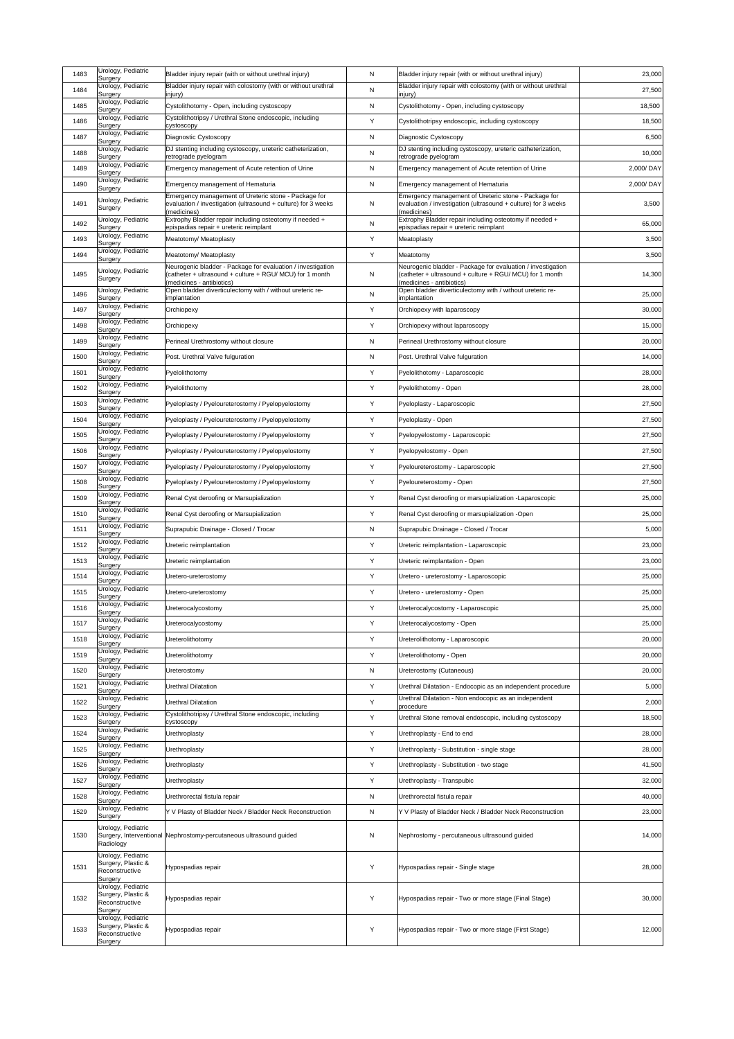| 1483 | Urology, Pediatric<br>Surgery                                         | Bladder injury repair (with or without urethral injury)                                                               | N            | Bladder injury repair (with or without urethral injury)                                                               | 23,000    |
|------|-----------------------------------------------------------------------|-----------------------------------------------------------------------------------------------------------------------|--------------|-----------------------------------------------------------------------------------------------------------------------|-----------|
| 1484 | Urology, Pediatric                                                    | Bladder injury repair with colostomy (with or without urethral                                                        | $\mathsf{N}$ | Bladder injury repair with colostomy (with or without urethral                                                        | 27,500    |
| 1485 | Surgery<br>Urology, Pediatric                                         | injury)<br>Cystolithotomy - Open, including cystoscopy                                                                | N            | injury)<br>Cystolithotomy - Open, including cystoscopy                                                                | 18,500    |
| 1486 | Surgery<br>Urology, Pediatric                                         | Cystolithotripsy / Urethral Stone endoscopic, including                                                               | Y            | Cystolithotripsy endoscopic, including cystoscopy                                                                     | 18,500    |
| 1487 | Surgery<br>Urology, Pediatric                                         | cystoscopy                                                                                                            |              |                                                                                                                       |           |
|      | Surgery<br>Urology, Pediatric                                         | Diagnostic Cystoscopy<br>DJ stenting including cystoscopy, ureteric catheterization,                                  | N            | Diagnostic Cystoscopy<br>DJ stenting including cystoscopy, ureteric catheterization,                                  | 6,500     |
| 1488 | Surgery<br>Urology, Pediatric                                         | retrograde pyelogram                                                                                                  | $\mathsf{N}$ | retrograde pyelogram                                                                                                  | 10,000    |
| 1489 | Surgery                                                               | Emergency management of Acute retention of Urine                                                                      | N            | Emergency management of Acute retention of Urine                                                                      | 2,000/DAY |
| 1490 | Urology, Pediatric<br>Surgery                                         | <b>Emergency management of Hematuria</b>                                                                              | N            | <b>Emergency management of Hematuria</b>                                                                              | 2,000/DAY |
| 1491 | Urology, Pediatric<br>Surgery                                         | Emergency management of Ureteric stone - Package for<br>evaluation / investigation (ultrasound + culture) for 3 weeks | N            | Emergency management of Ureteric stone - Package for<br>evaluation / investigation (ultrasound + culture) for 3 weeks | 3,500     |
| 1492 | Urology, Pediatric                                                    | (medicines)<br>Extrophy Bladder repair including osteotomy if needed +                                                | N            | (medicines)<br>Extrophy Bladder repair including osteotomy if needed +                                                | 65,000    |
| 1493 | Surgery<br>Urology, Pediatric                                         | epispadias repair + ureteric reimplant<br>Meatotomy/ Meatoplasty                                                      | Y            | epispadias repair + ureteric reimplant<br>Meatoplasty                                                                 | 3,500     |
| 1494 | Surgery<br>Urology, Pediatric                                         | Meatotomy/ Meatoplasty                                                                                                | Y            | Meatotomy                                                                                                             | 3,500     |
|      | Surgery<br>Urology, Pediatric                                         | Neurogenic bladder - Package for evaluation / investigation                                                           |              | Neurogenic bladder - Package for evaluation / investigation                                                           |           |
| 1495 | Surgery                                                               | (catheter + ultrasound + culture + RGU/ MCU) for 1 month<br>(medicines - antibiotics)                                 | N            | (catheter + ultrasound + culture + RGU/ MCU) for 1 month<br>(medicines - antibiotics)                                 | 14,300    |
| 1496 | Urology, Pediatric<br>Surgery                                         | Open bladder diverticulectomy with / without ureteric re-<br>implantation                                             | N            | Open bladder diverticulectomy with / without ureteric re-<br>implantation                                             | 25,000    |
| 1497 | Urology, Pediatric<br>Surgery                                         | Orchiopexy                                                                                                            | Y            | Orchiopexy with laparoscopy                                                                                           | 30,000    |
| 1498 | Urology, Pediatric<br>Surgery                                         | Orchiopexy                                                                                                            | Y            | Orchiopexy without laparoscopy                                                                                        | 15,000    |
| 1499 | Urology, Pediatric                                                    | Perineal Urethrostomy without closure                                                                                 | N            | Perineal Urethrostomy without closure                                                                                 | 20,000    |
| 1500 | Surgery<br>Urology, Pediatric                                         | Post. Urethral Valve fulguration                                                                                      | N            | Post. Urethral Valve fulguration                                                                                      | 14,000    |
| 1501 | Surgery<br>Urology, Pediatric                                         | Pyelolithotomy                                                                                                        | Y            | Pyelolithotomy - Laparoscopic                                                                                         | 28,000    |
| 1502 | Surgery<br>Urology, Pediatric                                         | Pyelolithotomy                                                                                                        | Υ            | Pyelolithotomy - Open                                                                                                 | 28,000    |
|      | Surgery<br>Urology, Pediatric                                         |                                                                                                                       |              |                                                                                                                       |           |
| 1503 | Surgery<br>Urology, Pediatric                                         | Pyeloplasty / Pyeloureterostomy / Pyelopyelostomy                                                                     | Y            | Pyeloplasty - Laparoscopic                                                                                            | 27,500    |
| 1504 | Surgery                                                               | Pyeloplasty / Pyeloureterostomy / Pyelopyelostomy                                                                     | Υ            | Pyeloplasty - Open                                                                                                    | 27,500    |
| 1505 | Urology, Pediatric<br>Surgery                                         | Pyeloplasty / Pyeloureterostomy / Pyelopyelostomy                                                                     | Y            | Pyelopyelostomy - Laparoscopic                                                                                        | 27,500    |
| 1506 | Urology, Pediatric<br>Surgery                                         | Pyeloplasty / Pyeloureterostomy / Pyelopyelostomy                                                                     | Υ            | Pyelopyelostomy - Open                                                                                                | 27,500    |
| 1507 | Urology, Pediatric<br>Surgery                                         | Pyeloplasty / Pyeloureterostomy / Pyelopyelostomy                                                                     | Y            | Pyeloureterostomy - Laparoscopic                                                                                      | 27,500    |
| 1508 | Urology, Pediatric<br>Surgery                                         | Pyeloplasty / Pyeloureterostomy / Pyelopyelostomy                                                                     | Y            | Pyeloureterostomy - Open                                                                                              | 27,500    |
| 1509 | Urology, Pediatric<br>Surgery                                         | Renal Cyst deroofing or Marsupialization                                                                              | Y            | Renal Cyst deroofing or marsupialization - Laparoscopic                                                               | 25,000    |
| 1510 | Urology, Pediatric<br>Surgery                                         | Renal Cyst deroofing or Marsupialization                                                                              | Y            | Renal Cyst deroofing or marsupialization -Open                                                                        | 25,000    |
| 1511 | Urology, Pediatric                                                    | Suprapubic Drainage - Closed / Trocar                                                                                 | N            | Suprapubic Drainage - Closed / Trocar                                                                                 | 5,000     |
| 1512 | Surgery<br>Urology, Pediatric                                         | Ureteric reimplantation                                                                                               | Y            | Ureteric reimplantation - Laparoscopic                                                                                | 23,000    |
| 1513 | Surgery<br>Urology, Pediatric                                         | Ureteric reimplantation                                                                                               | Y            | Ureteric reimplantation - Open                                                                                        | 23,000    |
|      | Surgery<br>Urology, Pediatric                                         |                                                                                                                       |              |                                                                                                                       |           |
| 1514 | Surgery<br>Urology, Pediatric                                         | Uretero-ureterostomy                                                                                                  | Y            | Uretero - ureterostomy - Laparoscopic                                                                                 | 25,000    |
| 1515 | Surgery<br>Urology, Pediatric                                         | Uretero-ureterostomy                                                                                                  | Y            | Uretero - ureterostomy - Open                                                                                         | 25,000    |
| 1516 | Surgery                                                               | Ureterocalycostomy                                                                                                    | Y            | Ureterocalycostomy - Laparoscopic                                                                                     | 25,000    |
| 1517 | Urology, Pediatric<br>Surgery                                         | Ureterocalycostomy                                                                                                    | Y            | Ureterocalycostomy - Open                                                                                             | 25,000    |
| 1518 | Urology, Pediatric<br>Surgery                                         | Ureterolithotomy                                                                                                      | Y            | Ureterolithotomy - Laparoscopic                                                                                       | 20,000    |
| 1519 | Urology, Pediatric<br>Surgery                                         | Ureterolithotomy                                                                                                      | Y            | Ureterolithotomy - Open                                                                                               | 20,000    |
| 1520 | Urology, Pediatric<br>Surgery                                         | Ureterostomy                                                                                                          | N            | Ureterostomy (Cutaneous)                                                                                              | 20,000    |
| 1521 | Urology, Pediatric<br>Surgery                                         | <b>Urethral Dilatation</b>                                                                                            | Y            | Urethral Dilatation - Endocopic as an independent procedure                                                           | 5,000     |
| 1522 | Urology, Pediatric<br>Surgery                                         | <b>Urethral Dilatation</b>                                                                                            | Y            | Urethral Dilatation - Non endocopic as an independent<br>procedure                                                    | 2,000     |
| 1523 | Urology, Pediatric<br>Surgery                                         | Cystolithotripsy / Urethral Stone endoscopic, including                                                               | Y            | Urethral Stone removal endoscopic, including cystoscopy                                                               | 18,500    |
| 1524 | Urology, Pediatric                                                    | cystoscopy<br>Urethroplasty                                                                                           | Y            | Urethroplasty - End to end                                                                                            | 28,000    |
| 1525 | Surgery<br>Urology, Pediatric                                         | Urethroplasty                                                                                                         | Y            | Urethroplasty - Substitution - single stage                                                                           | 28,000    |
| 1526 | Surgery<br>Urology, Pediatric                                         | Urethroplasty                                                                                                         | Y            | Urethroplasty - Substitution - two stage                                                                              | 41,500    |
| 1527 | Surgery<br>Urology, Pediatric                                         | Urethroplasty                                                                                                         | Y            | Urethroplasty - Transpubic                                                                                            | 32,000    |
|      | Surgery<br>Urology, Pediatric                                         |                                                                                                                       |              |                                                                                                                       |           |
| 1528 | Surgery<br>Urology, Pediatric                                         | Urethrorectal fistula repair                                                                                          | $\mathsf{N}$ | Urethrorectal fistula repair                                                                                          | 40,000    |
| 1529 | Surgery                                                               | Y V Plasty of Bladder Neck / Bladder Neck Reconstruction                                                              | N            | Y V Plasty of Bladder Neck / Bladder Neck Reconstruction                                                              | 23,000    |
| 1530 | Urology, Pediatric<br>Radiology                                       | Surgery, Interventional Nephrostomy-percutaneous ultrasound guided                                                    | N            | Nephrostomy - percutaneous ultrasound guided                                                                          | 14,000    |
| 1531 | Urology, Pediatric<br>Surgery, Plastic &<br>Reconstructive<br>Surgery | Hypospadias repair                                                                                                    | Y            | Hypospadias repair - Single stage                                                                                     | 28,000    |
| 1532 | Urology, Pediatric<br>Surgery, Plastic &<br>Reconstructive<br>Surgery | Hypospadias repair                                                                                                    | Y            | Hypospadias repair - Two or more stage (Final Stage)                                                                  | 30,000    |
| 1533 | Urology, Pediatric<br>Surgery, Plastic &<br>Reconstructive<br>Surgery | Hypospadias repair                                                                                                    | Y            | Hypospadias repair - Two or more stage (First Stage)                                                                  | 12,000    |